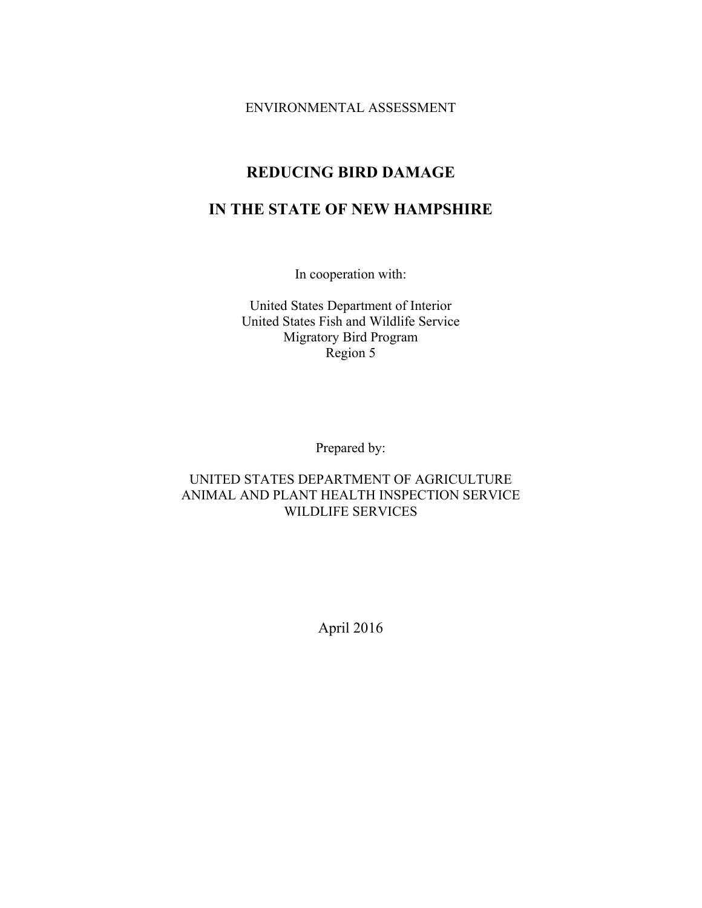ENVIRONMENTAL ASSESSMENT

# **REDUCING BIRD DAMAGE**

# **IN THE STATE OF NEW HAMPSHIRE**

In cooperation with:

United States Department of Interior United States Fish and Wildlife Service Migratory Bird Program Region 5

Prepared by:

# UNITED STATES DEPARTMENT OF AGRICULTURE ANIMAL AND PLANT HEALTH INSPECTION SERVICE WILDLIFE SERVICES

April 2016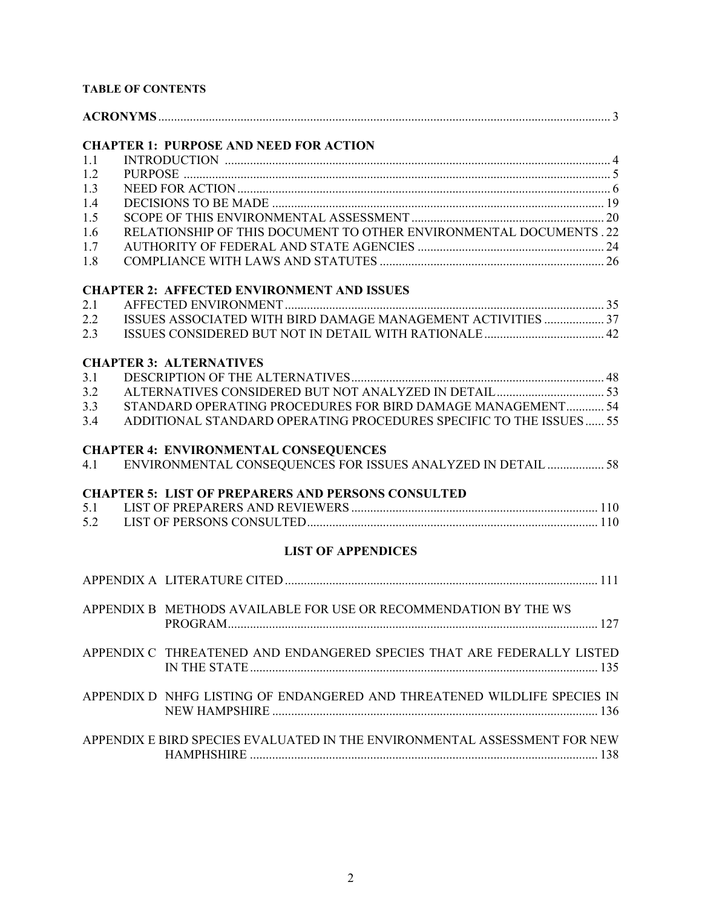# **TABLE OF CONTENTS**

| 1.1 | <b>CHAPTER 1: PURPOSE AND NEED FOR ACTION</b>                             |     |
|-----|---------------------------------------------------------------------------|-----|
| 1.2 |                                                                           |     |
| 1.3 |                                                                           |     |
| 1.4 |                                                                           |     |
| 1.5 |                                                                           |     |
| 1.6 | RELATIONSHIP OF THIS DOCUMENT TO OTHER ENVIRONMENTAL DOCUMENTS . 22       |     |
| 1.7 |                                                                           |     |
| 1.8 |                                                                           |     |
|     | <b>CHAPTER 2: AFFECTED ENVIRONMENT AND ISSUES</b>                         |     |
| 2.1 |                                                                           |     |
| 2.2 | ISSUES ASSOCIATED WITH BIRD DAMAGE MANAGEMENT ACTIVITIES  37              |     |
| 2.3 |                                                                           |     |
|     |                                                                           |     |
|     | <b>CHAPTER 3: ALTERNATIVES</b>                                            |     |
| 3.1 |                                                                           |     |
| 3.2 |                                                                           |     |
| 3.3 | STANDARD OPERATING PROCEDURES FOR BIRD DAMAGE MANAGEMENT 54               |     |
| 3.4 | ADDITIONAL STANDARD OPERATING PROCEDURES SPECIFIC TO THE ISSUES 55        |     |
|     | <b>CHAPTER 4: ENVIRONMENTAL CONSEQUENCES</b>                              |     |
| 4.1 | ENVIRONMENTAL CONSEQUENCES FOR ISSUES ANALYZED IN DETAIL  58              |     |
|     |                                                                           |     |
|     | <b>CHAPTER 5: LIST OF PREPARERS AND PERSONS CONSULTED</b>                 |     |
| 5.1 |                                                                           |     |
| 5.2 |                                                                           |     |
|     | <b>LIST OF APPENDICES</b>                                                 |     |
|     |                                                                           |     |
|     |                                                                           |     |
|     | APPENDIX B METHODS AVAILABLE FOR USE OR RECOMMENDATION BY THE WS          |     |
|     | PROGRAM                                                                   | 127 |
|     | APPENDIX C THREATENED AND ENDANGERED SPECIES THAT ARE FEDERALLY LISTED    |     |
|     |                                                                           |     |
|     |                                                                           |     |
|     | APPENDIX D NHFG LISTING OF ENDANGERED AND THREATENED WILDLIFE SPECIES IN  |     |
|     |                                                                           |     |
|     |                                                                           |     |
|     | APPENDIX E BIRD SPECIES EVALUATED IN THE ENVIRONMENTAL ASSESSMENT FOR NEW |     |
|     |                                                                           |     |
|     |                                                                           |     |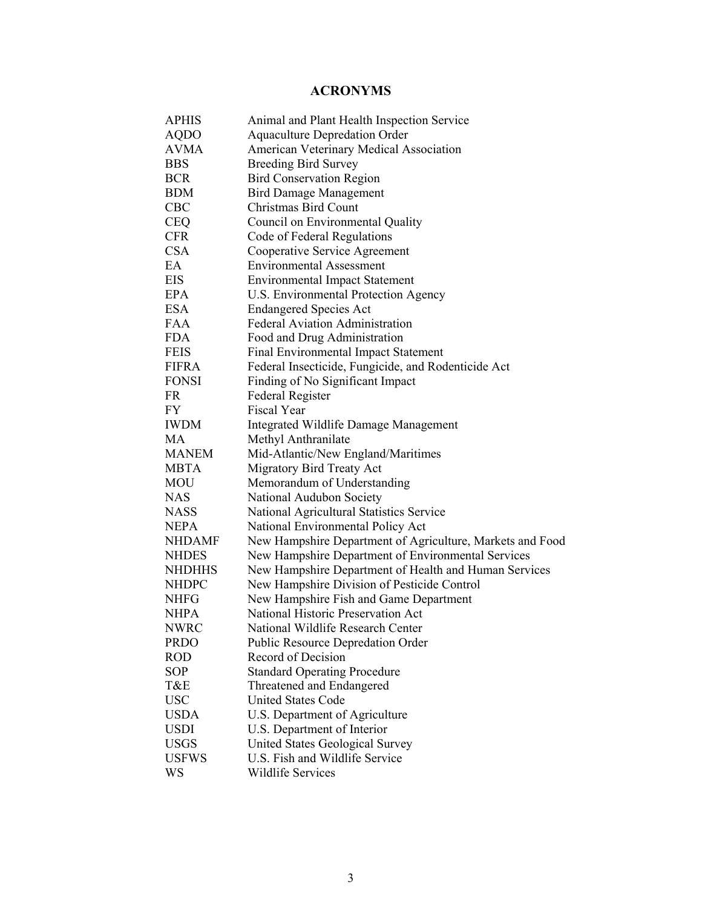# **ACRONYMS**

| APHIS         | Animal and Plant Health Inspection Service                |
|---------------|-----------------------------------------------------------|
| <b>AQDO</b>   | <b>Aquaculture Depredation Order</b>                      |
| <b>AVMA</b>   | American Veterinary Medical Association                   |
| <b>BBS</b>    | <b>Breeding Bird Survey</b>                               |
| <b>BCR</b>    | <b>Bird Conservation Region</b>                           |
| <b>BDM</b>    | <b>Bird Damage Management</b>                             |
| <b>CBC</b>    | Christmas Bird Count                                      |
| <b>CEQ</b>    | Council on Environmental Quality                          |
| <b>CFR</b>    | Code of Federal Regulations                               |
| <b>CSA</b>    | Cooperative Service Agreement                             |
| EA            | <b>Environmental Assessment</b>                           |
| EIS           | <b>Environmental Impact Statement</b>                     |
| EPA           | U.S. Environmental Protection Agency                      |
| <b>ESA</b>    | <b>Endangered Species Act</b>                             |
| <b>FAA</b>    | <b>Federal Aviation Administration</b>                    |
| <b>FDA</b>    | Food and Drug Administration                              |
| <b>FEIS</b>   | Final Environmental Impact Statement                      |
| FIFRA         | Federal Insecticide, Fungicide, and Rodenticide Act       |
| <b>FONSI</b>  | Finding of No Significant Impact                          |
| FR            | Federal Register                                          |
| FY            | Fiscal Year                                               |
| <b>IWDM</b>   | Integrated Wildlife Damage Management                     |
| MA            | Methyl Anthranilate                                       |
| <b>MANEM</b>  | Mid-Atlantic/New England/Maritimes                        |
| MBTA          | Migratory Bird Treaty Act                                 |
| <b>MOU</b>    | Memorandum of Understanding                               |
| <b>NAS</b>    | National Audubon Society                                  |
| <b>NASS</b>   | National Agricultural Statistics Service                  |
| <b>NEPA</b>   | National Environmental Policy Act                         |
| <b>NHDAMF</b> | New Hampshire Department of Agriculture, Markets and Food |
| <b>NHDES</b>  | New Hampshire Department of Environmental Services        |
| <b>NHDHHS</b> | New Hampshire Department of Health and Human Services     |
| <b>NHDPC</b>  | New Hampshire Division of Pesticide Control               |
| <b>NHFG</b>   | New Hampshire Fish and Game Department                    |
| NHPA          | National Historic Preservation Act                        |
| <b>NWRC</b>   | National Wildlife Research Center                         |
| <b>PRDO</b>   | Public Resource Depredation Order                         |
| <b>ROD</b>    | Record of Decision                                        |
| <b>SOP</b>    | <b>Standard Operating Procedure</b>                       |
| T&E           | Threatened and Endangered                                 |
| <b>USC</b>    | <b>United States Code</b>                                 |
| <b>USDA</b>   | U.S. Department of Agriculture                            |
| <b>USDI</b>   | U.S. Department of Interior                               |
| <b>USGS</b>   | <b>United States Geological Survey</b>                    |
| <b>USFWS</b>  | U.S. Fish and Wildlife Service                            |
| WS            | <b>Wildlife Services</b>                                  |
|               |                                                           |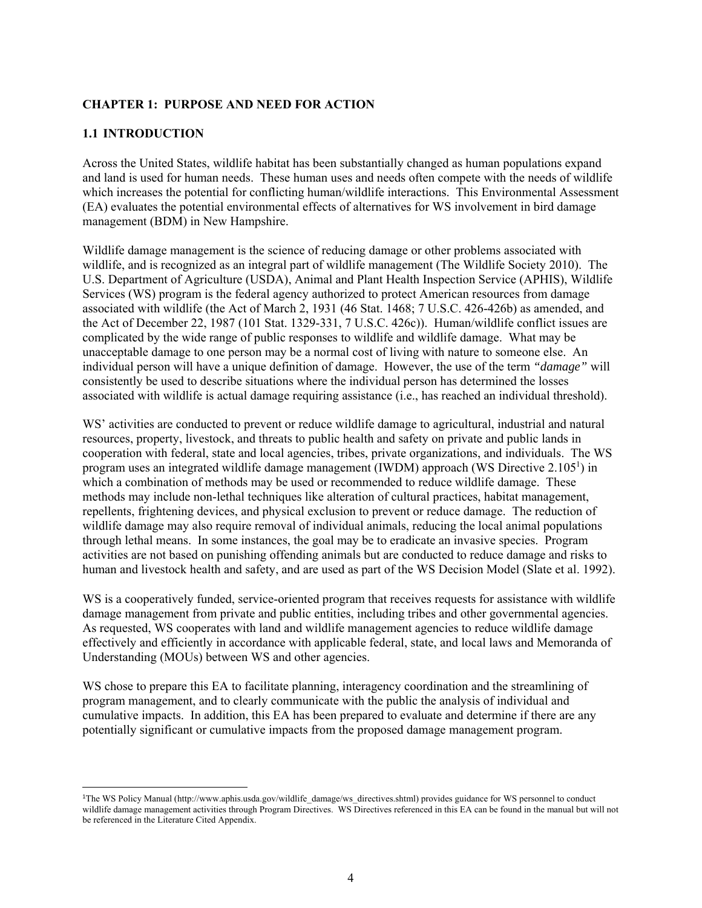## **CHAPTER 1: PURPOSE AND NEED FOR ACTION**

## **1.1 INTRODUCTION**

 $\overline{a}$ 

Across the United States, wildlife habitat has been substantially changed as human populations expand and land is used for human needs. These human uses and needs often compete with the needs of wildlife which increases the potential for conflicting human/wildlife interactions. This Environmental Assessment (EA) evaluates the potential environmental effects of alternatives for WS involvement in bird damage management (BDM) in New Hampshire.

Wildlife damage management is the science of reducing damage or other problems associated with wildlife, and is recognized as an integral part of wildlife management (The Wildlife Society 2010). The U.S. Department of Agriculture (USDA), Animal and Plant Health Inspection Service (APHIS), Wildlife Services (WS) program is the federal agency authorized to protect American resources from damage associated with wildlife (the Act of March 2, 1931 (46 Stat. 1468; 7 U.S.C. 426-426b) as amended, and the Act of December 22, 1987 (101 Stat. 1329-331, 7 U.S.C. 426c)). Human/wildlife conflict issues are complicated by the wide range of public responses to wildlife and wildlife damage. What may be unacceptable damage to one person may be a normal cost of living with nature to someone else. An individual person will have a unique definition of damage. However, the use of the term *"damage"* will consistently be used to describe situations where the individual person has determined the losses associated with wildlife is actual damage requiring assistance (i.e., has reached an individual threshold).

WS' activities are conducted to prevent or reduce wildlife damage to agricultural, industrial and natural resources, property, livestock, and threats to public health and safety on private and public lands in cooperation with federal, state and local agencies, tribes, private organizations, and individuals. The WS program uses an integrated wildlife damage management (IWDM) approach (WS Directive  $2.105<sup>1</sup>$ ) in which a combination of methods may be used or recommended to reduce wildlife damage. These methods may include non-lethal techniques like alteration of cultural practices, habitat management, repellents, frightening devices, and physical exclusion to prevent or reduce damage. The reduction of wildlife damage may also require removal of individual animals, reducing the local animal populations through lethal means. In some instances, the goal may be to eradicate an invasive species. Program activities are not based on punishing offending animals but are conducted to reduce damage and risks to human and livestock health and safety, and are used as part of the WS Decision Model (Slate et al. 1992).

WS is a cooperatively funded, service-oriented program that receives requests for assistance with wildlife damage management from private and public entities, including tribes and other governmental agencies. As requested, WS cooperates with land and wildlife management agencies to reduce wildlife damage effectively and efficiently in accordance with applicable federal, state, and local laws and Memoranda of Understanding (MOUs) between WS and other agencies.

WS chose to prepare this EA to facilitate planning, interagency coordination and the streamlining of program management, and to clearly communicate with the public the analysis of individual and cumulative impacts. In addition, this EA has been prepared to evaluate and determine if there are any potentially significant or cumulative impacts from the proposed damage management program.

<sup>&</sup>lt;sup>1</sup>The WS Policy Manual (http://www.aphis.usda.gov/wildlife\_damage/ws\_directives.shtml) provides guidance for WS personnel to conduct wildlife damage management activities through Program Directives. WS Directives referenced in this EA can be found in the manual but will not be referenced in the Literature Cited Appendix.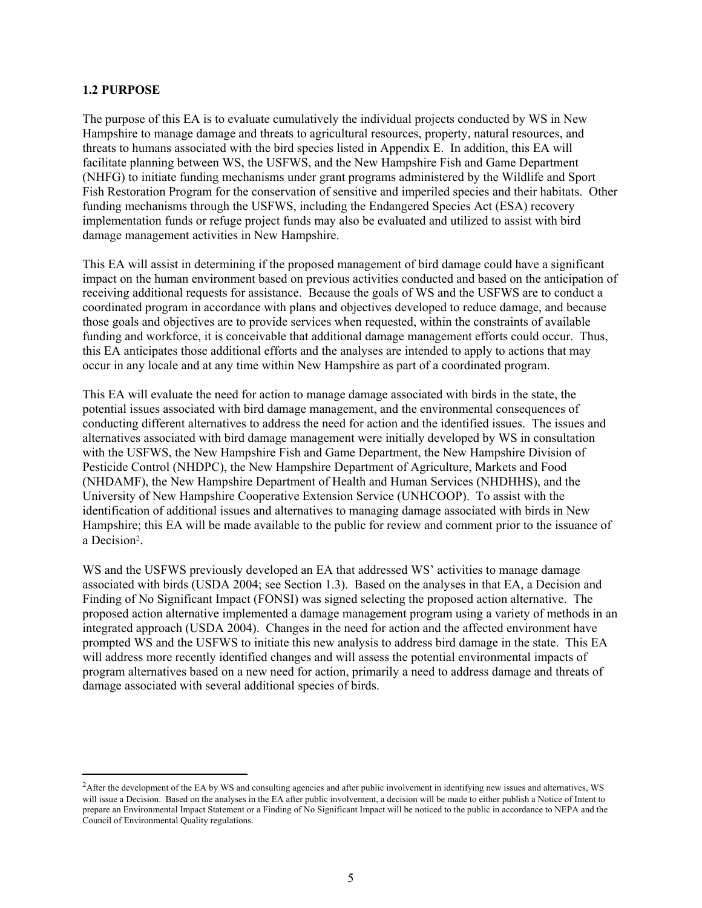#### **1.2 PURPOSE**

 $\overline{a}$ 

The purpose of this EA is to evaluate cumulatively the individual projects conducted by WS in New Hampshire to manage damage and threats to agricultural resources, property, natural resources, and threats to humans associated with the bird species listed in Appendix E. In addition, this EA will facilitate planning between WS, the USFWS, and the New Hampshire Fish and Game Department (NHFG) to initiate funding mechanisms under grant programs administered by the Wildlife and Sport Fish Restoration Program for the conservation of sensitive and imperiled species and their habitats. Other funding mechanisms through the USFWS, including the Endangered Species Act (ESA) recovery implementation funds or refuge project funds may also be evaluated and utilized to assist with bird damage management activities in New Hampshire.

This EA will assist in determining if the proposed management of bird damage could have a significant impact on the human environment based on previous activities conducted and based on the anticipation of receiving additional requests for assistance. Because the goals of WS and the USFWS are to conduct a coordinated program in accordance with plans and objectives developed to reduce damage, and because those goals and objectives are to provide services when requested, within the constraints of available funding and workforce, it is conceivable that additional damage management efforts could occur. Thus, this EA anticipates those additional efforts and the analyses are intended to apply to actions that may occur in any locale and at any time within New Hampshire as part of a coordinated program.

This EA will evaluate the need for action to manage damage associated with birds in the state, the potential issues associated with bird damage management, and the environmental consequences of conducting different alternatives to address the need for action and the identified issues. The issues and alternatives associated with bird damage management were initially developed by WS in consultation with the USFWS, the New Hampshire Fish and Game Department, the New Hampshire Division of Pesticide Control (NHDPC), the New Hampshire Department of Agriculture, Markets and Food (NHDAMF), the New Hampshire Department of Health and Human Services (NHDHHS), and the University of New Hampshire Cooperative Extension Service (UNHCOOP). To assist with the identification of additional issues and alternatives to managing damage associated with birds in New Hampshire; this EA will be made available to the public for review and comment prior to the issuance of a Decision<sup>2</sup>.

WS and the USFWS previously developed an EA that addressed WS' activities to manage damage associated with birds (USDA 2004; see Section 1.3). Based on the analyses in that EA, a Decision and Finding of No Significant Impact (FONSI) was signed selecting the proposed action alternative. The proposed action alternative implemented a damage management program using a variety of methods in an integrated approach (USDA 2004). Changes in the need for action and the affected environment have prompted WS and the USFWS to initiate this new analysis to address bird damage in the state. This EA will address more recently identified changes and will assess the potential environmental impacts of program alternatives based on a new need for action, primarily a need to address damage and threats of damage associated with several additional species of birds.

<sup>&</sup>lt;sup>2</sup>After the development of the EA by WS and consulting agencies and after public involvement in identifying new issues and alternatives, WS will issue a Decision. Based on the analyses in the EA after public involvement, a decision will be made to either publish a Notice of Intent to prepare an Environmental Impact Statement or a Finding of No Significant Impact will be noticed to the public in accordance to NEPA and the Council of Environmental Quality regulations.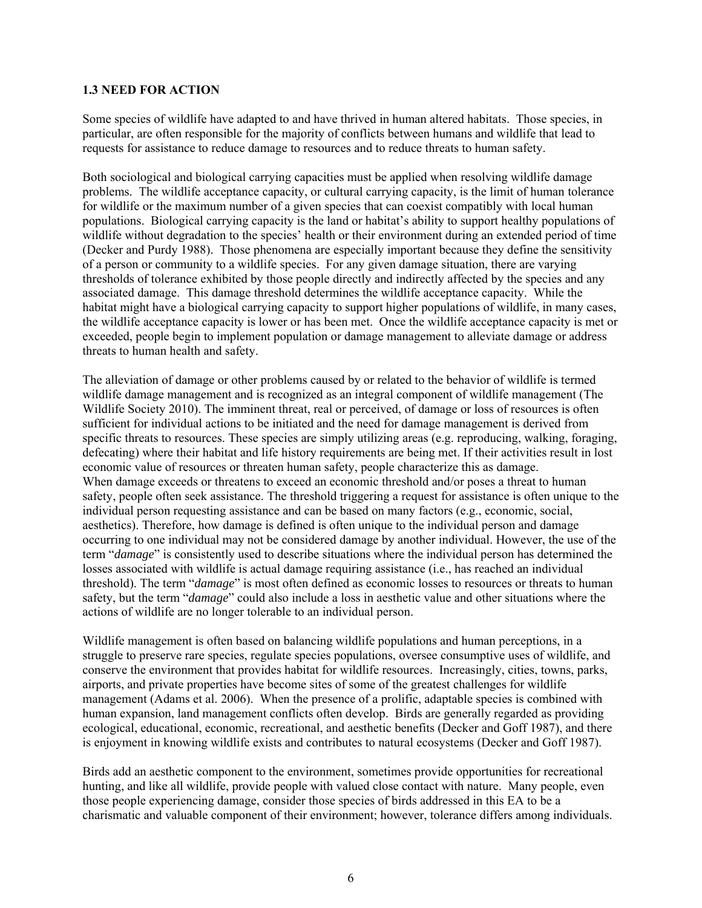#### **1.3 NEED FOR ACTION**

Some species of wildlife have adapted to and have thrived in human altered habitats. Those species, in particular, are often responsible for the majority of conflicts between humans and wildlife that lead to requests for assistance to reduce damage to resources and to reduce threats to human safety.

Both sociological and biological carrying capacities must be applied when resolving wildlife damage problems. The wildlife acceptance capacity, or cultural carrying capacity, is the limit of human tolerance for wildlife or the maximum number of a given species that can coexist compatibly with local human populations. Biological carrying capacity is the land or habitat's ability to support healthy populations of wildlife without degradation to the species' health or their environment during an extended period of time (Decker and Purdy 1988). Those phenomena are especially important because they define the sensitivity of a person or community to a wildlife species. For any given damage situation, there are varying thresholds of tolerance exhibited by those people directly and indirectly affected by the species and any associated damage. This damage threshold determines the wildlife acceptance capacity. While the habitat might have a biological carrying capacity to support higher populations of wildlife, in many cases, the wildlife acceptance capacity is lower or has been met. Once the wildlife acceptance capacity is met or exceeded, people begin to implement population or damage management to alleviate damage or address threats to human health and safety.

The alleviation of damage or other problems caused by or related to the behavior of wildlife is termed wildlife damage management and is recognized as an integral component of wildlife management (The Wildlife Society 2010). The imminent threat, real or perceived, of damage or loss of resources is often sufficient for individual actions to be initiated and the need for damage management is derived from specific threats to resources. These species are simply utilizing areas (e.g. reproducing, walking, foraging, defecating) where their habitat and life history requirements are being met. If their activities result in lost economic value of resources or threaten human safety, people characterize this as damage. When damage exceeds or threatens to exceed an economic threshold and/or poses a threat to human safety, people often seek assistance. The threshold triggering a request for assistance is often unique to the individual person requesting assistance and can be based on many factors (e.g., economic, social, aesthetics). Therefore, how damage is defined is often unique to the individual person and damage occurring to one individual may not be considered damage by another individual. However, the use of the term "*damage*" is consistently used to describe situations where the individual person has determined the losses associated with wildlife is actual damage requiring assistance (i.e., has reached an individual threshold). The term "*damage*" is most often defined as economic losses to resources or threats to human safety, but the term "*damage*" could also include a loss in aesthetic value and other situations where the actions of wildlife are no longer tolerable to an individual person.

Wildlife management is often based on balancing wildlife populations and human perceptions, in a struggle to preserve rare species, regulate species populations, oversee consumptive uses of wildlife, and conserve the environment that provides habitat for wildlife resources. Increasingly, cities, towns, parks, airports, and private properties have become sites of some of the greatest challenges for wildlife management (Adams et al. 2006). When the presence of a prolific, adaptable species is combined with human expansion, land management conflicts often develop. Birds are generally regarded as providing ecological, educational, economic, recreational, and aesthetic benefits (Decker and Goff 1987), and there is enjoyment in knowing wildlife exists and contributes to natural ecosystems (Decker and Goff 1987).

Birds add an aesthetic component to the environment, sometimes provide opportunities for recreational hunting, and like all wildlife, provide people with valued close contact with nature. Many people, even those people experiencing damage, consider those species of birds addressed in this EA to be a charismatic and valuable component of their environment; however, tolerance differs among individuals.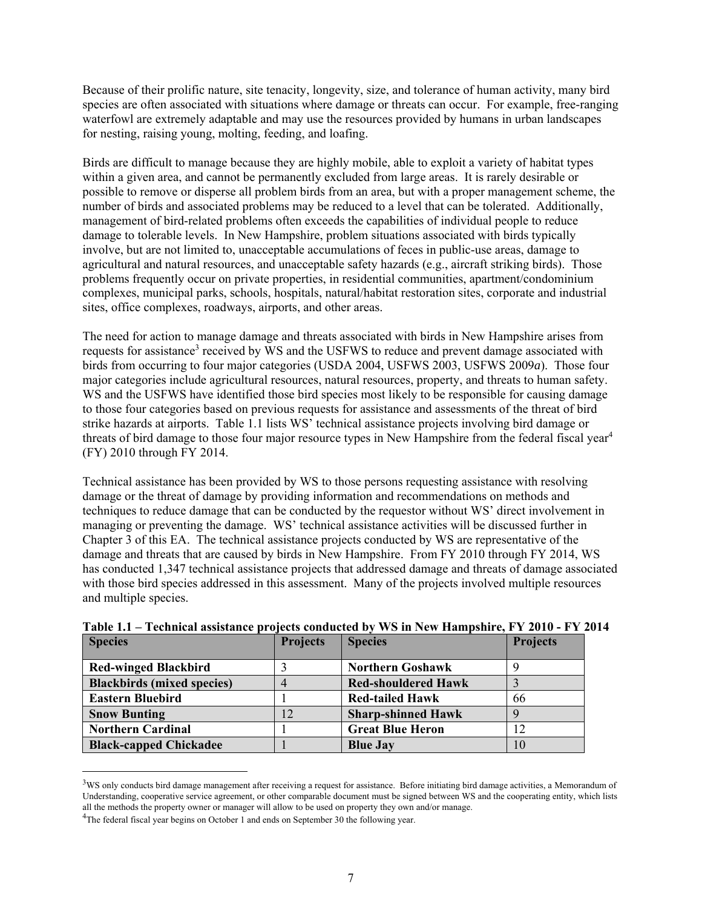Because of their prolific nature, site tenacity, longevity, size, and tolerance of human activity, many bird species are often associated with situations where damage or threats can occur. For example, free-ranging waterfowl are extremely adaptable and may use the resources provided by humans in urban landscapes for nesting, raising young, molting, feeding, and loafing.

Birds are difficult to manage because they are highly mobile, able to exploit a variety of habitat types within a given area, and cannot be permanently excluded from large areas. It is rarely desirable or possible to remove or disperse all problem birds from an area, but with a proper management scheme, the number of birds and associated problems may be reduced to a level that can be tolerated. Additionally, management of bird-related problems often exceeds the capabilities of individual people to reduce damage to tolerable levels. In New Hampshire, problem situations associated with birds typically involve, but are not limited to, unacceptable accumulations of feces in public-use areas, damage to agricultural and natural resources, and unacceptable safety hazards (e.g., aircraft striking birds). Those problems frequently occur on private properties, in residential communities, apartment/condominium complexes, municipal parks, schools, hospitals, natural/habitat restoration sites, corporate and industrial sites, office complexes, roadways, airports, and other areas.

The need for action to manage damage and threats associated with birds in New Hampshire arises from requests for assistance<sup>3</sup> received by WS and the USFWS to reduce and prevent damage associated with birds from occurring to four major categories (USDA 2004, USFWS 2003, USFWS 2009*a*). Those four major categories include agricultural resources, natural resources, property, and threats to human safety. WS and the USFWS have identified those bird species most likely to be responsible for causing damage to those four categories based on previous requests for assistance and assessments of the threat of bird strike hazards at airports. Table 1.1 lists WS' technical assistance projects involving bird damage or threats of bird damage to those four major resource types in New Hampshire from the federal fiscal year<sup>4</sup> (FY) 2010 through FY 2014.

Technical assistance has been provided by WS to those persons requesting assistance with resolving damage or the threat of damage by providing information and recommendations on methods and techniques to reduce damage that can be conducted by the requestor without WS' direct involvement in managing or preventing the damage. WS' technical assistance activities will be discussed further in Chapter 3 of this EA. The technical assistance projects conducted by WS are representative of the damage and threats that are caused by birds in New Hampshire. From FY 2010 through FY 2014, WS has conducted 1,347 technical assistance projects that addressed damage and threats of damage associated with those bird species addressed in this assessment. Many of the projects involved multiple resources and multiple species.

| <b>Species</b>                    | <b>Projects</b> | <b>Species</b>             | <b>Projects</b> |
|-----------------------------------|-----------------|----------------------------|-----------------|
| <b>Red-winged Blackbird</b>       |                 | <b>Northern Goshawk</b>    |                 |
| <b>Blackbirds</b> (mixed species) | 4               | <b>Red-shouldered Hawk</b> |                 |
| <b>Eastern Bluebird</b>           |                 | <b>Red-tailed Hawk</b>     | 66              |
| <b>Snow Bunting</b>               | 12              | <b>Sharp-shinned Hawk</b>  |                 |
| <b>Northern Cardinal</b>          |                 | <b>Great Blue Heron</b>    |                 |
| <b>Black-capped Chickadee</b>     |                 | <b>Blue Jay</b>            | 10              |

 $\overline{a}$ 

 $3$ WS only conducts bird damage management after receiving a request for assistance. Before initiating bird damage activities, a Memorandum of Understanding, cooperative service agreement, or other comparable document must be signed between WS and the cooperating entity, which lists all the methods the property owner or manager will allow to be used on property they own and/or manage.

 $^{4}$ The federal fiscal year begins on October 1 and ends on September 30 the following year.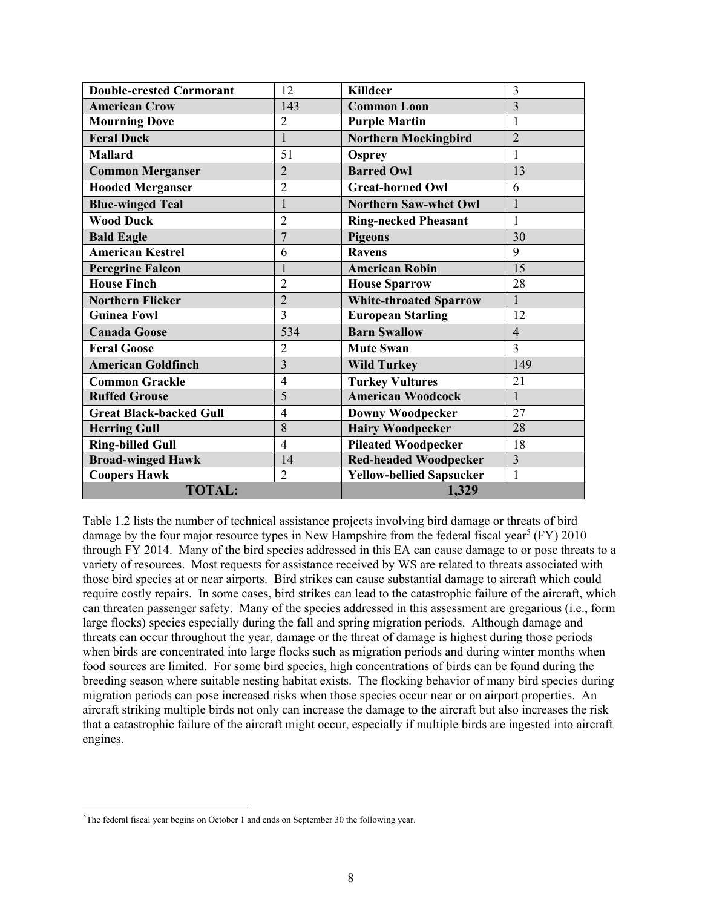| <b>Double-crested Cormorant</b> | 12             | <b>Killdeer</b>                 | $\overline{3}$ |
|---------------------------------|----------------|---------------------------------|----------------|
| <b>American Crow</b>            | 143            | <b>Common Loon</b>              | $\overline{3}$ |
| <b>Mourning Dove</b>            | $\overline{2}$ | <b>Purple Martin</b>            | 1              |
| <b>Feral Duck</b>               | $\mathbf{1}$   | <b>Northern Mockingbird</b>     | $\overline{2}$ |
| <b>Mallard</b>                  | 51             | <b>Osprey</b>                   | 1              |
| <b>Common Merganser</b>         | $\overline{2}$ | <b>Barred Owl</b>               | 13             |
| <b>Hooded Merganser</b>         | $\overline{2}$ | <b>Great-horned Owl</b>         | 6              |
| <b>Blue-winged Teal</b>         | $\mathbf{1}$   | <b>Northern Saw-whet Owl</b>    | $\mathbf{1}$   |
| <b>Wood Duck</b>                | $\overline{2}$ | <b>Ring-necked Pheasant</b>     | 1              |
| <b>Bald Eagle</b>               | $\overline{7}$ | <b>Pigeons</b>                  | 30             |
| <b>American Kestrel</b>         | 6              | <b>Ravens</b>                   | 9              |
| <b>Peregrine Falcon</b>         | $\mathbf{1}$   | <b>American Robin</b>           | 15             |
| <b>House Finch</b>              | $\overline{2}$ | <b>House Sparrow</b>            | 28             |
| <b>Northern Flicker</b>         | $\overline{2}$ | <b>White-throated Sparrow</b>   | $\mathbf{1}$   |
| <b>Guinea Fowl</b>              | $\overline{3}$ | <b>European Starling</b>        | 12             |
| <b>Canada Goose</b>             | 534            | <b>Barn Swallow</b>             | $\overline{4}$ |
| <b>Feral Goose</b>              | $\overline{2}$ | <b>Mute Swan</b>                | $\overline{3}$ |
| <b>American Goldfinch</b>       | 3              | <b>Wild Turkey</b>              | 149            |
| <b>Common Grackle</b>           | $\overline{4}$ | <b>Turkey Vultures</b>          | 21             |
| <b>Ruffed Grouse</b>            | 5              | <b>American Woodcock</b>        | $\mathbf{1}$   |
| <b>Great Black-backed Gull</b>  | $\overline{4}$ | <b>Downy Woodpecker</b>         | 27             |
| <b>Herring Gull</b>             | 8              | <b>Hairy Woodpecker</b>         | 28             |
| <b>Ring-billed Gull</b>         | $\overline{4}$ | <b>Pileated Woodpecker</b>      | 18             |
| <b>Broad-winged Hawk</b>        | 14             | <b>Red-headed Woodpecker</b>    | $\overline{3}$ |
| <b>Coopers Hawk</b>             | $\overline{2}$ | <b>Yellow-bellied Sapsucker</b> | $\mathbf{1}$   |
| <b>TOTAL:</b>                   |                | 1,329                           |                |

Table 1.2 lists the number of technical assistance projects involving bird damage or threats of bird damage by the four major resource types in New Hampshire from the federal fiscal year<sup>5</sup> (FY) 2010 through FY 2014. Many of the bird species addressed in this EA can cause damage to or pose threats to a variety of resources. Most requests for assistance received by WS are related to threats associated with those bird species at or near airports. Bird strikes can cause substantial damage to aircraft which could require costly repairs. In some cases, bird strikes can lead to the catastrophic failure of the aircraft, which can threaten passenger safety. Many of the species addressed in this assessment are gregarious (i.e., form large flocks) species especially during the fall and spring migration periods. Although damage and threats can occur throughout the year, damage or the threat of damage is highest during those periods when birds are concentrated into large flocks such as migration periods and during winter months when food sources are limited. For some bird species, high concentrations of birds can be found during the breeding season where suitable nesting habitat exists. The flocking behavior of many bird species during migration periods can pose increased risks when those species occur near or on airport properties. An aircraft striking multiple birds not only can increase the damage to the aircraft but also increases the risk that a catastrophic failure of the aircraft might occur, especially if multiple birds are ingested into aircraft engines.

 $\overline{a}$ 

 $5$ The federal fiscal year begins on October 1 and ends on September 30 the following year.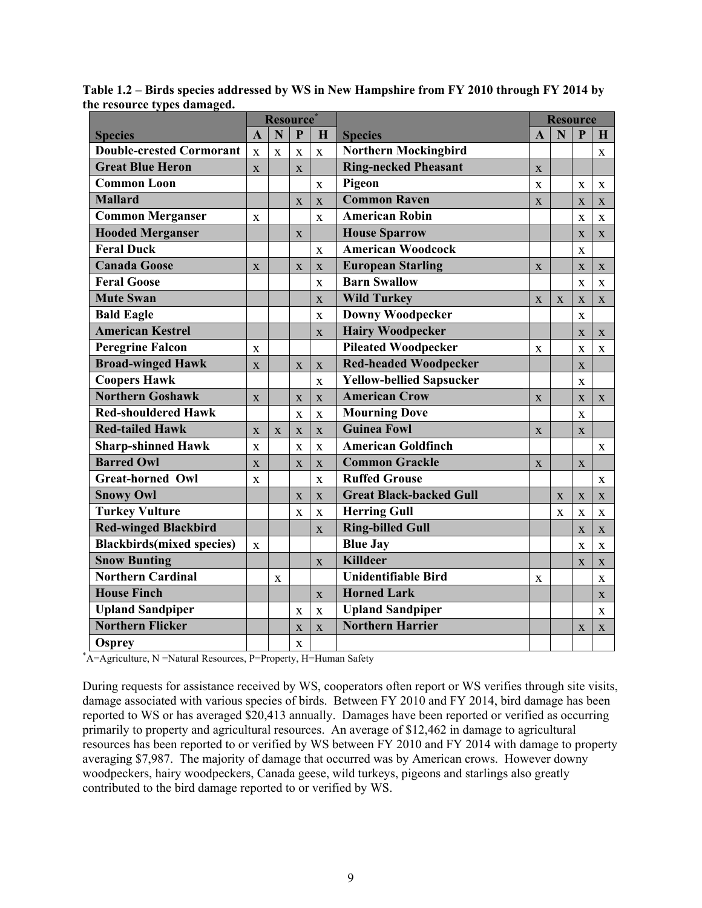|                                                                 | Resource*               |              |                         |              |                                                 | <b>Resource</b> |             |                         |              |
|-----------------------------------------------------------------|-------------------------|--------------|-------------------------|--------------|-------------------------------------------------|-----------------|-------------|-------------------------|--------------|
| <b>Species</b>                                                  | $\overline{\mathbf{A}}$ | N            | $\mathbf{P}$            | H            | <b>Species</b>                                  |                 | N           | $\mathbf{P}$            | $\mathbf{H}$ |
| <b>Double-crested Cormorant</b>                                 | $\mathbf X$             | $\mathbf X$  | $\mathbf X$             | $\mathbf X$  | <b>Northern Mockingbird</b>                     |                 |             |                         | $\mathbf{X}$ |
| <b>Great Blue Heron</b>                                         | $\bar{\mathbf{X}}$      |              | X                       |              | <b>Ring-necked Pheasant</b>                     | $\mathbf X$     |             |                         |              |
| <b>Common Loon</b>                                              |                         |              |                         | $\mathbf X$  | Pigeon                                          | X               |             | X                       | X            |
| <b>Mallard</b>                                                  |                         |              | $\overline{\mathbf{X}}$ | X            | <b>Common Raven</b>                             | $\mathbf X$     |             | $\mathbf X$             | X            |
| <b>Common Merganser</b>                                         | X                       |              |                         | $\mathbf X$  | <b>American Robin</b>                           |                 |             | X                       | X            |
| <b>Hooded Merganser</b>                                         |                         |              | $\overline{\mathbf{X}}$ |              | <b>House Sparrow</b>                            |                 |             | $\mathbf X$             | $\mathbf{X}$ |
| <b>Feral Duck</b>                                               |                         |              |                         | $\mathbf{X}$ | <b>American Woodcock</b>                        |                 |             | $\mathbf x$             |              |
| <b>Canada Goose</b>                                             | $\mathbf X$             |              | $\overline{\mathbf{X}}$ | X            | <b>European Starling</b>                        | $\mathbf X$     |             | $\mathbf X$             | X            |
| <b>Feral Goose</b>                                              |                         |              |                         | X            | <b>Barn Swallow</b>                             |                 |             | $\mathbf X$             | $\mathbf X$  |
| <b>Mute Swan</b>                                                |                         |              |                         | X            | <b>Wild Turkey</b>                              | X               | X           | X                       | $\mathbf{X}$ |
| <b>Bald Eagle</b>                                               |                         |              |                         | $\mathbf X$  | <b>Downy Woodpecker</b>                         |                 |             | $\mathbf X$             |              |
| <b>American Kestrel</b>                                         |                         |              |                         | $\mathbf X$  | <b>Hairy Woodpecker</b>                         |                 |             | $\mathbf X$             | $\mathbf X$  |
| <b>Peregrine Falcon</b>                                         | $\mathbf X$             |              |                         |              | <b>Pileated Woodpecker</b>                      | $\mathbf{x}$    |             | $\overline{\mathbf{X}}$ | $\mathbf{x}$ |
| <b>Broad-winged Hawk</b>                                        | X                       |              | $\mathbf X$             | $\mathbf X$  | <b>Red-headed Woodpecker</b>                    |                 |             | $\mathbf{X}$            |              |
| <b>Coopers Hawk</b>                                             |                         |              |                         | $\mathbf X$  | <b>Yellow-bellied Sapsucker</b><br>$\mathbf{X}$ |                 |             |                         |              |
| <b>Northern Goshawk</b>                                         | $\overline{\mathbf{X}}$ |              | $\mathbf X$             | $\mathbf{X}$ | <b>American Crow</b>                            | $\mathbf X$     |             | $\mathbf X$             | $\mathbf{X}$ |
| <b>Red-shouldered Hawk</b>                                      |                         |              | $\mathbf X$             | X            | <b>Mourning Dove</b>                            |                 |             | X                       |              |
| <b>Red-tailed Hawk</b>                                          | $\overline{\mathbf{X}}$ | X            | $\mathbf X$             | X            | <b>Guinea Fowl</b>                              | X               |             | $\mathbf X$             |              |
| <b>Sharp-shinned Hawk</b>                                       | $\mathbf X$             |              | $\mathbf X$             | $\mathbf X$  | <b>American Goldfinch</b>                       |                 |             |                         | $\mathbf{X}$ |
| <b>Barred Owl</b>                                               | $\overline{\mathbf{X}}$ |              | X                       | X            | <b>Common Grackle</b>                           | X               |             | X                       |              |
| <b>Great-horned Owl</b>                                         | $\mathbf{x}$            |              |                         | $\mathbf X$  | <b>Ruffed Grouse</b>                            |                 |             |                         | X            |
| <b>Snowy Owl</b>                                                |                         |              | $\mathbf X$             | X            | <b>Great Black-backed Gull</b>                  |                 | X           | X                       | $\mathbf{X}$ |
| <b>Turkey Vulture</b>                                           |                         |              | $\mathbf X$             | $\mathbf X$  | <b>Herring Gull</b>                             |                 | $\mathbf X$ | $\mathbf X$             | X            |
| <b>Red-winged Blackbird</b>                                     |                         |              |                         | X            | <b>Ring-billed Gull</b>                         |                 |             | $\mathbf X$             | $\mathbf{X}$ |
| <b>Blackbirds(mixed species)</b>                                | $\bf{X}$                |              |                         |              | <b>Blue Jay</b>                                 |                 |             | X                       | X            |
| <b>Snow Bunting</b>                                             |                         |              |                         | X            | <b>Killdeer</b>                                 |                 |             | X                       | X            |
| <b>Northern Cardinal</b>                                        |                         | $\mathbf{X}$ |                         |              | <b>Unidentifiable Bird</b>                      | X               |             |                         | X            |
| <b>House Finch</b>                                              |                         |              |                         | $\mathbf X$  | <b>Horned Lark</b>                              |                 |             |                         | $\mathbf{X}$ |
| <b>Upland Sandpiper</b>                                         |                         |              | $\mathbf X$             | $\mathbf X$  | <b>Upland Sandpiper</b>                         |                 |             |                         | $\mathbf{x}$ |
| <b>Northern Flicker</b>                                         |                         |              | X                       | $\mathbf{X}$ | <b>Northern Harrier</b>                         |                 |             | X                       | X            |
| <b>Osprey</b>                                                   |                         |              | X                       |              |                                                 |                 |             |                         |              |
| A=Agriculture, N =Natural Resources, P=Property, H=Human Safety |                         |              |                         |              |                                                 |                 |             |                         |              |

**Table 1.2 – Birds species addressed by WS in New Hampshire from FY 2010 through FY 2014 by the resource types damaged.** 

During requests for assistance received by WS, cooperators often report or WS verifies through site visits, damage associated with various species of birds. Between FY 2010 and FY 2014, bird damage has been reported to WS or has averaged \$20,413 annually. Damages have been reported or verified as occurring primarily to property and agricultural resources. An average of \$12,462 in damage to agricultural resources has been reported to or verified by WS between FY 2010 and FY 2014 with damage to property averaging \$7,987. The majority of damage that occurred was by American crows. However downy woodpeckers, hairy woodpeckers, Canada geese, wild turkeys, pigeons and starlings also greatly contributed to the bird damage reported to or verified by WS.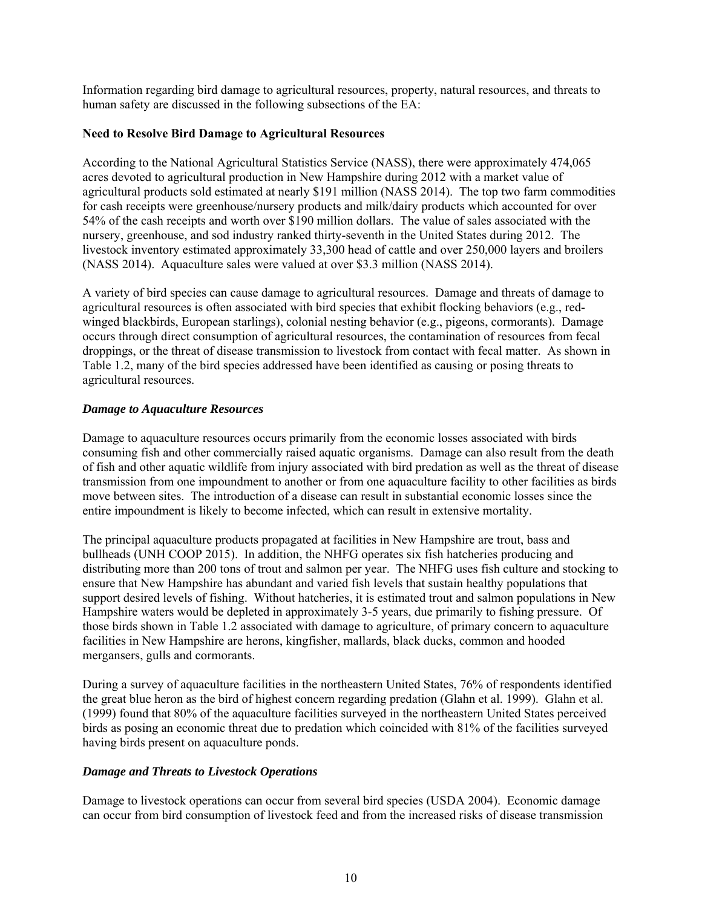Information regarding bird damage to agricultural resources, property, natural resources, and threats to human safety are discussed in the following subsections of the EA:

#### **Need to Resolve Bird Damage to Agricultural Resources**

According to the National Agricultural Statistics Service (NASS), there were approximately 474,065 acres devoted to agricultural production in New Hampshire during 2012 with a market value of agricultural products sold estimated at nearly \$191 million (NASS 2014). The top two farm commodities for cash receipts were greenhouse/nursery products and milk/dairy products which accounted for over 54% of the cash receipts and worth over \$190 million dollars. The value of sales associated with the nursery, greenhouse, and sod industry ranked thirty-seventh in the United States during 2012. The livestock inventory estimated approximately 33,300 head of cattle and over 250,000 layers and broilers (NASS 2014). Aquaculture sales were valued at over \$3.3 million (NASS 2014).

A variety of bird species can cause damage to agricultural resources. Damage and threats of damage to agricultural resources is often associated with bird species that exhibit flocking behaviors (e.g., redwinged blackbirds, European starlings), colonial nesting behavior (e.g., pigeons, cormorants). Damage occurs through direct consumption of agricultural resources, the contamination of resources from fecal droppings, or the threat of disease transmission to livestock from contact with fecal matter. As shown in Table 1.2, many of the bird species addressed have been identified as causing or posing threats to agricultural resources.

# *Damage to Aquaculture Resources*

Damage to aquaculture resources occurs primarily from the economic losses associated with birds consuming fish and other commercially raised aquatic organisms. Damage can also result from the death of fish and other aquatic wildlife from injury associated with bird predation as well as the threat of disease transmission from one impoundment to another or from one aquaculture facility to other facilities as birds move between sites. The introduction of a disease can result in substantial economic losses since the entire impoundment is likely to become infected, which can result in extensive mortality.

The principal aquaculture products propagated at facilities in New Hampshire are trout, bass and bullheads (UNH COOP 2015). In addition, the NHFG operates six fish hatcheries producing and distributing more than 200 tons of trout and salmon per year. The NHFG uses fish culture and stocking to ensure that New Hampshire has abundant and varied fish levels that sustain healthy populations that support desired levels of fishing. Without hatcheries, it is estimated trout and salmon populations in New Hampshire waters would be depleted in approximately 3-5 years, due primarily to fishing pressure. Of those birds shown in Table 1.2 associated with damage to agriculture, of primary concern to aquaculture facilities in New Hampshire are herons, kingfisher, mallards, black ducks, common and hooded mergansers, gulls and cormorants.

During a survey of aquaculture facilities in the northeastern United States, 76% of respondents identified the great blue heron as the bird of highest concern regarding predation (Glahn et al. 1999). Glahn et al. (1999) found that 80% of the aquaculture facilities surveyed in the northeastern United States perceived birds as posing an economic threat due to predation which coincided with 81% of the facilities surveyed having birds present on aquaculture ponds.

#### *Damage and Threats to Livestock Operations*

Damage to livestock operations can occur from several bird species (USDA 2004). Economic damage can occur from bird consumption of livestock feed and from the increased risks of disease transmission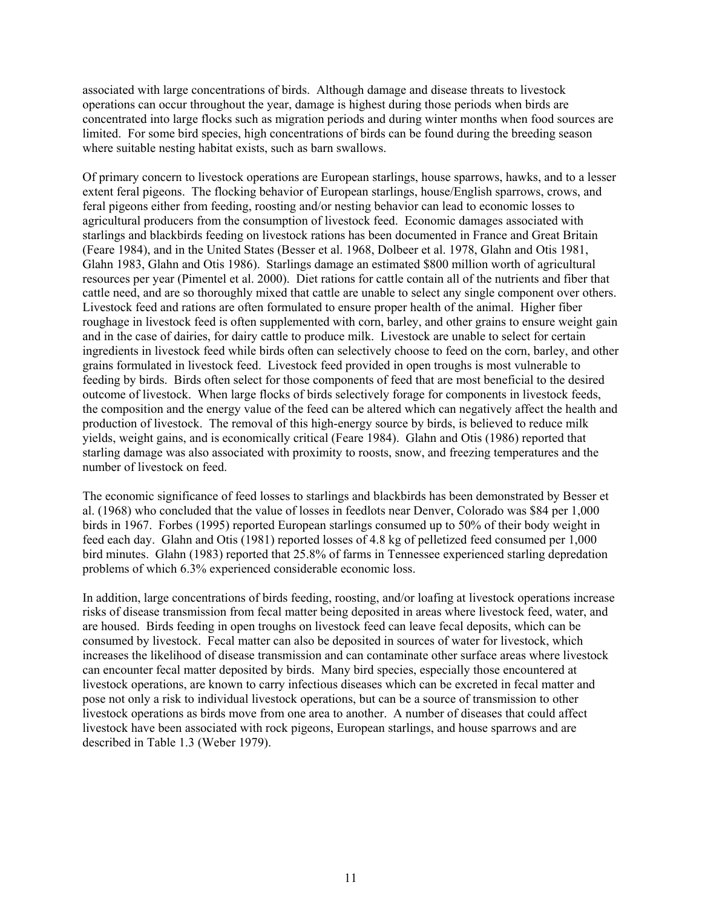associated with large concentrations of birds. Although damage and disease threats to livestock operations can occur throughout the year, damage is highest during those periods when birds are concentrated into large flocks such as migration periods and during winter months when food sources are limited. For some bird species, high concentrations of birds can be found during the breeding season where suitable nesting habitat exists, such as barn swallows.

Of primary concern to livestock operations are European starlings, house sparrows, hawks, and to a lesser extent feral pigeons. The flocking behavior of European starlings, house/English sparrows, crows, and feral pigeons either from feeding, roosting and/or nesting behavior can lead to economic losses to agricultural producers from the consumption of livestock feed. Economic damages associated with starlings and blackbirds feeding on livestock rations has been documented in France and Great Britain (Feare 1984), and in the United States (Besser et al. 1968, Dolbeer et al. 1978, Glahn and Otis 1981, Glahn 1983, Glahn and Otis 1986). Starlings damage an estimated \$800 million worth of agricultural resources per year (Pimentel et al. 2000). Diet rations for cattle contain all of the nutrients and fiber that cattle need, and are so thoroughly mixed that cattle are unable to select any single component over others. Livestock feed and rations are often formulated to ensure proper health of the animal. Higher fiber roughage in livestock feed is often supplemented with corn, barley, and other grains to ensure weight gain and in the case of dairies, for dairy cattle to produce milk. Livestock are unable to select for certain ingredients in livestock feed while birds often can selectively choose to feed on the corn, barley, and other grains formulated in livestock feed. Livestock feed provided in open troughs is most vulnerable to feeding by birds. Birds often select for those components of feed that are most beneficial to the desired outcome of livestock. When large flocks of birds selectively forage for components in livestock feeds, the composition and the energy value of the feed can be altered which can negatively affect the health and production of livestock. The removal of this high-energy source by birds, is believed to reduce milk yields, weight gains, and is economically critical (Feare 1984). Glahn and Otis (1986) reported that starling damage was also associated with proximity to roosts, snow, and freezing temperatures and the number of livestock on feed.

The economic significance of feed losses to starlings and blackbirds has been demonstrated by Besser et al. (1968) who concluded that the value of losses in feedlots near Denver, Colorado was \$84 per 1,000 birds in 1967. Forbes (1995) reported European starlings consumed up to 50% of their body weight in feed each day. Glahn and Otis (1981) reported losses of 4.8 kg of pelletized feed consumed per 1,000 bird minutes. Glahn (1983) reported that 25.8% of farms in Tennessee experienced starling depredation problems of which 6.3% experienced considerable economic loss.

In addition, large concentrations of birds feeding, roosting, and/or loafing at livestock operations increase risks of disease transmission from fecal matter being deposited in areas where livestock feed, water, and are housed. Birds feeding in open troughs on livestock feed can leave fecal deposits, which can be consumed by livestock. Fecal matter can also be deposited in sources of water for livestock, which increases the likelihood of disease transmission and can contaminate other surface areas where livestock can encounter fecal matter deposited by birds. Many bird species, especially those encountered at livestock operations, are known to carry infectious diseases which can be excreted in fecal matter and pose not only a risk to individual livestock operations, but can be a source of transmission to other livestock operations as birds move from one area to another. A number of diseases that could affect livestock have been associated with rock pigeons, European starlings, and house sparrows and are described in Table 1.3 (Weber 1979).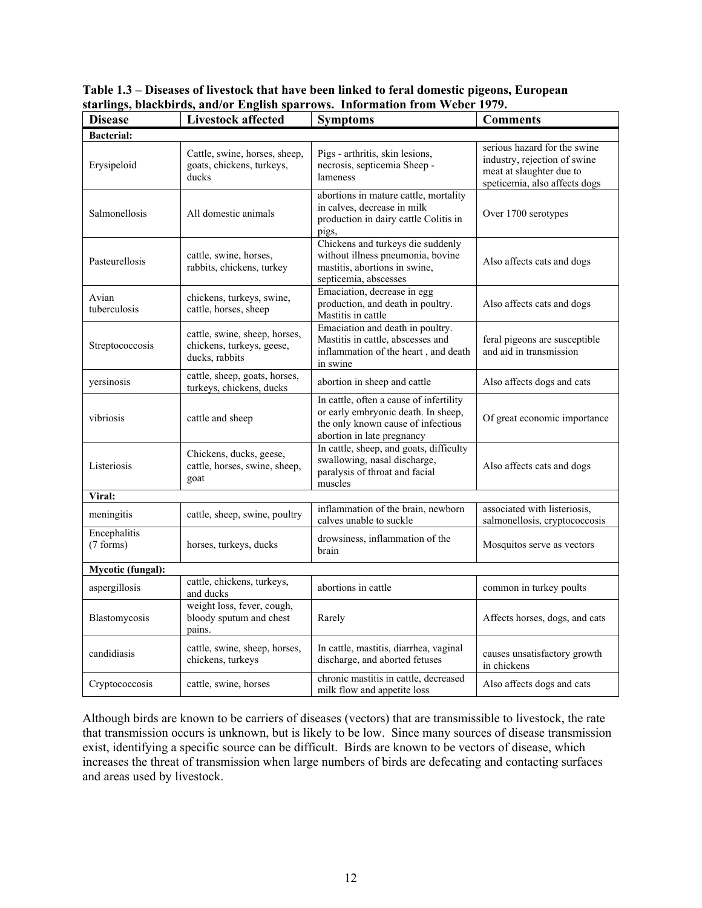| Table 1.3 – Diseases of livestock that have been linked to feral domestic pigeons, European |  |
|---------------------------------------------------------------------------------------------|--|
| starlings, blackbirds, and/or English sparrows. Information from Weber 1979.                |  |

| <b>Disease</b>                                           | <b>Livestock affected</b>                                                                                                                          | <b>Symptoms</b>                                                                                                                                    | <b>Comments</b>                                                                                                           |  |  |
|----------------------------------------------------------|----------------------------------------------------------------------------------------------------------------------------------------------------|----------------------------------------------------------------------------------------------------------------------------------------------------|---------------------------------------------------------------------------------------------------------------------------|--|--|
| <b>Bacterial:</b>                                        |                                                                                                                                                    |                                                                                                                                                    |                                                                                                                           |  |  |
| Erysipeloid                                              | Cattle, swine, horses, sheep,<br>Pigs - arthritis, skin lesions,<br>goats, chickens, turkeys,<br>necrosis, septicemia Sheep -<br>ducks<br>lameness |                                                                                                                                                    | serious hazard for the swine<br>industry, rejection of swine<br>meat at slaughter due to<br>speticemia, also affects dogs |  |  |
| Salmonellosis                                            | abortions in mature cattle, mortality<br>in calves, decrease in milk<br>All domestic animals<br>production in dairy cattle Colitis in<br>pigs,     |                                                                                                                                                    | Over 1700 serotypes                                                                                                       |  |  |
| Pasteurellosis                                           | cattle, swine, horses,<br>rabbits, chickens, turkey                                                                                                | Chickens and turkeys die suddenly<br>without illness pneumonia, bovine<br>mastitis, abortions in swine,<br>septicemia, abscesses                   | Also affects cats and dogs                                                                                                |  |  |
| Avian<br>tuberculosis                                    | chickens, turkeys, swine,<br>cattle, horses, sheep                                                                                                 | Emaciation, decrease in egg<br>production, and death in poultry.<br>Mastitis in cattle                                                             | Also affects cats and dogs                                                                                                |  |  |
| Streptococcosis                                          | cattle, swine, sheep, horses,<br>chickens, turkeys, geese,<br>ducks, rabbits                                                                       | Emaciation and death in poultry.<br>Mastitis in cattle, abscesses and<br>inflammation of the heart, and death<br>in swine                          | feral pigeons are susceptible<br>and aid in transmission                                                                  |  |  |
| yersinosis                                               | cattle, sheep, goats, horses,<br>turkeys, chickens, ducks                                                                                          | abortion in sheep and cattle                                                                                                                       | Also affects dogs and cats                                                                                                |  |  |
| vibriosis                                                | cattle and sheep                                                                                                                                   | In cattle, often a cause of infertility<br>or early embryonic death. In sheep,<br>the only known cause of infectious<br>abortion in late pregnancy | Of great economic importance                                                                                              |  |  |
| Listeriosis                                              | Chickens, ducks, geese,<br>cattle, horses, swine, sheep,<br>goat                                                                                   | In cattle, sheep, and goats, difficulty<br>swallowing, nasal discharge,<br>paralysis of throat and facial<br>muscles                               | Also affects cats and dogs                                                                                                |  |  |
| Viral:                                                   |                                                                                                                                                    |                                                                                                                                                    |                                                                                                                           |  |  |
| meningitis                                               | cattle, sheep, swine, poultry                                                                                                                      | inflammation of the brain, newborn<br>calves unable to suckle                                                                                      | associated with listeriosis,<br>salmonellosis, cryptococcosis                                                             |  |  |
| Encephalitis<br>(7 forms)                                | horses, turkeys, ducks                                                                                                                             | drowsiness, inflammation of the<br>brain                                                                                                           | Mosquitos serve as vectors                                                                                                |  |  |
| <b>Mycotic (fungal):</b>                                 |                                                                                                                                                    |                                                                                                                                                    |                                                                                                                           |  |  |
| cattle, chickens, turkeys,<br>aspergillosis<br>and ducks |                                                                                                                                                    | abortions in cattle                                                                                                                                | common in turkey poults                                                                                                   |  |  |
| Blastomycosis                                            | weight loss, fever, cough,<br>bloody sputum and chest<br>pains.                                                                                    | Rarely                                                                                                                                             | Affects horses, dogs, and cats                                                                                            |  |  |
| candidiasis                                              | cattle, swine, sheep, horses,<br>chickens, turkeys                                                                                                 | In cattle, mastitis, diarrhea, vaginal<br>discharge, and aborted fetuses                                                                           | causes unsatisfactory growth<br>in chickens                                                                               |  |  |
| Cryptococcosis                                           | cattle, swine, horses                                                                                                                              | chronic mastitis in cattle, decreased<br>milk flow and appetite loss                                                                               | Also affects dogs and cats                                                                                                |  |  |

Although birds are known to be carriers of diseases (vectors) that are transmissible to livestock, the rate that transmission occurs is unknown, but is likely to be low. Since many sources of disease transmission exist, identifying a specific source can be difficult. Birds are known to be vectors of disease, which increases the threat of transmission when large numbers of birds are defecating and contacting surfaces and areas used by livestock.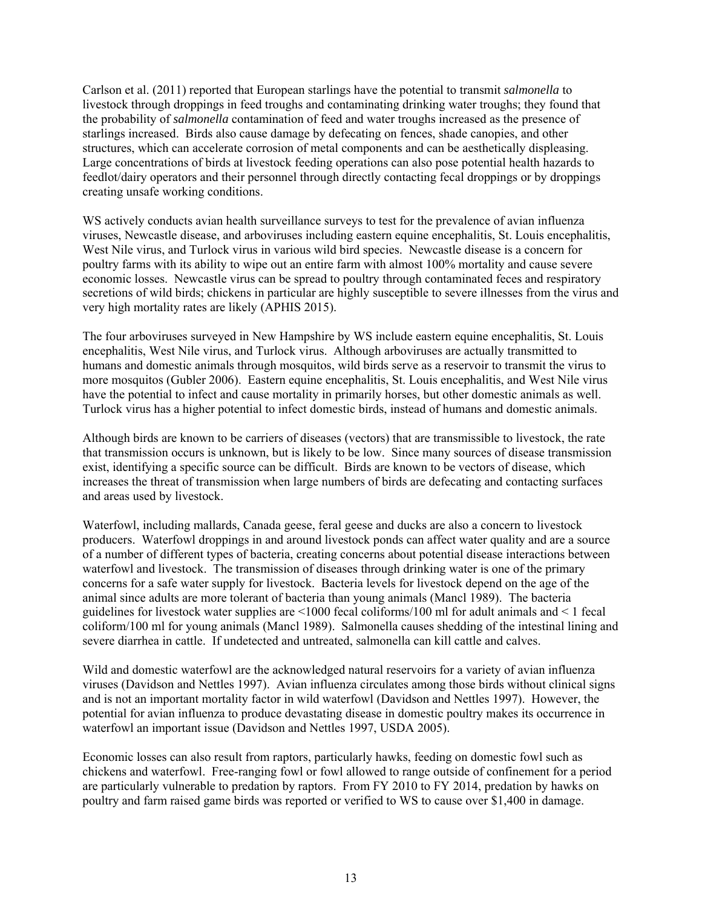Carlson et al. (2011) reported that European starlings have the potential to transmit *salmonella* to livestock through droppings in feed troughs and contaminating drinking water troughs; they found that the probability of *salmonella* contamination of feed and water troughs increased as the presence of starlings increased. Birds also cause damage by defecating on fences, shade canopies, and other structures, which can accelerate corrosion of metal components and can be aesthetically displeasing. Large concentrations of birds at livestock feeding operations can also pose potential health hazards to feedlot/dairy operators and their personnel through directly contacting fecal droppings or by droppings creating unsafe working conditions.

WS actively conducts avian health surveillance surveys to test for the prevalence of avian influenza viruses, Newcastle disease, and arboviruses including eastern equine encephalitis, St. Louis encephalitis, West Nile virus, and Turlock virus in various wild bird species. Newcastle disease is a concern for poultry farms with its ability to wipe out an entire farm with almost 100% mortality and cause severe economic losses. Newcastle virus can be spread to poultry through contaminated feces and respiratory secretions of wild birds; chickens in particular are highly susceptible to severe illnesses from the virus and very high mortality rates are likely (APHIS 2015).

The four arboviruses surveyed in New Hampshire by WS include eastern equine encephalitis, St. Louis encephalitis, West Nile virus, and Turlock virus. Although arboviruses are actually transmitted to humans and domestic animals through mosquitos, wild birds serve as a reservoir to transmit the virus to more mosquitos (Gubler 2006). Eastern equine encephalitis, St. Louis encephalitis, and West Nile virus have the potential to infect and cause mortality in primarily horses, but other domestic animals as well. Turlock virus has a higher potential to infect domestic birds, instead of humans and domestic animals.

Although birds are known to be carriers of diseases (vectors) that are transmissible to livestock, the rate that transmission occurs is unknown, but is likely to be low. Since many sources of disease transmission exist, identifying a specific source can be difficult. Birds are known to be vectors of disease, which increases the threat of transmission when large numbers of birds are defecating and contacting surfaces and areas used by livestock.

Waterfowl, including mallards, Canada geese, feral geese and ducks are also a concern to livestock producers. Waterfowl droppings in and around livestock ponds can affect water quality and are a source of a number of different types of bacteria, creating concerns about potential disease interactions between waterfowl and livestock. The transmission of diseases through drinking water is one of the primary concerns for a safe water supply for livestock. Bacteria levels for livestock depend on the age of the animal since adults are more tolerant of bacteria than young animals (Mancl 1989). The bacteria guidelines for livestock water supplies are <1000 fecal coliforms/100 ml for adult animals and < 1 fecal coliform/100 ml for young animals (Mancl 1989). Salmonella causes shedding of the intestinal lining and severe diarrhea in cattle. If undetected and untreated, salmonella can kill cattle and calves.

Wild and domestic waterfowl are the acknowledged natural reservoirs for a variety of avian influenza viruses (Davidson and Nettles 1997). Avian influenza circulates among those birds without clinical signs and is not an important mortality factor in wild waterfowl (Davidson and Nettles 1997). However, the potential for avian influenza to produce devastating disease in domestic poultry makes its occurrence in waterfowl an important issue (Davidson and Nettles 1997, USDA 2005).

Economic losses can also result from raptors, particularly hawks, feeding on domestic fowl such as chickens and waterfowl. Free-ranging fowl or fowl allowed to range outside of confinement for a period are particularly vulnerable to predation by raptors. From FY 2010 to FY 2014, predation by hawks on poultry and farm raised game birds was reported or verified to WS to cause over \$1,400 in damage.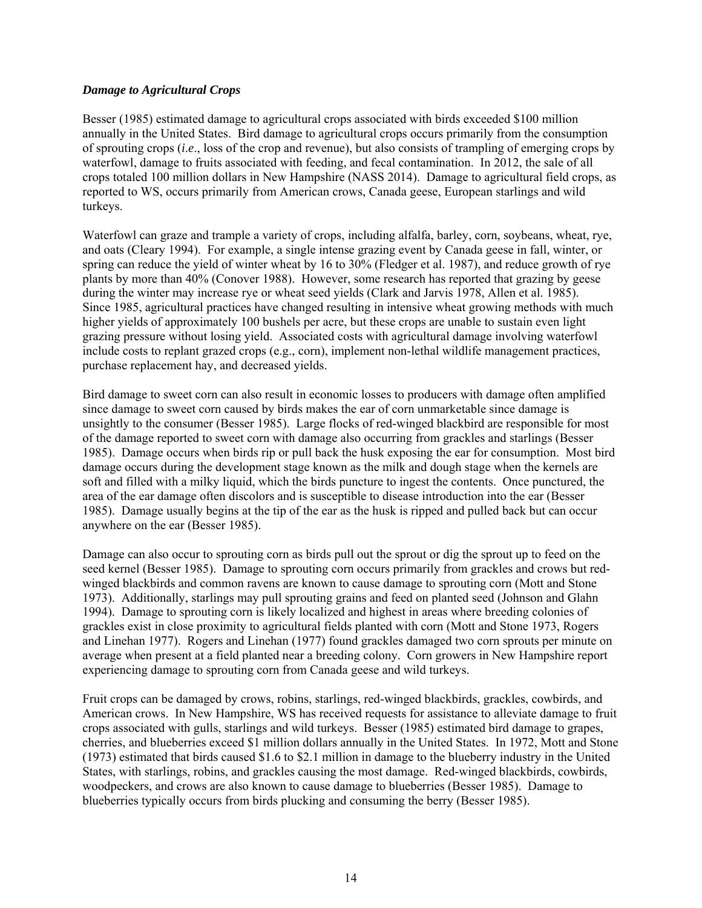#### *Damage to Agricultural Crops*

Besser (1985) estimated damage to agricultural crops associated with birds exceeded \$100 million annually in the United States. Bird damage to agricultural crops occurs primarily from the consumption of sprouting crops (*i*.*e*., loss of the crop and revenue), but also consists of trampling of emerging crops by waterfowl, damage to fruits associated with feeding, and fecal contamination. In 2012, the sale of all crops totaled 100 million dollars in New Hampshire (NASS 2014). Damage to agricultural field crops, as reported to WS, occurs primarily from American crows, Canada geese, European starlings and wild turkeys.

Waterfowl can graze and trample a variety of crops, including alfalfa, barley, corn, soybeans, wheat, rye, and oats (Cleary 1994). For example, a single intense grazing event by Canada geese in fall, winter, or spring can reduce the yield of winter wheat by 16 to 30% (Fledger et al. 1987), and reduce growth of rye plants by more than 40% (Conover 1988). However, some research has reported that grazing by geese during the winter may increase rye or wheat seed yields (Clark and Jarvis 1978, Allen et al. 1985). Since 1985, agricultural practices have changed resulting in intensive wheat growing methods with much higher yields of approximately 100 bushels per acre, but these crops are unable to sustain even light grazing pressure without losing yield. Associated costs with agricultural damage involving waterfowl include costs to replant grazed crops (e.g., corn), implement non-lethal wildlife management practices, purchase replacement hay, and decreased yields.

Bird damage to sweet corn can also result in economic losses to producers with damage often amplified since damage to sweet corn caused by birds makes the ear of corn unmarketable since damage is unsightly to the consumer (Besser 1985). Large flocks of red-winged blackbird are responsible for most of the damage reported to sweet corn with damage also occurring from grackles and starlings (Besser 1985). Damage occurs when birds rip or pull back the husk exposing the ear for consumption. Most bird damage occurs during the development stage known as the milk and dough stage when the kernels are soft and filled with a milky liquid, which the birds puncture to ingest the contents. Once punctured, the area of the ear damage often discolors and is susceptible to disease introduction into the ear (Besser 1985). Damage usually begins at the tip of the ear as the husk is ripped and pulled back but can occur anywhere on the ear (Besser 1985).

Damage can also occur to sprouting corn as birds pull out the sprout or dig the sprout up to feed on the seed kernel (Besser 1985). Damage to sprouting corn occurs primarily from grackles and crows but redwinged blackbirds and common ravens are known to cause damage to sprouting corn (Mott and Stone 1973). Additionally, starlings may pull sprouting grains and feed on planted seed (Johnson and Glahn 1994). Damage to sprouting corn is likely localized and highest in areas where breeding colonies of grackles exist in close proximity to agricultural fields planted with corn (Mott and Stone 1973, Rogers and Linehan 1977). Rogers and Linehan (1977) found grackles damaged two corn sprouts per minute on average when present at a field planted near a breeding colony. Corn growers in New Hampshire report experiencing damage to sprouting corn from Canada geese and wild turkeys.

Fruit crops can be damaged by crows, robins, starlings, red-winged blackbirds, grackles, cowbirds, and American crows. In New Hampshire, WS has received requests for assistance to alleviate damage to fruit crops associated with gulls, starlings and wild turkeys. Besser (1985) estimated bird damage to grapes, cherries, and blueberries exceed \$1 million dollars annually in the United States. In 1972, Mott and Stone (1973) estimated that birds caused \$1.6 to \$2.1 million in damage to the blueberry industry in the United States, with starlings, robins, and grackles causing the most damage. Red-winged blackbirds, cowbirds, woodpeckers, and crows are also known to cause damage to blueberries (Besser 1985). Damage to blueberries typically occurs from birds plucking and consuming the berry (Besser 1985).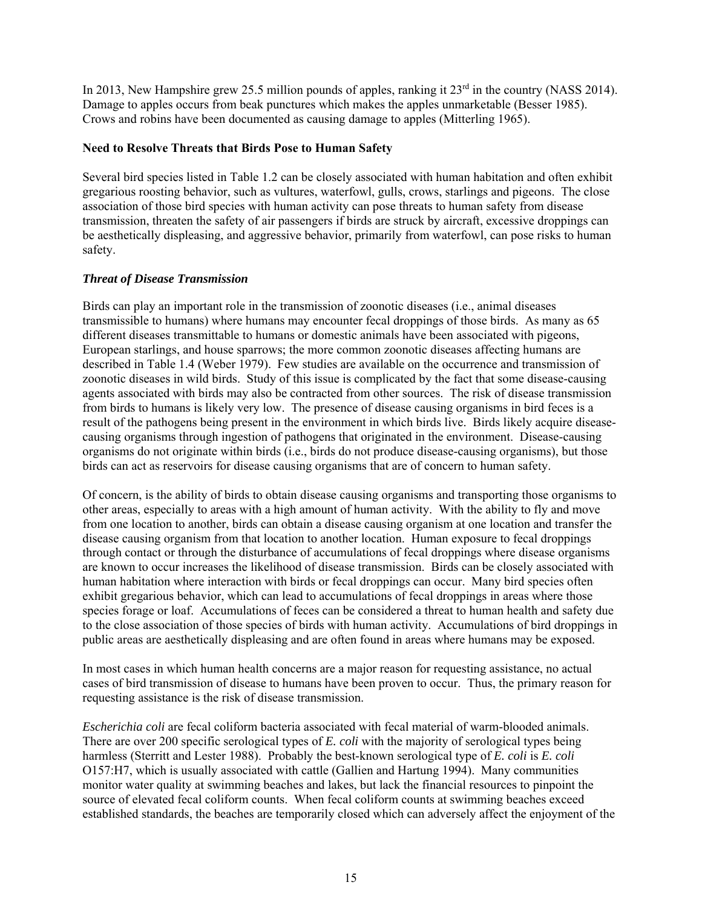In 2013, New Hampshire grew 25.5 million pounds of apples, ranking it 23<sup>rd</sup> in the country (NASS 2014). Damage to apples occurs from beak punctures which makes the apples unmarketable (Besser 1985). Crows and robins have been documented as causing damage to apples (Mitterling 1965).

# **Need to Resolve Threats that Birds Pose to Human Safety**

Several bird species listed in Table 1.2 can be closely associated with human habitation and often exhibit gregarious roosting behavior, such as vultures, waterfowl, gulls, crows, starlings and pigeons. The close association of those bird species with human activity can pose threats to human safety from disease transmission, threaten the safety of air passengers if birds are struck by aircraft, excessive droppings can be aesthetically displeasing, and aggressive behavior, primarily from waterfowl, can pose risks to human safety.

# *Threat of Disease Transmission*

Birds can play an important role in the transmission of zoonotic diseases (i.e., animal diseases transmissible to humans) where humans may encounter fecal droppings of those birds. As many as 65 different diseases transmittable to humans or domestic animals have been associated with pigeons, European starlings, and house sparrows; the more common zoonotic diseases affecting humans are described in Table 1.4 (Weber 1979). Few studies are available on the occurrence and transmission of zoonotic diseases in wild birds. Study of this issue is complicated by the fact that some disease-causing agents associated with birds may also be contracted from other sources. The risk of disease transmission from birds to humans is likely very low. The presence of disease causing organisms in bird feces is a result of the pathogens being present in the environment in which birds live. Birds likely acquire diseasecausing organisms through ingestion of pathogens that originated in the environment. Disease-causing organisms do not originate within birds (i.e., birds do not produce disease-causing organisms), but those birds can act as reservoirs for disease causing organisms that are of concern to human safety.

Of concern, is the ability of birds to obtain disease causing organisms and transporting those organisms to other areas, especially to areas with a high amount of human activity. With the ability to fly and move from one location to another, birds can obtain a disease causing organism at one location and transfer the disease causing organism from that location to another location. Human exposure to fecal droppings through contact or through the disturbance of accumulations of fecal droppings where disease organisms are known to occur increases the likelihood of disease transmission. Birds can be closely associated with human habitation where interaction with birds or fecal droppings can occur. Many bird species often exhibit gregarious behavior, which can lead to accumulations of fecal droppings in areas where those species forage or loaf. Accumulations of feces can be considered a threat to human health and safety due to the close association of those species of birds with human activity. Accumulations of bird droppings in public areas are aesthetically displeasing and are often found in areas where humans may be exposed.

In most cases in which human health concerns are a major reason for requesting assistance, no actual cases of bird transmission of disease to humans have been proven to occur. Thus, the primary reason for requesting assistance is the risk of disease transmission.

*Escherichia coli* are fecal coliform bacteria associated with fecal material of warm-blooded animals. There are over 200 specific serological types of *E. coli* with the majority of serological types being harmless (Sterritt and Lester 1988). Probably the best-known serological type of *E. coli* is *E. coli* O157:H7, which is usually associated with cattle (Gallien and Hartung 1994). Many communities monitor water quality at swimming beaches and lakes, but lack the financial resources to pinpoint the source of elevated fecal coliform counts. When fecal coliform counts at swimming beaches exceed established standards, the beaches are temporarily closed which can adversely affect the enjoyment of the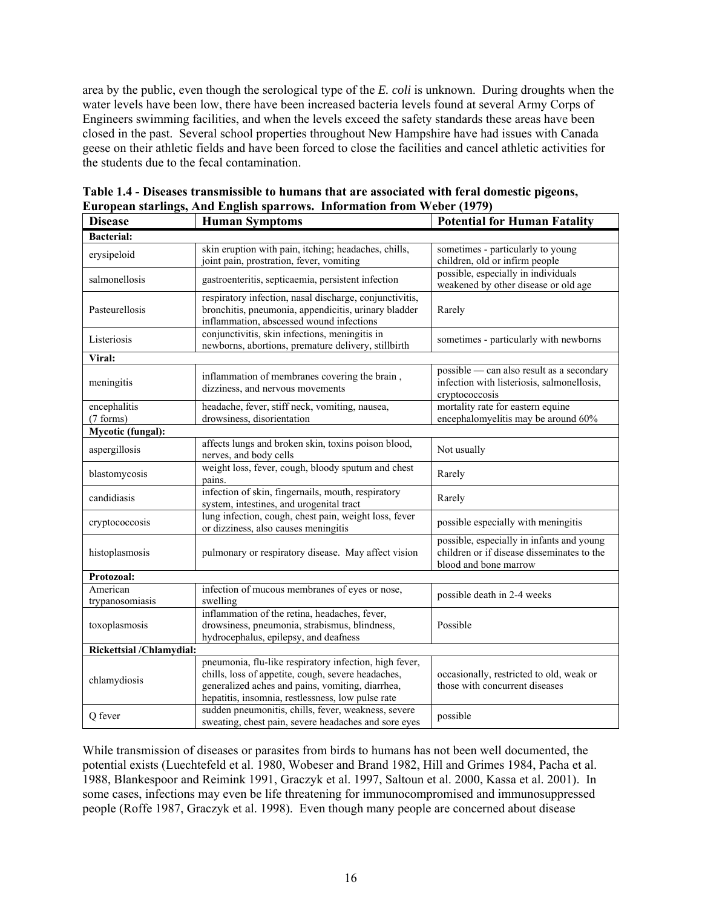area by the public, even though the serological type of the *E. coli* is unknown. During droughts when the water levels have been low, there have been increased bacteria levels found at several Army Corps of Engineers swimming facilities, and when the levels exceed the safety standards these areas have been closed in the past. Several school properties throughout New Hampshire have had issues with Canada geese on their athletic fields and have been forced to close the facilities and cancel athletic activities for the students due to the fecal contamination.

| <b>Disease</b>                                                                                                                                           | <b>Human Symptoms</b>                                                                                                                                                                                                                                                                               | <b>Potential for Human Fatality</b>                                                                              |  |  |  |
|----------------------------------------------------------------------------------------------------------------------------------------------------------|-----------------------------------------------------------------------------------------------------------------------------------------------------------------------------------------------------------------------------------------------------------------------------------------------------|------------------------------------------------------------------------------------------------------------------|--|--|--|
| <b>Bacterial:</b>                                                                                                                                        |                                                                                                                                                                                                                                                                                                     |                                                                                                                  |  |  |  |
| erysipeloid                                                                                                                                              | skin eruption with pain, itching; headaches, chills,<br>joint pain, prostration, fever, vomiting                                                                                                                                                                                                    | sometimes - particularly to young<br>children, old or infirm people                                              |  |  |  |
| salmonellosis                                                                                                                                            | gastroenteritis, septicaemia, persistent infection                                                                                                                                                                                                                                                  | possible, especially in individuals<br>weakened by other disease or old age                                      |  |  |  |
| Pasteurellosis                                                                                                                                           | respiratory infection, nasal discharge, conjunctivitis,<br>bronchitis, pneumonia, appendicitis, urinary bladder<br>inflammation, abscessed wound infections                                                                                                                                         | Rarely                                                                                                           |  |  |  |
| Listeriosis                                                                                                                                              | conjunctivitis, skin infections, meningitis in<br>newborns, abortions, premature delivery, stillbirth                                                                                                                                                                                               | sometimes - particularly with newborns                                                                           |  |  |  |
| Viral:                                                                                                                                                   |                                                                                                                                                                                                                                                                                                     |                                                                                                                  |  |  |  |
| meningitis                                                                                                                                               | inflammation of membranes covering the brain,<br>dizziness, and nervous movements                                                                                                                                                                                                                   | possible - can also result as a secondary<br>infection with listeriosis, salmonellosis,<br>cryptococcosis        |  |  |  |
| encephalitis<br>(7 forms)                                                                                                                                | headache, fever, stiff neck, vomiting, nausea,<br>drowsiness, disorientation                                                                                                                                                                                                                        | mortality rate for eastern equine<br>encephalomyelitis may be around 60%                                         |  |  |  |
| <b>Mycotic (fungal):</b>                                                                                                                                 |                                                                                                                                                                                                                                                                                                     |                                                                                                                  |  |  |  |
| aspergillosis                                                                                                                                            | affects lungs and broken skin, toxins poison blood,<br>nerves, and body cells                                                                                                                                                                                                                       | Not usually                                                                                                      |  |  |  |
| blastomycosis                                                                                                                                            | weight loss, fever, cough, bloody sputum and chest<br>pains.                                                                                                                                                                                                                                        | Rarely                                                                                                           |  |  |  |
| candidiasis                                                                                                                                              | infection of skin, fingernails, mouth, respiratory<br>system, intestines, and urogenital tract                                                                                                                                                                                                      | Rarely                                                                                                           |  |  |  |
| lung infection, cough, chest pain, weight loss, fever<br>cryptococcosis<br>or dizziness, also causes meningitis                                          |                                                                                                                                                                                                                                                                                                     | possible especially with meningitis                                                                              |  |  |  |
| histoplasmosis<br>pulmonary or respiratory disease. May affect vision                                                                                    |                                                                                                                                                                                                                                                                                                     | possible, especially in infants and young<br>children or if disease disseminates to the<br>blood and bone marrow |  |  |  |
| Protozoal:                                                                                                                                               |                                                                                                                                                                                                                                                                                                     |                                                                                                                  |  |  |  |
| American<br>trypanosomiasis                                                                                                                              | infection of mucous membranes of eyes or nose,<br>swelling                                                                                                                                                                                                                                          | possible death in 2-4 weeks                                                                                      |  |  |  |
| inflammation of the retina, headaches, fever,<br>drowsiness, pneumonia, strabismus, blindness,<br>toxoplasmosis<br>hydrocephalus, epilepsy, and deafness |                                                                                                                                                                                                                                                                                                     | Possible                                                                                                         |  |  |  |
| Rickettsial /Chlamydial:                                                                                                                                 |                                                                                                                                                                                                                                                                                                     |                                                                                                                  |  |  |  |
| chlamydiosis                                                                                                                                             | pneumonia, flu-like respiratory infection, high fever,<br>chills, loss of appetite, cough, severe headaches,<br>occasionally, restricted to old, weak or<br>generalized aches and pains, vomiting, diarrhea,<br>those with concurrent diseases<br>hepatitis, insomnia, restlessness, low pulse rate |                                                                                                                  |  |  |  |
| sudden pneumonitis, chills, fever, weakness, severe<br>Q fever<br>sweating, chest pain, severe headaches and sore eyes                                   |                                                                                                                                                                                                                                                                                                     | possible                                                                                                         |  |  |  |

| Table 1.4 - Diseases transmissible to humans that are associated with feral domestic pigeons, |
|-----------------------------------------------------------------------------------------------|
| European starlings, And English sparrows. Information from Weber (1979)                       |

While transmission of diseases or parasites from birds to humans has not been well documented, the potential exists (Luechtefeld et al. 1980, Wobeser and Brand 1982, Hill and Grimes 1984, Pacha et al. 1988, Blankespoor and Reimink 1991, Graczyk et al. 1997, Saltoun et al. 2000, Kassa et al. 2001). In some cases, infections may even be life threatening for immunocompromised and immunosuppressed people (Roffe 1987, Graczyk et al. 1998). Even though many people are concerned about disease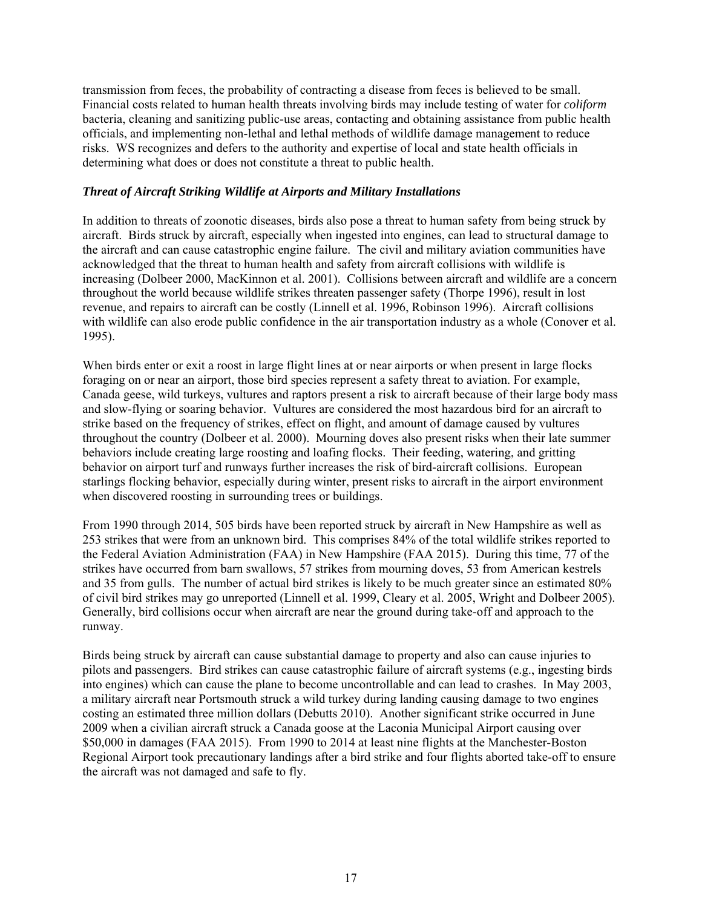transmission from feces, the probability of contracting a disease from feces is believed to be small. Financial costs related to human health threats involving birds may include testing of water for *coliform* bacteria, cleaning and sanitizing public-use areas, contacting and obtaining assistance from public health officials, and implementing non-lethal and lethal methods of wildlife damage management to reduce risks. WS recognizes and defers to the authority and expertise of local and state health officials in determining what does or does not constitute a threat to public health.

#### *Threat of Aircraft Striking Wildlife at Airports and Military Installations*

In addition to threats of zoonotic diseases, birds also pose a threat to human safety from being struck by aircraft. Birds struck by aircraft, especially when ingested into engines, can lead to structural damage to the aircraft and can cause catastrophic engine failure. The civil and military aviation communities have acknowledged that the threat to human health and safety from aircraft collisions with wildlife is increasing (Dolbeer 2000, MacKinnon et al. 2001). Collisions between aircraft and wildlife are a concern throughout the world because wildlife strikes threaten passenger safety (Thorpe 1996), result in lost revenue, and repairs to aircraft can be costly (Linnell et al. 1996, Robinson 1996). Aircraft collisions with wildlife can also erode public confidence in the air transportation industry as a whole (Conover et al. 1995).

When birds enter or exit a roost in large flight lines at or near airports or when present in large flocks foraging on or near an airport, those bird species represent a safety threat to aviation. For example, Canada geese, wild turkeys, vultures and raptors present a risk to aircraft because of their large body mass and slow-flying or soaring behavior. Vultures are considered the most hazardous bird for an aircraft to strike based on the frequency of strikes, effect on flight, and amount of damage caused by vultures throughout the country (Dolbeer et al. 2000). Mourning doves also present risks when their late summer behaviors include creating large roosting and loafing flocks. Their feeding, watering, and gritting behavior on airport turf and runways further increases the risk of bird-aircraft collisions. European starlings flocking behavior, especially during winter, present risks to aircraft in the airport environment when discovered roosting in surrounding trees or buildings.

From 1990 through 2014, 505 birds have been reported struck by aircraft in New Hampshire as well as 253 strikes that were from an unknown bird. This comprises 84% of the total wildlife strikes reported to the Federal Aviation Administration (FAA) in New Hampshire (FAA 2015). During this time, 77 of the strikes have occurred from barn swallows, 57 strikes from mourning doves, 53 from American kestrels and 35 from gulls. The number of actual bird strikes is likely to be much greater since an estimated 80% of civil bird strikes may go unreported (Linnell et al. 1999, Cleary et al. 2005, Wright and Dolbeer 2005). Generally, bird collisions occur when aircraft are near the ground during take-off and approach to the runway.

Birds being struck by aircraft can cause substantial damage to property and also can cause injuries to pilots and passengers. Bird strikes can cause catastrophic failure of aircraft systems (e.g., ingesting birds into engines) which can cause the plane to become uncontrollable and can lead to crashes. In May 2003, a military aircraft near Portsmouth struck a wild turkey during landing causing damage to two engines costing an estimated three million dollars (Debutts 2010). Another significant strike occurred in June 2009 when a civilian aircraft struck a Canada goose at the Laconia Municipal Airport causing over \$50,000 in damages (FAA 2015). From 1990 to 2014 at least nine flights at the Manchester-Boston Regional Airport took precautionary landings after a bird strike and four flights aborted take-off to ensure the aircraft was not damaged and safe to fly.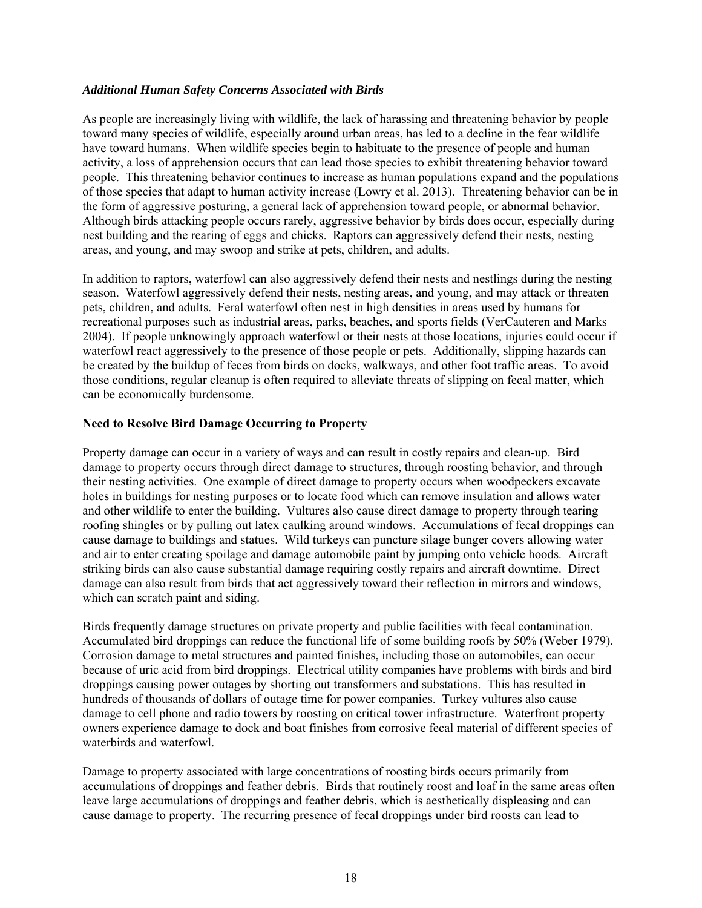#### *Additional Human Safety Concerns Associated with Birds*

As people are increasingly living with wildlife, the lack of harassing and threatening behavior by people toward many species of wildlife, especially around urban areas, has led to a decline in the fear wildlife have toward humans. When wildlife species begin to habituate to the presence of people and human activity, a loss of apprehension occurs that can lead those species to exhibit threatening behavior toward people. This threatening behavior continues to increase as human populations expand and the populations of those species that adapt to human activity increase (Lowry et al. 2013). Threatening behavior can be in the form of aggressive posturing, a general lack of apprehension toward people, or abnormal behavior. Although birds attacking people occurs rarely, aggressive behavior by birds does occur, especially during nest building and the rearing of eggs and chicks. Raptors can aggressively defend their nests, nesting areas, and young, and may swoop and strike at pets, children, and adults.

In addition to raptors, waterfowl can also aggressively defend their nests and nestlings during the nesting season. Waterfowl aggressively defend their nests, nesting areas, and young, and may attack or threaten pets, children, and adults. Feral waterfowl often nest in high densities in areas used by humans for recreational purposes such as industrial areas, parks, beaches, and sports fields (VerCauteren and Marks 2004). If people unknowingly approach waterfowl or their nests at those locations, injuries could occur if waterfowl react aggressively to the presence of those people or pets. Additionally, slipping hazards can be created by the buildup of feces from birds on docks, walkways, and other foot traffic areas. To avoid those conditions, regular cleanup is often required to alleviate threats of slipping on fecal matter, which can be economically burdensome.

#### **Need to Resolve Bird Damage Occurring to Property**

Property damage can occur in a variety of ways and can result in costly repairs and clean-up. Bird damage to property occurs through direct damage to structures, through roosting behavior, and through their nesting activities. One example of direct damage to property occurs when woodpeckers excavate holes in buildings for nesting purposes or to locate food which can remove insulation and allows water and other wildlife to enter the building. Vultures also cause direct damage to property through tearing roofing shingles or by pulling out latex caulking around windows. Accumulations of fecal droppings can cause damage to buildings and statues. Wild turkeys can puncture silage bunger covers allowing water and air to enter creating spoilage and damage automobile paint by jumping onto vehicle hoods. Aircraft striking birds can also cause substantial damage requiring costly repairs and aircraft downtime. Direct damage can also result from birds that act aggressively toward their reflection in mirrors and windows, which can scratch paint and siding.

Birds frequently damage structures on private property and public facilities with fecal contamination. Accumulated bird droppings can reduce the functional life of some building roofs by 50% (Weber 1979). Corrosion damage to metal structures and painted finishes, including those on automobiles, can occur because of uric acid from bird droppings. Electrical utility companies have problems with birds and bird droppings causing power outages by shorting out transformers and substations. This has resulted in hundreds of thousands of dollars of outage time for power companies. Turkey vultures also cause damage to cell phone and radio towers by roosting on critical tower infrastructure. Waterfront property owners experience damage to dock and boat finishes from corrosive fecal material of different species of waterbirds and waterfowl.

Damage to property associated with large concentrations of roosting birds occurs primarily from accumulations of droppings and feather debris. Birds that routinely roost and loaf in the same areas often leave large accumulations of droppings and feather debris, which is aesthetically displeasing and can cause damage to property. The recurring presence of fecal droppings under bird roosts can lead to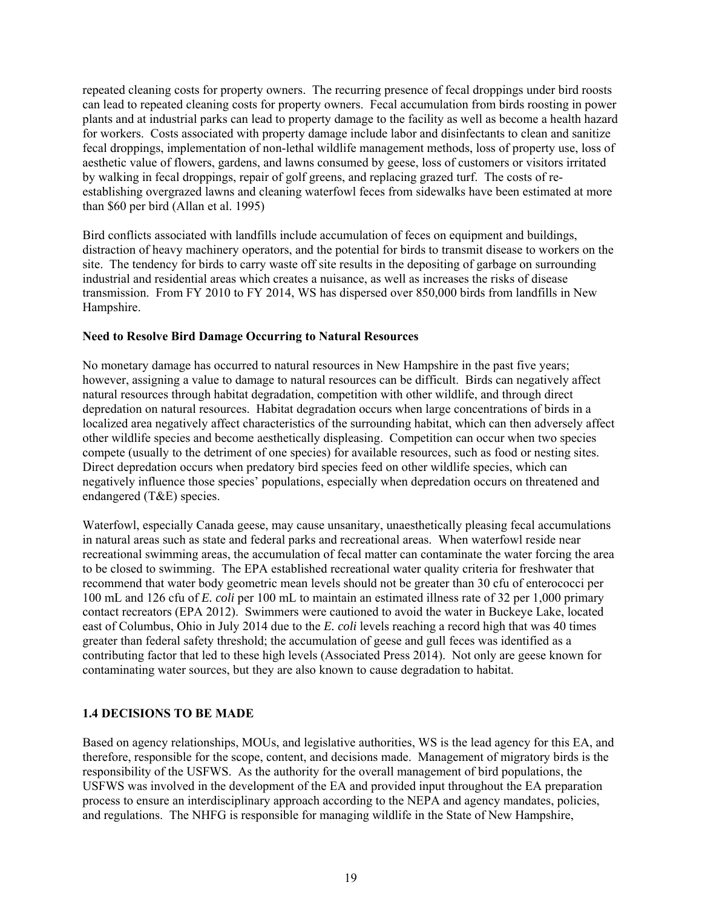repeated cleaning costs for property owners. The recurring presence of fecal droppings under bird roosts can lead to repeated cleaning costs for property owners. Fecal accumulation from birds roosting in power plants and at industrial parks can lead to property damage to the facility as well as become a health hazard for workers. Costs associated with property damage include labor and disinfectants to clean and sanitize fecal droppings, implementation of non-lethal wildlife management methods, loss of property use, loss of aesthetic value of flowers, gardens, and lawns consumed by geese, loss of customers or visitors irritated by walking in fecal droppings, repair of golf greens, and replacing grazed turf. The costs of reestablishing overgrazed lawns and cleaning waterfowl feces from sidewalks have been estimated at more than \$60 per bird (Allan et al. 1995)

Bird conflicts associated with landfills include accumulation of feces on equipment and buildings, distraction of heavy machinery operators, and the potential for birds to transmit disease to workers on the site. The tendency for birds to carry waste off site results in the depositing of garbage on surrounding industrial and residential areas which creates a nuisance, as well as increases the risks of disease transmission. From FY 2010 to FY 2014, WS has dispersed over 850,000 birds from landfills in New Hampshire.

#### **Need to Resolve Bird Damage Occurring to Natural Resources**

No monetary damage has occurred to natural resources in New Hampshire in the past five years; however, assigning a value to damage to natural resources can be difficult. Birds can negatively affect natural resources through habitat degradation, competition with other wildlife, and through direct depredation on natural resources. Habitat degradation occurs when large concentrations of birds in a localized area negatively affect characteristics of the surrounding habitat, which can then adversely affect other wildlife species and become aesthetically displeasing. Competition can occur when two species compete (usually to the detriment of one species) for available resources, such as food or nesting sites. Direct depredation occurs when predatory bird species feed on other wildlife species, which can negatively influence those species' populations, especially when depredation occurs on threatened and endangered (T&E) species.

Waterfowl, especially Canada geese, may cause unsanitary, unaesthetically pleasing fecal accumulations in natural areas such as state and federal parks and recreational areas. When waterfowl reside near recreational swimming areas, the accumulation of fecal matter can contaminate the water forcing the area to be closed to swimming. The EPA established recreational water quality criteria for freshwater that recommend that water body geometric mean levels should not be greater than 30 cfu of enterococci per 100 mL and 126 cfu of *E. coli* per 100 mL to maintain an estimated illness rate of 32 per 1,000 primary contact recreators (EPA 2012). Swimmers were cautioned to avoid the water in Buckeye Lake, located east of Columbus, Ohio in July 2014 due to the *E. coli* levels reaching a record high that was 40 times greater than federal safety threshold; the accumulation of geese and gull feces was identified as a contributing factor that led to these high levels (Associated Press 2014). Not only are geese known for contaminating water sources, but they are also known to cause degradation to habitat.

#### **1.4 DECISIONS TO BE MADE**

Based on agency relationships, MOUs, and legislative authorities, WS is the lead agency for this EA, and therefore, responsible for the scope, content, and decisions made.Management of migratory birds is the responsibility of the USFWS. As the authority for the overall management of bird populations, the USFWS was involved in the development of the EA and provided input throughout the EA preparation process to ensure an interdisciplinary approach according to the NEPA and agency mandates, policies, and regulations. The NHFG is responsible for managing wildlife in the State of New Hampshire,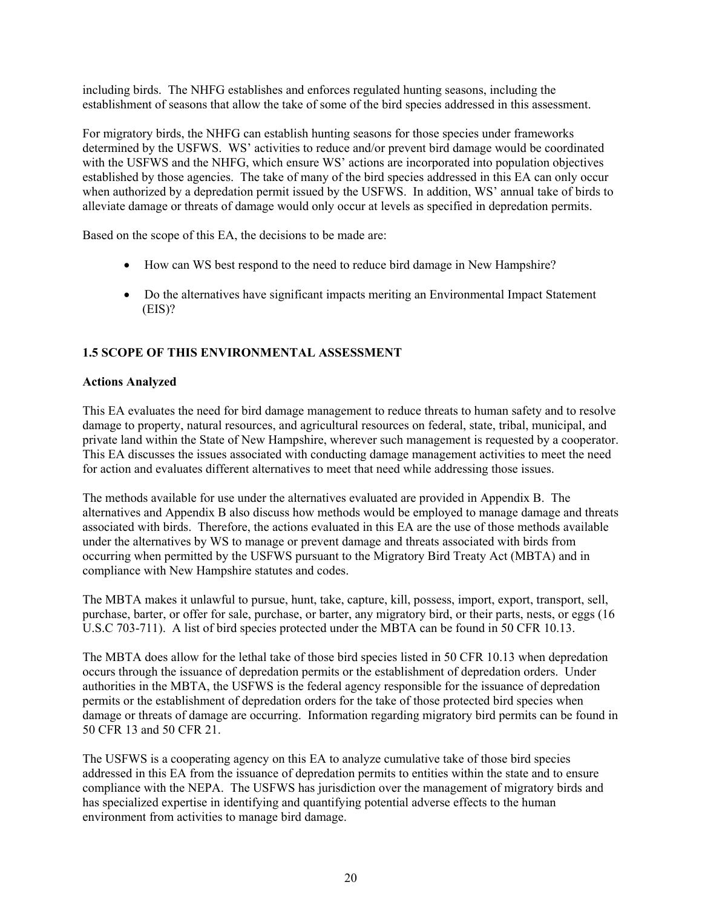including birds. The NHFG establishes and enforces regulated hunting seasons, including the establishment of seasons that allow the take of some of the bird species addressed in this assessment.

For migratory birds, the NHFG can establish hunting seasons for those species under frameworks determined by the USFWS. WS' activities to reduce and/or prevent bird damage would be coordinated with the USFWS and the NHFG, which ensure WS' actions are incorporated into population objectives established by those agencies. The take of many of the bird species addressed in this EA can only occur when authorized by a depredation permit issued by the USFWS. In addition, WS' annual take of birds to alleviate damage or threats of damage would only occur at levels as specified in depredation permits.

Based on the scope of this EA, the decisions to be made are:

- How can WS best respond to the need to reduce bird damage in New Hampshire?
- Do the alternatives have significant impacts meriting an Environmental Impact Statement (EIS)?

# **1.5 SCOPE OF THIS ENVIRONMENTAL ASSESSMENT**

#### **Actions Analyzed**

This EA evaluates the need for bird damage management to reduce threats to human safety and to resolve damage to property, natural resources, and agricultural resources on federal, state, tribal, municipal, and private land within the State of New Hampshire, wherever such management is requested by a cooperator. This EA discusses the issues associated with conducting damage management activities to meet the need for action and evaluates different alternatives to meet that need while addressing those issues.

The methods available for use under the alternatives evaluated are provided in Appendix B. The alternatives and Appendix B also discuss how methods would be employed to manage damage and threats associated with birds. Therefore, the actions evaluated in this EA are the use of those methods available under the alternatives by WS to manage or prevent damage and threats associated with birds from occurring when permitted by the USFWS pursuant to the Migratory Bird Treaty Act (MBTA) and in compliance with New Hampshire statutes and codes.

The MBTA makes it unlawful to pursue, hunt, take, capture, kill, possess, import, export, transport, sell, purchase, barter, or offer for sale, purchase, or barter, any migratory bird, or their parts, nests, or eggs (16 U.S.C 703-711). A list of bird species protected under the MBTA can be found in 50 CFR 10.13.

The MBTA does allow for the lethal take of those bird species listed in 50 CFR 10.13 when depredation occurs through the issuance of depredation permits or the establishment of depredation orders. Under authorities in the MBTA, the USFWS is the federal agency responsible for the issuance of depredation permits or the establishment of depredation orders for the take of those protected bird species when damage or threats of damage are occurring. Information regarding migratory bird permits can be found in 50 CFR 13 and 50 CFR 21.

The USFWS is a cooperating agency on this EA to analyze cumulative take of those bird species addressed in this EA from the issuance of depredation permits to entities within the state and to ensure compliance with the NEPA. The USFWS has jurisdiction over the management of migratory birds and has specialized expertise in identifying and quantifying potential adverse effects to the human environment from activities to manage bird damage.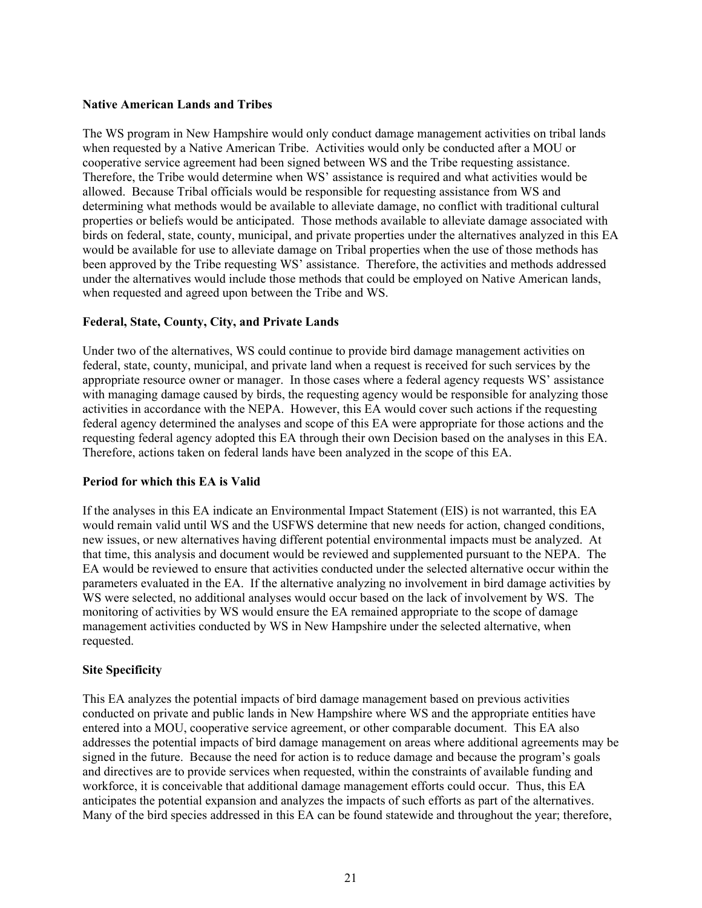#### **Native American Lands and Tribes**

The WS program in New Hampshire would only conduct damage management activities on tribal lands when requested by a Native American Tribe. Activities would only be conducted after a MOU or cooperative service agreement had been signed between WS and the Tribe requesting assistance. Therefore, the Tribe would determine when WS' assistance is required and what activities would be allowed. Because Tribal officials would be responsible for requesting assistance from WS and determining what methods would be available to alleviate damage, no conflict with traditional cultural properties or beliefs would be anticipated. Those methods available to alleviate damage associated with birds on federal, state, county, municipal, and private properties under the alternatives analyzed in this EA would be available for use to alleviate damage on Tribal properties when the use of those methods has been approved by the Tribe requesting WS' assistance. Therefore, the activities and methods addressed under the alternatives would include those methods that could be employed on Native American lands, when requested and agreed upon between the Tribe and WS.

#### **Federal, State, County, City, and Private Lands**

Under two of the alternatives, WS could continue to provide bird damage management activities on federal, state, county, municipal, and private land when a request is received for such services by the appropriate resource owner or manager. In those cases where a federal agency requests WS' assistance with managing damage caused by birds, the requesting agency would be responsible for analyzing those activities in accordance with the NEPA. However, this EA would cover such actions if the requesting federal agency determined the analyses and scope of this EA were appropriate for those actions and the requesting federal agency adopted this EA through their own Decision based on the analyses in this EA. Therefore, actions taken on federal lands have been analyzed in the scope of this EA.

#### **Period for which this EA is Valid**

If the analyses in this EA indicate an Environmental Impact Statement (EIS) is not warranted, this EA would remain valid until WS and the USFWS determine that new needs for action, changed conditions, new issues, or new alternatives having different potential environmental impacts must be analyzed. At that time, this analysis and document would be reviewed and supplemented pursuant to the NEPA. The EA would be reviewed to ensure that activities conducted under the selected alternative occur within the parameters evaluated in the EA. If the alternative analyzing no involvement in bird damage activities by WS were selected, no additional analyses would occur based on the lack of involvement by WS. The monitoring of activities by WS would ensure the EA remained appropriate to the scope of damage management activities conducted by WS in New Hampshire under the selected alternative, when requested.

#### **Site Specificity**

This EA analyzes the potential impacts of bird damage management based on previous activities conducted on private and public lands in New Hampshire where WS and the appropriate entities have entered into a MOU, cooperative service agreement, or other comparable document. This EA also addresses the potential impacts of bird damage management on areas where additional agreements may be signed in the future. Because the need for action is to reduce damage and because the program's goals and directives are to provide services when requested, within the constraints of available funding and workforce, it is conceivable that additional damage management efforts could occur. Thus, this EA anticipates the potential expansion and analyzes the impacts of such efforts as part of the alternatives. Many of the bird species addressed in this EA can be found statewide and throughout the year; therefore,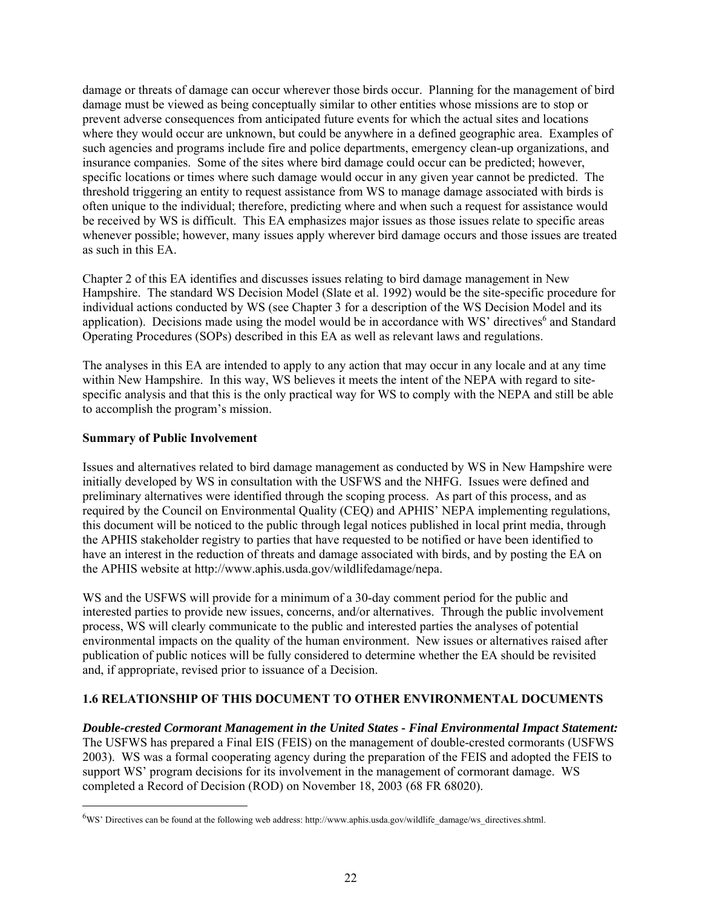damage or threats of damage can occur wherever those birds occur. Planning for the management of bird damage must be viewed as being conceptually similar to other entities whose missions are to stop or prevent adverse consequences from anticipated future events for which the actual sites and locations where they would occur are unknown, but could be anywhere in a defined geographic area. Examples of such agencies and programs include fire and police departments, emergency clean-up organizations, and insurance companies. Some of the sites where bird damage could occur can be predicted; however, specific locations or times where such damage would occur in any given year cannot be predicted. The threshold triggering an entity to request assistance from WS to manage damage associated with birds is often unique to the individual; therefore, predicting where and when such a request for assistance would be received by WS is difficult. This EA emphasizes major issues as those issues relate to specific areas whenever possible; however, many issues apply wherever bird damage occurs and those issues are treated as such in this EA.

Chapter 2 of this EA identifies and discusses issues relating to bird damage management in New Hampshire. The standard WS Decision Model (Slate et al. 1992) would be the site-specific procedure for individual actions conducted by WS (see Chapter 3 for a description of the WS Decision Model and its application). Decisions made using the model would be in accordance with WS' directives<sup>6</sup> and Standard Operating Procedures (SOPs) described in this EA as well as relevant laws and regulations.

The analyses in this EA are intended to apply to any action that may occur in any locale and at any time within New Hampshire. In this way, WS believes it meets the intent of the NEPA with regard to sitespecific analysis and that this is the only practical way for WS to comply with the NEPA and still be able to accomplish the program's mission.

# **Summary of Public Involvement**

 $\overline{a}$ 

Issues and alternatives related to bird damage management as conducted by WS in New Hampshire were initially developed by WS in consultation with the USFWS and the NHFG. Issues were defined and preliminary alternatives were identified through the scoping process. As part of this process, and as required by the Council on Environmental Quality (CEQ) and APHIS' NEPA implementing regulations, this document will be noticed to the public through legal notices published in local print media, through the APHIS stakeholder registry to parties that have requested to be notified or have been identified to have an interest in the reduction of threats and damage associated with birds, and by posting the EA on the APHIS website at http://www.aphis.usda.gov/wildlifedamage/nepa.

WS and the USFWS will provide for a minimum of a 30-day comment period for the public and interested parties to provide new issues, concerns, and/or alternatives. Through the public involvement process, WS will clearly communicate to the public and interested parties the analyses of potential environmental impacts on the quality of the human environment. New issues or alternatives raised after publication of public notices will be fully considered to determine whether the EA should be revisited and, if appropriate, revised prior to issuance of a Decision.

# **1.6 RELATIONSHIP OF THIS DOCUMENT TO OTHER ENVIRONMENTAL DOCUMENTS**

*Double-crested Cormorant Management in the United States - Final Environmental Impact Statement:*

The USFWS has prepared a Final EIS (FEIS) on the management of double-crested cormorants (USFWS 2003). WS was a formal cooperating agency during the preparation of the FEIS and adopted the FEIS to support WS' program decisions for its involvement in the management of cormorant damage. WS completed a Record of Decision (ROD) on November 18, 2003 (68 FR 68020).

<sup>&</sup>lt;sup>6</sup>WS' Directives can be found at the following web address: http://www.aphis.usda.gov/wildlife\_damage/ws\_directives.shtml.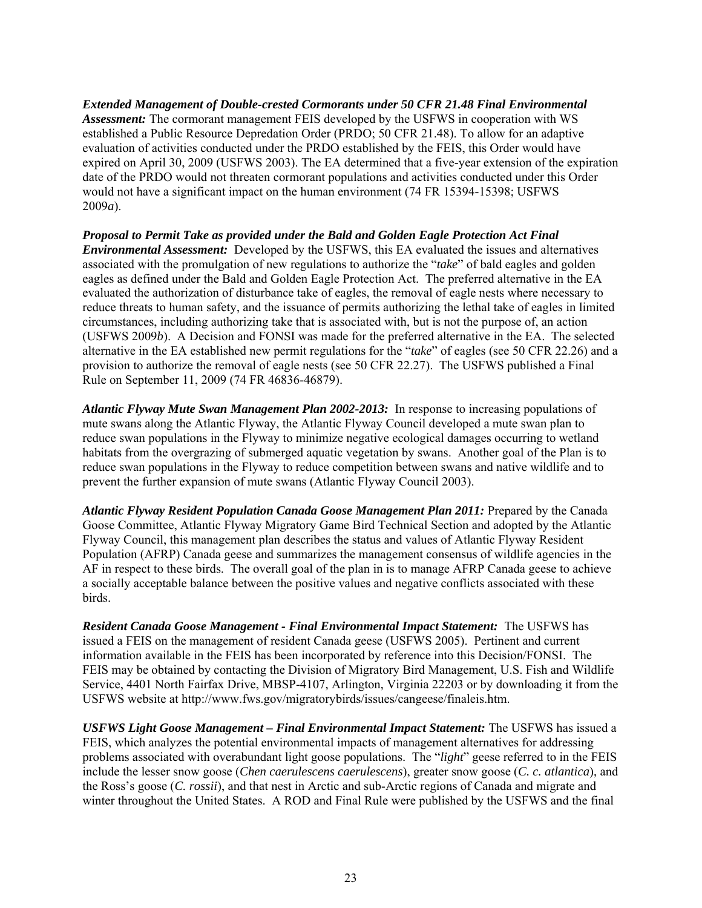*Extended Management of Double-crested Cormorants under 50 CFR 21.48 Final Environmental Assessment:* The cormorant management FEIS developed by the USFWS in cooperation with WS established a Public Resource Depredation Order (PRDO; 50 CFR 21.48). To allow for an adaptive evaluation of activities conducted under the PRDO established by the FEIS, this Order would have expired on April 30, 2009 (USFWS 2003). The EA determined that a five-year extension of the expiration date of the PRDO would not threaten cormorant populations and activities conducted under this Order would not have a significant impact on the human environment (74 FR 15394-15398; USFWS 2009*a*).

*Proposal to Permit Take as provided under the Bald and Golden Eagle Protection Act Final Environmental Assessment:* Developed by the USFWS, this EA evaluated the issues and alternatives associated with the promulgation of new regulations to authorize the "*take*" of bald eagles and golden eagles as defined under the Bald and Golden Eagle Protection Act. The preferred alternative in the EA evaluated the authorization of disturbance take of eagles, the removal of eagle nests where necessary to reduce threats to human safety, and the issuance of permits authorizing the lethal take of eagles in limited circumstances, including authorizing take that is associated with, but is not the purpose of, an action (USFWS 2009*b*). A Decision and FONSI was made for the preferred alternative in the EA. The selected alternative in the EA established new permit regulations for the "*take*" of eagles (see 50 CFR 22.26) and a provision to authorize the removal of eagle nests (see 50 CFR 22.27). The USFWS published a Final Rule on September 11, 2009 (74 FR 46836-46879).

*Atlantic Flyway Mute Swan Management Plan 2002-2013:* In response to increasing populations of mute swans along the Atlantic Flyway, the Atlantic Flyway Council developed a mute swan plan to reduce swan populations in the Flyway to minimize negative ecological damages occurring to wetland habitats from the overgrazing of submerged aquatic vegetation by swans. Another goal of the Plan is to reduce swan populations in the Flyway to reduce competition between swans and native wildlife and to prevent the further expansion of mute swans (Atlantic Flyway Council 2003).

*Atlantic Flyway Resident Population Canada Goose Management Plan 2011:* Prepared by the Canada Goose Committee, Atlantic Flyway Migratory Game Bird Technical Section and adopted by the Atlantic Flyway Council, this management plan describes the status and values of Atlantic Flyway Resident Population (AFRP) Canada geese and summarizes the management consensus of wildlife agencies in the AF in respect to these birds. The overall goal of the plan in is to manage AFRP Canada geese to achieve a socially acceptable balance between the positive values and negative conflicts associated with these birds.

*Resident Canada Goose Management - Final Environmental Impact Statement:*The USFWS has issued a FEIS on the management of resident Canada geese (USFWS 2005). Pertinent and current information available in the FEIS has been incorporated by reference into this Decision/FONSI. The FEIS may be obtained by contacting the Division of Migratory Bird Management, U.S. Fish and Wildlife Service, 4401 North Fairfax Drive, MBSP-4107, Arlington, Virginia 22203 or by downloading it from the USFWS website at http://www.fws.gov/migratorybirds/issues/cangeese/finaleis.htm.

*USFWS Light Goose Management – Final Environmental Impact Statement:* The USFWS has issued a FEIS, which analyzes the potential environmental impacts of management alternatives for addressing problems associated with overabundant light goose populations. The "*light*" geese referred to in the FEIS include the lesser snow goose (*Chen caerulescens caerulescens*), greater snow goose (*C. c. atlantica*), and the Ross's goose (*C. rossii*), and that nest in Arctic and sub-Arctic regions of Canada and migrate and winter throughout the United States. A ROD and Final Rule were published by the USFWS and the final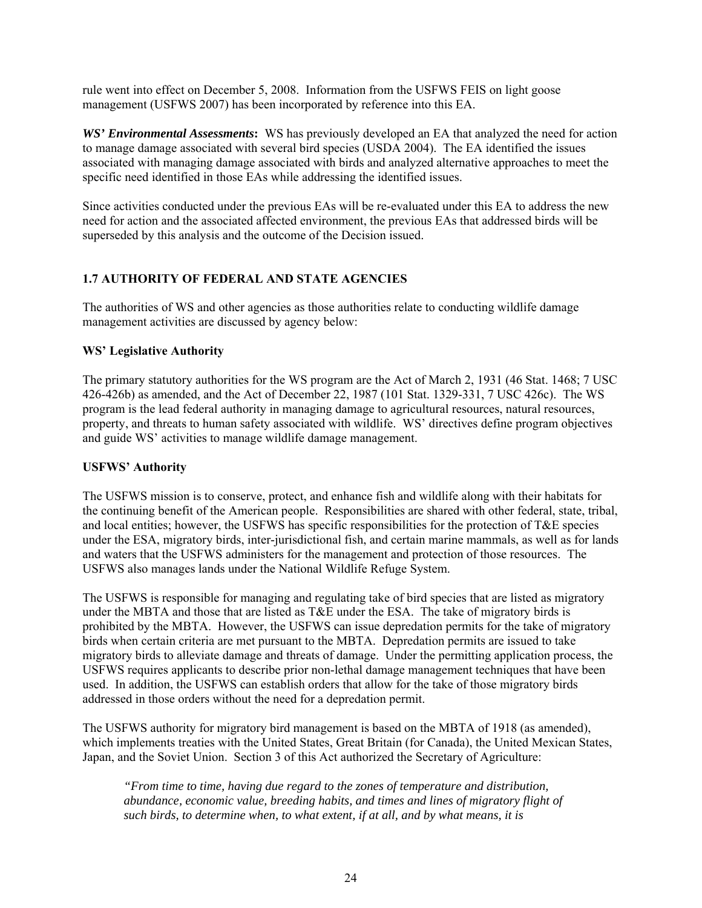rule went into effect on December 5, 2008. Information from the USFWS FEIS on light goose management (USFWS 2007) has been incorporated by reference into this EA.

*WS' Environmental Assessments***:** WS has previously developed an EA that analyzed the need for action to manage damage associated with several bird species (USDA 2004). The EA identified the issues associated with managing damage associated with birds and analyzed alternative approaches to meet the specific need identified in those EAs while addressing the identified issues.

Since activities conducted under the previous EAs will be re-evaluated under this EA to address the new need for action and the associated affected environment, the previous EAs that addressed birds will be superseded by this analysis and the outcome of the Decision issued.

# **1.7 AUTHORITY OF FEDERAL AND STATE AGENCIES**

The authorities of WS and other agencies as those authorities relate to conducting wildlife damage management activities are discussed by agency below:

#### **WS' Legislative Authority**

The primary statutory authorities for the WS program are the Act of March 2, 1931 (46 Stat. 1468; 7 USC 426-426b) as amended, and the Act of December 22, 1987 (101 Stat. 1329-331, 7 USC 426c). The WS program is the lead federal authority in managing damage to agricultural resources, natural resources, property, and threats to human safety associated with wildlife. WS' directives define program objectives and guide WS' activities to manage wildlife damage management.

#### **USFWS' Authority**

The USFWS mission is to conserve, protect, and enhance fish and wildlife along with their habitats for the continuing benefit of the American people. Responsibilities are shared with other federal, state, tribal, and local entities; however, the USFWS has specific responsibilities for the protection of T&E species under the ESA, migratory birds, inter-jurisdictional fish, and certain marine mammals, as well as for lands and waters that the USFWS administers for the management and protection of those resources. The USFWS also manages lands under the National Wildlife Refuge System.

The USFWS is responsible for managing and regulating take of bird species that are listed as migratory under the MBTA and those that are listed as T&E under the ESA. The take of migratory birds is prohibited by the MBTA. However, the USFWS can issue depredation permits for the take of migratory birds when certain criteria are met pursuant to the MBTA. Depredation permits are issued to take migratory birds to alleviate damage and threats of damage. Under the permitting application process, the USFWS requires applicants to describe prior non-lethal damage management techniques that have been used. In addition, the USFWS can establish orders that allow for the take of those migratory birds addressed in those orders without the need for a depredation permit.

The USFWS authority for migratory bird management is based on the MBTA of 1918 (as amended), which implements treaties with the United States, Great Britain (for Canada), the United Mexican States, Japan, and the Soviet Union. Section 3 of this Act authorized the Secretary of Agriculture:

*"From time to time, having due regard to the zones of temperature and distribution, abundance, economic value, breeding habits, and times and lines of migratory flight of such birds, to determine when, to what extent, if at all, and by what means, it is*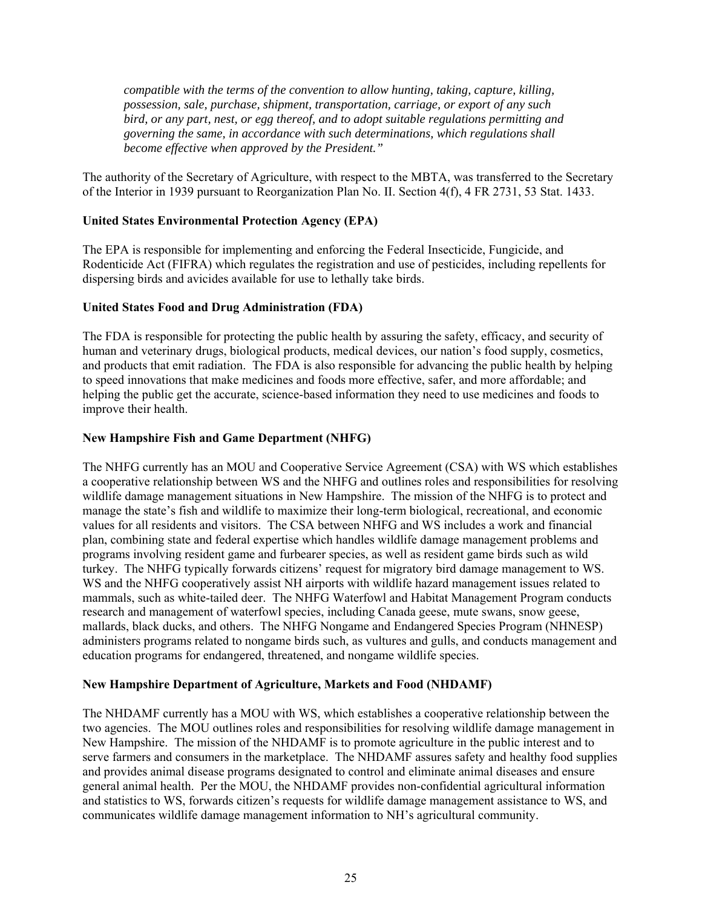*compatible with the terms of the convention to allow hunting, taking, capture, killing, possession, sale, purchase, shipment, transportation, carriage, or export of any such bird, or any part, nest, or egg thereof, and to adopt suitable regulations permitting and governing the same, in accordance with such determinations, which regulations shall become effective when approved by the President."* 

The authority of the Secretary of Agriculture, with respect to the MBTA, was transferred to the Secretary of the Interior in 1939 pursuant to Reorganization Plan No. II. Section 4(f), 4 FR 2731, 53 Stat. 1433.

# **United States Environmental Protection Agency (EPA)**

The EPA is responsible for implementing and enforcing the Federal Insecticide, Fungicide, and Rodenticide Act (FIFRA) which regulates the registration and use of pesticides, including repellents for dispersing birds and avicides available for use to lethally take birds.

# **United States Food and Drug Administration (FDA)**

The FDA is responsible for protecting the public health by assuring the safety, efficacy, and security of human and veterinary drugs, biological products, medical devices, our nation's food supply, cosmetics, and products that emit radiation. The FDA is also responsible for advancing the public health by helping to speed innovations that make medicines and foods more effective, safer, and more affordable; and helping the public get the accurate, science-based information they need to use medicines and foods to improve their health.

# **New Hampshire Fish and Game Department (NHFG)**

The NHFG currently has an MOU and Cooperative Service Agreement (CSA) with WS which establishes a cooperative relationship between WS and the NHFG and outlines roles and responsibilities for resolving wildlife damage management situations in New Hampshire. The mission of the NHFG is to protect and manage the state's fish and wildlife to maximize their long-term biological, recreational, and economic values for all residents and visitors. The CSA between NHFG and WS includes a work and financial plan, combining state and federal expertise which handles wildlife damage management problems and programs involving resident game and furbearer species, as well as resident game birds such as wild turkey. The NHFG typically forwards citizens' request for migratory bird damage management to WS. WS and the NHFG cooperatively assist NH airports with wildlife hazard management issues related to mammals, such as white-tailed deer. The NHFG Waterfowl and Habitat Management Program conducts research and management of waterfowl species, including Canada geese, mute swans, snow geese, mallards, black ducks, and others. The NHFG Nongame and Endangered Species Program (NHNESP) administers programs related to nongame birds such, as vultures and gulls, and conducts management and education programs for endangered, threatened, and nongame wildlife species.

#### **New Hampshire Department of Agriculture, Markets and Food (NHDAMF)**

The NHDAMF currently has a MOU with WS, which establishes a cooperative relationship between the two agencies. The MOU outlines roles and responsibilities for resolving wildlife damage management in New Hampshire. The mission of the NHDAMF is to promote agriculture in the public interest and to serve farmers and consumers in the marketplace. The NHDAMF assures safety and healthy food supplies and provides animal disease programs designated to control and eliminate animal diseases and ensure general animal health. Per the MOU, the NHDAMF provides non-confidential agricultural information and statistics to WS, forwards citizen's requests for wildlife damage management assistance to WS, and communicates wildlife damage management information to NH's agricultural community.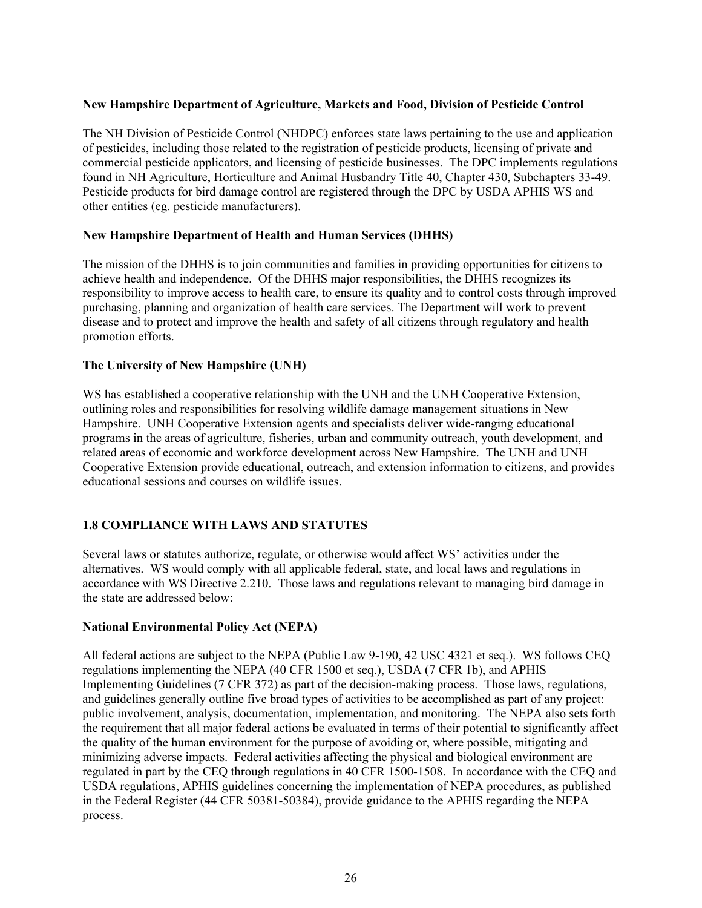# **New Hampshire Department of Agriculture, Markets and Food, Division of Pesticide Control**

The NH Division of Pesticide Control (NHDPC) enforces state laws pertaining to the use and application of pesticides, including those related to the registration of pesticide products, licensing of private and commercial pesticide applicators, and licensing of pesticide businesses. The DPC implements regulations found in NH Agriculture, Horticulture and Animal Husbandry Title 40, Chapter 430, Subchapters 33-49. Pesticide products for bird damage control are registered through the DPC by USDA APHIS WS and other entities (eg. pesticide manufacturers).

#### **New Hampshire Department of Health and Human Services (DHHS)**

The mission of the DHHS is to join communities and families in providing opportunities for citizens to achieve health and independence. Of the DHHS major responsibilities, the DHHS recognizes its responsibility to improve access to health care, to ensure its quality and to control costs through improved purchasing, planning and organization of health care services. The Department will work to prevent disease and to protect and improve the health and safety of all citizens through regulatory and health promotion efforts.

# **The University of New Hampshire (UNH)**

WS has established a cooperative relationship with the UNH and the UNH Cooperative Extension, outlining roles and responsibilities for resolving wildlife damage management situations in New Hampshire. UNH Cooperative Extension agents and specialists deliver wide-ranging educational programs in the areas of agriculture, fisheries, urban and community outreach, youth development, and related areas of economic and workforce development across New Hampshire. The UNH and UNH Cooperative Extension provide educational, outreach, and extension information to citizens, and provides educational sessions and courses on wildlife issues.

# **1.8 COMPLIANCE WITH LAWS AND STATUTES**

Several laws or statutes authorize, regulate, or otherwise would affect WS' activities under the alternatives. WS would comply with all applicable federal, state, and local laws and regulations in accordance with WS Directive 2.210. Those laws and regulations relevant to managing bird damage in the state are addressed below:

#### **National Environmental Policy Act (NEPA)**

All federal actions are subject to the NEPA (Public Law 9-190, 42 USC 4321 et seq.). WS follows CEQ regulations implementing the NEPA (40 CFR 1500 et seq.), USDA (7 CFR 1b), and APHIS Implementing Guidelines (7 CFR 372) as part of the decision-making process. Those laws, regulations, and guidelines generally outline five broad types of activities to be accomplished as part of any project: public involvement, analysis, documentation, implementation, and monitoring. The NEPA also sets forth the requirement that all major federal actions be evaluated in terms of their potential to significantly affect the quality of the human environment for the purpose of avoiding or, where possible, mitigating and minimizing adverse impacts. Federal activities affecting the physical and biological environment are regulated in part by the CEQ through regulations in 40 CFR 1500-1508. In accordance with the CEQ and USDA regulations, APHIS guidelines concerning the implementation of NEPA procedures, as published in the Federal Register (44 CFR 50381-50384), provide guidance to the APHIS regarding the NEPA process.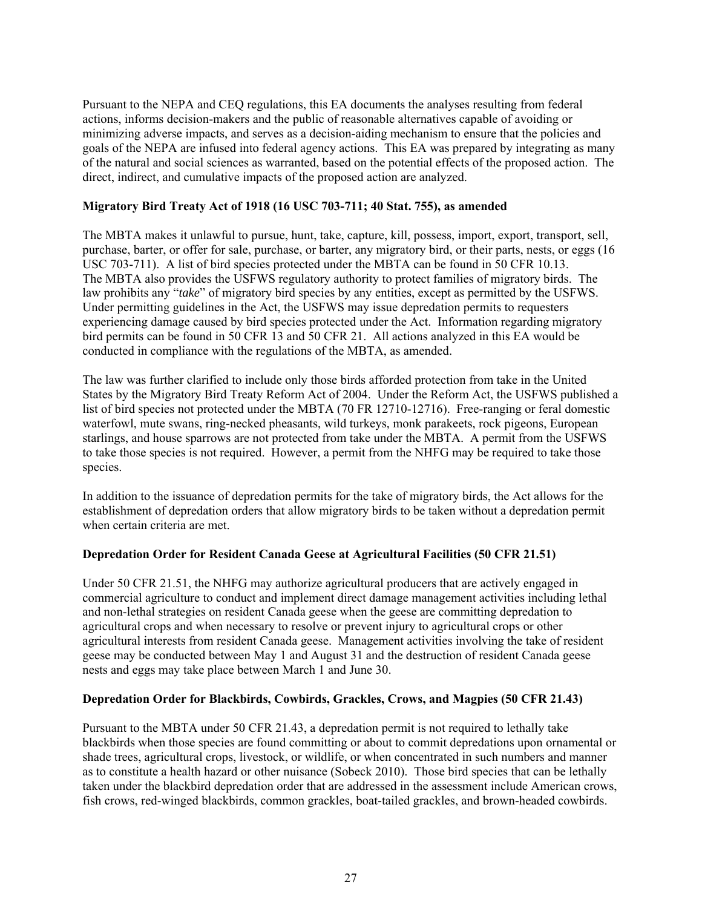Pursuant to the NEPA and CEQ regulations, this EA documents the analyses resulting from federal actions, informs decision-makers and the public of reasonable alternatives capable of avoiding or minimizing adverse impacts, and serves as a decision-aiding mechanism to ensure that the policies and goals of the NEPA are infused into federal agency actions. This EA was prepared by integrating as many of the natural and social sciences as warranted, based on the potential effects of the proposed action. The direct, indirect, and cumulative impacts of the proposed action are analyzed.

## **Migratory Bird Treaty Act of 1918 (16 USC 703-711; 40 Stat. 755), as amended**

The MBTA makes it unlawful to pursue, hunt, take, capture, kill, possess, import, export, transport, sell, purchase, barter, or offer for sale, purchase, or barter, any migratory bird, or their parts, nests, or eggs (16 USC 703-711). A list of bird species protected under the MBTA can be found in 50 CFR 10.13. The MBTA also provides the USFWS regulatory authority to protect families of migratory birds. The law prohibits any "*take*" of migratory bird species by any entities, except as permitted by the USFWS. Under permitting guidelines in the Act, the USFWS may issue depredation permits to requesters experiencing damage caused by bird species protected under the Act. Information regarding migratory bird permits can be found in 50 CFR 13 and 50 CFR 21. All actions analyzed in this EA would be conducted in compliance with the regulations of the MBTA, as amended.

The law was further clarified to include only those birds afforded protection from take in the United States by the Migratory Bird Treaty Reform Act of 2004. Under the Reform Act, the USFWS published a list of bird species not protected under the MBTA (70 FR 12710-12716). Free-ranging or feral domestic waterfowl, mute swans, ring-necked pheasants, wild turkeys, monk parakeets, rock pigeons, European starlings, and house sparrows are not protected from take under the MBTA. A permit from the USFWS to take those species is not required. However, a permit from the NHFG may be required to take those species.

In addition to the issuance of depredation permits for the take of migratory birds, the Act allows for the establishment of depredation orders that allow migratory birds to be taken without a depredation permit when certain criteria are met.

# **Depredation Order for Resident Canada Geese at Agricultural Facilities (50 CFR 21.51)**

Under 50 CFR 21.51, the NHFG may authorize agricultural producers that are actively engaged in commercial agriculture to conduct and implement direct damage management activities including lethal and non-lethal strategies on resident Canada geese when the geese are committing depredation to agricultural crops and when necessary to resolve or prevent injury to agricultural crops or other agricultural interests from resident Canada geese. Management activities involving the take of resident geese may be conducted between May 1 and August 31 and the destruction of resident Canada geese nests and eggs may take place between March 1 and June 30.

# **Depredation Order for Blackbirds, Cowbirds, Grackles, Crows, and Magpies (50 CFR 21.43)**

Pursuant to the MBTA under 50 CFR 21.43, a depredation permit is not required to lethally take blackbirds when those species are found committing or about to commit depredations upon ornamental or shade trees, agricultural crops, livestock, or wildlife, or when concentrated in such numbers and manner as to constitute a health hazard or other nuisance (Sobeck 2010). Those bird species that can be lethally taken under the blackbird depredation order that are addressed in the assessment include American crows, fish crows, red-winged blackbirds, common grackles, boat-tailed grackles, and brown-headed cowbirds.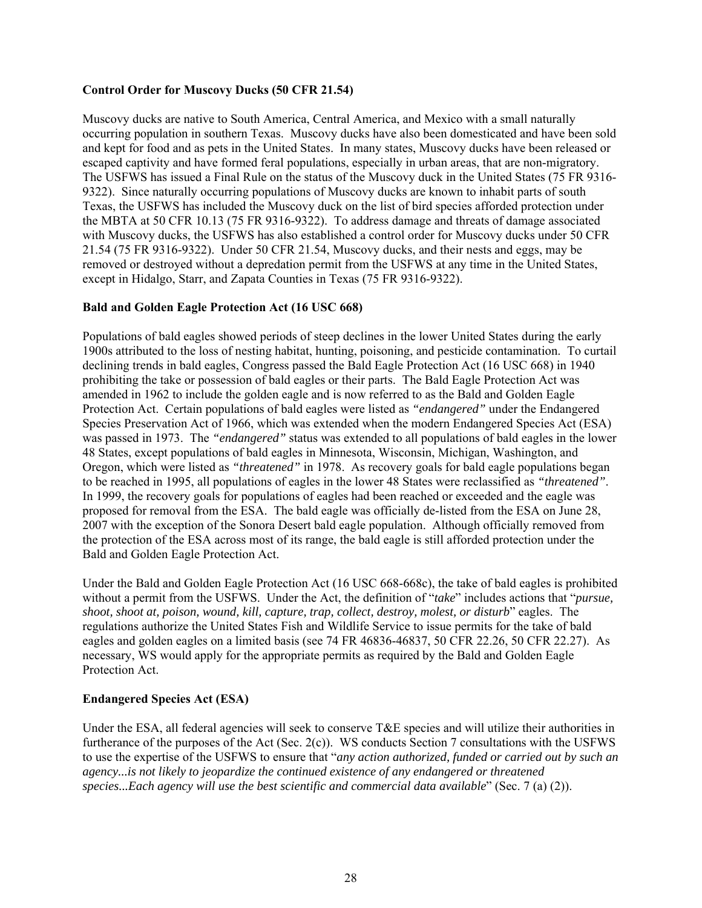## **Control Order for Muscovy Ducks (50 CFR 21.54)**

Muscovy ducks are native to South America, Central America, and Mexico with a small naturally occurring population in southern Texas. Muscovy ducks have also been domesticated and have been sold and kept for food and as pets in the United States. In many states, Muscovy ducks have been released or escaped captivity and have formed feral populations, especially in urban areas, that are non-migratory. The USFWS has issued a Final Rule on the status of the Muscovy duck in the United States (75 FR 9316- 9322). Since naturally occurring populations of Muscovy ducks are known to inhabit parts of south Texas, the USFWS has included the Muscovy duck on the list of bird species afforded protection under the MBTA at 50 CFR 10.13 (75 FR 9316-9322). To address damage and threats of damage associated with Muscovy ducks, the USFWS has also established a control order for Muscovy ducks under 50 CFR 21.54 (75 FR 9316-9322). Under 50 CFR 21.54, Muscovy ducks, and their nests and eggs, may be removed or destroyed without a depredation permit from the USFWS at any time in the United States, except in Hidalgo, Starr, and Zapata Counties in Texas (75 FR 9316-9322).

# **Bald and Golden Eagle Protection Act (16 USC 668)**

Populations of bald eagles showed periods of steep declines in the lower United States during the early 1900s attributed to the loss of nesting habitat, hunting, poisoning, and pesticide contamination. To curtail declining trends in bald eagles, Congress passed the Bald Eagle Protection Act (16 USC 668) in 1940 prohibiting the take or possession of bald eagles or their parts. The Bald Eagle Protection Act was amended in 1962 to include the golden eagle and is now referred to as the Bald and Golden Eagle Protection Act. Certain populations of bald eagles were listed as *"endangered"* under the Endangered Species Preservation Act of 1966, which was extended when the modern Endangered Species Act (ESA) was passed in 1973. The *"endangered"* status was extended to all populations of bald eagles in the lower 48 States, except populations of bald eagles in Minnesota, Wisconsin, Michigan, Washington, and Oregon, which were listed as *"threatened"* in 1978. As recovery goals for bald eagle populations began to be reached in 1995, all populations of eagles in the lower 48 States were reclassified as *"threatened"*. In 1999, the recovery goals for populations of eagles had been reached or exceeded and the eagle was proposed for removal from the ESA. The bald eagle was officially de-listed from the ESA on June 28, 2007 with the exception of the Sonora Desert bald eagle population. Although officially removed from the protection of the ESA across most of its range, the bald eagle is still afforded protection under the Bald and Golden Eagle Protection Act.

Under the Bald and Golden Eagle Protection Act (16 USC 668-668c), the take of bald eagles is prohibited without a permit from the USFWS. Under the Act, the definition of "*take*" includes actions that "*pursue, shoot, shoot at, poison, wound, kill, capture, trap, collect, destroy, molest, or disturb*" eagles. The regulations authorize the United States Fish and Wildlife Service to issue permits for the take of bald eagles and golden eagles on a limited basis (see 74 FR 46836-46837, 50 CFR 22.26, 50 CFR 22.27). As necessary, WS would apply for the appropriate permits as required by the Bald and Golden Eagle Protection Act.

# **Endangered Species Act (ESA)**

Under the ESA, all federal agencies will seek to conserve  $T \& E$  species and will utilize their authorities in furtherance of the purposes of the Act (Sec. 2(c)). WS conducts Section 7 consultations with the USFWS to use the expertise of the USFWS to ensure that "*any action authorized, funded or carried out by such an agency...is not likely to jeopardize the continued existence of any endangered or threatened species...Each agency will use the best scientific and commercial data available*" (Sec. 7 (a) (2)).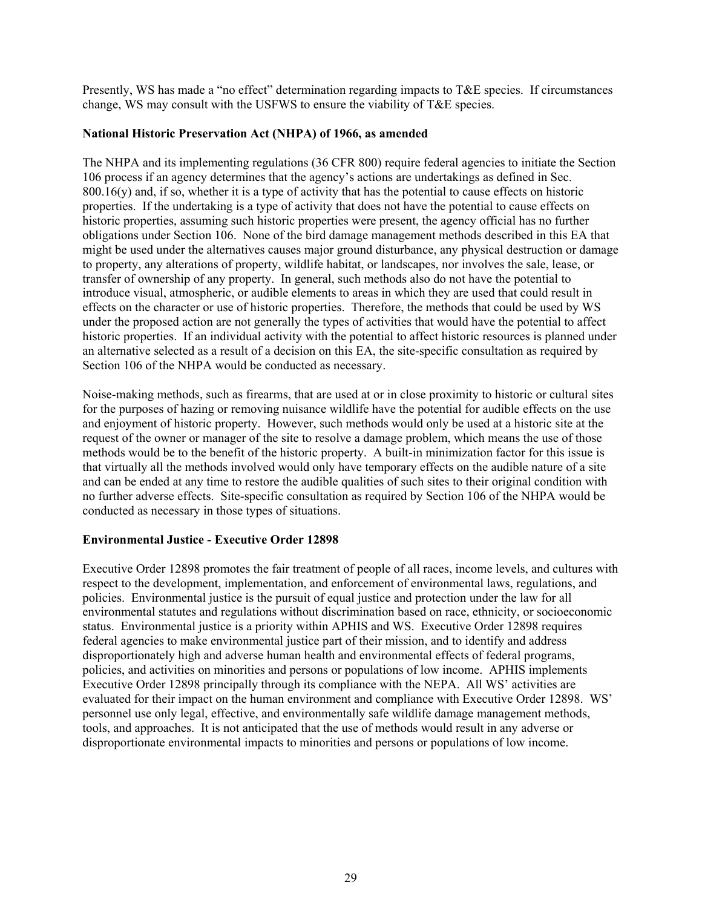Presently, WS has made a "no effect" determination regarding impacts to T&E species. If circumstances change, WS may consult with the USFWS to ensure the viability of T&E species.

#### **National Historic Preservation Act (NHPA) of 1966, as amended**

The NHPA and its implementing regulations (36 CFR 800) require federal agencies to initiate the Section 106 process if an agency determines that the agency's actions are undertakings as defined in Sec.  $800.16(y)$  and, if so, whether it is a type of activity that has the potential to cause effects on historic properties. If the undertaking is a type of activity that does not have the potential to cause effects on historic properties, assuming such historic properties were present, the agency official has no further obligations under Section 106. None of the bird damage management methods described in this EA that might be used under the alternatives causes major ground disturbance, any physical destruction or damage to property, any alterations of property, wildlife habitat, or landscapes, nor involves the sale, lease, or transfer of ownership of any property. In general, such methods also do not have the potential to introduce visual, atmospheric, or audible elements to areas in which they are used that could result in effects on the character or use of historic properties. Therefore, the methods that could be used by WS under the proposed action are not generally the types of activities that would have the potential to affect historic properties. If an individual activity with the potential to affect historic resources is planned under an alternative selected as a result of a decision on this EA, the site-specific consultation as required by Section 106 of the NHPA would be conducted as necessary.

Noise-making methods, such as firearms, that are used at or in close proximity to historic or cultural sites for the purposes of hazing or removing nuisance wildlife have the potential for audible effects on the use and enjoyment of historic property. However, such methods would only be used at a historic site at the request of the owner or manager of the site to resolve a damage problem, which means the use of those methods would be to the benefit of the historic property. A built-in minimization factor for this issue is that virtually all the methods involved would only have temporary effects on the audible nature of a site and can be ended at any time to restore the audible qualities of such sites to their original condition with no further adverse effects. Site-specific consultation as required by Section 106 of the NHPA would be conducted as necessary in those types of situations.

# **Environmental Justice - Executive Order 12898**

Executive Order 12898 promotes the fair treatment of people of all races, income levels, and cultures with respect to the development, implementation, and enforcement of environmental laws, regulations, and policies. Environmental justice is the pursuit of equal justice and protection under the law for all environmental statutes and regulations without discrimination based on race, ethnicity, or socioeconomic status. Environmental justice is a priority within APHIS and WS. Executive Order 12898 requires federal agencies to make environmental justice part of their mission, and to identify and address disproportionately high and adverse human health and environmental effects of federal programs, policies, and activities on minorities and persons or populations of low income. APHIS implements Executive Order 12898 principally through its compliance with the NEPA. All WS' activities are evaluated for their impact on the human environment and compliance with Executive Order 12898. WS' personnel use only legal, effective, and environmentally safe wildlife damage management methods, tools, and approaches. It is not anticipated that the use of methods would result in any adverse or disproportionate environmental impacts to minorities and persons or populations of low income.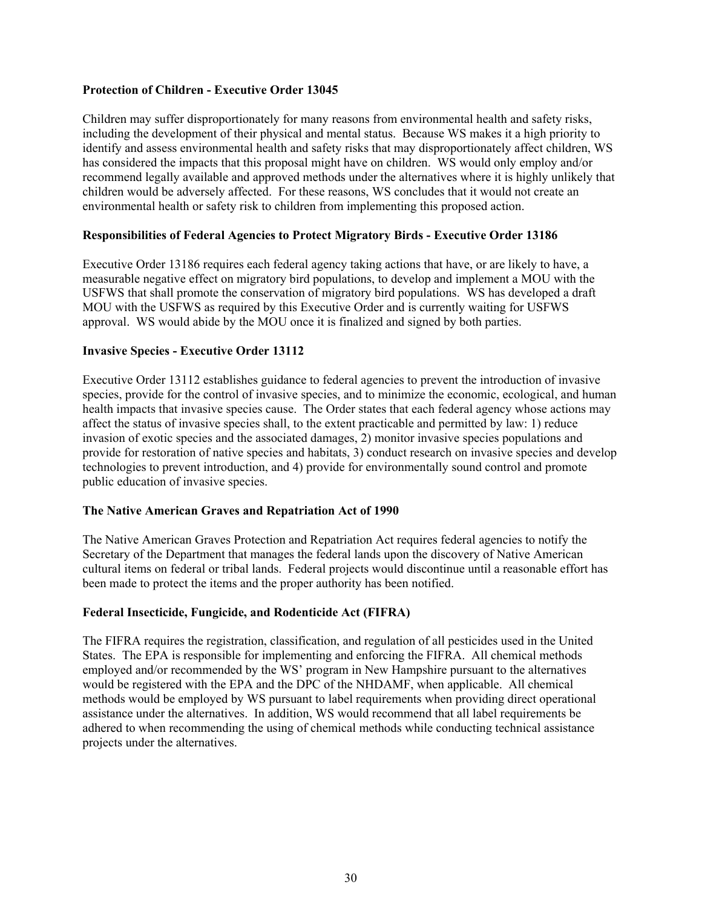#### **Protection of Children - Executive Order 13045**

Children may suffer disproportionately for many reasons from environmental health and safety risks, including the development of their physical and mental status. Because WS makes it a high priority to identify and assess environmental health and safety risks that may disproportionately affect children, WS has considered the impacts that this proposal might have on children. WS would only employ and/or recommend legally available and approved methods under the alternatives where it is highly unlikely that children would be adversely affected. For these reasons, WS concludes that it would not create an environmental health or safety risk to children from implementing this proposed action.

#### **Responsibilities of Federal Agencies to Protect Migratory Birds - Executive Order 13186**

Executive Order 13186 requires each federal agency taking actions that have, or are likely to have, a measurable negative effect on migratory bird populations, to develop and implement a MOU with the USFWS that shall promote the conservation of migratory bird populations. WS has developed a draft MOU with the USFWS as required by this Executive Order and is currently waiting for USFWS approval. WS would abide by the MOU once it is finalized and signed by both parties.

#### **Invasive Species - Executive Order 13112**

Executive Order 13112 establishes guidance to federal agencies to prevent the introduction of invasive species, provide for the control of invasive species, and to minimize the economic, ecological, and human health impacts that invasive species cause. The Order states that each federal agency whose actions may affect the status of invasive species shall, to the extent practicable and permitted by law: 1) reduce invasion of exotic species and the associated damages, 2) monitor invasive species populations and provide for restoration of native species and habitats, 3) conduct research on invasive species and develop technologies to prevent introduction, and 4) provide for environmentally sound control and promote public education of invasive species.

#### **The Native American Graves and Repatriation Act of 1990**

The Native American Graves Protection and Repatriation Act requires federal agencies to notify the Secretary of the Department that manages the federal lands upon the discovery of Native American cultural items on federal or tribal lands. Federal projects would discontinue until a reasonable effort has been made to protect the items and the proper authority has been notified.

#### **Federal Insecticide, Fungicide, and Rodenticide Act (FIFRA)**

The FIFRA requires the registration, classification, and regulation of all pesticides used in the United States. The EPA is responsible for implementing and enforcing the FIFRA. All chemical methods employed and/or recommended by the WS' program in New Hampshire pursuant to the alternatives would be registered with the EPA and the DPC of the NHDAMF, when applicable. All chemical methods would be employed by WS pursuant to label requirements when providing direct operational assistance under the alternatives. In addition, WS would recommend that all label requirements be adhered to when recommending the using of chemical methods while conducting technical assistance projects under the alternatives.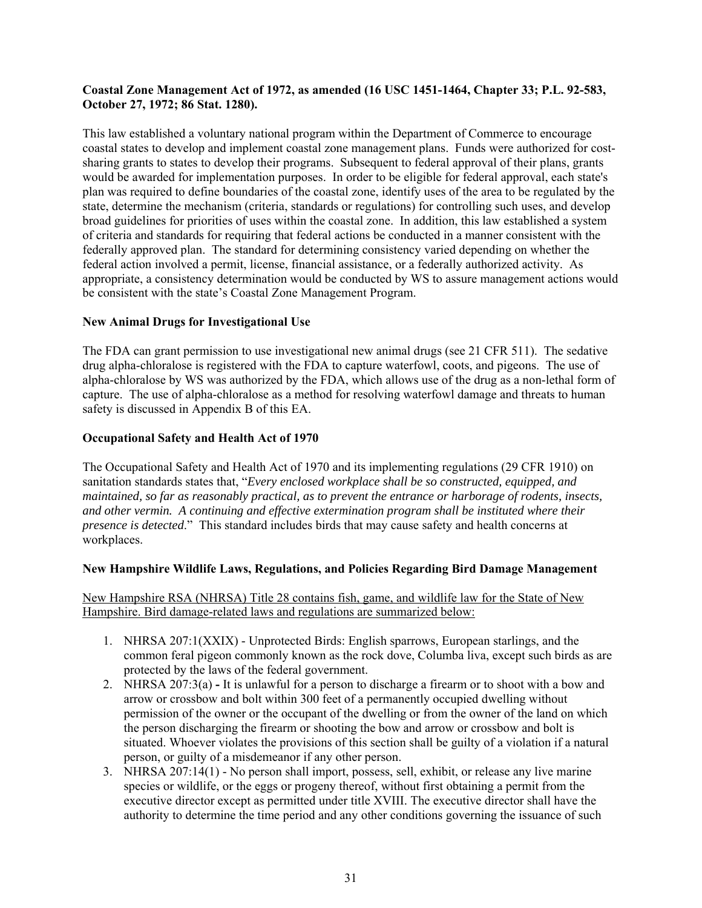#### **Coastal Zone Management Act of 1972, as amended (16 USC 1451-1464, Chapter 33; P.L. 92-583, October 27, 1972; 86 Stat. 1280).**

This law established a voluntary national program within the Department of Commerce to encourage coastal states to develop and implement coastal zone management plans. Funds were authorized for costsharing grants to states to develop their programs. Subsequent to federal approval of their plans, grants would be awarded for implementation purposes. In order to be eligible for federal approval, each state's plan was required to define boundaries of the coastal zone, identify uses of the area to be regulated by the state, determine the mechanism (criteria, standards or regulations) for controlling such uses, and develop broad guidelines for priorities of uses within the coastal zone. In addition, this law established a system of criteria and standards for requiring that federal actions be conducted in a manner consistent with the federally approved plan. The standard for determining consistency varied depending on whether the federal action involved a permit, license, financial assistance, or a federally authorized activity. As appropriate, a consistency determination would be conducted by WS to assure management actions would be consistent with the state's Coastal Zone Management Program.

# **New Animal Drugs for Investigational Use**

The FDA can grant permission to use investigational new animal drugs (see 21 CFR 511). The sedative drug alpha-chloralose is registered with the FDA to capture waterfowl, coots, and pigeons. The use of alpha-chloralose by WS was authorized by the FDA, which allows use of the drug as a non-lethal form of capture. The use of alpha-chloralose as a method for resolving waterfowl damage and threats to human safety is discussed in Appendix B of this EA.

# **Occupational Safety and Health Act of 1970**

The Occupational Safety and Health Act of 1970 and its implementing regulations (29 CFR 1910) on sanitation standards states that, "*Every enclosed workplace shall be so constructed, equipped, and maintained, so far as reasonably practical, as to prevent the entrance or harborage of rodents, insects, and other vermin. A continuing and effective extermination program shall be instituted where their presence is detected*." This standard includes birds that may cause safety and health concerns at workplaces.

#### **New Hampshire Wildlife Laws, Regulations, and Policies Regarding Bird Damage Management**

New Hampshire RSA (NHRSA) Title 28 contains fish, game, and wildlife law for the State of New Hampshire. Bird damage-related laws and regulations are summarized below:

- 1. NHRSA 207:1(XXIX) Unprotected Birds: English sparrows, European starlings, and the common feral pigeon commonly known as the rock dove, Columba liva, except such birds as are protected by the laws of the federal government.
- 2. NHRSA 207:3(a) **-** It is unlawful for a person to discharge a firearm or to shoot with a bow and arrow or crossbow and bolt within 300 feet of a permanently occupied dwelling without permission of the owner or the occupant of the dwelling or from the owner of the land on which the person discharging the firearm or shooting the bow and arrow or crossbow and bolt is situated. Whoever violates the provisions of this section shall be guilty of a violation if a natural person, or guilty of a misdemeanor if any other person.
- 3. NHRSA 207:14(1) No person shall import, possess, sell, exhibit, or release any live marine species or wildlife, or the eggs or progeny thereof, without first obtaining a permit from the executive director except as permitted under title XVIII. The executive director shall have the authority to determine the time period and any other conditions governing the issuance of such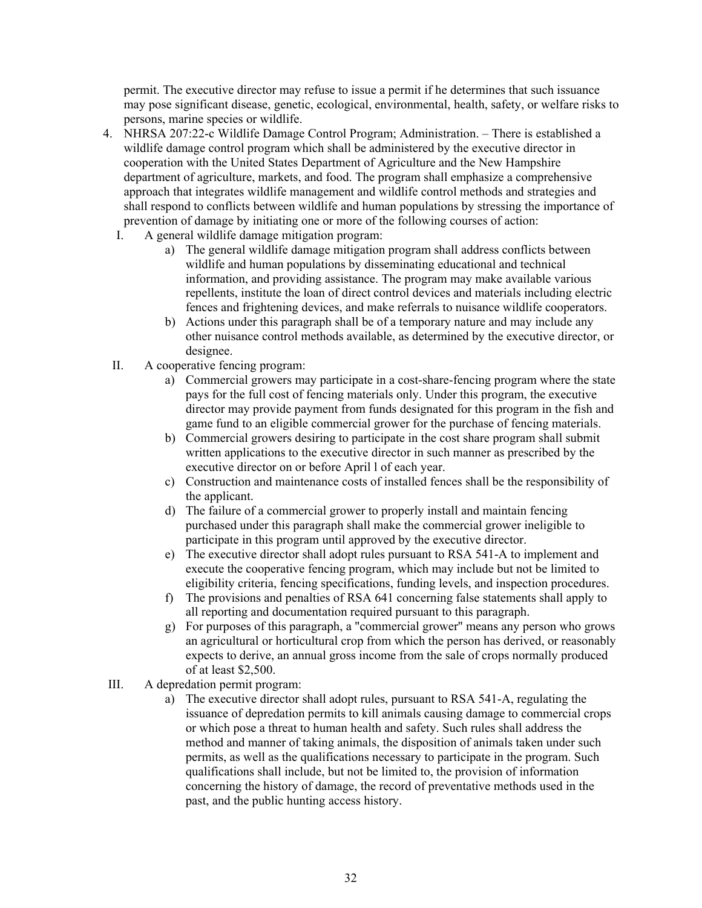permit. The executive director may refuse to issue a permit if he determines that such issuance may pose significant disease, genetic, ecological, environmental, health, safety, or welfare risks to persons, marine species or wildlife.

- 4. NHRSA 207:22-c Wildlife Damage Control Program; Administration. There is established a wildlife damage control program which shall be administered by the executive director in cooperation with the United States Department of Agriculture and the New Hampshire department of agriculture, markets, and food. The program shall emphasize a comprehensive approach that integrates wildlife management and wildlife control methods and strategies and shall respond to conflicts between wildlife and human populations by stressing the importance of prevention of damage by initiating one or more of the following courses of action:
	- I. A general wildlife damage mitigation program:
		- a) The general wildlife damage mitigation program shall address conflicts between wildlife and human populations by disseminating educational and technical information, and providing assistance. The program may make available various repellents, institute the loan of direct control devices and materials including electric fences and frightening devices, and make referrals to nuisance wildlife cooperators.
		- b) Actions under this paragraph shall be of a temporary nature and may include any other nuisance control methods available, as determined by the executive director, or designee.
	- II. A cooperative fencing program:
		- a) Commercial growers may participate in a cost-share-fencing program where the state pays for the full cost of fencing materials only. Under this program, the executive director may provide payment from funds designated for this program in the fish and game fund to an eligible commercial grower for the purchase of fencing materials.
		- b) Commercial growers desiring to participate in the cost share program shall submit written applications to the executive director in such manner as prescribed by the executive director on or before April l of each year.
		- c) Construction and maintenance costs of installed fences shall be the responsibility of the applicant.
		- d) The failure of a commercial grower to properly install and maintain fencing purchased under this paragraph shall make the commercial grower ineligible to participate in this program until approved by the executive director.
		- e) The executive director shall adopt rules pursuant to RSA 541-A to implement and execute the cooperative fencing program, which may include but not be limited to eligibility criteria, fencing specifications, funding levels, and inspection procedures.
		- f) The provisions and penalties of RSA 641 concerning false statements shall apply to all reporting and documentation required pursuant to this paragraph.
		- g) For purposes of this paragraph, a "commercial grower'' means any person who grows an agricultural or horticultural crop from which the person has derived, or reasonably expects to derive, an annual gross income from the sale of crops normally produced of at least \$2,500.
- III. A depredation permit program:
	- a) The executive director shall adopt rules, pursuant to RSA 541-A, regulating the issuance of depredation permits to kill animals causing damage to commercial crops or which pose a threat to human health and safety. Such rules shall address the method and manner of taking animals, the disposition of animals taken under such permits, as well as the qualifications necessary to participate in the program. Such qualifications shall include, but not be limited to, the provision of information concerning the history of damage, the record of preventative methods used in the past, and the public hunting access history.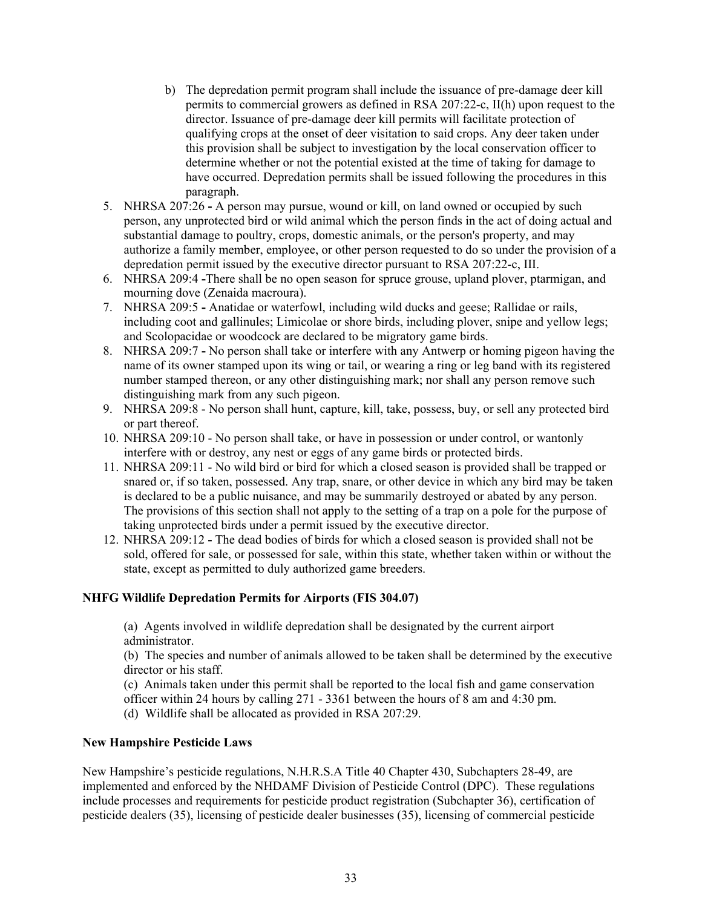- b) The depredation permit program shall include the issuance of pre-damage deer kill permits to commercial growers as defined in RSA 207:22-c, II(h) upon request to the director. Issuance of pre-damage deer kill permits will facilitate protection of qualifying crops at the onset of deer visitation to said crops. Any deer taken under this provision shall be subject to investigation by the local conservation officer to determine whether or not the potential existed at the time of taking for damage to have occurred. Depredation permits shall be issued following the procedures in this paragraph.
- 5. NHRSA 207:26A person may pursue, wound or kill, on land owned or occupied by such person, any unprotected bird or wild animal which the person finds in the act of doing actual and substantial damage to poultry, crops, domestic animals, or the person's property, and may authorize a family member, employee, or other person requested to do so under the provision of a depredation permit issued by the executive director pursuant to RSA 207:22-c, III.
- 6. NHRSA 209:4 **-**There shall be no open season for spruce grouse, upland plover, ptarmigan, and mourning dove (Zenaida macroura).
- 7. NHRSA 209:5Anatidae or waterfowl, including wild ducks and geese; Rallidae or rails, including coot and gallinules; Limicolae or shore birds, including plover, snipe and yellow legs; and Scolopacidae or woodcock are declared to be migratory game birds.
- 8. NHRSA 209:7 **-** No person shall take or interfere with any Antwerp or homing pigeon having the name of its owner stamped upon its wing or tail, or wearing a ring or leg band with its registered number stamped thereon, or any other distinguishing mark; nor shall any person remove such distinguishing mark from any such pigeon.
- 9. NHRSA 209:8 No person shall hunt, capture, kill, take, possess, buy, or sell any protected bird or part thereof.
- 10. NHRSA 209:10 No person shall take, or have in possession or under control, or wantonly interfere with or destroy, any nest or eggs of any game birds or protected birds.
- 11. NHRSA 209:11 No wild bird or bird for which a closed season is provided shall be trapped or snared or, if so taken, possessed. Any trap, snare, or other device in which any bird may be taken is declared to be a public nuisance, and may be summarily destroyed or abated by any person. The provisions of this section shall not apply to the setting of a trap on a pole for the purpose of taking unprotected birds under a permit issued by the executive director.
- 12. NHRSA 209:12The dead bodies of birds for which a closed season is provided shall not be sold, offered for sale, or possessed for sale, within this state, whether taken within or without the state, except as permitted to duly authorized game breeders.

# **NHFG Wildlife Depredation Permits for Airports (FIS 304.07)**

(a) Agents involved in wildlife depredation shall be designated by the current airport administrator.

(b) The species and number of animals allowed to be taken shall be determined by the executive director or his staff.

(c) Animals taken under this permit shall be reported to the local fish and game conservation

officer within 24 hours by calling 271 - 3361 between the hours of 8 am and 4:30 pm.

(d) Wildlife shall be allocated as provided in RSA 207:29.

#### **New Hampshire Pesticide Laws**

New Hampshire's pesticide regulations, N.H.R.S.A Title 40 Chapter 430, Subchapters 28-49, are implemented and enforced by the NHDAMF Division of Pesticide Control (DPC). These regulations include processes and requirements for pesticide product registration (Subchapter 36), certification of pesticide dealers (35), licensing of pesticide dealer businesses (35), licensing of commercial pesticide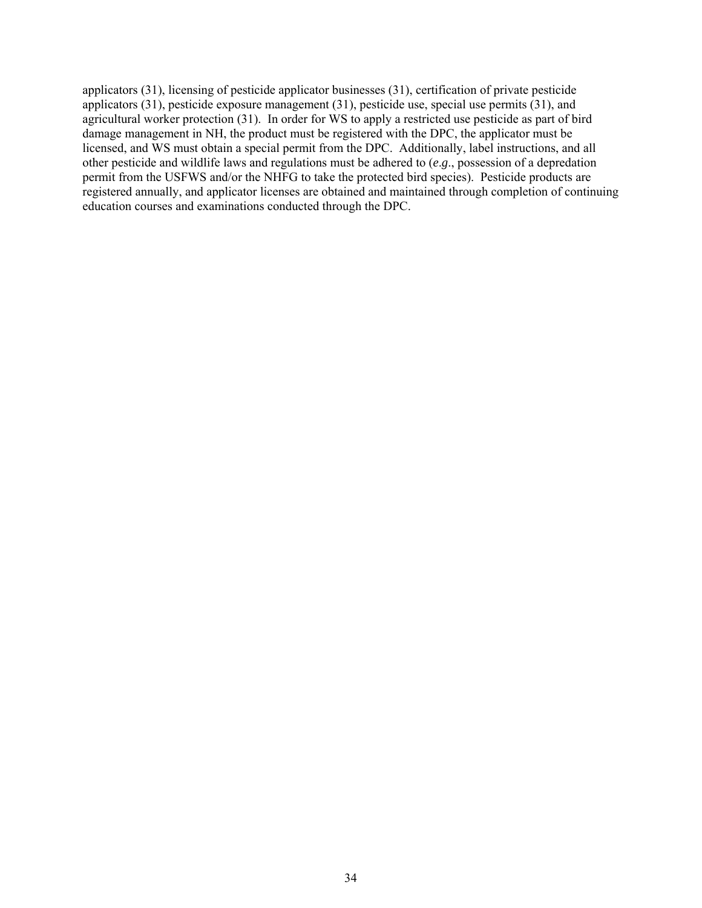applicators (31), licensing of pesticide applicator businesses (31), certification of private pesticide applicators (31), pesticide exposure management (31), pesticide use, special use permits (31), and agricultural worker protection (31). In order for WS to apply a restricted use pesticide as part of bird damage management in NH, the product must be registered with the DPC, the applicator must be licensed, and WS must obtain a special permit from the DPC. Additionally, label instructions, and all other pesticide and wildlife laws and regulations must be adhered to (*e*.*g*., possession of a depredation permit from the USFWS and/or the NHFG to take the protected bird species). Pesticide products are registered annually, and applicator licenses are obtained and maintained through completion of continuing education courses and examinations conducted through the DPC.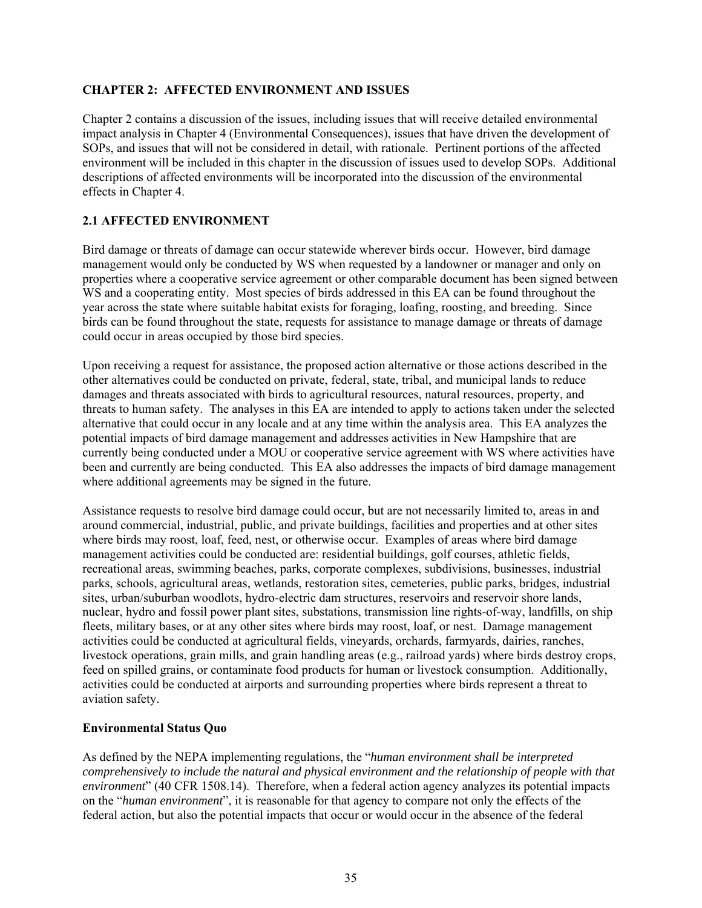# **CHAPTER 2: AFFECTED ENVIRONMENT AND ISSUES**

Chapter 2 contains a discussion of the issues, including issues that will receive detailed environmental impact analysis in Chapter 4 (Environmental Consequences), issues that have driven the development of SOPs, and issues that will not be considered in detail, with rationale. Pertinent portions of the affected environment will be included in this chapter in the discussion of issues used to develop SOPs. Additional descriptions of affected environments will be incorporated into the discussion of the environmental effects in Chapter 4.

# **2.1 AFFECTED ENVIRONMENT**

Bird damage or threats of damage can occur statewide wherever birds occur. However, bird damage management would only be conducted by WS when requested by a landowner or manager and only on properties where a cooperative service agreement or other comparable document has been signed between WS and a cooperating entity. Most species of birds addressed in this EA can be found throughout the year across the state where suitable habitat exists for foraging, loafing, roosting, and breeding. Since birds can be found throughout the state, requests for assistance to manage damage or threats of damage could occur in areas occupied by those bird species.

Upon receiving a request for assistance, the proposed action alternative or those actions described in the other alternatives could be conducted on private, federal, state, tribal, and municipal lands to reduce damages and threats associated with birds to agricultural resources, natural resources, property, and threats to human safety. The analyses in this EA are intended to apply to actions taken under the selected alternative that could occur in any locale and at any time within the analysis area. This EA analyzes the potential impacts of bird damage management and addresses activities in New Hampshire that are currently being conducted under a MOU or cooperative service agreement with WS where activities have been and currently are being conducted. This EA also addresses the impacts of bird damage management where additional agreements may be signed in the future.

Assistance requests to resolve bird damage could occur, but are not necessarily limited to, areas in and around commercial, industrial, public, and private buildings, facilities and properties and at other sites where birds may roost, loaf, feed, nest, or otherwise occur. Examples of areas where bird damage management activities could be conducted are: residential buildings, golf courses, athletic fields, recreational areas, swimming beaches, parks, corporate complexes, subdivisions, businesses, industrial parks, schools, agricultural areas, wetlands, restoration sites, cemeteries, public parks, bridges, industrial sites, urban/suburban woodlots, hydro-electric dam structures, reservoirs and reservoir shore lands, nuclear, hydro and fossil power plant sites, substations, transmission line rights-of-way, landfills, on ship fleets, military bases, or at any other sites where birds may roost, loaf, or nest. Damage management activities could be conducted at agricultural fields, vineyards, orchards, farmyards, dairies, ranches, livestock operations, grain mills, and grain handling areas (e.g., railroad yards) where birds destroy crops, feed on spilled grains, or contaminate food products for human or livestock consumption. Additionally, activities could be conducted at airports and surrounding properties where birds represent a threat to aviation safety.

# **Environmental Status Quo**

As defined by the NEPA implementing regulations, the "*human environment shall be interpreted comprehensively to include the natural and physical environment and the relationship of people with that environment*" (40 CFR 1508.14). Therefore, when a federal action agency analyzes its potential impacts on the "*human environment*", it is reasonable for that agency to compare not only the effects of the federal action, but also the potential impacts that occur or would occur in the absence of the federal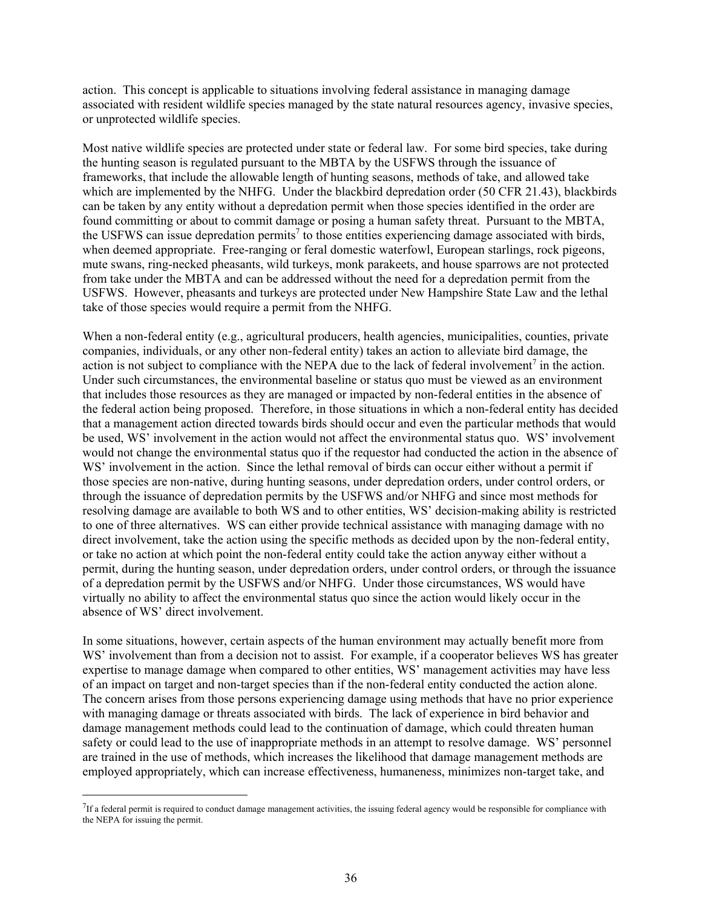action. This concept is applicable to situations involving federal assistance in managing damage associated with resident wildlife species managed by the state natural resources agency, invasive species, or unprotected wildlife species.

Most native wildlife species are protected under state or federal law. For some bird species, take during the hunting season is regulated pursuant to the MBTA by the USFWS through the issuance of frameworks, that include the allowable length of hunting seasons, methods of take, and allowed take which are implemented by the NHFG. Under the blackbird depredation order (50 CFR 21.43), blackbirds can be taken by any entity without a depredation permit when those species identified in the order are found committing or about to commit damage or posing a human safety threat. Pursuant to the MBTA, the USFWS can issue depredation permits<sup>7</sup> to those entities experiencing damage associated with birds, when deemed appropriate. Free-ranging or feral domestic waterfowl, European starlings, rock pigeons, mute swans, ring-necked pheasants, wild turkeys, monk parakeets, and house sparrows are not protected from take under the MBTA and can be addressed without the need for a depredation permit from the USFWS. However, pheasants and turkeys are protected under New Hampshire State Law and the lethal take of those species would require a permit from the NHFG.

When a non-federal entity (e.g., agricultural producers, health agencies, municipalities, counties, private companies, individuals, or any other non-federal entity) takes an action to alleviate bird damage, the action is not subject to compliance with the NEPA due to the lack of federal involvement<sup>7</sup> in the action. Under such circumstances, the environmental baseline or status quo must be viewed as an environment that includes those resources as they are managed or impacted by non-federal entities in the absence of the federal action being proposed. Therefore, in those situations in which a non-federal entity has decided that a management action directed towards birds should occur and even the particular methods that would be used, WS' involvement in the action would not affect the environmental status quo. WS' involvement would not change the environmental status quo if the requestor had conducted the action in the absence of WS' involvement in the action. Since the lethal removal of birds can occur either without a permit if those species are non-native, during hunting seasons, under depredation orders, under control orders, or through the issuance of depredation permits by the USFWS and/or NHFG and since most methods for resolving damage are available to both WS and to other entities, WS' decision-making ability is restricted to one of three alternatives. WS can either provide technical assistance with managing damage with no direct involvement, take the action using the specific methods as decided upon by the non-federal entity, or take no action at which point the non-federal entity could take the action anyway either without a permit, during the hunting season, under depredation orders, under control orders, or through the issuance of a depredation permit by the USFWS and/or NHFG. Under those circumstances, WS would have virtually no ability to affect the environmental status quo since the action would likely occur in the absence of WS' direct involvement.

In some situations, however, certain aspects of the human environment may actually benefit more from WS' involvement than from a decision not to assist. For example, if a cooperator believes WS has greater expertise to manage damage when compared to other entities, WS' management activities may have less of an impact on target and non-target species than if the non-federal entity conducted the action alone. The concern arises from those persons experiencing damage using methods that have no prior experience with managing damage or threats associated with birds. The lack of experience in bird behavior and damage management methods could lead to the continuation of damage, which could threaten human safety or could lead to the use of inappropriate methods in an attempt to resolve damage. WS' personnel are trained in the use of methods, which increases the likelihood that damage management methods are employed appropriately, which can increase effectiveness, humaneness, minimizes non-target take, and

 $\overline{a}$ 

 $^{7}$ If a federal permit is required to conduct damage management activities, the issuing federal agency would be responsible for compliance with the NEPA for issuing the permit.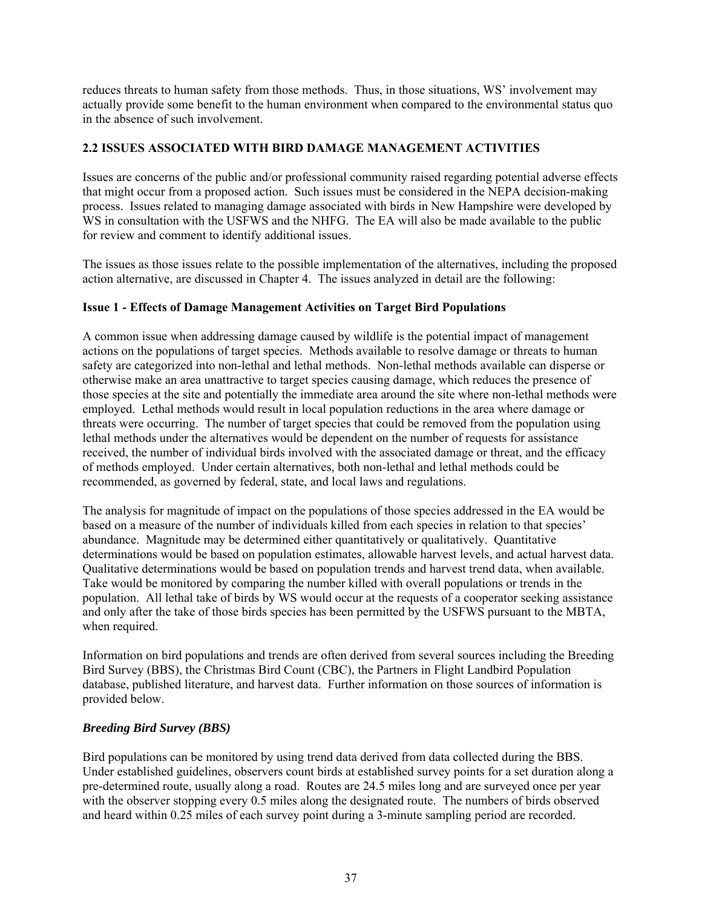reduces threats to human safety from those methods. Thus, in those situations, WS' involvement may actually provide some benefit to the human environment when compared to the environmental status quo in the absence of such involvement.

# **2.2 ISSUES ASSOCIATED WITH BIRD DAMAGE MANAGEMENT ACTIVITIES**

Issues are concerns of the public and/or professional community raised regarding potential adverse effects that might occur from a proposed action. Such issues must be considered in the NEPA decision-making process. Issues related to managing damage associated with birds in New Hampshire were developed by WS in consultation with the USFWS and the NHFG. The EA will also be made available to the public for review and comment to identify additional issues.

The issues as those issues relate to the possible implementation of the alternatives, including the proposed action alternative, are discussed in Chapter 4. The issues analyzed in detail are the following:

### **Issue 1 - Effects of Damage Management Activities on Target Bird Populations**

A common issue when addressing damage caused by wildlife is the potential impact of management actions on the populations of target species. Methods available to resolve damage or threats to human safety are categorized into non-lethal and lethal methods. Non-lethal methods available can disperse or otherwise make an area unattractive to target species causing damage, which reduces the presence of those species at the site and potentially the immediate area around the site where non-lethal methods were employed. Lethal methods would result in local population reductions in the area where damage or threats were occurring. The number of target species that could be removed from the population using lethal methods under the alternatives would be dependent on the number of requests for assistance received, the number of individual birds involved with the associated damage or threat, and the efficacy of methods employed. Under certain alternatives, both non-lethal and lethal methods could be recommended, as governed by federal, state, and local laws and regulations.

The analysis for magnitude of impact on the populations of those species addressed in the EA would be based on a measure of the number of individuals killed from each species in relation to that species' abundance. Magnitude may be determined either quantitatively or qualitatively. Quantitative determinations would be based on population estimates, allowable harvest levels, and actual harvest data. Qualitative determinations would be based on population trends and harvest trend data, when available. Take would be monitored by comparing the number killed with overall populations or trends in the population. All lethal take of birds by WS would occur at the requests of a cooperator seeking assistance and only after the take of those birds species has been permitted by the USFWS pursuant to the MBTA, when required.

Information on bird populations and trends are often derived from several sources including the Breeding Bird Survey (BBS), the Christmas Bird Count (CBC), the Partners in Flight Landbird Population database, published literature, and harvest data. Further information on those sources of information is provided below.

### *Breeding Bird Survey (BBS)*

Bird populations can be monitored by using trend data derived from data collected during the BBS. Under established guidelines, observers count birds at established survey points for a set duration along a pre-determined route, usually along a road. Routes are 24.5 miles long and are surveyed once per year with the observer stopping every 0.5 miles along the designated route. The numbers of birds observed and heard within 0.25 miles of each survey point during a 3-minute sampling period are recorded.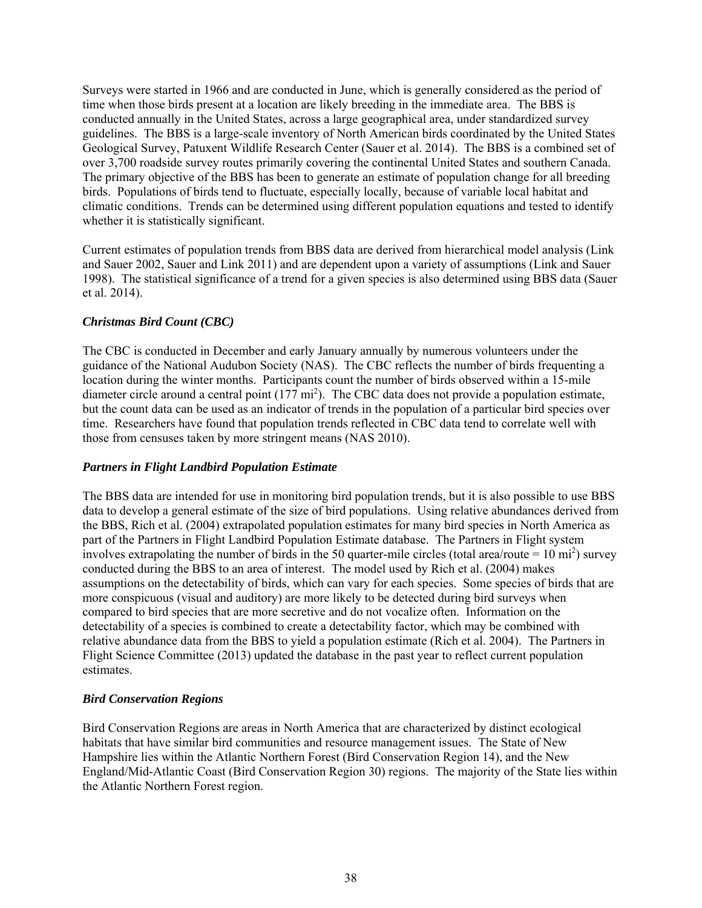Surveys were started in 1966 and are conducted in June, which is generally considered as the period of time when those birds present at a location are likely breeding in the immediate area. The BBS is conducted annually in the United States, across a large geographical area, under standardized survey guidelines. The BBS is a large-scale inventory of North American birds coordinated by the United States Geological Survey, Patuxent Wildlife Research Center (Sauer et al. 2014). The BBS is a combined set of over 3,700 roadside survey routes primarily covering the continental United States and southern Canada. The primary objective of the BBS has been to generate an estimate of population change for all breeding birds. Populations of birds tend to fluctuate, especially locally, because of variable local habitat and climatic conditions. Trends can be determined using different population equations and tested to identify whether it is statistically significant.

Current estimates of population trends from BBS data are derived from hierarchical model analysis (Link and Sauer 2002, Sauer and Link 2011) and are dependent upon a variety of assumptions (Link and Sauer 1998). The statistical significance of a trend for a given species is also determined using BBS data (Sauer et al. 2014).

# *Christmas Bird Count (CBC)*

The CBC is conducted in December and early January annually by numerous volunteers under the guidance of the National Audubon Society (NAS). The CBC reflects the number of birds frequenting a location during the winter months. Participants count the number of birds observed within a 15-mile diameter circle around a central point  $(177 \text{ mi}^2)$ . The CBC data does not provide a population estimate, but the count data can be used as an indicator of trends in the population of a particular bird species over time. Researchers have found that population trends reflected in CBC data tend to correlate well with those from censuses taken by more stringent means (NAS 2010).

# *Partners in Flight Landbird Population Estimate*

The BBS data are intended for use in monitoring bird population trends, but it is also possible to use BBS data to develop a general estimate of the size of bird populations. Using relative abundances derived from the BBS, Rich et al. (2004) extrapolated population estimates for many bird species in North America as part of the Partners in Flight Landbird Population Estimate database. The Partners in Flight system involves extrapolating the number of birds in the 50 quarter-mile circles (total area/route =  $10 \text{ mi}^2$ ) survey conducted during the BBS to an area of interest. The model used by Rich et al. (2004) makes assumptions on the detectability of birds, which can vary for each species. Some species of birds that are more conspicuous (visual and auditory) are more likely to be detected during bird surveys when compared to bird species that are more secretive and do not vocalize often. Information on the detectability of a species is combined to create a detectability factor, which may be combined with relative abundance data from the BBS to yield a population estimate (Rich et al. 2004). The Partners in Flight Science Committee (2013) updated the database in the past year to reflect current population estimates.

# *Bird Conservation Regions*

Bird Conservation Regions are areas in North America that are characterized by distinct ecological habitats that have similar bird communities and resource management issues. The State of New Hampshire lies within the Atlantic Northern Forest (Bird Conservation Region 14), and the New England/Mid-Atlantic Coast (Bird Conservation Region 30) regions. The majority of the State lies within the Atlantic Northern Forest region.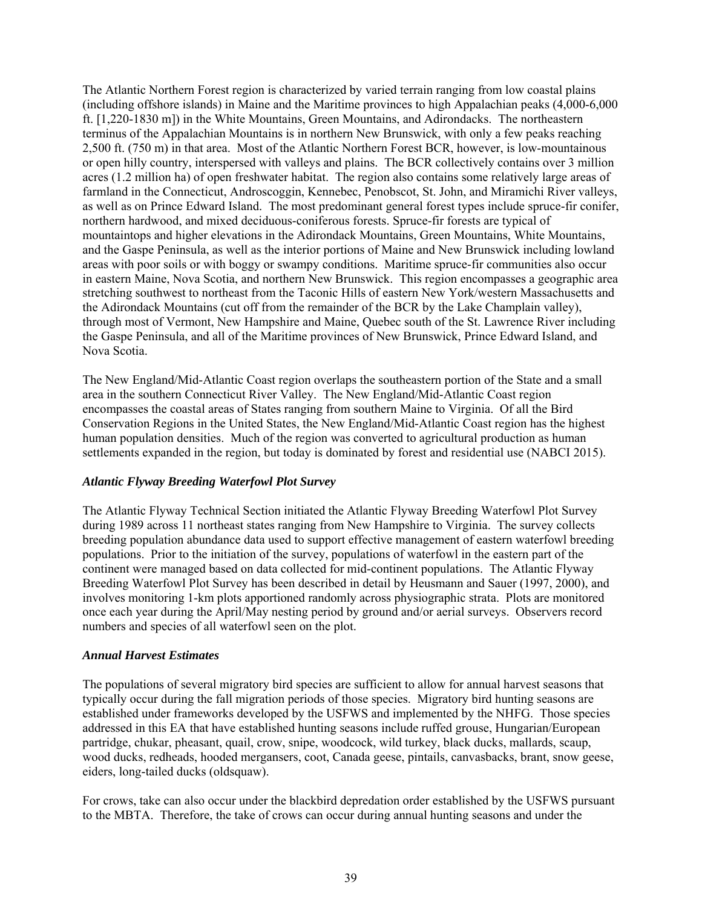The Atlantic Northern Forest region is characterized by varied terrain ranging from low coastal plains (including offshore islands) in Maine and the Maritime provinces to high Appalachian peaks (4,000-6,000 ft. [1,220-1830 m]) in the White Mountains, Green Mountains, and Adirondacks. The northeastern terminus of the Appalachian Mountains is in northern New Brunswick, with only a few peaks reaching 2,500 ft. (750 m) in that area. Most of the Atlantic Northern Forest BCR, however, is low-mountainous or open hilly country, interspersed with valleys and plains. The BCR collectively contains over 3 million acres (1.2 million ha) of open freshwater habitat. The region also contains some relatively large areas of farmland in the Connecticut, Androscoggin, Kennebec, Penobscot, St. John, and Miramichi River valleys, as well as on Prince Edward Island. The most predominant general forest types include spruce-fir conifer, northern hardwood, and mixed deciduous-coniferous forests. Spruce-fir forests are typical of mountaintops and higher elevations in the Adirondack Mountains, Green Mountains, White Mountains, and the Gaspe Peninsula, as well as the interior portions of Maine and New Brunswick including lowland areas with poor soils or with boggy or swampy conditions. Maritime spruce-fir communities also occur in eastern Maine, Nova Scotia, and northern New Brunswick. This region encompasses a geographic area stretching southwest to northeast from the Taconic Hills of eastern New York/western Massachusetts and the Adirondack Mountains (cut off from the remainder of the BCR by the Lake Champlain valley), through most of Vermont, New Hampshire and Maine, Quebec south of the St. Lawrence River including the Gaspe Peninsula, and all of the Maritime provinces of New Brunswick, Prince Edward Island, and Nova Scotia.

The New England/Mid-Atlantic Coast region overlaps the southeastern portion of the State and a small area in the southern Connecticut River Valley. The New England/Mid-Atlantic Coast region encompasses the coastal areas of States ranging from southern Maine to Virginia. Of all the Bird Conservation Regions in the United States, the New England/Mid-Atlantic Coast region has the highest human population densities. Much of the region was converted to agricultural production as human settlements expanded in the region, but today is dominated by forest and residential use (NABCI 2015).

### *Atlantic Flyway Breeding Waterfowl Plot Survey*

The Atlantic Flyway Technical Section initiated the Atlantic Flyway Breeding Waterfowl Plot Survey during 1989 across 11 northeast states ranging from New Hampshire to Virginia. The survey collects breeding population abundance data used to support effective management of eastern waterfowl breeding populations. Prior to the initiation of the survey, populations of waterfowl in the eastern part of the continent were managed based on data collected for mid-continent populations. The Atlantic Flyway Breeding Waterfowl Plot Survey has been described in detail by Heusmann and Sauer (1997, 2000), and involves monitoring 1-km plots apportioned randomly across physiographic strata. Plots are monitored once each year during the April/May nesting period by ground and/or aerial surveys. Observers record numbers and species of all waterfowl seen on the plot.

#### *Annual Harvest Estimates*

The populations of several migratory bird species are sufficient to allow for annual harvest seasons that typically occur during the fall migration periods of those species. Migratory bird hunting seasons are established under frameworks developed by the USFWS and implemented by the NHFG. Those species addressed in this EA that have established hunting seasons include ruffed grouse, Hungarian/European partridge, chukar, pheasant, quail, crow, snipe, woodcock, wild turkey, black ducks, mallards, scaup, wood ducks, redheads, hooded mergansers, coot, Canada geese, pintails, canvasbacks, brant, snow geese, eiders, long-tailed ducks (oldsquaw).

For crows, take can also occur under the blackbird depredation order established by the USFWS pursuant to the MBTA. Therefore, the take of crows can occur during annual hunting seasons and under the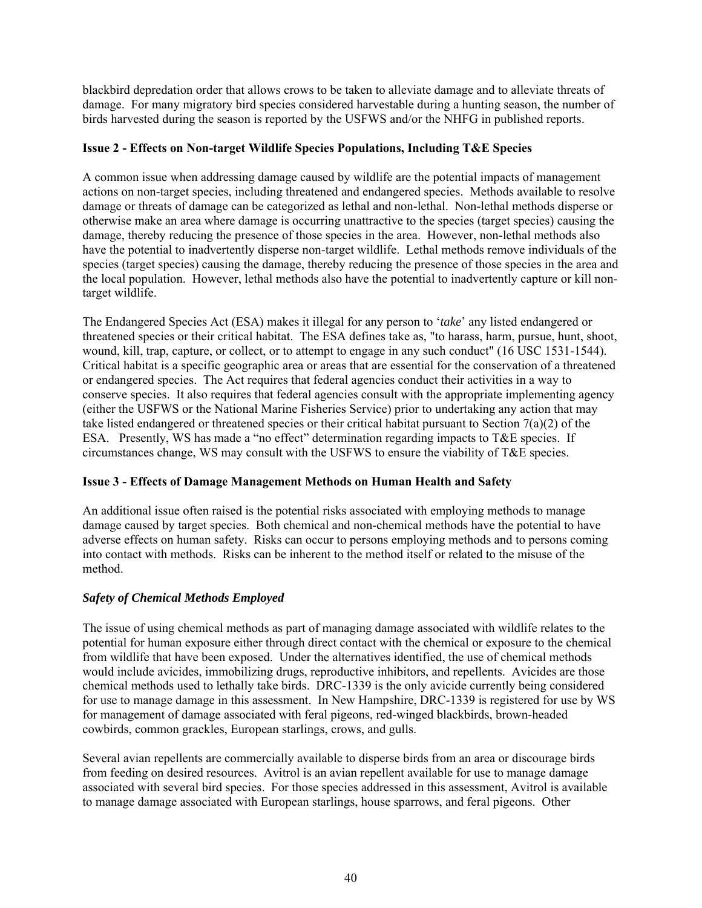blackbird depredation order that allows crows to be taken to alleviate damage and to alleviate threats of damage. For many migratory bird species considered harvestable during a hunting season, the number of birds harvested during the season is reported by the USFWS and/or the NHFG in published reports.

# **Issue 2 - Effects on Non-target Wildlife Species Populations, Including T&E Species**

A common issue when addressing damage caused by wildlife are the potential impacts of management actions on non-target species, including threatened and endangered species. Methods available to resolve damage or threats of damage can be categorized as lethal and non-lethal. Non-lethal methods disperse or otherwise make an area where damage is occurring unattractive to the species (target species) causing the damage, thereby reducing the presence of those species in the area. However, non-lethal methods also have the potential to inadvertently disperse non-target wildlife. Lethal methods remove individuals of the species (target species) causing the damage, thereby reducing the presence of those species in the area and the local population. However, lethal methods also have the potential to inadvertently capture or kill nontarget wildlife.

The Endangered Species Act (ESA) makes it illegal for any person to '*take*' any listed endangered or threatened species or their critical habitat. The ESA defines take as, "to harass, harm, pursue, hunt, shoot, wound, kill, trap, capture, or collect, or to attempt to engage in any such conduct" (16 USC 1531-1544). Critical habitat is a specific geographic area or areas that are essential for the conservation of a threatened or endangered species. The Act requires that federal agencies conduct their activities in a way to conserve species. It also requires that federal agencies consult with the appropriate implementing agency (either the USFWS or the National Marine Fisheries Service) prior to undertaking any action that may take listed endangered or threatened species or their critical habitat pursuant to Section 7(a)(2) of the ESA. Presently, WS has made a "no effect" determination regarding impacts to T&E species. If circumstances change, WS may consult with the USFWS to ensure the viability of T&E species.

# **Issue 3 - Effects of Damage Management Methods on Human Health and Safety**

An additional issue often raised is the potential risks associated with employing methods to manage damage caused by target species. Both chemical and non-chemical methods have the potential to have adverse effects on human safety. Risks can occur to persons employing methods and to persons coming into contact with methods. Risks can be inherent to the method itself or related to the misuse of the method.

# *Safety of Chemical Methods Employed*

The issue of using chemical methods as part of managing damage associated with wildlife relates to the potential for human exposure either through direct contact with the chemical or exposure to the chemical from wildlife that have been exposed. Under the alternatives identified, the use of chemical methods would include avicides, immobilizing drugs, reproductive inhibitors, and repellents. Avicides are those chemical methods used to lethally take birds. DRC-1339 is the only avicide currently being considered for use to manage damage in this assessment. In New Hampshire, DRC-1339 is registered for use by WS for management of damage associated with feral pigeons, red-winged blackbirds, brown-headed cowbirds, common grackles, European starlings, crows, and gulls.

Several avian repellents are commercially available to disperse birds from an area or discourage birds from feeding on desired resources. Avitrol is an avian repellent available for use to manage damage associated with several bird species. For those species addressed in this assessment, Avitrol is available to manage damage associated with European starlings, house sparrows, and feral pigeons. Other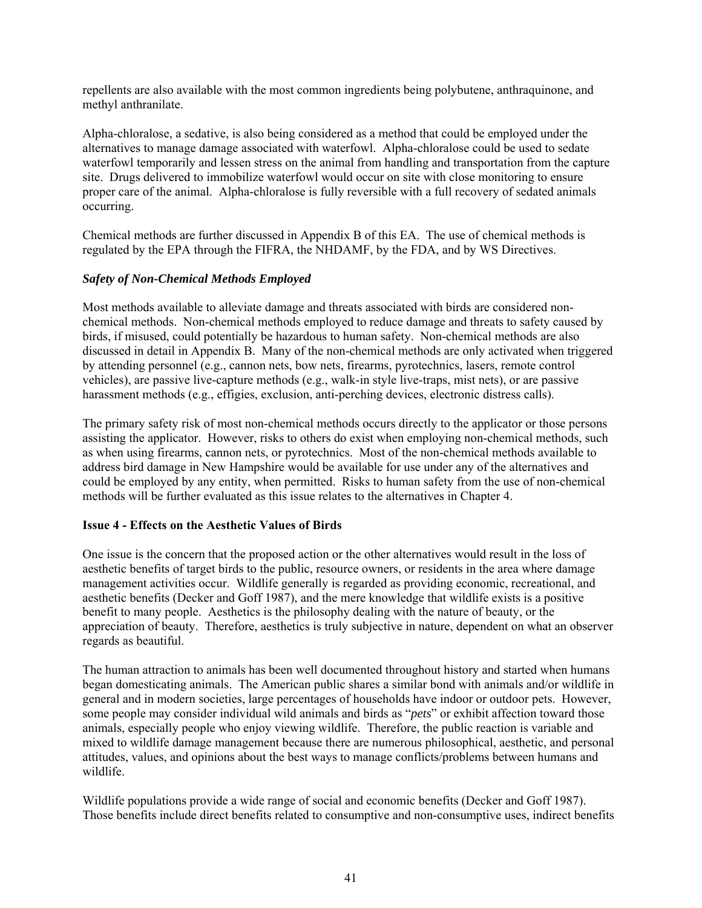repellents are also available with the most common ingredients being polybutene, anthraquinone, and methyl anthranilate.

Alpha-chloralose, a sedative, is also being considered as a method that could be employed under the alternatives to manage damage associated with waterfowl. Alpha-chloralose could be used to sedate waterfowl temporarily and lessen stress on the animal from handling and transportation from the capture site. Drugs delivered to immobilize waterfowl would occur on site with close monitoring to ensure proper care of the animal. Alpha-chloralose is fully reversible with a full recovery of sedated animals occurring.

Chemical methods are further discussed in Appendix B of this EA. The use of chemical methods is regulated by the EPA through the FIFRA, the NHDAMF, by the FDA, and by WS Directives.

## *Safety of Non-Chemical Methods Employed*

Most methods available to alleviate damage and threats associated with birds are considered nonchemical methods. Non-chemical methods employed to reduce damage and threats to safety caused by birds, if misused, could potentially be hazardous to human safety. Non-chemical methods are also discussed in detail in Appendix B. Many of the non-chemical methods are only activated when triggered by attending personnel (e.g., cannon nets, bow nets, firearms, pyrotechnics, lasers, remote control vehicles), are passive live-capture methods (e.g., walk-in style live-traps, mist nets), or are passive harassment methods (e.g., effigies, exclusion, anti-perching devices, electronic distress calls).

The primary safety risk of most non-chemical methods occurs directly to the applicator or those persons assisting the applicator. However, risks to others do exist when employing non-chemical methods, such as when using firearms, cannon nets, or pyrotechnics. Most of the non-chemical methods available to address bird damage in New Hampshire would be available for use under any of the alternatives and could be employed by any entity, when permitted. Risks to human safety from the use of non-chemical methods will be further evaluated as this issue relates to the alternatives in Chapter 4.

### **Issue 4 - Effects on the Aesthetic Values of Birds**

One issue is the concern that the proposed action or the other alternatives would result in the loss of aesthetic benefits of target birds to the public, resource owners, or residents in the area where damage management activities occur. Wildlife generally is regarded as providing economic, recreational, and aesthetic benefits (Decker and Goff 1987), and the mere knowledge that wildlife exists is a positive benefit to many people. Aesthetics is the philosophy dealing with the nature of beauty, or the appreciation of beauty. Therefore, aesthetics is truly subjective in nature, dependent on what an observer regards as beautiful.

The human attraction to animals has been well documented throughout history and started when humans began domesticating animals. The American public shares a similar bond with animals and/or wildlife in general and in modern societies, large percentages of households have indoor or outdoor pets. However, some people may consider individual wild animals and birds as "*pets*" or exhibit affection toward those animals, especially people who enjoy viewing wildlife. Therefore, the public reaction is variable and mixed to wildlife damage management because there are numerous philosophical, aesthetic, and personal attitudes, values, and opinions about the best ways to manage conflicts/problems between humans and wildlife.

Wildlife populations provide a wide range of social and economic benefits (Decker and Goff 1987). Those benefits include direct benefits related to consumptive and non-consumptive uses, indirect benefits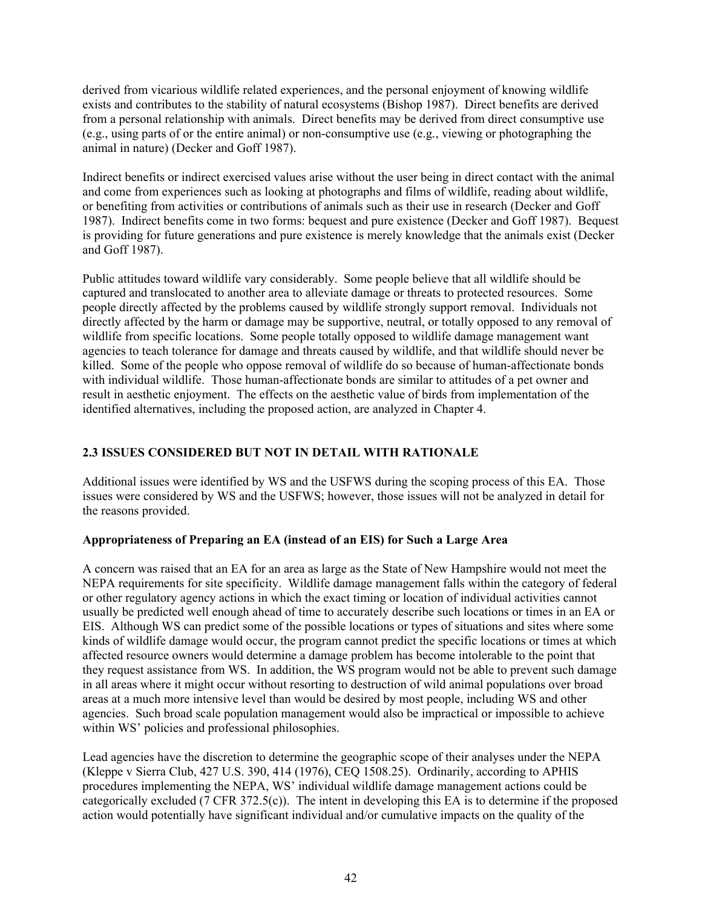derived from vicarious wildlife related experiences, and the personal enjoyment of knowing wildlife exists and contributes to the stability of natural ecosystems (Bishop 1987). Direct benefits are derived from a personal relationship with animals. Direct benefits may be derived from direct consumptive use (e.g., using parts of or the entire animal) or non-consumptive use (e.g*.*, viewing or photographing the animal in nature) (Decker and Goff 1987).

Indirect benefits or indirect exercised values arise without the user being in direct contact with the animal and come from experiences such as looking at photographs and films of wildlife, reading about wildlife, or benefiting from activities or contributions of animals such as their use in research (Decker and Goff 1987). Indirect benefits come in two forms: bequest and pure existence (Decker and Goff 1987). Bequest is providing for future generations and pure existence is merely knowledge that the animals exist (Decker and Goff 1987).

Public attitudes toward wildlife vary considerably. Some people believe that all wildlife should be captured and translocated to another area to alleviate damage or threats to protected resources. Some people directly affected by the problems caused by wildlife strongly support removal. Individuals not directly affected by the harm or damage may be supportive, neutral, or totally opposed to any removal of wildlife from specific locations. Some people totally opposed to wildlife damage management want agencies to teach tolerance for damage and threats caused by wildlife, and that wildlife should never be killed. Some of the people who oppose removal of wildlife do so because of human-affectionate bonds with individual wildlife. Those human-affectionate bonds are similar to attitudes of a pet owner and result in aesthetic enjoyment. The effects on the aesthetic value of birds from implementation of the identified alternatives, including the proposed action, are analyzed in Chapter 4.

# **2.3 ISSUES CONSIDERED BUT NOT IN DETAIL WITH RATIONALE**

Additional issues were identified by WS and the USFWS during the scoping process of this EA. Those issues were considered by WS and the USFWS; however, those issues will not be analyzed in detail for the reasons provided.

# **Appropriateness of Preparing an EA (instead of an EIS) for Such a Large Area**

A concern was raised that an EA for an area as large as the State of New Hampshire would not meet the NEPA requirements for site specificity. Wildlife damage management falls within the category of federal or other regulatory agency actions in which the exact timing or location of individual activities cannot usually be predicted well enough ahead of time to accurately describe such locations or times in an EA or EIS. Although WS can predict some of the possible locations or types of situations and sites where some kinds of wildlife damage would occur, the program cannot predict the specific locations or times at which affected resource owners would determine a damage problem has become intolerable to the point that they request assistance from WS. In addition, the WS program would not be able to prevent such damage in all areas where it might occur without resorting to destruction of wild animal populations over broad areas at a much more intensive level than would be desired by most people, including WS and other agencies. Such broad scale population management would also be impractical or impossible to achieve within WS' policies and professional philosophies.

Lead agencies have the discretion to determine the geographic scope of their analyses under the NEPA (Kleppe v Sierra Club, 427 U.S. 390, 414 (1976), CEQ 1508.25). Ordinarily, according to APHIS procedures implementing the NEPA, WS' individual wildlife damage management actions could be categorically excluded (7 CFR 372.5(c)). The intent in developing this EA is to determine if the proposed action would potentially have significant individual and/or cumulative impacts on the quality of the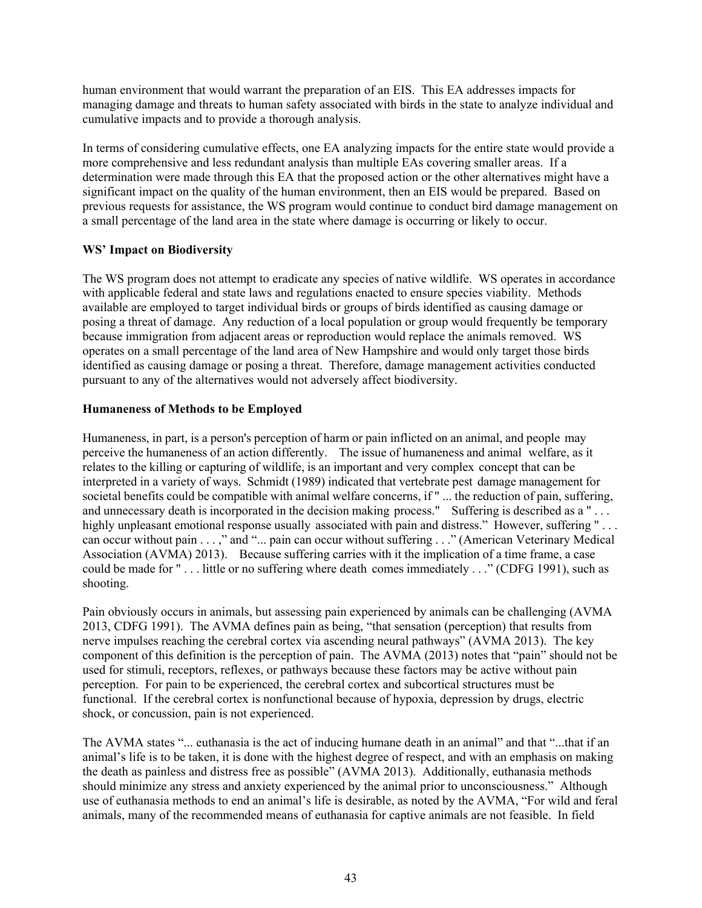human environment that would warrant the preparation of an EIS. This EA addresses impacts for managing damage and threats to human safety associated with birds in the state to analyze individual and cumulative impacts and to provide a thorough analysis.

In terms of considering cumulative effects, one EA analyzing impacts for the entire state would provide a more comprehensive and less redundant analysis than multiple EAs covering smaller areas. If a determination were made through this EA that the proposed action or the other alternatives might have a significant impact on the quality of the human environment, then an EIS would be prepared. Based on previous requests for assistance, the WS program would continue to conduct bird damage management on a small percentage of the land area in the state where damage is occurring or likely to occur.

# **WS' Impact on Biodiversity**

The WS program does not attempt to eradicate any species of native wildlife. WS operates in accordance with applicable federal and state laws and regulations enacted to ensure species viability. Methods available are employed to target individual birds or groups of birds identified as causing damage or posing a threat of damage. Any reduction of a local population or group would frequently be temporary because immigration from adjacent areas or reproduction would replace the animals removed. WS operates on a small percentage of the land area of New Hampshire and would only target those birds identified as causing damage or posing a threat. Therefore, damage management activities conducted pursuant to any of the alternatives would not adversely affect biodiversity.

# **Humaneness of Methods to be Employed**

Humaneness, in part, is a person's perception of harm or pain inflicted on an animal, and people may perceive the humaneness of an action differently. The issue of humaneness and animal welfare, as it relates to the killing or capturing of wildlife, is an important and very complex concept that can be interpreted in a variety of ways. Schmidt (1989) indicated that vertebrate pest damage management for societal benefits could be compatible with animal welfare concerns, if " ... the reduction of pain, suffering, and unnecessary death is incorporated in the decision making process." Suffering is described as a "... highly unpleasant emotional response usually associated with pain and distress." However, suffering "... can occur without pain . . . ," and "... pain can occur without suffering . . ." (American Veterinary Medical Association (AVMA) 2013). Because suffering carries with it the implication of a time frame, a case could be made for " . . . little or no suffering where death comes immediately . . ." (CDFG 1991), such as shooting.

Pain obviously occurs in animals, but assessing pain experienced by animals can be challenging (AVMA 2013, CDFG 1991). The AVMA defines pain as being, "that sensation (perception) that results from nerve impulses reaching the cerebral cortex via ascending neural pathways" (AVMA 2013). The key component of this definition is the perception of pain. The AVMA (2013) notes that "pain" should not be used for stimuli, receptors, reflexes, or pathways because these factors may be active without pain perception. For pain to be experienced, the cerebral cortex and subcortical structures must be functional. If the cerebral cortex is nonfunctional because of hypoxia, depression by drugs, electric shock, or concussion, pain is not experienced.

The AVMA states "... euthanasia is the act of inducing humane death in an animal" and that "...that if an animal's life is to be taken, it is done with the highest degree of respect, and with an emphasis on making the death as painless and distress free as possible" (AVMA 2013). Additionally, euthanasia methods should minimize any stress and anxiety experienced by the animal prior to unconsciousness." Although use of euthanasia methods to end an animal's life is desirable, as noted by the AVMA, "For wild and feral animals, many of the recommended means of euthanasia for captive animals are not feasible. In field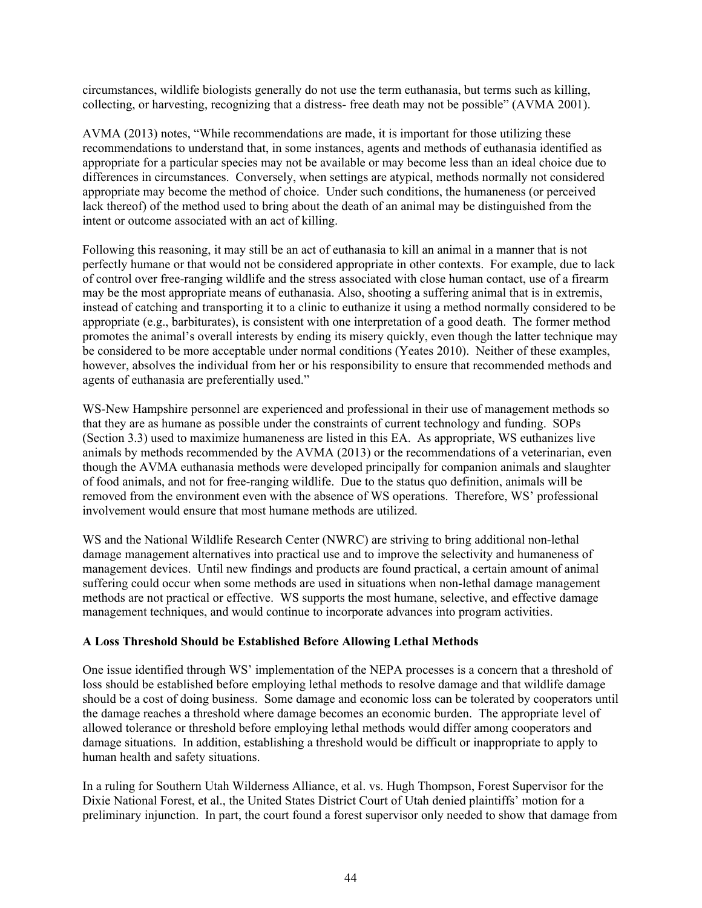circumstances, wildlife biologists generally do not use the term euthanasia, but terms such as killing, collecting, or harvesting, recognizing that a distress- free death may not be possible" (AVMA 2001).

AVMA (2013) notes, "While recommendations are made, it is important for those utilizing these recommendations to understand that, in some instances, agents and methods of euthanasia identified as appropriate for a particular species may not be available or may become less than an ideal choice due to differences in circumstances. Conversely, when settings are atypical, methods normally not considered appropriate may become the method of choice. Under such conditions, the humaneness (or perceived lack thereof) of the method used to bring about the death of an animal may be distinguished from the intent or outcome associated with an act of killing.

Following this reasoning, it may still be an act of euthanasia to kill an animal in a manner that is not perfectly humane or that would not be considered appropriate in other contexts. For example, due to lack of control over free-ranging wildlife and the stress associated with close human contact, use of a firearm may be the most appropriate means of euthanasia. Also, shooting a suffering animal that is in extremis, instead of catching and transporting it to a clinic to euthanize it using a method normally considered to be appropriate (e.g., barbiturates), is consistent with one interpretation of a good death. The former method promotes the animal's overall interests by ending its misery quickly, even though the latter technique may be considered to be more acceptable under normal conditions (Yeates 2010). Neither of these examples, however, absolves the individual from her or his responsibility to ensure that recommended methods and agents of euthanasia are preferentially used."

WS-New Hampshire personnel are experienced and professional in their use of management methods so that they are as humane as possible under the constraints of current technology and funding. SOPs (Section 3.3) used to maximize humaneness are listed in this EA. As appropriate, WS euthanizes live animals by methods recommended by the AVMA (2013) or the recommendations of a veterinarian, even though the AVMA euthanasia methods were developed principally for companion animals and slaughter of food animals, and not for free-ranging wildlife. Due to the status quo definition, animals will be removed from the environment even with the absence of WS operations. Therefore, WS' professional involvement would ensure that most humane methods are utilized.

WS and the National Wildlife Research Center (NWRC) are striving to bring additional non-lethal damage management alternatives into practical use and to improve the selectivity and humaneness of management devices. Until new findings and products are found practical, a certain amount of animal suffering could occur when some methods are used in situations when non-lethal damage management methods are not practical or effective. WS supports the most humane, selective, and effective damage management techniques, and would continue to incorporate advances into program activities.

### **A Loss Threshold Should be Established Before Allowing Lethal Methods**

One issue identified through WS' implementation of the NEPA processes is a concern that a threshold of loss should be established before employing lethal methods to resolve damage and that wildlife damage should be a cost of doing business. Some damage and economic loss can be tolerated by cooperators until the damage reaches a threshold where damage becomes an economic burden. The appropriate level of allowed tolerance or threshold before employing lethal methods would differ among cooperators and damage situations. In addition, establishing a threshold would be difficult or inappropriate to apply to human health and safety situations.

In a ruling for Southern Utah Wilderness Alliance, et al. vs. Hugh Thompson, Forest Supervisor for the Dixie National Forest, et al., the United States District Court of Utah denied plaintiffs' motion for a preliminary injunction. In part, the court found a forest supervisor only needed to show that damage from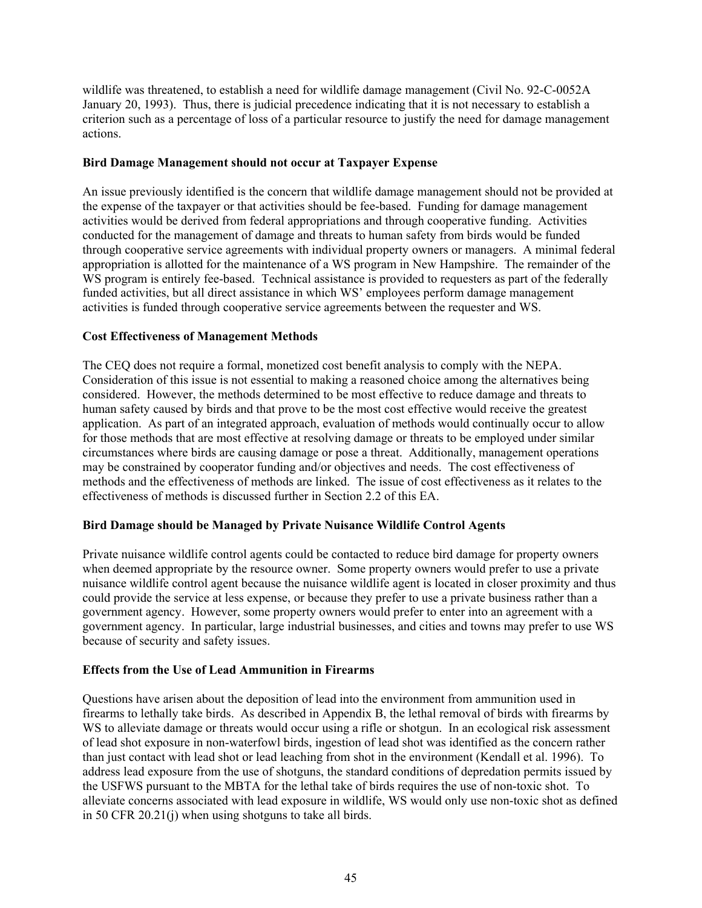wildlife was threatened, to establish a need for wildlife damage management (Civil No. 92-C-0052A January 20, 1993). Thus, there is judicial precedence indicating that it is not necessary to establish a criterion such as a percentage of loss of a particular resource to justify the need for damage management actions.

### **Bird Damage Management should not occur at Taxpayer Expense**

An issue previously identified is the concern that wildlife damage management should not be provided at the expense of the taxpayer or that activities should be fee-based. Funding for damage management activities would be derived from federal appropriations and through cooperative funding. Activities conducted for the management of damage and threats to human safety from birds would be funded through cooperative service agreements with individual property owners or managers. A minimal federal appropriation is allotted for the maintenance of a WS program in New Hampshire. The remainder of the WS program is entirely fee-based. Technical assistance is provided to requesters as part of the federally funded activities, but all direct assistance in which WS' employees perform damage management activities is funded through cooperative service agreements between the requester and WS.

### **Cost Effectiveness of Management Methods**

The CEQ does not require a formal, monetized cost benefit analysis to comply with the NEPA. Consideration of this issue is not essential to making a reasoned choice among the alternatives being considered. However, the methods determined to be most effective to reduce damage and threats to human safety caused by birds and that prove to be the most cost effective would receive the greatest application. As part of an integrated approach, evaluation of methods would continually occur to allow for those methods that are most effective at resolving damage or threats to be employed under similar circumstances where birds are causing damage or pose a threat. Additionally, management operations may be constrained by cooperator funding and/or objectives and needs. The cost effectiveness of methods and the effectiveness of methods are linked. The issue of cost effectiveness as it relates to the effectiveness of methods is discussed further in Section 2.2 of this EA.

### **Bird Damage should be Managed by Private Nuisance Wildlife Control Agents**

Private nuisance wildlife control agents could be contacted to reduce bird damage for property owners when deemed appropriate by the resource owner. Some property owners would prefer to use a private nuisance wildlife control agent because the nuisance wildlife agent is located in closer proximity and thus could provide the service at less expense, or because they prefer to use a private business rather than a government agency. However, some property owners would prefer to enter into an agreement with a government agency. In particular, large industrial businesses, and cities and towns may prefer to use WS because of security and safety issues.

### **Effects from the Use of Lead Ammunition in Firearms**

Questions have arisen about the deposition of lead into the environment from ammunition used in firearms to lethally take birds. As described in Appendix B, the lethal removal of birds with firearms by WS to alleviate damage or threats would occur using a rifle or shotgun. In an ecological risk assessment of lead shot exposure in non-waterfowl birds, ingestion of lead shot was identified as the concern rather than just contact with lead shot or lead leaching from shot in the environment (Kendall et al. 1996). To address lead exposure from the use of shotguns, the standard conditions of depredation permits issued by the USFWS pursuant to the MBTA for the lethal take of birds requires the use of non-toxic shot. To alleviate concerns associated with lead exposure in wildlife, WS would only use non-toxic shot as defined in 50 CFR 20.21(j) when using shotguns to take all birds.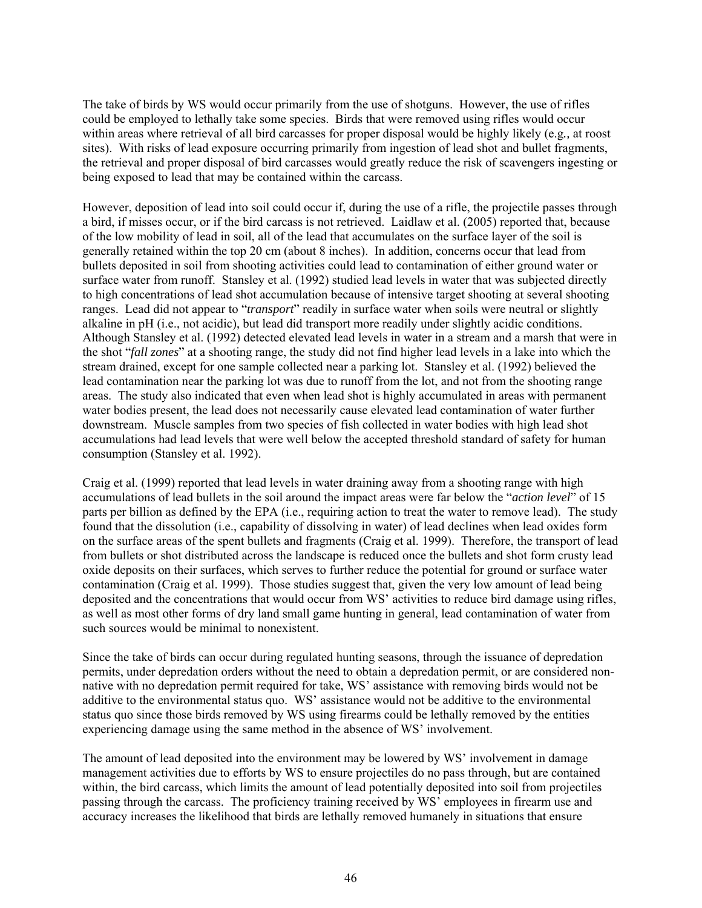The take of birds by WS would occur primarily from the use of shotguns. However, the use of rifles could be employed to lethally take some species. Birds that were removed using rifles would occur within areas where retrieval of all bird carcasses for proper disposal would be highly likely (e.g*.,* at roost sites). With risks of lead exposure occurring primarily from ingestion of lead shot and bullet fragments, the retrieval and proper disposal of bird carcasses would greatly reduce the risk of scavengers ingesting or being exposed to lead that may be contained within the carcass.

However, deposition of lead into soil could occur if, during the use of a rifle, the projectile passes through a bird, if misses occur, or if the bird carcass is not retrieved. Laidlaw et al. (2005) reported that, because of the low mobility of lead in soil, all of the lead that accumulates on the surface layer of the soil is generally retained within the top 20 cm (about 8 inches). In addition, concerns occur that lead from bullets deposited in soil from shooting activities could lead to contamination of either ground water or surface water from runoff. Stansley et al. (1992) studied lead levels in water that was subjected directly to high concentrations of lead shot accumulation because of intensive target shooting at several shooting ranges. Lead did not appear to "*transport*" readily in surface water when soils were neutral or slightly alkaline in pH (i.e., not acidic), but lead did transport more readily under slightly acidic conditions. Although Stansley et al. (1992) detected elevated lead levels in water in a stream and a marsh that were in the shot "*fall zones*" at a shooting range, the study did not find higher lead levels in a lake into which the stream drained, except for one sample collected near a parking lot. Stansley et al. (1992) believed the lead contamination near the parking lot was due to runoff from the lot, and not from the shooting range areas. The study also indicated that even when lead shot is highly accumulated in areas with permanent water bodies present, the lead does not necessarily cause elevated lead contamination of water further downstream. Muscle samples from two species of fish collected in water bodies with high lead shot accumulations had lead levels that were well below the accepted threshold standard of safety for human consumption (Stansley et al. 1992).

Craig et al. (1999) reported that lead levels in water draining away from a shooting range with high accumulations of lead bullets in the soil around the impact areas were far below the "*action level*" of 15 parts per billion as defined by the EPA (i.e., requiring action to treat the water to remove lead). The study found that the dissolution (i.e., capability of dissolving in water) of lead declines when lead oxides form on the surface areas of the spent bullets and fragments (Craig et al. 1999). Therefore, the transport of lead from bullets or shot distributed across the landscape is reduced once the bullets and shot form crusty lead oxide deposits on their surfaces, which serves to further reduce the potential for ground or surface water contamination (Craig et al. 1999). Those studies suggest that, given the very low amount of lead being deposited and the concentrations that would occur from WS' activities to reduce bird damage using rifles, as well as most other forms of dry land small game hunting in general, lead contamination of water from such sources would be minimal to nonexistent.

Since the take of birds can occur during regulated hunting seasons, through the issuance of depredation permits, under depredation orders without the need to obtain a depredation permit, or are considered nonnative with no depredation permit required for take, WS' assistance with removing birds would not be additive to the environmental status quo. WS' assistance would not be additive to the environmental status quo since those birds removed by WS using firearms could be lethally removed by the entities experiencing damage using the same method in the absence of WS' involvement.

The amount of lead deposited into the environment may be lowered by WS' involvement in damage management activities due to efforts by WS to ensure projectiles do no pass through, but are contained within, the bird carcass, which limits the amount of lead potentially deposited into soil from projectiles passing through the carcass. The proficiency training received by WS' employees in firearm use and accuracy increases the likelihood that birds are lethally removed humanely in situations that ensure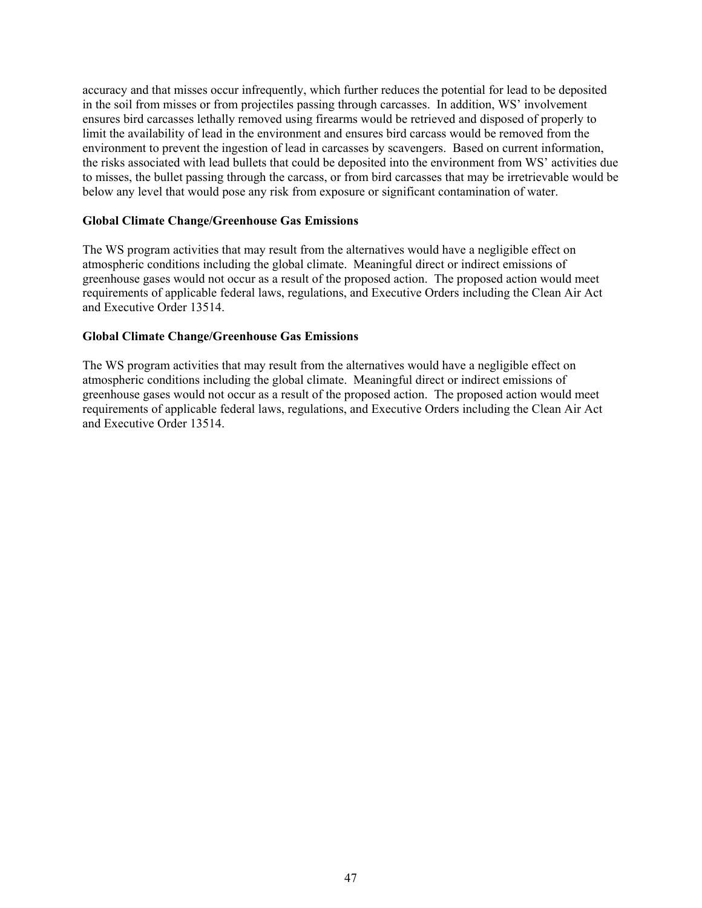accuracy and that misses occur infrequently, which further reduces the potential for lead to be deposited in the soil from misses or from projectiles passing through carcasses. In addition, WS' involvement ensures bird carcasses lethally removed using firearms would be retrieved and disposed of properly to limit the availability of lead in the environment and ensures bird carcass would be removed from the environment to prevent the ingestion of lead in carcasses by scavengers. Based on current information, the risks associated with lead bullets that could be deposited into the environment from WS' activities due to misses, the bullet passing through the carcass, or from bird carcasses that may be irretrievable would be below any level that would pose any risk from exposure or significant contamination of water.

## **Global Climate Change/Greenhouse Gas Emissions**

The WS program activities that may result from the alternatives would have a negligible effect on atmospheric conditions including the global climate. Meaningful direct or indirect emissions of greenhouse gases would not occur as a result of the proposed action. The proposed action would meet requirements of applicable federal laws, regulations, and Executive Orders including the Clean Air Act and Executive Order 13514.

## **Global Climate Change/Greenhouse Gas Emissions**

The WS program activities that may result from the alternatives would have a negligible effect on atmospheric conditions including the global climate. Meaningful direct or indirect emissions of greenhouse gases would not occur as a result of the proposed action. The proposed action would meet requirements of applicable federal laws, regulations, and Executive Orders including the Clean Air Act and Executive Order 13514.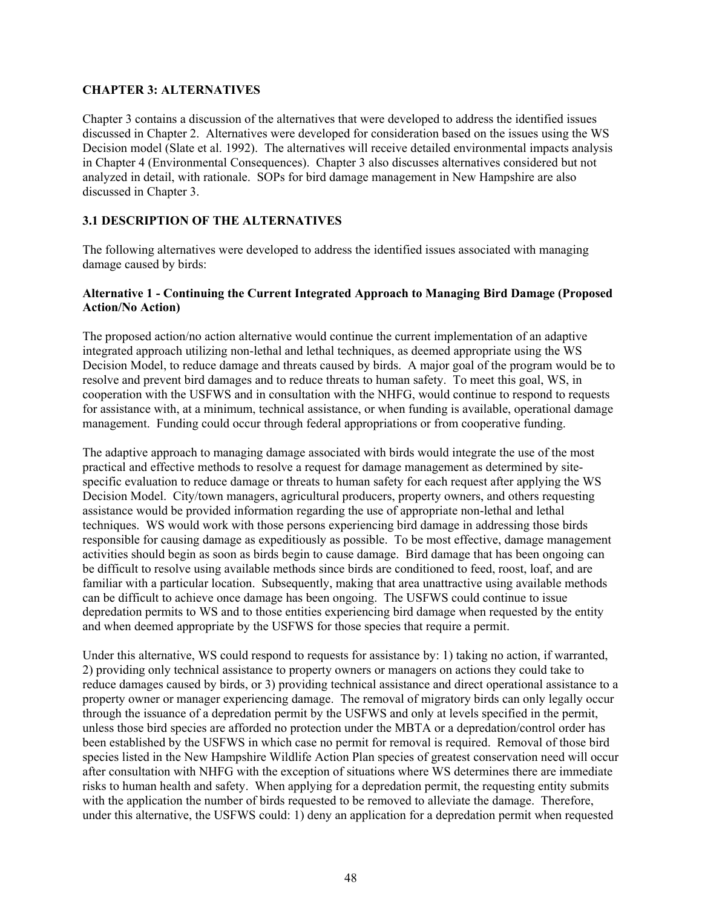## **CHAPTER 3: ALTERNATIVES**

Chapter 3 contains a discussion of the alternatives that were developed to address the identified issues discussed in Chapter 2. Alternatives were developed for consideration based on the issues using the WS Decision model (Slate et al. 1992). The alternatives will receive detailed environmental impacts analysis in Chapter 4 (Environmental Consequences). Chapter 3 also discusses alternatives considered but not analyzed in detail, with rationale. SOPs for bird damage management in New Hampshire are also discussed in Chapter 3.

# **3.1 DESCRIPTION OF THE ALTERNATIVES**

The following alternatives were developed to address the identified issues associated with managing damage caused by birds:

## **Alternative 1 - Continuing the Current Integrated Approach to Managing Bird Damage (Proposed Action/No Action)**

The proposed action/no action alternative would continue the current implementation of an adaptive integrated approach utilizing non-lethal and lethal techniques, as deemed appropriate using the WS Decision Model, to reduce damage and threats caused by birds. A major goal of the program would be to resolve and prevent bird damages and to reduce threats to human safety. To meet this goal, WS, in cooperation with the USFWS and in consultation with the NHFG, would continue to respond to requests for assistance with, at a minimum, technical assistance, or when funding is available, operational damage management. Funding could occur through federal appropriations or from cooperative funding.

The adaptive approach to managing damage associated with birds would integrate the use of the most practical and effective methods to resolve a request for damage management as determined by sitespecific evaluation to reduce damage or threats to human safety for each request after applying the WS Decision Model. City/town managers, agricultural producers, property owners, and others requesting assistance would be provided information regarding the use of appropriate non-lethal and lethal techniques. WS would work with those persons experiencing bird damage in addressing those birds responsible for causing damage as expeditiously as possible. To be most effective, damage management activities should begin as soon as birds begin to cause damage. Bird damage that has been ongoing can be difficult to resolve using available methods since birds are conditioned to feed, roost, loaf, and are familiar with a particular location. Subsequently, making that area unattractive using available methods can be difficult to achieve once damage has been ongoing. The USFWS could continue to issue depredation permits to WS and to those entities experiencing bird damage when requested by the entity and when deemed appropriate by the USFWS for those species that require a permit.

Under this alternative, WS could respond to requests for assistance by: 1) taking no action, if warranted, 2) providing only technical assistance to property owners or managers on actions they could take to reduce damages caused by birds, or 3) providing technical assistance and direct operational assistance to a property owner or manager experiencing damage. The removal of migratory birds can only legally occur through the issuance of a depredation permit by the USFWS and only at levels specified in the permit, unless those bird species are afforded no protection under the MBTA or a depredation/control order has been established by the USFWS in which case no permit for removal is required. Removal of those bird species listed in the New Hampshire Wildlife Action Plan species of greatest conservation need will occur after consultation with NHFG with the exception of situations where WS determines there are immediate risks to human health and safety. When applying for a depredation permit, the requesting entity submits with the application the number of birds requested to be removed to alleviate the damage. Therefore, under this alternative, the USFWS could: 1) deny an application for a depredation permit when requested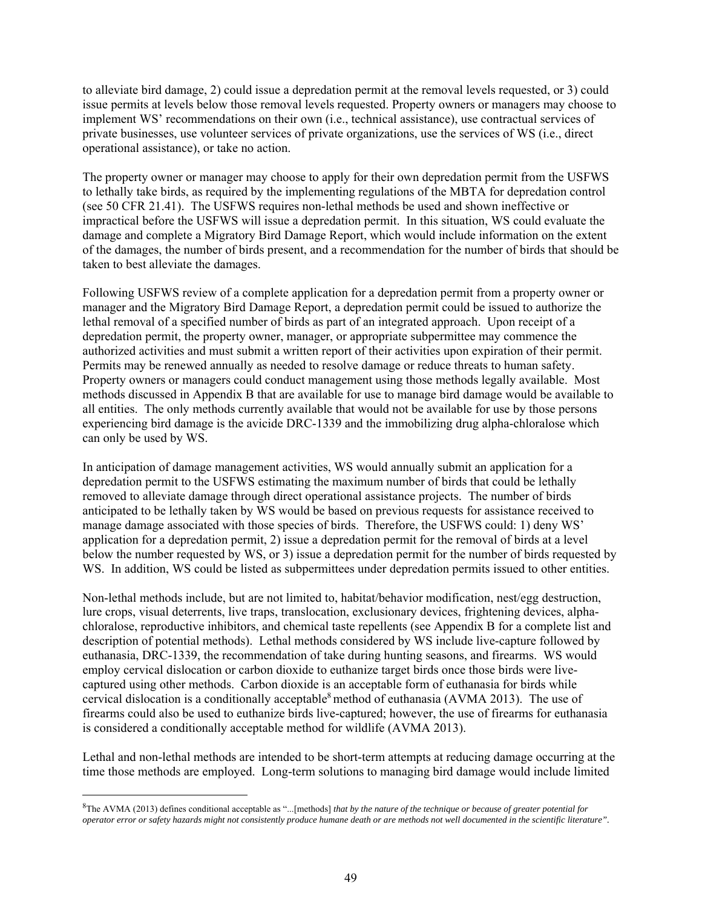to alleviate bird damage, 2) could issue a depredation permit at the removal levels requested, or 3) could issue permits at levels below those removal levels requested. Property owners or managers may choose to implement WS' recommendations on their own (i.e., technical assistance), use contractual services of private businesses, use volunteer services of private organizations, use the services of WS (i.e., direct operational assistance), or take no action.

The property owner or manager may choose to apply for their own depredation permit from the USFWS to lethally take birds, as required by the implementing regulations of the MBTA for depredation control (see 50 CFR 21.41). The USFWS requires non-lethal methods be used and shown ineffective or impractical before the USFWS will issue a depredation permit. In this situation, WS could evaluate the damage and complete a Migratory Bird Damage Report, which would include information on the extent of the damages, the number of birds present, and a recommendation for the number of birds that should be taken to best alleviate the damages.

Following USFWS review of a complete application for a depredation permit from a property owner or manager and the Migratory Bird Damage Report, a depredation permit could be issued to authorize the lethal removal of a specified number of birds as part of an integrated approach. Upon receipt of a depredation permit, the property owner, manager, or appropriate subpermittee may commence the authorized activities and must submit a written report of their activities upon expiration of their permit. Permits may be renewed annually as needed to resolve damage or reduce threats to human safety. Property owners or managers could conduct management using those methods legally available. Most methods discussed in Appendix B that are available for use to manage bird damage would be available to all entities. The only methods currently available that would not be available for use by those persons experiencing bird damage is the avicide DRC-1339 and the immobilizing drug alpha-chloralose which can only be used by WS.

In anticipation of damage management activities, WS would annually submit an application for a depredation permit to the USFWS estimating the maximum number of birds that could be lethally removed to alleviate damage through direct operational assistance projects. The number of birds anticipated to be lethally taken by WS would be based on previous requests for assistance received to manage damage associated with those species of birds. Therefore, the USFWS could: 1) deny WS' application for a depredation permit, 2) issue a depredation permit for the removal of birds at a level below the number requested by WS, or 3) issue a depredation permit for the number of birds requested by WS. In addition, WS could be listed as subpermittees under depredation permits issued to other entities.

Non-lethal methods include, but are not limited to, habitat/behavior modification, nest/egg destruction, lure crops, visual deterrents, live traps, translocation, exclusionary devices, frightening devices, alphachloralose, reproductive inhibitors, and chemical taste repellents (see Appendix B for a complete list and description of potential methods). Lethal methods considered by WS include live-capture followed by euthanasia, DRC-1339, the recommendation of take during hunting seasons, and firearms. WS would employ cervical dislocation or carbon dioxide to euthanize target birds once those birds were livecaptured using other methods. Carbon dioxide is an acceptable form of euthanasia for birds while cervical dislocation is a conditionally acceptable<sup>8</sup> method of euthanasia (AVMA 2013). The use of firearms could also be used to euthanize birds live-captured; however, the use of firearms for euthanasia is considered a conditionally acceptable method for wildlife (AVMA 2013).

Lethal and non-lethal methods are intended to be short-term attempts at reducing damage occurring at the time those methods are employed. Long-term solutions to managing bird damage would include limited

 $\overline{a}$ 

<sup>8</sup> The AVMA (2013) defines conditional acceptable as "...[methods] *that by the nature of the technique or because of greater potential for operator error or safety hazards might not consistently produce humane death or are methods not well documented in the scientific literature".*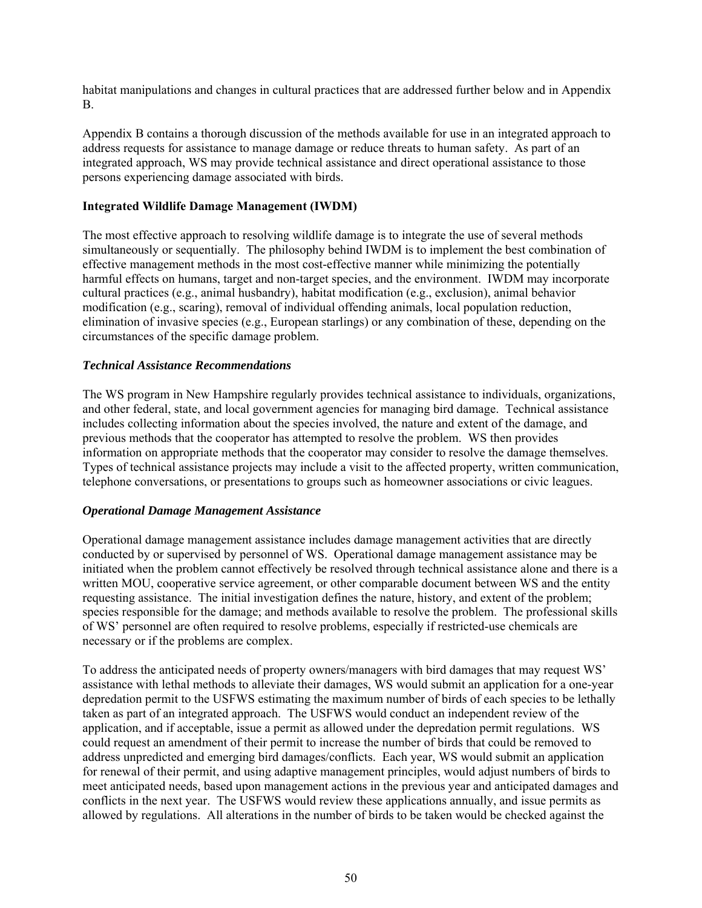habitat manipulations and changes in cultural practices that are addressed further below and in Appendix B.

Appendix B contains a thorough discussion of the methods available for use in an integrated approach to address requests for assistance to manage damage or reduce threats to human safety. As part of an integrated approach, WS may provide technical assistance and direct operational assistance to those persons experiencing damage associated with birds.

### **Integrated Wildlife Damage Management (IWDM)**

The most effective approach to resolving wildlife damage is to integrate the use of several methods simultaneously or sequentially. The philosophy behind IWDM is to implement the best combination of effective management methods in the most cost-effective manner while minimizing the potentially harmful effects on humans, target and non-target species, and the environment. IWDM may incorporate cultural practices (e.g., animal husbandry), habitat modification (e.g., exclusion), animal behavior modification (e.g., scaring), removal of individual offending animals, local population reduction, elimination of invasive species (e.g., European starlings) or any combination of these, depending on the circumstances of the specific damage problem.

#### *Technical Assistance Recommendations*

The WS program in New Hampshire regularly provides technical assistance to individuals, organizations, and other federal, state, and local government agencies for managing bird damage. Technical assistance includes collecting information about the species involved, the nature and extent of the damage, and previous methods that the cooperator has attempted to resolve the problem. WS then provides information on appropriate methods that the cooperator may consider to resolve the damage themselves. Types of technical assistance projects may include a visit to the affected property, written communication, telephone conversations, or presentations to groups such as homeowner associations or civic leagues.

### *Operational Damage Management Assistance*

Operational damage management assistance includes damage management activities that are directly conducted by or supervised by personnel of WS. Operational damage management assistance may be initiated when the problem cannot effectively be resolved through technical assistance alone and there is a written MOU, cooperative service agreement, or other comparable document between WS and the entity requesting assistance. The initial investigation defines the nature, history, and extent of the problem; species responsible for the damage; and methods available to resolve the problem. The professional skills of WS' personnel are often required to resolve problems, especially if restricted-use chemicals are necessary or if the problems are complex.

To address the anticipated needs of property owners/managers with bird damages that may request WS' assistance with lethal methods to alleviate their damages, WS would submit an application for a one-year depredation permit to the USFWS estimating the maximum number of birds of each species to be lethally taken as part of an integrated approach. The USFWS would conduct an independent review of the application, and if acceptable, issue a permit as allowed under the depredation permit regulations. WS could request an amendment of their permit to increase the number of birds that could be removed to address unpredicted and emerging bird damages/conflicts. Each year, WS would submit an application for renewal of their permit, and using adaptive management principles, would adjust numbers of birds to meet anticipated needs, based upon management actions in the previous year and anticipated damages and conflicts in the next year. The USFWS would review these applications annually, and issue permits as allowed by regulations. All alterations in the number of birds to be taken would be checked against the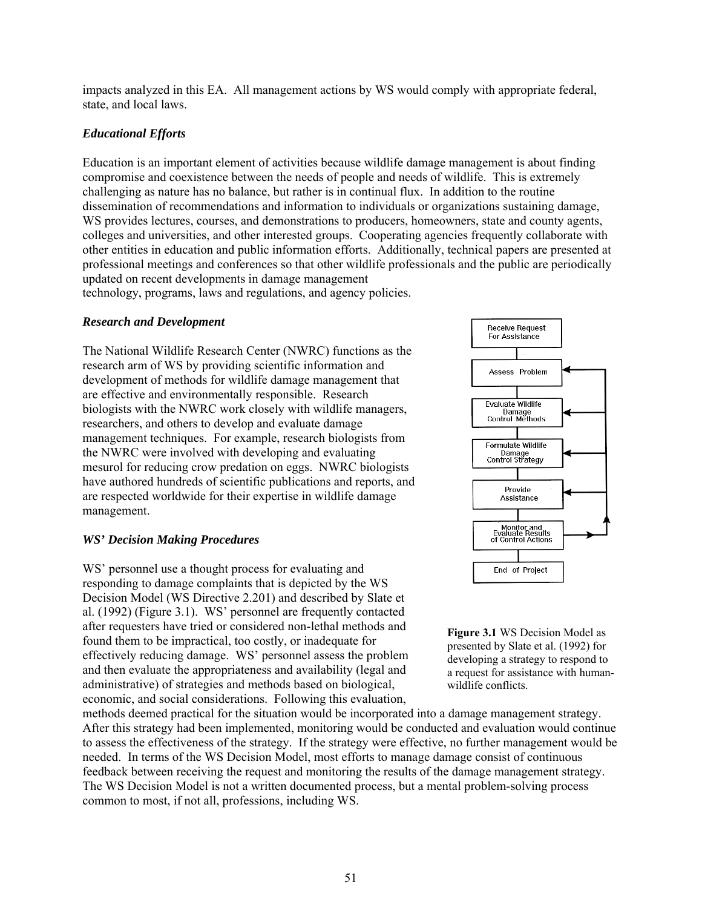impacts analyzed in this EA. All management actions by WS would comply with appropriate federal, state, and local laws.

## *Educational Efforts*

Education is an important element of activities because wildlife damage management is about finding compromise and coexistence between the needs of people and needs of wildlife. This is extremely challenging as nature has no balance, but rather is in continual flux. In addition to the routine dissemination of recommendations and information to individuals or organizations sustaining damage, WS provides lectures, courses, and demonstrations to producers, homeowners, state and county agents, colleges and universities, and other interested groups. Cooperating agencies frequently collaborate with other entities in education and public information efforts. Additionally, technical papers are presented at professional meetings and conferences so that other wildlife professionals and the public are periodically updated on recent developments in damage management

technology, programs, laws and regulations, and agency policies.

### *Research and Development*

The National Wildlife Research Center (NWRC) functions as the research arm of WS by providing scientific information and development of methods for wildlife damage management that are effective and environmentally responsible. Research biologists with the NWRC work closely with wildlife managers, researchers, and others to develop and evaluate damage management techniques. For example, research biologists from the NWRC were involved with developing and evaluating mesurol for reducing crow predation on eggs. NWRC biologists have authored hundreds of scientific publications and reports, and are respected worldwide for their expertise in wildlife damage management.

### *WS' Decision Making Procedures*

WS' personnel use a thought process for evaluating and responding to damage complaints that is depicted by the WS Decision Model (WS Directive 2.201) and described by Slate et al. (1992) (Figure 3.1). WS' personnel are frequently contacted after requesters have tried or considered non-lethal methods and found them to be impractical, too costly, or inadequate for effectively reducing damage. WS' personnel assess the problem and then evaluate the appropriateness and availability (legal and administrative) of strategies and methods based on biological, economic, and social considerations. Following this evaluation,





**Figure 3.1** WS Decision Model as presented by Slate et al. (1992) for developing a strategy to respond to a request for assistance with humanwildlife conflicts.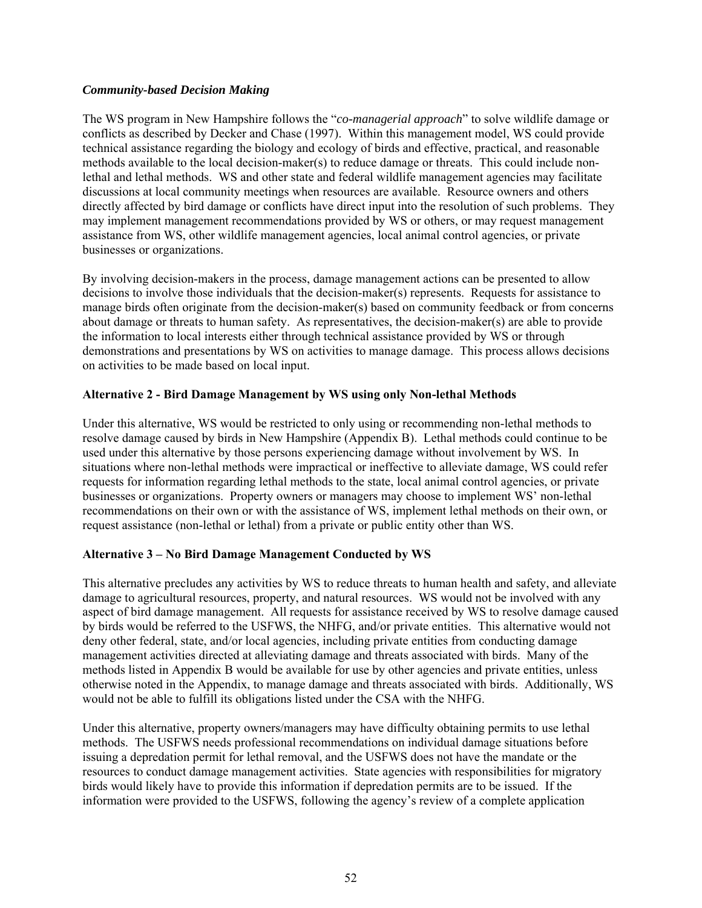## *Community-based Decision Making*

The WS program in New Hampshire follows the "*co-managerial approach*" to solve wildlife damage or conflicts as described by Decker and Chase (1997). Within this management model, WS could provide technical assistance regarding the biology and ecology of birds and effective, practical, and reasonable methods available to the local decision-maker(s) to reduce damage or threats. This could include nonlethal and lethal methods. WS and other state and federal wildlife management agencies may facilitate discussions at local community meetings when resources are available. Resource owners and others directly affected by bird damage or conflicts have direct input into the resolution of such problems. They may implement management recommendations provided by WS or others, or may request management assistance from WS, other wildlife management agencies, local animal control agencies, or private businesses or organizations.

By involving decision-makers in the process, damage management actions can be presented to allow decisions to involve those individuals that the decision-maker(s) represents. Requests for assistance to manage birds often originate from the decision-maker(s) based on community feedback or from concerns about damage or threats to human safety. As representatives, the decision-maker(s) are able to provide the information to local interests either through technical assistance provided by WS or through demonstrations and presentations by WS on activities to manage damage. This process allows decisions on activities to be made based on local input.

# **Alternative 2 - Bird Damage Management by WS using only Non-lethal Methods**

Under this alternative, WS would be restricted to only using or recommending non-lethal methods to resolve damage caused by birds in New Hampshire (Appendix B). Lethal methods could continue to be used under this alternative by those persons experiencing damage without involvement by WS. In situations where non-lethal methods were impractical or ineffective to alleviate damage, WS could refer requests for information regarding lethal methods to the state, local animal control agencies, or private businesses or organizations. Property owners or managers may choose to implement WS' non-lethal recommendations on their own or with the assistance of WS, implement lethal methods on their own, or request assistance (non-lethal or lethal) from a private or public entity other than WS.

### **Alternative 3 – No Bird Damage Management Conducted by WS**

This alternative precludes any activities by WS to reduce threats to human health and safety, and alleviate damage to agricultural resources, property, and natural resources. WS would not be involved with any aspect of bird damage management. All requests for assistance received by WS to resolve damage caused by birds would be referred to the USFWS, the NHFG, and/or private entities. This alternative would not deny other federal, state, and/or local agencies, including private entities from conducting damage management activities directed at alleviating damage and threats associated with birds. Many of the methods listed in Appendix B would be available for use by other agencies and private entities, unless otherwise noted in the Appendix, to manage damage and threats associated with birds. Additionally, WS would not be able to fulfill its obligations listed under the CSA with the NHFG.

Under this alternative, property owners/managers may have difficulty obtaining permits to use lethal methods. The USFWS needs professional recommendations on individual damage situations before issuing a depredation permit for lethal removal, and the USFWS does not have the mandate or the resources to conduct damage management activities. State agencies with responsibilities for migratory birds would likely have to provide this information if depredation permits are to be issued. If the information were provided to the USFWS, following the agency's review of a complete application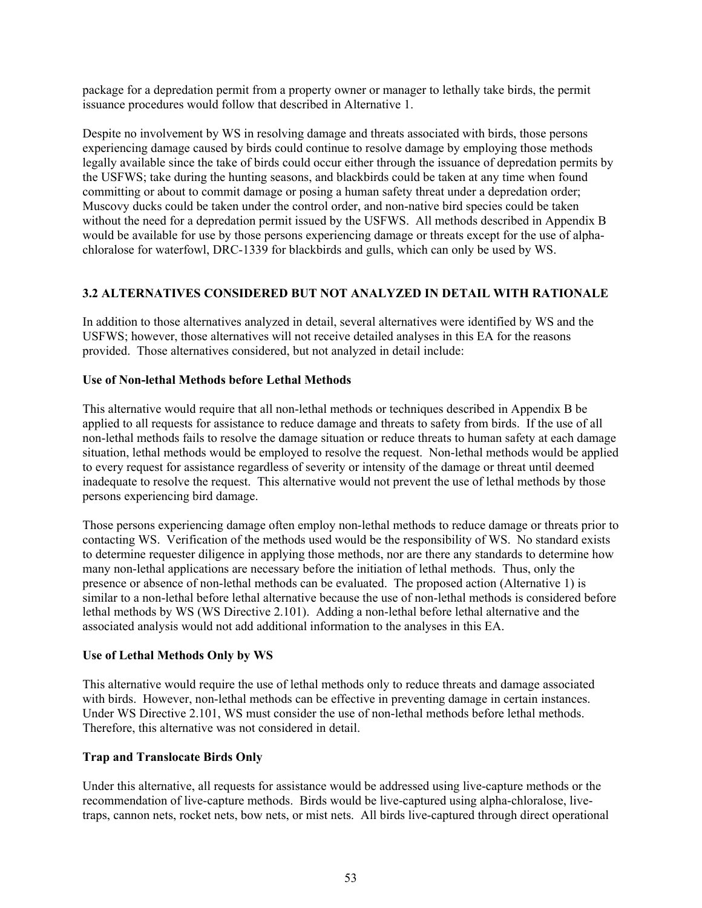package for a depredation permit from a property owner or manager to lethally take birds, the permit issuance procedures would follow that described in Alternative 1.

Despite no involvement by WS in resolving damage and threats associated with birds, those persons experiencing damage caused by birds could continue to resolve damage by employing those methods legally available since the take of birds could occur either through the issuance of depredation permits by the USFWS; take during the hunting seasons, and blackbirds could be taken at any time when found committing or about to commit damage or posing a human safety threat under a depredation order; Muscovy ducks could be taken under the control order, and non-native bird species could be taken without the need for a depredation permit issued by the USFWS. All methods described in Appendix B would be available for use by those persons experiencing damage or threats except for the use of alphachloralose for waterfowl, DRC-1339 for blackbirds and gulls, which can only be used by WS.

# **3.2 ALTERNATIVES CONSIDERED BUT NOT ANALYZED IN DETAIL WITH RATIONALE**

In addition to those alternatives analyzed in detail, several alternatives were identified by WS and the USFWS; however, those alternatives will not receive detailed analyses in this EA for the reasons provided. Those alternatives considered, but not analyzed in detail include:

#### **Use of Non-lethal Methods before Lethal Methods**

This alternative would require that all non-lethal methods or techniques described in Appendix B be applied to all requests for assistance to reduce damage and threats to safety from birds. If the use of all non-lethal methods fails to resolve the damage situation or reduce threats to human safety at each damage situation, lethal methods would be employed to resolve the request. Non-lethal methods would be applied to every request for assistance regardless of severity or intensity of the damage or threat until deemed inadequate to resolve the request. This alternative would not prevent the use of lethal methods by those persons experiencing bird damage.

Those persons experiencing damage often employ non-lethal methods to reduce damage or threats prior to contacting WS. Verification of the methods used would be the responsibility of WS. No standard exists to determine requester diligence in applying those methods, nor are there any standards to determine how many non-lethal applications are necessary before the initiation of lethal methods. Thus, only the presence or absence of non-lethal methods can be evaluated. The proposed action (Alternative 1) is similar to a non-lethal before lethal alternative because the use of non-lethal methods is considered before lethal methods by WS (WS Directive 2.101). Adding a non-lethal before lethal alternative and the associated analysis would not add additional information to the analyses in this EA.

### **Use of Lethal Methods Only by WS**

This alternative would require the use of lethal methods only to reduce threats and damage associated with birds. However, non-lethal methods can be effective in preventing damage in certain instances. Under WS Directive 2.101, WS must consider the use of non-lethal methods before lethal methods. Therefore, this alternative was not considered in detail.

### **Trap and Translocate Birds Only**

Under this alternative, all requests for assistance would be addressed using live-capture methods or the recommendation of live-capture methods. Birds would be live-captured using alpha-chloralose, livetraps, cannon nets, rocket nets, bow nets, or mist nets. All birds live-captured through direct operational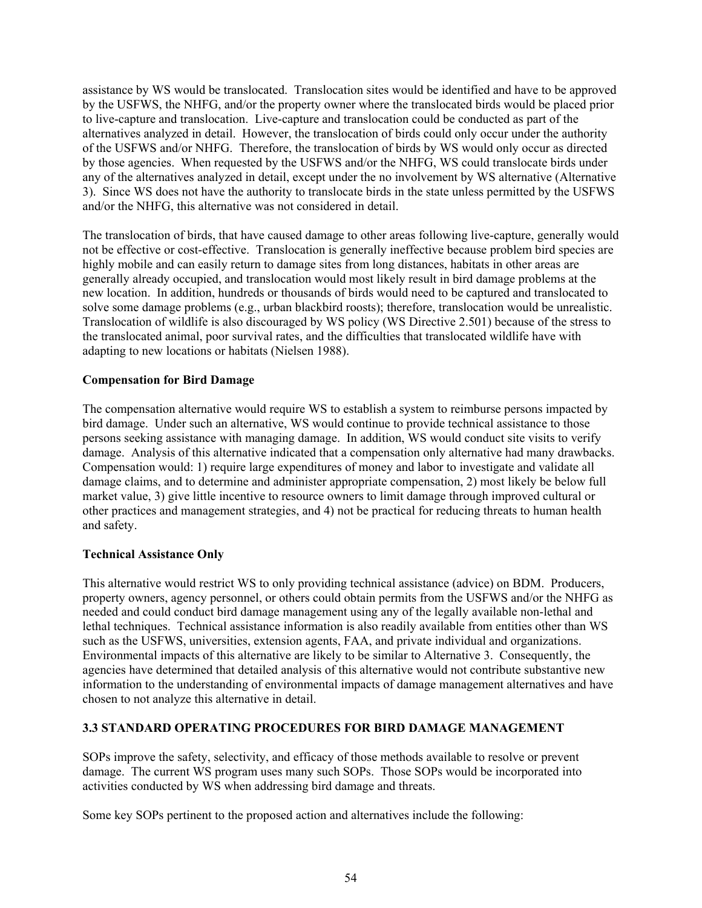assistance by WS would be translocated. Translocation sites would be identified and have to be approved by the USFWS, the NHFG, and/or the property owner where the translocated birds would be placed prior to live-capture and translocation. Live-capture and translocation could be conducted as part of the alternatives analyzed in detail. However, the translocation of birds could only occur under the authority of the USFWS and/or NHFG. Therefore, the translocation of birds by WS would only occur as directed by those agencies. When requested by the USFWS and/or the NHFG, WS could translocate birds under any of the alternatives analyzed in detail, except under the no involvement by WS alternative (Alternative 3). Since WS does not have the authority to translocate birds in the state unless permitted by the USFWS and/or the NHFG, this alternative was not considered in detail.

The translocation of birds, that have caused damage to other areas following live-capture, generally would not be effective or cost-effective. Translocation is generally ineffective because problem bird species are highly mobile and can easily return to damage sites from long distances, habitats in other areas are generally already occupied, and translocation would most likely result in bird damage problems at the new location. In addition, hundreds or thousands of birds would need to be captured and translocated to solve some damage problems (e.g., urban blackbird roosts); therefore, translocation would be unrealistic. Translocation of wildlife is also discouraged by WS policy (WS Directive 2.501) because of the stress to the translocated animal, poor survival rates, and the difficulties that translocated wildlife have with adapting to new locations or habitats (Nielsen 1988).

## **Compensation for Bird Damage**

The compensation alternative would require WS to establish a system to reimburse persons impacted by bird damage. Under such an alternative, WS would continue to provide technical assistance to those persons seeking assistance with managing damage. In addition, WS would conduct site visits to verify damage. Analysis of this alternative indicated that a compensation only alternative had many drawbacks. Compensation would: 1) require large expenditures of money and labor to investigate and validate all damage claims, and to determine and administer appropriate compensation, 2) most likely be below full market value, 3) give little incentive to resource owners to limit damage through improved cultural or other practices and management strategies, and 4) not be practical for reducing threats to human health and safety.

### **Technical Assistance Only**

This alternative would restrict WS to only providing technical assistance (advice) on BDM. Producers, property owners, agency personnel, or others could obtain permits from the USFWS and/or the NHFG as needed and could conduct bird damage management using any of the legally available non-lethal and lethal techniques. Technical assistance information is also readily available from entities other than WS such as the USFWS, universities, extension agents, FAA, and private individual and organizations. Environmental impacts of this alternative are likely to be similar to Alternative 3. Consequently, the agencies have determined that detailed analysis of this alternative would not contribute substantive new information to the understanding of environmental impacts of damage management alternatives and have chosen to not analyze this alternative in detail.

# **3.3 STANDARD OPERATING PROCEDURES FOR BIRD DAMAGE MANAGEMENT**

SOPs improve the safety, selectivity, and efficacy of those methods available to resolve or prevent damage. The current WS program uses many such SOPs. Those SOPs would be incorporated into activities conducted by WS when addressing bird damage and threats.

Some key SOPs pertinent to the proposed action and alternatives include the following: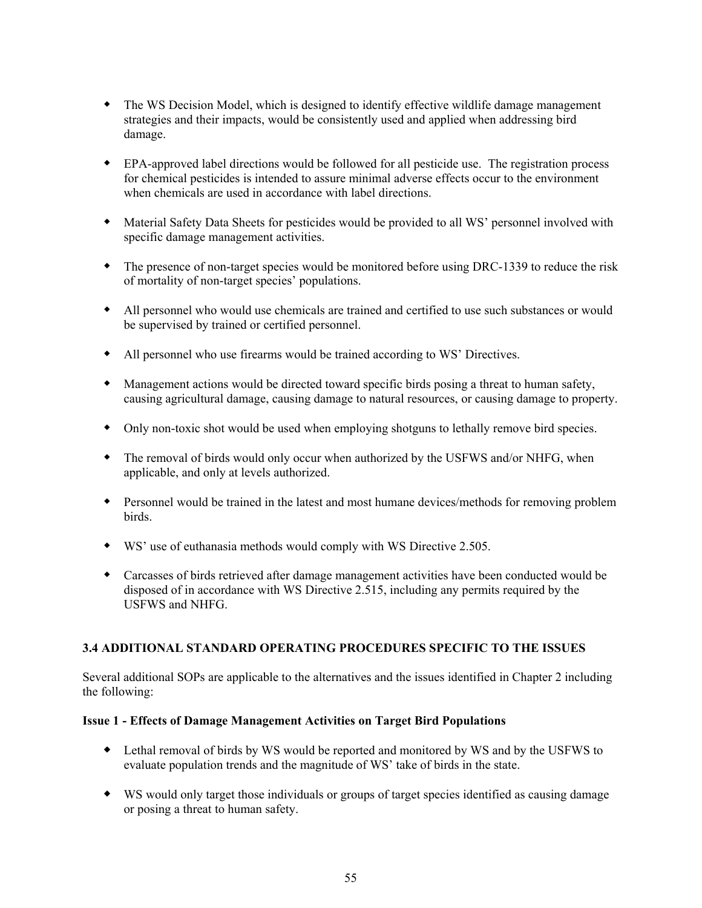- The WS Decision Model, which is designed to identify effective wildlife damage management strategies and their impacts, would be consistently used and applied when addressing bird damage.
- EPA-approved label directions would be followed for all pesticide use. The registration process for chemical pesticides is intended to assure minimal adverse effects occur to the environment when chemicals are used in accordance with label directions.
- Material Safety Data Sheets for pesticides would be provided to all WS' personnel involved with specific damage management activities.
- The presence of non-target species would be monitored before using DRC-1339 to reduce the risk of mortality of non-target species' populations.
- All personnel who would use chemicals are trained and certified to use such substances or would be supervised by trained or certified personnel.
- All personnel who use firearms would be trained according to WS' Directives.
- Management actions would be directed toward specific birds posing a threat to human safety, causing agricultural damage, causing damage to natural resources, or causing damage to property.
- Only non-toxic shot would be used when employing shotguns to lethally remove bird species.
- The removal of birds would only occur when authorized by the USFWS and/or NHFG, when applicable, and only at levels authorized.
- Personnel would be trained in the latest and most humane devices/methods for removing problem birds.
- WS' use of euthanasia methods would comply with WS Directive 2.505.
- Carcasses of birds retrieved after damage management activities have been conducted would be disposed of in accordance with WS Directive 2.515, including any permits required by the USFWS and NHFG.

### **3.4 ADDITIONAL STANDARD OPERATING PROCEDURES SPECIFIC TO THE ISSUES**

Several additional SOPs are applicable to the alternatives and the issues identified in Chapter 2 including the following:

### **Issue 1 - Effects of Damage Management Activities on Target Bird Populations**

- Lethal removal of birds by WS would be reported and monitored by WS and by the USFWS to evaluate population trends and the magnitude of WS' take of birds in the state.
- WS would only target those individuals or groups of target species identified as causing damage or posing a threat to human safety.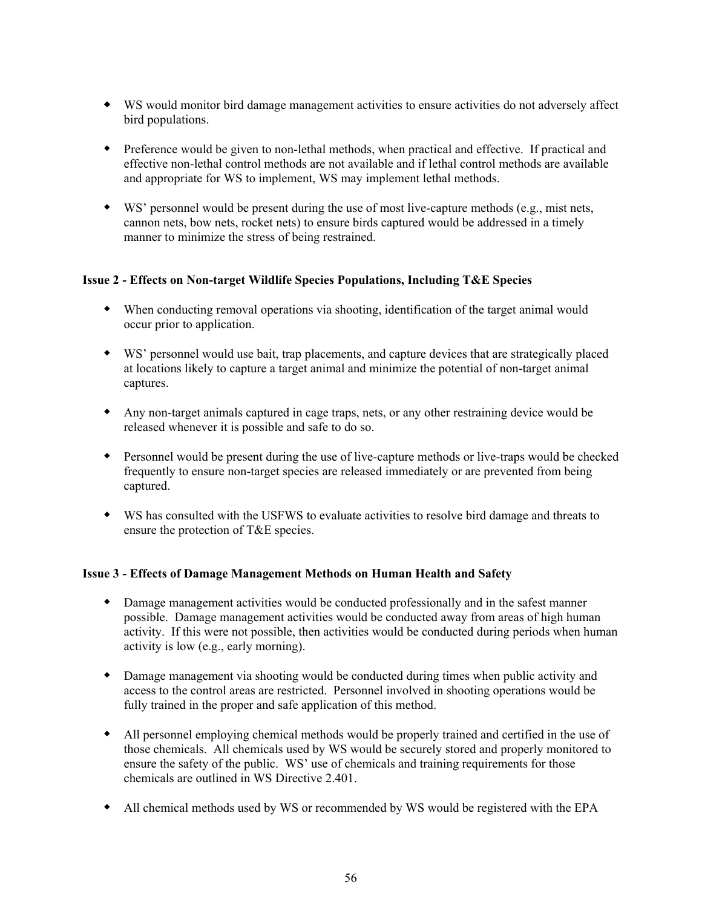- WS would monitor bird damage management activities to ensure activities do not adversely affect bird populations.
- Preference would be given to non-lethal methods, when practical and effective. If practical and effective non-lethal control methods are not available and if lethal control methods are available and appropriate for WS to implement, WS may implement lethal methods.
- WS' personnel would be present during the use of most live-capture methods (e.g., mist nets, cannon nets, bow nets, rocket nets) to ensure birds captured would be addressed in a timely manner to minimize the stress of being restrained.

## **Issue 2 - Effects on Non-target Wildlife Species Populations, Including T&E Species**

- When conducting removal operations via shooting, identification of the target animal would occur prior to application.
- WS' personnel would use bait, trap placements, and capture devices that are strategically placed at locations likely to capture a target animal and minimize the potential of non-target animal captures.
- Any non-target animals captured in cage traps, nets, or any other restraining device would be released whenever it is possible and safe to do so.
- Personnel would be present during the use of live-capture methods or live-traps would be checked frequently to ensure non-target species are released immediately or are prevented from being captured.
- WS has consulted with the USFWS to evaluate activities to resolve bird damage and threats to ensure the protection of T&E species.

### **Issue 3 - Effects of Damage Management Methods on Human Health and Safety**

- Damage management activities would be conducted professionally and in the safest manner possible. Damage management activities would be conducted away from areas of high human activity. If this were not possible, then activities would be conducted during periods when human activity is low (e.g., early morning).
- Damage management via shooting would be conducted during times when public activity and access to the control areas are restricted. Personnel involved in shooting operations would be fully trained in the proper and safe application of this method.
- All personnel employing chemical methods would be properly trained and certified in the use of those chemicals. All chemicals used by WS would be securely stored and properly monitored to ensure the safety of the public. WS' use of chemicals and training requirements for those chemicals are outlined in WS Directive 2.401.
- All chemical methods used by WS or recommended by WS would be registered with the EPA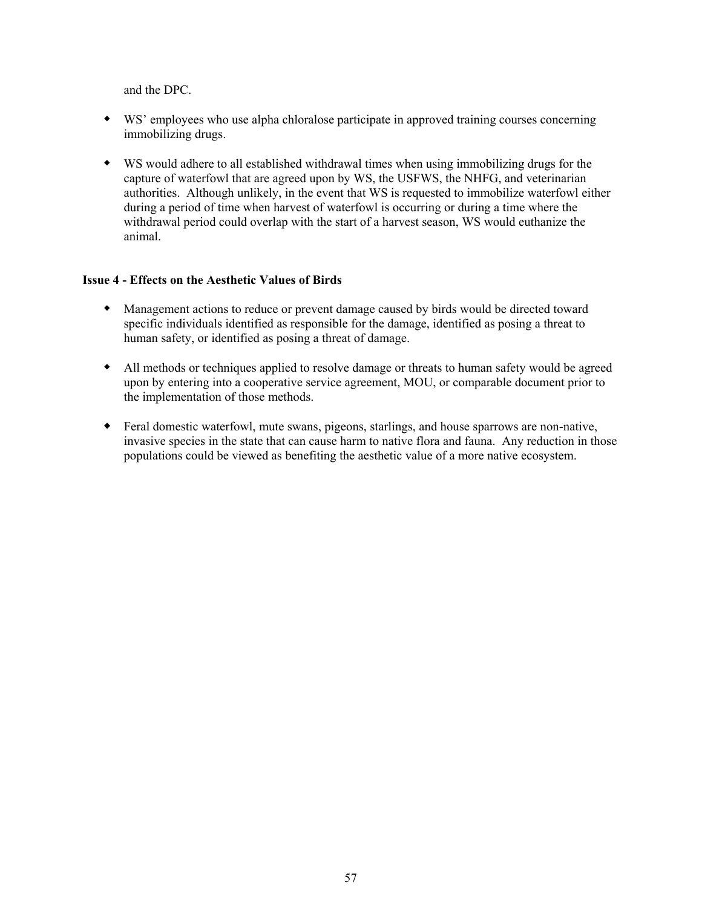and the DPC.

- WS' employees who use alpha chloralose participate in approved training courses concerning immobilizing drugs.
- WS would adhere to all established withdrawal times when using immobilizing drugs for the capture of waterfowl that are agreed upon by WS, the USFWS, the NHFG, and veterinarian authorities. Although unlikely, in the event that WS is requested to immobilize waterfowl either during a period of time when harvest of waterfowl is occurring or during a time where the withdrawal period could overlap with the start of a harvest season, WS would euthanize the animal.

## **Issue 4 - Effects on the Aesthetic Values of Birds**

- Management actions to reduce or prevent damage caused by birds would be directed toward specific individuals identified as responsible for the damage, identified as posing a threat to human safety, or identified as posing a threat of damage.
- All methods or techniques applied to resolve damage or threats to human safety would be agreed upon by entering into a cooperative service agreement, MOU, or comparable document prior to the implementation of those methods.
- Feral domestic waterfowl, mute swans, pigeons, starlings, and house sparrows are non-native, invasive species in the state that can cause harm to native flora and fauna. Any reduction in those populations could be viewed as benefiting the aesthetic value of a more native ecosystem.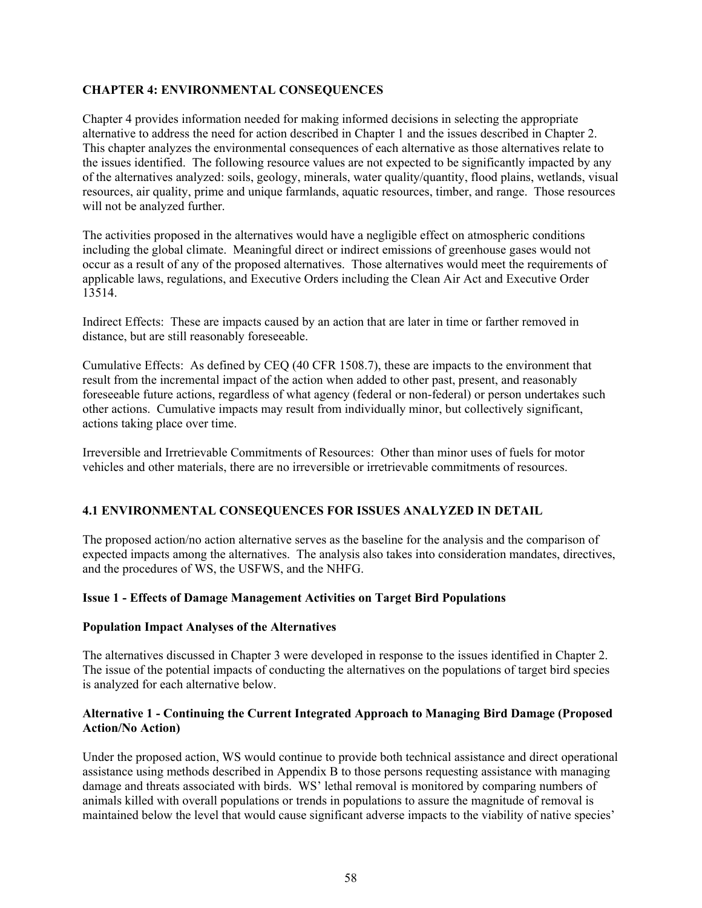## **CHAPTER 4: ENVIRONMENTAL CONSEQUENCES**

Chapter 4 provides information needed for making informed decisions in selecting the appropriate alternative to address the need for action described in Chapter 1 and the issues described in Chapter 2. This chapter analyzes the environmental consequences of each alternative as those alternatives relate to the issues identified. The following resource values are not expected to be significantly impacted by any of the alternatives analyzed: soils, geology, minerals, water quality/quantity, flood plains, wetlands, visual resources, air quality, prime and unique farmlands, aquatic resources, timber, and range. Those resources will not be analyzed further.

The activities proposed in the alternatives would have a negligible effect on atmospheric conditions including the global climate. Meaningful direct or indirect emissions of greenhouse gases would not occur as a result of any of the proposed alternatives. Those alternatives would meet the requirements of applicable laws, regulations, and Executive Orders including the Clean Air Act and Executive Order 13514.

Indirect Effects: These are impacts caused by an action that are later in time or farther removed in distance, but are still reasonably foreseeable.

Cumulative Effects: As defined by CEQ (40 CFR 1508.7), these are impacts to the environment that result from the incremental impact of the action when added to other past, present, and reasonably foreseeable future actions, regardless of what agency (federal or non-federal) or person undertakes such other actions. Cumulative impacts may result from individually minor, but collectively significant, actions taking place over time.

Irreversible and Irretrievable Commitments of Resources: Other than minor uses of fuels for motor vehicles and other materials, there are no irreversible or irretrievable commitments of resources.

# **4.1 ENVIRONMENTAL CONSEQUENCES FOR ISSUES ANALYZED IN DETAIL**

The proposed action/no action alternative serves as the baseline for the analysis and the comparison of expected impacts among the alternatives. The analysis also takes into consideration mandates, directives, and the procedures of WS, the USFWS, and the NHFG.

### **Issue 1 - Effects of Damage Management Activities on Target Bird Populations**

#### **Population Impact Analyses of the Alternatives**

The alternatives discussed in Chapter 3 were developed in response to the issues identified in Chapter 2. The issue of the potential impacts of conducting the alternatives on the populations of target bird species is analyzed for each alternative below.

### **Alternative 1 - Continuing the Current Integrated Approach to Managing Bird Damage (Proposed Action/No Action)**

Under the proposed action, WS would continue to provide both technical assistance and direct operational assistance using methods described in Appendix B to those persons requesting assistance with managing damage and threats associated with birds. WS' lethal removal is monitored by comparing numbers of animals killed with overall populations or trends in populations to assure the magnitude of removal is maintained below the level that would cause significant adverse impacts to the viability of native species'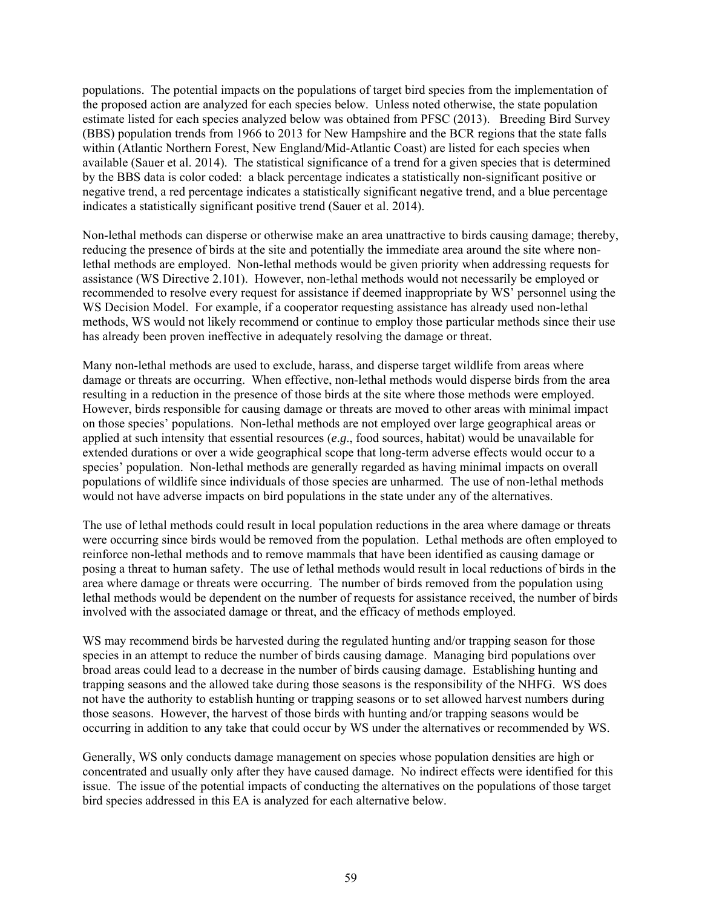populations. The potential impacts on the populations of target bird species from the implementation of the proposed action are analyzed for each species below. Unless noted otherwise, the state population estimate listed for each species analyzed below was obtained from PFSC (2013). Breeding Bird Survey (BBS) population trends from 1966 to 2013 for New Hampshire and the BCR regions that the state falls within (Atlantic Northern Forest, New England/Mid-Atlantic Coast) are listed for each species when available (Sauer et al. 2014). The statistical significance of a trend for a given species that is determined by the BBS data is color coded: a black percentage indicates a statistically non-significant positive or negative trend, a red percentage indicates a statistically significant negative trend, and a blue percentage indicates a statistically significant positive trend (Sauer et al. 2014).

Non-lethal methods can disperse or otherwise make an area unattractive to birds causing damage; thereby, reducing the presence of birds at the site and potentially the immediate area around the site where nonlethal methods are employed. Non-lethal methods would be given priority when addressing requests for assistance (WS Directive 2.101). However, non-lethal methods would not necessarily be employed or recommended to resolve every request for assistance if deemed inappropriate by WS' personnel using the WS Decision Model. For example, if a cooperator requesting assistance has already used non-lethal methods, WS would not likely recommend or continue to employ those particular methods since their use has already been proven ineffective in adequately resolving the damage or threat.

Many non-lethal methods are used to exclude, harass, and disperse target wildlife from areas where damage or threats are occurring. When effective, non-lethal methods would disperse birds from the area resulting in a reduction in the presence of those birds at the site where those methods were employed. However, birds responsible for causing damage or threats are moved to other areas with minimal impact on those species' populations. Non-lethal methods are not employed over large geographical areas or applied at such intensity that essential resources (*e*.*g*., food sources, habitat) would be unavailable for extended durations or over a wide geographical scope that long-term adverse effects would occur to a species' population. Non-lethal methods are generally regarded as having minimal impacts on overall populations of wildlife since individuals of those species are unharmed. The use of non-lethal methods would not have adverse impacts on bird populations in the state under any of the alternatives.

The use of lethal methods could result in local population reductions in the area where damage or threats were occurring since birds would be removed from the population. Lethal methods are often employed to reinforce non-lethal methods and to remove mammals that have been identified as causing damage or posing a threat to human safety. The use of lethal methods would result in local reductions of birds in the area where damage or threats were occurring. The number of birds removed from the population using lethal methods would be dependent on the number of requests for assistance received, the number of birds involved with the associated damage or threat, and the efficacy of methods employed.

WS may recommend birds be harvested during the regulated hunting and/or trapping season for those species in an attempt to reduce the number of birds causing damage. Managing bird populations over broad areas could lead to a decrease in the number of birds causing damage. Establishing hunting and trapping seasons and the allowed take during those seasons is the responsibility of the NHFG. WS does not have the authority to establish hunting or trapping seasons or to set allowed harvest numbers during those seasons. However, the harvest of those birds with hunting and/or trapping seasons would be occurring in addition to any take that could occur by WS under the alternatives or recommended by WS.

Generally, WS only conducts damage management on species whose population densities are high or concentrated and usually only after they have caused damage. No indirect effects were identified for this issue. The issue of the potential impacts of conducting the alternatives on the populations of those target bird species addressed in this EA is analyzed for each alternative below.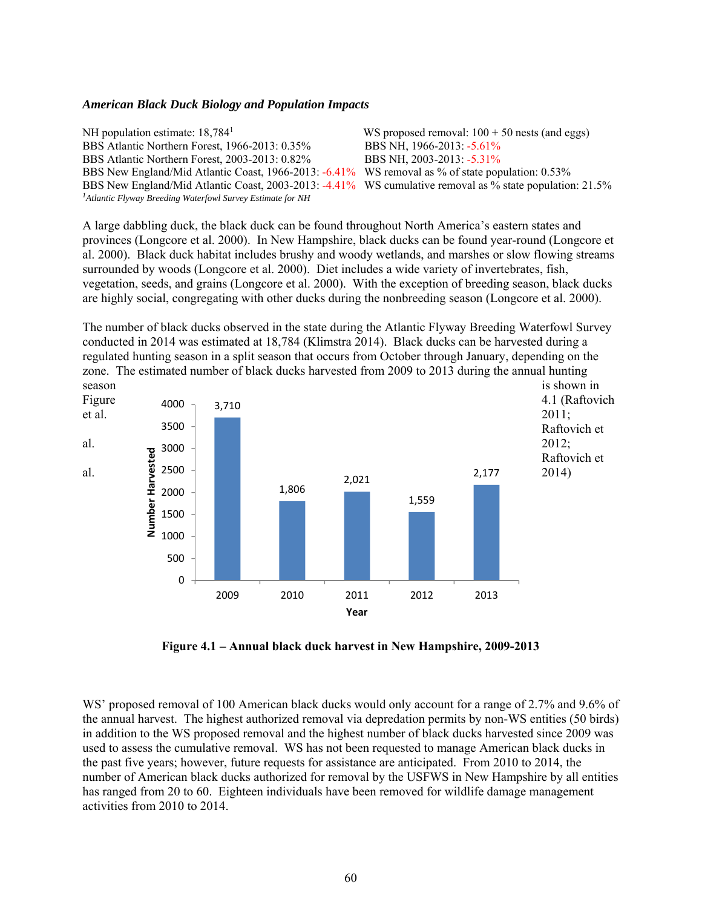#### *American Black Duck Biology and Population Impacts*

NH population estimate: 18,784<sup>1</sup> WS proposed removal:  $100 + 50$  nests (and eggs) BBS Atlantic Northern Forest, 1966-2013: 0.35% BBS NH, 1966-2013: -5.61% BBS Atlantic Northern Forest, 2003-2013: 0.82% BBS NH, 2003-2013: -5.31% BBS New England/Mid Atlantic Coast, 1966-2013: -6.41% WS removal as % of state population: 0.53% BBS New England/Mid Atlantic Coast, 2003-2013: -4.41% WS cumulative removal as % state population: 21.5% *1Atlantic Flyway Breeding Waterfowl Survey Estimate for NH*

A large dabbling duck, the black duck can be found throughout North America's eastern states and provinces (Longcore et al. 2000). In New Hampshire, black ducks can be found year-round (Longcore et al. 2000). Black duck habitat includes brushy and woody wetlands, and marshes or slow flowing streams surrounded by woods (Longcore et al. 2000). Diet includes a wide variety of invertebrates, fish, vegetation, seeds, and grains (Longcore et al. 2000). With the exception of breeding season, black ducks are highly social, congregating with other ducks during the nonbreeding season (Longcore et al. 2000).

The number of black ducks observed in the state during the Atlantic Flyway Breeding Waterfowl Survey conducted in 2014 was estimated at 18,784 (Klimstra 2014). Black ducks can be harvested during a regulated hunting season in a split season that occurs from October through January, depending on the zone. The estimated number of black ducks harvested from 2009 to 2013 during the annual hunting



**Figure 4.1 – Annual black duck harvest in New Hampshire, 2009-2013** 

WS' proposed removal of 100 American black ducks would only account for a range of 2.7% and 9.6% of the annual harvest. The highest authorized removal via depredation permits by non-WS entities (50 birds) in addition to the WS proposed removal and the highest number of black ducks harvested since 2009 was used to assess the cumulative removal. WS has not been requested to manage American black ducks in the past five years; however, future requests for assistance are anticipated. From 2010 to 2014, the number of American black ducks authorized for removal by the USFWS in New Hampshire by all entities has ranged from 20 to 60. Eighteen individuals have been removed for wildlife damage management activities from 2010 to 2014.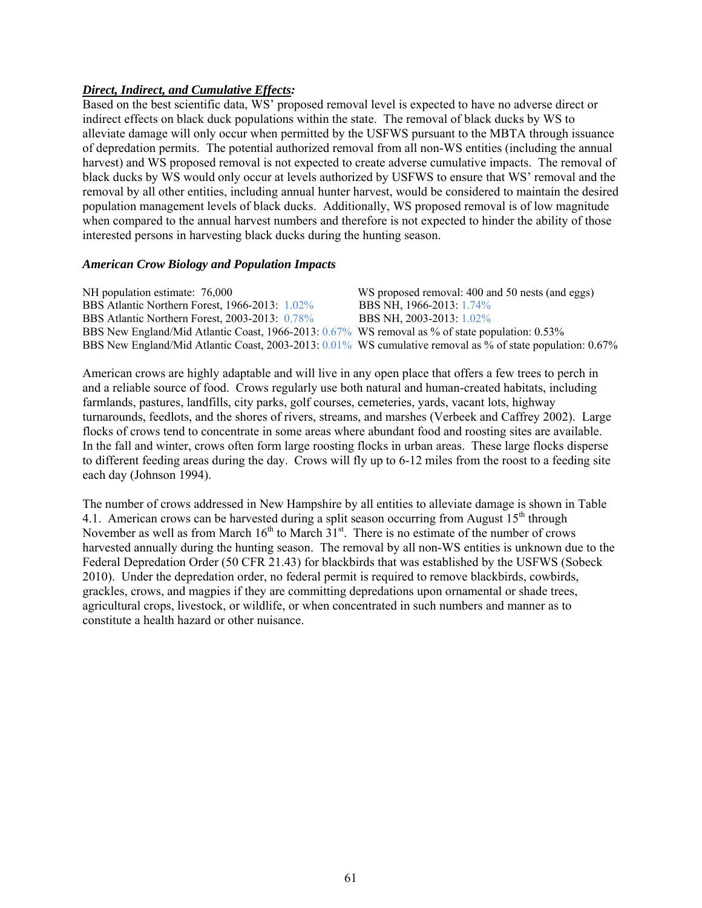## *Direct, Indirect, and Cumulative Effects:*

Based on the best scientific data, WS' proposed removal level is expected to have no adverse direct or indirect effects on black duck populations within the state. The removal of black ducks by WS to alleviate damage will only occur when permitted by the USFWS pursuant to the MBTA through issuance of depredation permits. The potential authorized removal from all non-WS entities (including the annual harvest) and WS proposed removal is not expected to create adverse cumulative impacts. The removal of black ducks by WS would only occur at levels authorized by USFWS to ensure that WS' removal and the removal by all other entities, including annual hunter harvest, would be considered to maintain the desired population management levels of black ducks. Additionally, WS proposed removal is of low magnitude when compared to the annual harvest numbers and therefore is not expected to hinder the ability of those interested persons in harvesting black ducks during the hunting season.

### *American Crow Biology and Population Impacts*

| NH population estimate: 76,000                                                                             | WS proposed removal: 400 and 50 nests (and eggs) |
|------------------------------------------------------------------------------------------------------------|--------------------------------------------------|
| BBS Atlantic Northern Forest, 1966-2013: 1.02%                                                             | BBS NH, 1966-2013: 1.74%                         |
| BBS Atlantic Northern Forest, 2003-2013: 0.78%                                                             | BBS NH, 2003-2013: 1.02%                         |
| BBS New England/Mid Atlantic Coast, 1966-2013: 0.67% WS removal as % of state population: 0.53%            |                                                  |
| BBS New England/Mid Atlantic Coast, 2003-2013: 0.01% WS cumulative removal as % of state population: 0.67% |                                                  |

American crows are highly adaptable and will live in any open place that offers a few trees to perch in and a reliable source of food. Crows regularly use both natural and human-created habitats, including farmlands, pastures, landfills, city parks, golf courses, cemeteries, yards, vacant lots, highway turnarounds, feedlots, and the shores of rivers, streams, and marshes (Verbeek and Caffrey 2002). Large flocks of crows tend to concentrate in some areas where abundant food and roosting sites are available. In the fall and winter, crows often form large roosting flocks in urban areas. These large flocks disperse to different feeding areas during the day. Crows will fly up to 6-12 miles from the roost to a feeding site each day (Johnson 1994).

The number of crows addressed in New Hampshire by all entities to alleviate damage is shown in Table 4.1. American crows can be harvested during a split season occurring from August  $15<sup>th</sup>$  through November as well as from March  $16<sup>th</sup>$  to March  $31<sup>st</sup>$ . There is no estimate of the number of crows harvested annually during the hunting season. The removal by all non-WS entities is unknown due to the Federal Depredation Order (50 CFR 21.43) for blackbirds that was established by the USFWS (Sobeck 2010). Under the depredation order, no federal permit is required to remove blackbirds, cowbirds, grackles, crows, and magpies if they are committing depredations upon ornamental or shade trees, agricultural crops, livestock, or wildlife, or when concentrated in such numbers and manner as to constitute a health hazard or other nuisance.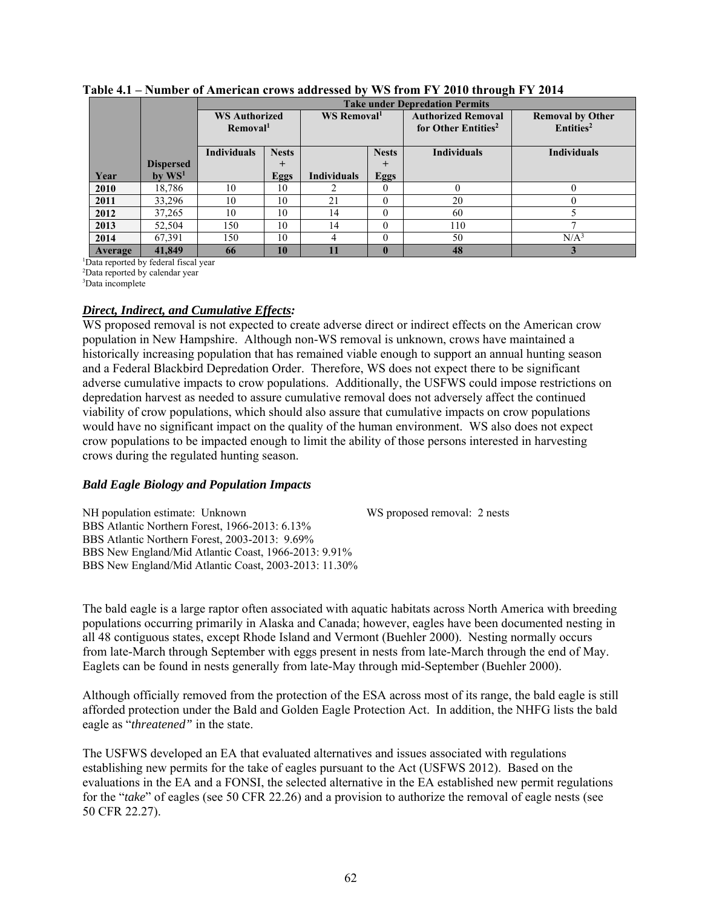|         |                      |                      |              |                         |             | <b>Take under Depredation Permits</b> |                         |
|---------|----------------------|----------------------|--------------|-------------------------|-------------|---------------------------------------|-------------------------|
|         |                      | <b>WS Authorized</b> |              | WS Removal <sup>1</sup> |             | <b>Authorized Removal</b>             | <b>Removal by Other</b> |
|         |                      | Removal <sup>1</sup> |              |                         |             | for Other Entities <sup>2</sup>       | Entities <sup>2</sup>   |
|         |                      |                      |              |                         |             |                                       |                         |
|         |                      | Individuals          | <b>Nests</b> | <b>Nests</b>            |             | <b>Individuals</b>                    | <b>Individuals</b>      |
|         | <b>Dispersed</b>     |                      | $^{+}$       |                         | $^{+}$      |                                       |                         |
| Year    | $bv$ WS <sup>1</sup> |                      | <b>Eggs</b>  | <b>Individuals</b>      | Eggs        |                                       |                         |
| 2010    | 18,786               | 10                   | 10           |                         | $\Omega$    | $\Omega$                              | 0                       |
| 2011    | 33,296               | 10                   | 10           | 21                      | $\Omega$    | 20                                    | 0                       |
| 2012    | 37,265               | 10                   | 10           | 14                      | $\Omega$    | 60                                    |                         |
| 2013    | 52,504               | 150                  | 10           | 14                      | $\Omega$    | 110                                   |                         |
| 2014    | 67,391               | 150                  | 10           |                         | $\Omega$    | 50                                    | N/A <sup>3</sup>        |
| Average | 41,849               | 66                   | 10           | $\mathbf{11}$           | $\mathbf 0$ | 48                                    |                         |

**Table 4.1 – Number of American crows addressed by WS from FY 2010 through FY 2014**

1 Data reported by federal fiscal year

2 Data reported by calendar year

3 Data incomplete

### *Direct, Indirect, and Cumulative Effects:*

WS proposed removal is not expected to create adverse direct or indirect effects on the American crow population in New Hampshire. Although non-WS removal is unknown, crows have maintained a historically increasing population that has remained viable enough to support an annual hunting season and a Federal Blackbird Depredation Order. Therefore, WS does not expect there to be significant adverse cumulative impacts to crow populations. Additionally, the USFWS could impose restrictions on depredation harvest as needed to assure cumulative removal does not adversely affect the continued viability of crow populations, which should also assure that cumulative impacts on crow populations would have no significant impact on the quality of the human environment. WS also does not expect crow populations to be impacted enough to limit the ability of those persons interested in harvesting crows during the regulated hunting season.

### *Bald Eagle Biology and Population Impacts*

NH population estimate: Unknown WS proposed removal: 2 nests

BBS Atlantic Northern Forest, 1966-2013: 6.13% BBS Atlantic Northern Forest, 2003-2013: 9.69% BBS New England/Mid Atlantic Coast, 1966-2013: 9.91% BBS New England/Mid Atlantic Coast, 2003-2013: 11.30%

The bald eagle is a large raptor often associated with aquatic habitats across North America with breeding populations occurring primarily in Alaska and Canada; however, eagles have been documented nesting in all 48 contiguous states, except Rhode Island and Vermont (Buehler 2000). Nesting normally occurs from late-March through September with eggs present in nests from late-March through the end of May. Eaglets can be found in nests generally from late-May through mid-September (Buehler 2000).

Although officially removed from the protection of the ESA across most of its range, the bald eagle is still afforded protection under the Bald and Golden Eagle Protection Act. In addition, the NHFG lists the bald eagle as "*threatened"* in the state.

The USFWS developed an EA that evaluated alternatives and issues associated with regulations establishing new permits for the take of eagles pursuant to the Act (USFWS 2012). Based on the evaluations in the EA and a FONSI, the selected alternative in the EA established new permit regulations for the "*take*" of eagles (see 50 CFR 22.26) and a provision to authorize the removal of eagle nests (see 50 CFR 22.27).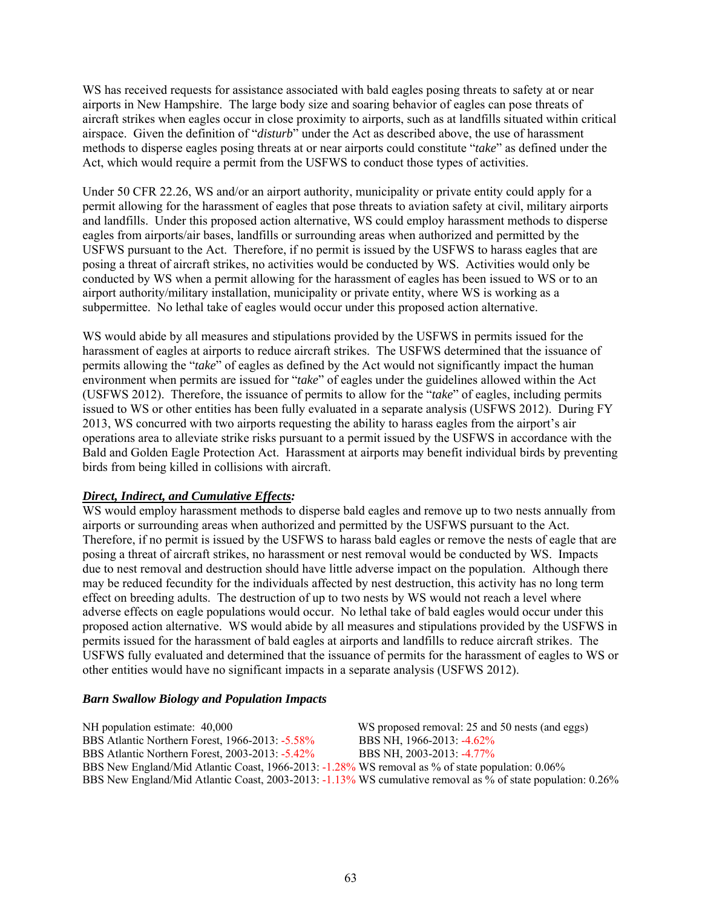WS has received requests for assistance associated with bald eagles posing threats to safety at or near airports in New Hampshire. The large body size and soaring behavior of eagles can pose threats of aircraft strikes when eagles occur in close proximity to airports, such as at landfills situated within critical airspace. Given the definition of "*disturb*" under the Act as described above, the use of harassment methods to disperse eagles posing threats at or near airports could constitute "*take*" as defined under the Act, which would require a permit from the USFWS to conduct those types of activities.

Under 50 CFR 22.26, WS and/or an airport authority, municipality or private entity could apply for a permit allowing for the harassment of eagles that pose threats to aviation safety at civil, military airports and landfills. Under this proposed action alternative, WS could employ harassment methods to disperse eagles from airports/air bases, landfills or surrounding areas when authorized and permitted by the USFWS pursuant to the Act. Therefore, if no permit is issued by the USFWS to harass eagles that are posing a threat of aircraft strikes, no activities would be conducted by WS. Activities would only be conducted by WS when a permit allowing for the harassment of eagles has been issued to WS or to an airport authority/military installation, municipality or private entity, where WS is working as a subpermittee. No lethal take of eagles would occur under this proposed action alternative.

WS would abide by all measures and stipulations provided by the USFWS in permits issued for the harassment of eagles at airports to reduce aircraft strikes. The USFWS determined that the issuance of permits allowing the "*take*" of eagles as defined by the Act would not significantly impact the human environment when permits are issued for "*take*" of eagles under the guidelines allowed within the Act (USFWS 2012). Therefore, the issuance of permits to allow for the "*take*" of eagles, including permits issued to WS or other entities has been fully evaluated in a separate analysis (USFWS 2012). During FY 2013, WS concurred with two airports requesting the ability to harass eagles from the airport's air operations area to alleviate strike risks pursuant to a permit issued by the USFWS in accordance with the Bald and Golden Eagle Protection Act. Harassment at airports may benefit individual birds by preventing birds from being killed in collisions with aircraft.

### *Direct, Indirect, and Cumulative Effects:*

WS would employ harassment methods to disperse bald eagles and remove up to two nests annually from airports or surrounding areas when authorized and permitted by the USFWS pursuant to the Act. Therefore, if no permit is issued by the USFWS to harass bald eagles or remove the nests of eagle that are posing a threat of aircraft strikes, no harassment or nest removal would be conducted by WS. Impacts due to nest removal and destruction should have little adverse impact on the population. Although there may be reduced fecundity for the individuals affected by nest destruction, this activity has no long term effect on breeding adults. The destruction of up to two nests by WS would not reach a level where adverse effects on eagle populations would occur. No lethal take of bald eagles would occur under this proposed action alternative. WS would abide by all measures and stipulations provided by the USFWS in permits issued for the harassment of bald eagles at airports and landfills to reduce aircraft strikes. The USFWS fully evaluated and determined that the issuance of permits for the harassment of eagles to WS or other entities would have no significant impacts in a separate analysis (USFWS 2012).

#### *Barn Swallow Biology and Population Impacts*

NH population estimate: 40,000 WS proposed removal: 25 and 50 nests (and eggs) BBS Atlantic Northern Forest, 1966-2013: -5.58% BBS NH, 1966-2013: -4.62% BBS Atlantic Northern Forest, 2003-2013: -5.42% BBS NH, 2003-2013: -4.77% BBS New England/Mid Atlantic Coast, 1966-2013: -1.28% WS removal as % of state population: 0.06% BBS New England/Mid Atlantic Coast, 2003-2013: -1.13% WS cumulative removal as % of state population: 0.26%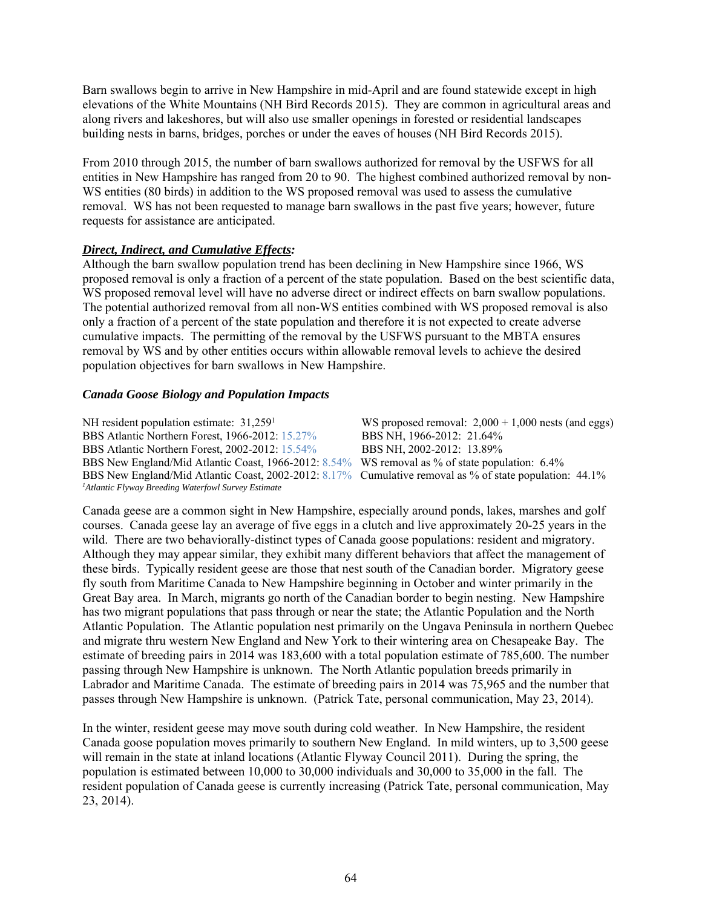Barn swallows begin to arrive in New Hampshire in mid-April and are found statewide except in high elevations of the White Mountains (NH Bird Records 2015). They are common in agricultural areas and along rivers and lakeshores, but will also use smaller openings in forested or residential landscapes building nests in barns, bridges, porches or under the eaves of houses (NH Bird Records 2015).

From 2010 through 2015, the number of barn swallows authorized for removal by the USFWS for all entities in New Hampshire has ranged from 20 to 90. The highest combined authorized removal by non-WS entities (80 birds) in addition to the WS proposed removal was used to assess the cumulative removal. WS has not been requested to manage barn swallows in the past five years; however, future requests for assistance are anticipated.

### *Direct, Indirect, and Cumulative Effects:*

Although the barn swallow population trend has been declining in New Hampshire since 1966, WS proposed removal is only a fraction of a percent of the state population. Based on the best scientific data, WS proposed removal level will have no adverse direct or indirect effects on barn swallow populations. The potential authorized removal from all non-WS entities combined with WS proposed removal is also only a fraction of a percent of the state population and therefore it is not expected to create adverse cumulative impacts. The permitting of the removal by the USFWS pursuant to the MBTA ensures removal by WS and by other entities occurs within allowable removal levels to achieve the desired population objectives for barn swallows in New Hampshire.

#### *Canada Goose Biology and Population Impacts*

NH resident population estimate:  $31,259<sup>1</sup>$ WS proposed removal:  $2,000 + 1,000$  nests (and eggs) BBS Atlantic Northern Forest, 1966-2012: 15.27% BBS NH, 1966-2012: 21.64% BBS Atlantic Northern Forest, 2002-2012: 15.54% BBS NH, 2002-2012: 13.89% BBS Atlantic Northern Forest, 2002-2012: 15.54% BBS New England/Mid Atlantic Coast, 1966-2012: 8.54% WS removal as % of state population: 6.4% BBS New England/Mid Atlantic Coast, 2002-2012: 8.17% Cumulative removal as % of state population: 44.1% *1 Atlantic Flyway Breeding Waterfowl Survey Estimate* 

Canada geese are a common sight in New Hampshire, especially around ponds, lakes, marshes and golf courses. Canada geese lay an average of five eggs in a clutch and live approximately 20-25 years in the wild. There are two behaviorally-distinct types of Canada goose populations: resident and migratory. Although they may appear similar, they exhibit many different behaviors that affect the management of these birds. Typically resident geese are those that nest south of the Canadian border. Migratory geese fly south from Maritime Canada to New Hampshire beginning in October and winter primarily in the Great Bay area. In March, migrants go north of the Canadian border to begin nesting. New Hampshire has two migrant populations that pass through or near the state; the Atlantic Population and the North Atlantic Population. The Atlantic population nest primarily on the Ungava Peninsula in northern Quebec and migrate thru western New England and New York to their wintering area on Chesapeake Bay. The estimate of breeding pairs in 2014 was 183,600 with a total population estimate of 785,600. The number passing through New Hampshire is unknown. The North Atlantic population breeds primarily in Labrador and Maritime Canada. The estimate of breeding pairs in 2014 was 75,965 and the number that passes through New Hampshire is unknown. (Patrick Tate, personal communication, May 23, 2014).

In the winter, resident geese may move south during cold weather. In New Hampshire, the resident Canada goose population moves primarily to southern New England. In mild winters, up to 3,500 geese will remain in the state at inland locations (Atlantic Flyway Council 2011). During the spring, the population is estimated between 10,000 to 30,000 individuals and 30,000 to 35,000 in the fall. The resident population of Canada geese is currently increasing (Patrick Tate, personal communication, May 23, 2014).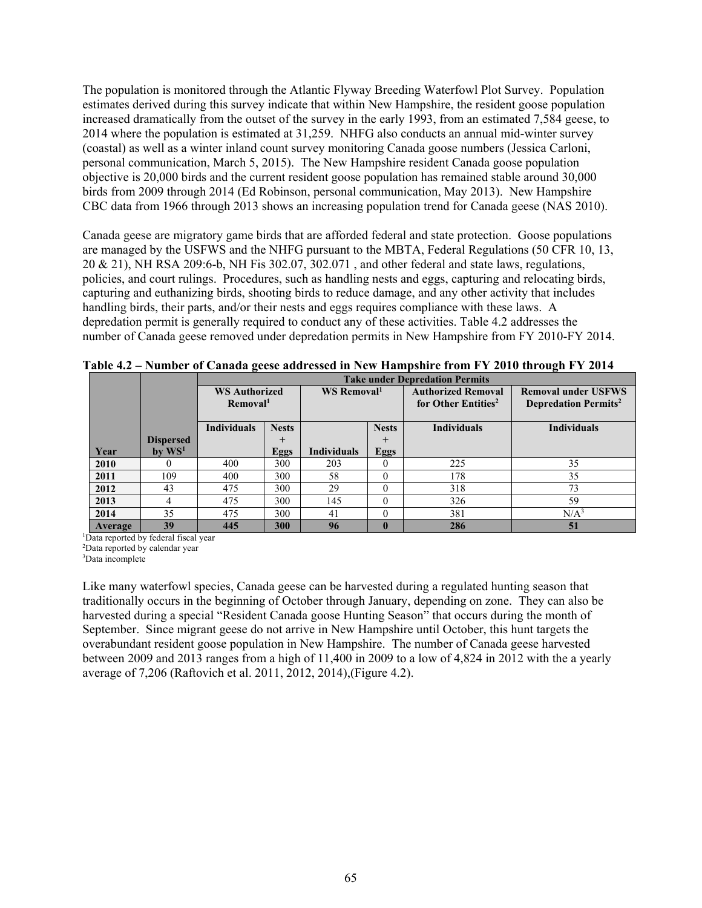The population is monitored through the Atlantic Flyway Breeding Waterfowl Plot Survey. Population estimates derived during this survey indicate that within New Hampshire, the resident goose population increased dramatically from the outset of the survey in the early 1993, from an estimated 7,584 geese, to 2014 where the population is estimated at 31,259. NHFG also conducts an annual mid-winter survey (coastal) as well as a winter inland count survey monitoring Canada goose numbers (Jessica Carloni, personal communication, March 5, 2015). The New Hampshire resident Canada goose population objective is 20,000 birds and the current resident goose population has remained stable around 30,000 birds from 2009 through 2014 (Ed Robinson, personal communication, May 2013). New Hampshire CBC data from 1966 through 2013 shows an increasing population trend for Canada geese (NAS 2010).

Canada geese are migratory game birds that are afforded federal and state protection. Goose populations are managed by the USFWS and the NHFG pursuant to the MBTA, Federal Regulations (50 CFR 10, 13, 20 & 21), NH RSA 209:6-b, NH Fis 302.07, 302.071 , and other federal and state laws, regulations, policies, and court rulings. Procedures, such as handling nests and eggs, capturing and relocating birds, capturing and euthanizing birds, shooting birds to reduce damage, and any other activity that includes handling birds, their parts, and/or their nests and eggs requires compliance with these laws. A depredation permit is generally required to conduct any of these activities. Table 4.2 addresses the number of Canada geese removed under depredation permits in New Hampshire from FY 2010-FY 2014.

|         |                  |                                              |              |                         |              | <b>Take under Depredation Permits</b>                        |                                                                       |
|---------|------------------|----------------------------------------------|--------------|-------------------------|--------------|--------------------------------------------------------------|-----------------------------------------------------------------------|
|         |                  | <b>WS Authorized</b><br>Removal <sup>1</sup> |              | WS Removal <sup>1</sup> |              | <b>Authorized Removal</b><br>for Other Entities <sup>2</sup> | <b>Removal under USFWS</b><br><b>Depredation Permits</b> <sup>2</sup> |
|         |                  | <b>Individuals</b>                           | <b>Nests</b> | <b>Nests</b>            |              | <b>Individuals</b>                                           | <b>Individuals</b>                                                    |
|         | <b>Dispersed</b> |                                              | $\pm$        |                         | $+$          |                                                              |                                                                       |
| Year    | $bv$ $WS1$       |                                              | <b>Eggs</b>  | <b>Individuals</b>      | <b>Eggs</b>  |                                                              |                                                                       |
| 2010    |                  | 400                                          | 300          | 203                     |              | 225                                                          | 35                                                                    |
| 2011    | 109              | 400                                          | 300          | 58                      |              | 178                                                          | 35                                                                    |
| 2012    | 43               | 475                                          | 300          | 29                      | $\Omega$     | 318                                                          | 73                                                                    |
| 2013    | 4                | 475                                          | 300          | 145                     | $\Omega$     | 326                                                          | 59                                                                    |
| 2014    | 35               | 475                                          | 300          | 41                      |              | 381                                                          | N/A <sup>3</sup>                                                      |
| Average | 39               | 445                                          | 300          | 96                      | $\mathbf{0}$ | 286                                                          | 51                                                                    |

**Table 4.2 – Number of Canada geese addressed in New Hampshire from FY 2010 through FY 2014** 

1 Data reported by federal fiscal year

2 Data reported by calendar year

3 Data incomplete

Like many waterfowl species, Canada geese can be harvested during a regulated hunting season that traditionally occurs in the beginning of October through January, depending on zone. They can also be harvested during a special "Resident Canada goose Hunting Season" that occurs during the month of September. Since migrant geese do not arrive in New Hampshire until October, this hunt targets the overabundant resident goose population in New Hampshire. The number of Canada geese harvested between 2009 and 2013 ranges from a high of 11,400 in 2009 to a low of 4,824 in 2012 with the a yearly average of 7,206 (Raftovich et al. 2011, 2012, 2014),(Figure 4.2).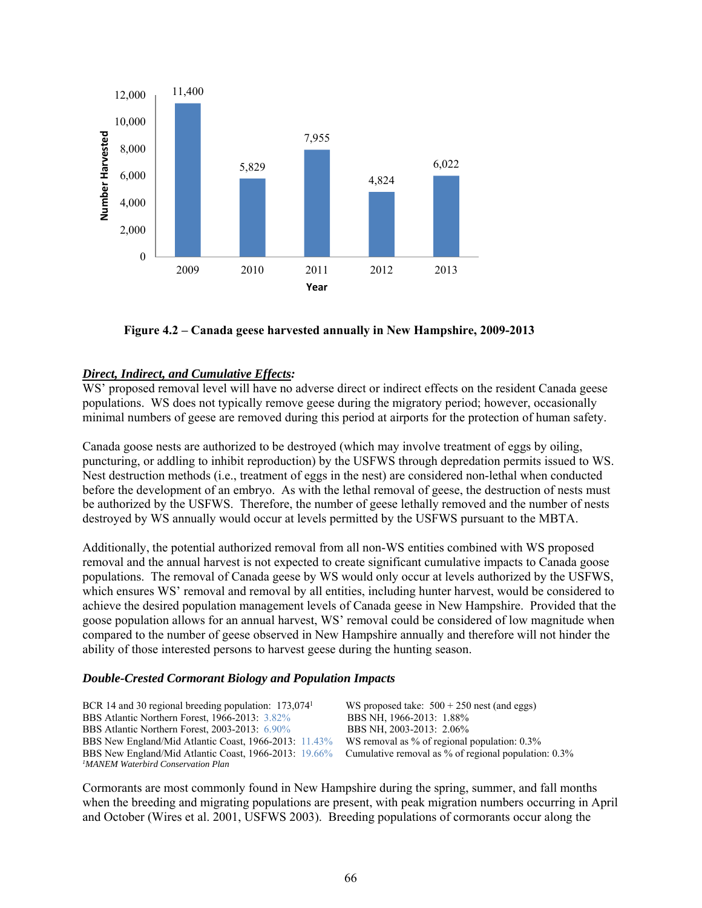

 **Figure 4.2 – Canada geese harvested annually in New Hampshire, 2009-2013** 

## *Direct, Indirect, and Cumulative Effects:*

WS' proposed removal level will have no adverse direct or indirect effects on the resident Canada geese populations. WS does not typically remove geese during the migratory period; however, occasionally minimal numbers of geese are removed during this period at airports for the protection of human safety.

Canada goose nests are authorized to be destroyed (which may involve treatment of eggs by oiling, puncturing, or addling to inhibit reproduction) by the USFWS through depredation permits issued to WS. Nest destruction methods (i.e., treatment of eggs in the nest) are considered non-lethal when conducted before the development of an embryo. As with the lethal removal of geese, the destruction of nests must be authorized by the USFWS. Therefore, the number of geese lethally removed and the number of nests destroyed by WS annually would occur at levels permitted by the USFWS pursuant to the MBTA.

Additionally, the potential authorized removal from all non-WS entities combined with WS proposed removal and the annual harvest is not expected to create significant cumulative impacts to Canada goose populations. The removal of Canada geese by WS would only occur at levels authorized by the USFWS, which ensures WS' removal and removal by all entities, including hunter harvest, would be considered to achieve the desired population management levels of Canada geese in New Hampshire. Provided that the goose population allows for an annual harvest, WS' removal could be considered of low magnitude when compared to the number of geese observed in New Hampshire annually and therefore will not hinder the ability of those interested persons to harvest geese during the hunting season.

### *Double-Crested Cormorant Biology and Population Impacts*

| BCR 14 and 30 regional breeding population: $173,074$ <sup>1</sup> | WS proposed take: $500 + 250$ nest (and eggs)           |
|--------------------------------------------------------------------|---------------------------------------------------------|
| BBS Atlantic Northern Forest, 1966-2013: 3.82%                     | BBS NH, 1966-2013: 1.88%                                |
| BBS Atlantic Northern Forest, 2003-2013: 6.90%                     | BBS NH, 2003-2013: 2.06%                                |
| BBS New England/Mid Atlantic Coast, 1966-2013: 11.43%              | WS removal as % of regional population: 0.3%            |
| BBS New England/Mid Atlantic Coast, 1966-2013: 19.66%              | Cumulative removal as $\%$ of regional population: 0.3% |
| <sup>1</sup> MANEM Waterbird Conservation Plan                     |                                                         |

Cormorants are most commonly found in New Hampshire during the spring, summer, and fall months when the breeding and migrating populations are present, with peak migration numbers occurring in April and October (Wires et al. 2001, USFWS 2003). Breeding populations of cormorants occur along the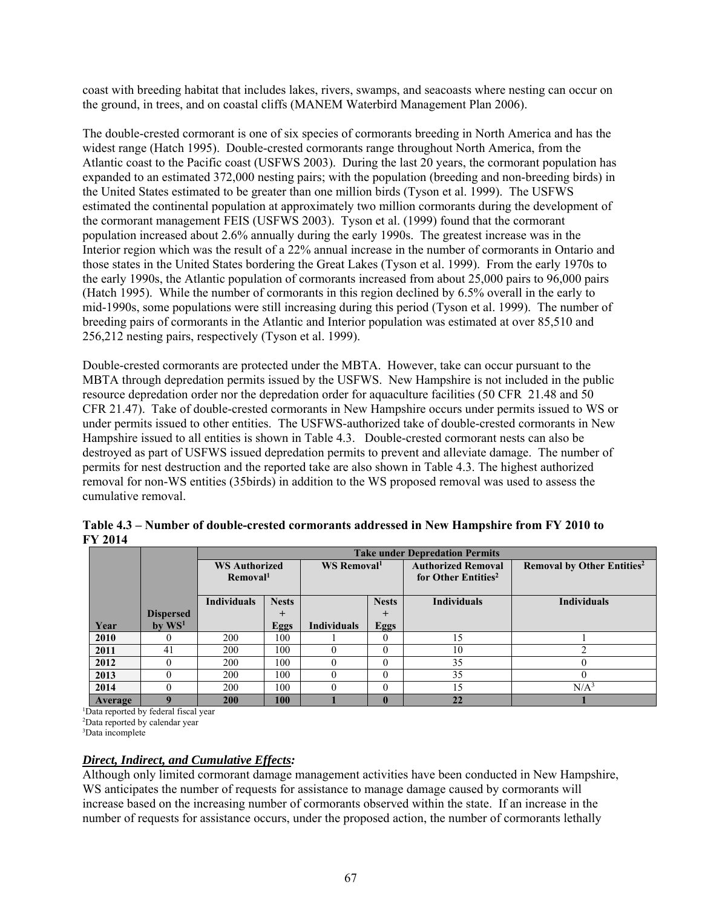coast with breeding habitat that includes lakes, rivers, swamps, and seacoasts where nesting can occur on the ground, in trees, and on coastal cliffs (MANEM Waterbird Management Plan 2006).

The double-crested cormorant is one of six species of cormorants breeding in North America and has the widest range (Hatch 1995). Double-crested cormorants range throughout North America, from the Atlantic coast to the Pacific coast (USFWS 2003). During the last 20 years, the cormorant population has expanded to an estimated 372,000 nesting pairs; with the population (breeding and non-breeding birds) in the United States estimated to be greater than one million birds (Tyson et al. 1999). The USFWS estimated the continental population at approximately two million cormorants during the development of the cormorant management FEIS (USFWS 2003). Tyson et al. (1999) found that the cormorant population increased about 2.6% annually during the early 1990s. The greatest increase was in the Interior region which was the result of a 22% annual increase in the number of cormorants in Ontario and those states in the United States bordering the Great Lakes (Tyson et al. 1999). From the early 1970s to the early 1990s, the Atlantic population of cormorants increased from about 25,000 pairs to 96,000 pairs (Hatch 1995). While the number of cormorants in this region declined by 6.5% overall in the early to mid-1990s, some populations were still increasing during this period (Tyson et al. 1999). The number of breeding pairs of cormorants in the Atlantic and Interior population was estimated at over 85,510 and 256,212 nesting pairs, respectively (Tyson et al. 1999).

Double-crested cormorants are protected under the MBTA. However, take can occur pursuant to the MBTA through depredation permits issued by the USFWS. New Hampshire is not included in the public resource depredation order nor the depredation order for aquaculture facilities (50 CFR 21.48 and 50 CFR 21.47). Take of double-crested cormorants in New Hampshire occurs under permits issued to WS or under permits issued to other entities. The USFWS-authorized take of double-crested cormorants in New Hampshire issued to all entities is shown in Table 4.3. Double-crested cormorant nests can also be destroyed as part of USFWS issued depredation permits to prevent and alleviate damage. The number of permits for nest destruction and the reported take are also shown in Table 4.3. The highest authorized removal for non-WS entities (35birds) in addition to the WS proposed removal was used to assess the cumulative removal.

|         |                      |                      | <b>Take under Depredation Permits</b> |                         |             |                                 |                                              |  |  |  |
|---------|----------------------|----------------------|---------------------------------------|-------------------------|-------------|---------------------------------|----------------------------------------------|--|--|--|
|         |                      | <b>WS Authorized</b> |                                       | WS Removal <sup>1</sup> |             | <b>Authorized Removal</b>       | <b>Removal by Other Entities<sup>2</sup></b> |  |  |  |
|         |                      | Removal <sup>1</sup> |                                       |                         |             | for Other Entities <sup>2</sup> |                                              |  |  |  |
|         |                      |                      |                                       |                         |             |                                 |                                              |  |  |  |
|         |                      | <b>Individuals</b>   | <b>Nests</b>                          | <b>Nests</b>            |             | <b>Individuals</b>              | <b>Individuals</b>                           |  |  |  |
|         | <b>Dispersed</b>     |                      | $\pm$                                 |                         | $\pm$       |                                 |                                              |  |  |  |
| Year    | $bv$ WS <sup>1</sup> |                      | <b>Eggs</b>                           | <b>Individuals</b>      | <b>Eggs</b> |                                 |                                              |  |  |  |
| 2010    |                      | 200                  | 100                                   |                         | 0           | 5                               |                                              |  |  |  |
| 2011    | 41                   | 200                  | 100                                   | $\Omega$                | $\theta$    | 10                              |                                              |  |  |  |
| 2012    |                      | 200                  | 100                                   | $\Omega$                | $\Omega$    | 35                              |                                              |  |  |  |
| 2013    |                      | 200                  | 100                                   | $\Omega$                | $\theta$    | 35                              |                                              |  |  |  |
| 2014    |                      | 200                  | 100                                   | $\Omega$                | $\Omega$    | ۱5                              | N/A <sup>3</sup>                             |  |  |  |
| Average |                      | 200                  | 100                                   |                         |             | 22                              |                                              |  |  |  |

**Table 4.3 – Number of double-crested cormorants addressed in New Hampshire from FY 2010 to FY 2014**

1 Data reported by federal fiscal year

2 Data reported by calendar year

3 Data incomplete

#### *Direct, Indirect, and Cumulative Effects:*

Although only limited cormorant damage management activities have been conducted in New Hampshire, WS anticipates the number of requests for assistance to manage damage caused by cormorants will increase based on the increasing number of cormorants observed within the state. If an increase in the number of requests for assistance occurs, under the proposed action, the number of cormorants lethally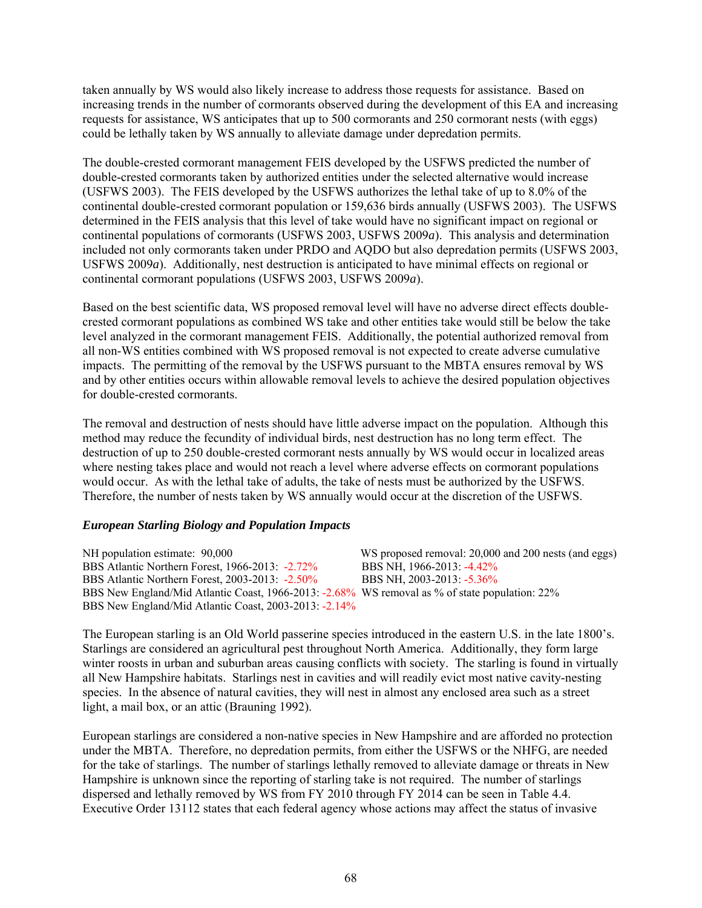taken annually by WS would also likely increase to address those requests for assistance. Based on increasing trends in the number of cormorants observed during the development of this EA and increasing requests for assistance, WS anticipates that up to 500 cormorants and 250 cormorant nests (with eggs) could be lethally taken by WS annually to alleviate damage under depredation permits.

The double-crested cormorant management FEIS developed by the USFWS predicted the number of double-crested cormorants taken by authorized entities under the selected alternative would increase (USFWS 2003). The FEIS developed by the USFWS authorizes the lethal take of up to 8.0% of the continental double-crested cormorant population or 159,636 birds annually (USFWS 2003). The USFWS determined in the FEIS analysis that this level of take would have no significant impact on regional or continental populations of cormorants (USFWS 2003, USFWS 2009*a*). This analysis and determination included not only cormorants taken under PRDO and AQDO but also depredation permits (USFWS 2003, USFWS 2009*a*). Additionally, nest destruction is anticipated to have minimal effects on regional or continental cormorant populations (USFWS 2003, USFWS 2009*a*).

Based on the best scientific data, WS proposed removal level will have no adverse direct effects doublecrested cormorant populations as combined WS take and other entities take would still be below the take level analyzed in the cormorant management FEIS. Additionally, the potential authorized removal from all non-WS entities combined with WS proposed removal is not expected to create adverse cumulative impacts. The permitting of the removal by the USFWS pursuant to the MBTA ensures removal by WS and by other entities occurs within allowable removal levels to achieve the desired population objectives for double-crested cormorants.

The removal and destruction of nests should have little adverse impact on the population. Although this method may reduce the fecundity of individual birds, nest destruction has no long term effect. The destruction of up to 250 double-crested cormorant nests annually by WS would occur in localized areas where nesting takes place and would not reach a level where adverse effects on cormorant populations would occur. As with the lethal take of adults, the take of nests must be authorized by the USFWS. Therefore, the number of nests taken by WS annually would occur at the discretion of the USFWS.

### *European Starling Biology and Population Impacts*

NH population estimate: 90,000 WS proposed removal: 20,000 and 200 nests (and eggs) BBS Atlantic Northern Forest, 1966-2013: -2.72% BBS NH, 1966-2013: -4.42% BBS Atlantic Northern Forest, 2003-2013: -2.50% BBS NH, 2003-2013: -5.36% BBS New England/Mid Atlantic Coast, 1966-2013: -2.68% WS removal as % of state population: 22% BBS New England/Mid Atlantic Coast, 2003-2013: -2.14%

The European starling is an Old World passerine species introduced in the eastern U.S. in the late 1800's. Starlings are considered an agricultural pest throughout North America. Additionally, they form large winter roosts in urban and suburban areas causing conflicts with society. The starling is found in virtually all New Hampshire habitats. Starlings nest in cavities and will readily evict most native cavity-nesting species. In the absence of natural cavities, they will nest in almost any enclosed area such as a street light, a mail box, or an attic (Brauning 1992).

European starlings are considered a non-native species in New Hampshire and are afforded no protection under the MBTA. Therefore, no depredation permits, from either the USFWS or the NHFG, are needed for the take of starlings. The number of starlings lethally removed to alleviate damage or threats in New Hampshire is unknown since the reporting of starling take is not required. The number of starlings dispersed and lethally removed by WS from FY 2010 through FY 2014 can be seen in Table 4.4. Executive Order 13112 states that each federal agency whose actions may affect the status of invasive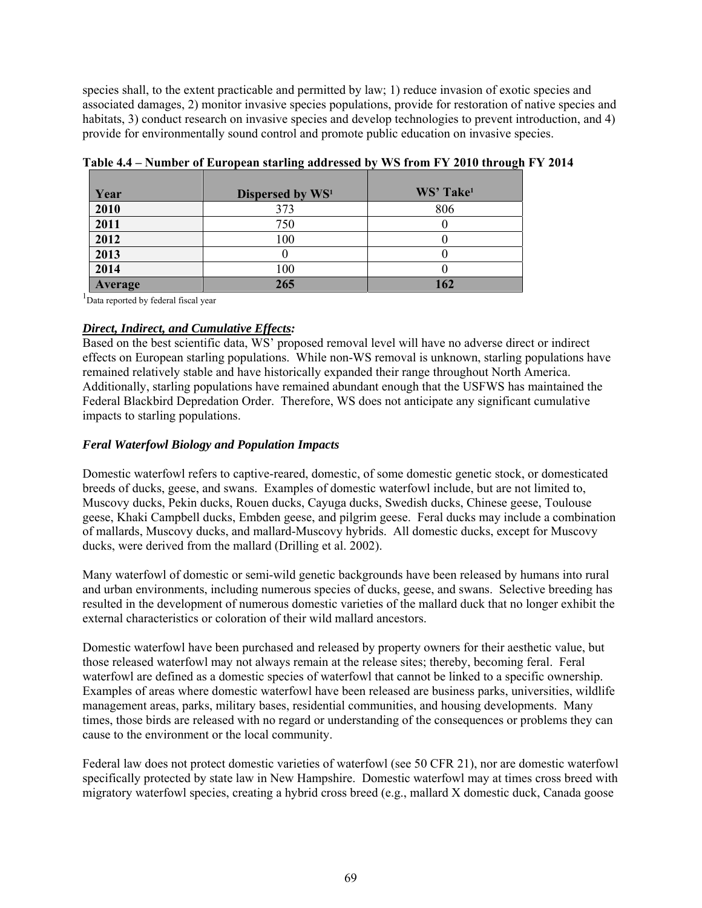species shall, to the extent practicable and permitted by law; 1) reduce invasion of exotic species and associated damages, 2) monitor invasive species populations, provide for restoration of native species and habitats, 3) conduct research on invasive species and develop technologies to prevent introduction, and 4) provide for environmentally sound control and promote public education on invasive species.

| Year    | Dispersed by WS <sup>1</sup> | WS' Take <sup>1</sup> |
|---------|------------------------------|-----------------------|
| 2010    | 373                          | 806                   |
| 2011    | 750                          |                       |
| 2012    | 100                          |                       |
| 2013    |                              |                       |
| 2014    | 100                          |                       |
| Average | 265                          | 162                   |

**Table 4.4 – Number of European starling addressed by WS from FY 2010 through FY 2014** 

<sup>1</sup>Data reported by federal fiscal year

## *Direct, Indirect, and Cumulative Effects:*

Based on the best scientific data, WS' proposed removal level will have no adverse direct or indirect effects on European starling populations. While non-WS removal is unknown, starling populations have remained relatively stable and have historically expanded their range throughout North America. Additionally, starling populations have remained abundant enough that the USFWS has maintained the Federal Blackbird Depredation Order. Therefore, WS does not anticipate any significant cumulative impacts to starling populations.

# *Feral Waterfowl Biology and Population Impacts*

Domestic waterfowl refers to captive-reared, domestic, of some domestic genetic stock, or domesticated breeds of ducks, geese, and swans. Examples of domestic waterfowl include, but are not limited to, Muscovy ducks, Pekin ducks, Rouen ducks, Cayuga ducks, Swedish ducks, Chinese geese, Toulouse geese, Khaki Campbell ducks, Embden geese, and pilgrim geese. Feral ducks may include a combination of mallards, Muscovy ducks, and mallard-Muscovy hybrids. All domestic ducks, except for Muscovy ducks, were derived from the mallard (Drilling et al. 2002).

Many waterfowl of domestic or semi-wild genetic backgrounds have been released by humans into rural and urban environments, including numerous species of ducks, geese, and swans. Selective breeding has resulted in the development of numerous domestic varieties of the mallard duck that no longer exhibit the external characteristics or coloration of their wild mallard ancestors.

Domestic waterfowl have been purchased and released by property owners for their aesthetic value, but those released waterfowl may not always remain at the release sites; thereby, becoming feral. Feral waterfowl are defined as a domestic species of waterfowl that cannot be linked to a specific ownership. Examples of areas where domestic waterfowl have been released are business parks, universities, wildlife management areas, parks, military bases, residential communities, and housing developments. Many times, those birds are released with no regard or understanding of the consequences or problems they can cause to the environment or the local community.

Federal law does not protect domestic varieties of waterfowl (see 50 CFR 21), nor are domestic waterfowl specifically protected by state law in New Hampshire. Domestic waterfowl may at times cross breed with migratory waterfowl species, creating a hybrid cross breed (e.g., mallard X domestic duck, Canada goose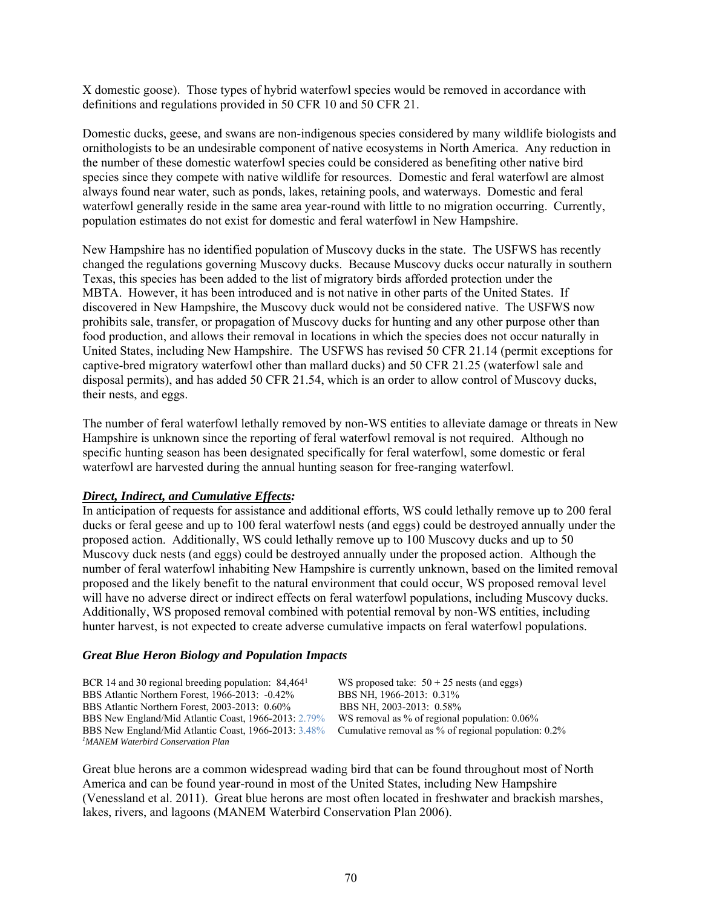X domestic goose). Those types of hybrid waterfowl species would be removed in accordance with definitions and regulations provided in 50 CFR 10 and 50 CFR 21.

Domestic ducks, geese, and swans are non-indigenous species considered by many wildlife biologists and ornithologists to be an undesirable component of native ecosystems in North America. Any reduction in the number of these domestic waterfowl species could be considered as benefiting other native bird species since they compete with native wildlife for resources. Domestic and feral waterfowl are almost always found near water, such as ponds, lakes, retaining pools, and waterways. Domestic and feral waterfowl generally reside in the same area year-round with little to no migration occurring. Currently, population estimates do not exist for domestic and feral waterfowl in New Hampshire.

New Hampshire has no identified population of Muscovy ducks in the state. The USFWS has recently changed the regulations governing Muscovy ducks. Because Muscovy ducks occur naturally in southern Texas, this species has been added to the list of migratory birds afforded protection under the MBTA. However, it has been introduced and is not native in other parts of the United States. If discovered in New Hampshire, the Muscovy duck would not be considered native. The USFWS now prohibits sale, transfer, or propagation of Muscovy ducks for hunting and any other purpose other than food production, and allows their removal in locations in which the species does not occur naturally in United States, including New Hampshire. The USFWS has revised 50 CFR 21.14 (permit exceptions for captive-bred migratory waterfowl other than mallard ducks) and 50 CFR 21.25 (waterfowl sale and disposal permits), and has added 50 CFR 21.54, which is an order to allow control of Muscovy ducks, their nests, and eggs.

The number of feral waterfowl lethally removed by non-WS entities to alleviate damage or threats in New Hampshire is unknown since the reporting of feral waterfowl removal is not required. Although no specific hunting season has been designated specifically for feral waterfowl, some domestic or feral waterfowl are harvested during the annual hunting season for free-ranging waterfowl.

#### *Direct, Indirect, and Cumulative Effects:*

In anticipation of requests for assistance and additional efforts, WS could lethally remove up to 200 feral ducks or feral geese and up to 100 feral waterfowl nests (and eggs) could be destroyed annually under the proposed action. Additionally, WS could lethally remove up to 100 Muscovy ducks and up to 50 Muscovy duck nests (and eggs) could be destroyed annually under the proposed action. Although the number of feral waterfowl inhabiting New Hampshire is currently unknown, based on the limited removal proposed and the likely benefit to the natural environment that could occur, WS proposed removal level will have no adverse direct or indirect effects on feral waterfowl populations, including Muscovy ducks. Additionally, WS proposed removal combined with potential removal by non-WS entities, including hunter harvest, is not expected to create adverse cumulative impacts on feral waterfowl populations.

#### *Great Blue Heron Biology and Population Impacts*

BCR 14 and 30 regional breeding population:  $84,464$ <sup>1</sup> WS proposed take:  $50 + 25$  nests (and eggs) BBS Atlantic Northern Forest, 1966-2013: -0.42% BBS NH, 1966-2013: 0.31% BBS Atlantic Northern Forest, 1966-2013: -0.42% BBS NH, 1966-2013: 0.31%<br>BBS Atlantic Northern Forest, 2003-2013: 0.60% BBS NH, 2003-2013: 0.58% BBS Atlantic Northern Forest, 2003-2013: 0.60% BBS New England/Mid Atlantic Coast, 1966-2013: 2.79% WS removal as % of regional population: 0.06% BBS New England/Mid Atlantic Coast, 1966-2013: 3.48% Cumulative removal as % of regional population: Cumulative removal as % of regional population: 0.2% *1 MANEM Waterbird Conservation Plan* 

Great blue herons are a common widespread wading bird that can be found throughout most of North America and can be found year-round in most of the United States, including New Hampshire (Venessland et al. 2011). Great blue herons are most often located in freshwater and brackish marshes, lakes, rivers, and lagoons (MANEM Waterbird Conservation Plan 2006).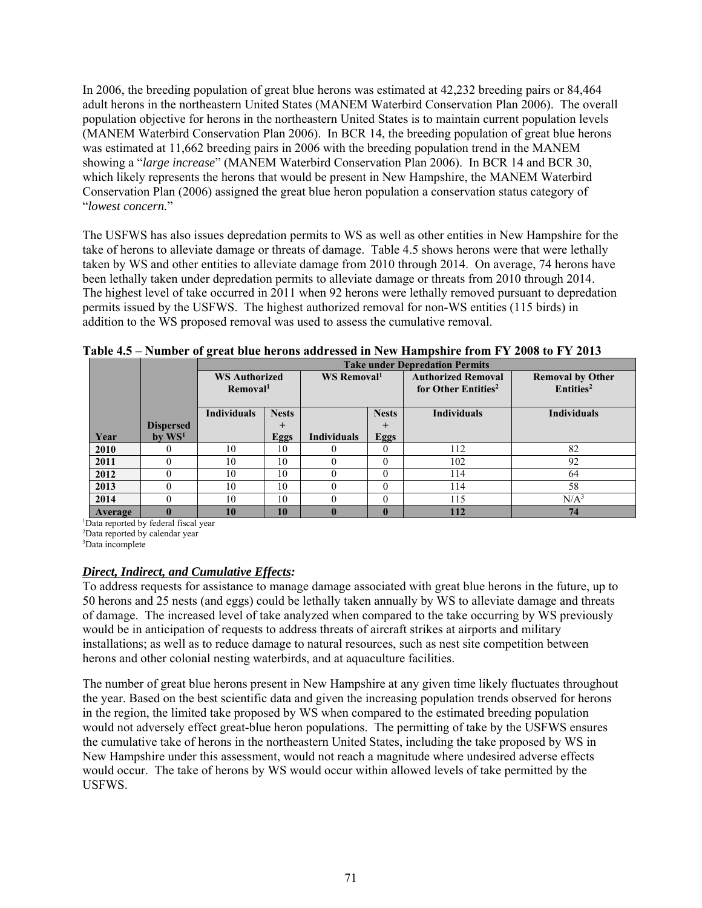In 2006, the breeding population of great blue herons was estimated at 42,232 breeding pairs or 84,464 adult herons in the northeastern United States (MANEM Waterbird Conservation Plan 2006). The overall population objective for herons in the northeastern United States is to maintain current population levels (MANEM Waterbird Conservation Plan 2006). In BCR 14, the breeding population of great blue herons was estimated at 11,662 breeding pairs in 2006 with the breeding population trend in the MANEM showing a "*large increase*" (MANEM Waterbird Conservation Plan 2006). In BCR 14 and BCR 30, which likely represents the herons that would be present in New Hampshire, the MANEM Waterbird Conservation Plan (2006) assigned the great blue heron population a conservation status category of "*lowest concern.*"

The USFWS has also issues depredation permits to WS as well as other entities in New Hampshire for the take of herons to alleviate damage or threats of damage. Table 4.5 shows herons were that were lethally taken by WS and other entities to alleviate damage from 2010 through 2014. On average, 74 herons have been lethally taken under depredation permits to alleviate damage or threats from 2010 through 2014. The highest level of take occurred in 2011 when 92 herons were lethally removed pursuant to depredation permits issued by the USFWS. The highest authorized removal for non-WS entities (115 birds) in addition to the WS proposed removal was used to assess the cumulative removal.

|         |                  | $- - - - -$                                  |              |                         |             | <b>Take under Depredation Permits</b>                        |                                                  |
|---------|------------------|----------------------------------------------|--------------|-------------------------|-------------|--------------------------------------------------------------|--------------------------------------------------|
|         |                  | <b>WS Authorized</b><br>Removal <sup>1</sup> |              | WS Removal <sup>1</sup> |             | <b>Authorized Removal</b><br>for Other Entities <sup>2</sup> | <b>Removal by Other</b><br>Entities <sup>2</sup> |
|         |                  | <b>Individuals</b>                           | <b>Nests</b> | <b>Nests</b>            |             | <b>Individuals</b>                                           | <b>Individuals</b>                               |
|         | <b>Dispersed</b> |                                              | $\pm$        |                         | $\pm$       |                                                              |                                                  |
| Year    | by $WS1$         |                                              | <b>Eggs</b>  | <b>Individuals</b>      | <b>Eggs</b> |                                                              |                                                  |
| 2010    |                  | 10                                           | 10           |                         |             | 112                                                          | 82                                               |
| 2011    |                  | 10                                           | 10           |                         | $\theta$    | 102                                                          | 92                                               |
| 2012    |                  | 10                                           | 10           |                         | 0           | 114                                                          | 64                                               |
| 2013    |                  | 10                                           | 10           |                         | $\Omega$    | 114                                                          | 58                                               |
| 2014    |                  | 10                                           | 10           |                         | $\Omega$    | 115                                                          | N/A <sup>3</sup>                                 |
| Average |                  | 10                                           | 10           |                         |             | 112                                                          | 74                                               |

| Table 4.5 – Number of great blue herons addressed in New Hampshire from FY 2008 to FY 2013 |  |  |  |
|--------------------------------------------------------------------------------------------|--|--|--|
|                                                                                            |  |  |  |
|                                                                                            |  |  |  |
|                                                                                            |  |  |  |

1 Data reported by federal fiscal year

2 Data reported by calendar year

3 Data incomplete

### *Direct, Indirect, and Cumulative Effects:*

To address requests for assistance to manage damage associated with great blue herons in the future, up to 50 herons and 25 nests (and eggs) could be lethally taken annually by WS to alleviate damage and threats of damage. The increased level of take analyzed when compared to the take occurring by WS previously would be in anticipation of requests to address threats of aircraft strikes at airports and military installations; as well as to reduce damage to natural resources, such as nest site competition between herons and other colonial nesting waterbirds, and at aquaculture facilities.

The number of great blue herons present in New Hampshire at any given time likely fluctuates throughout the year. Based on the best scientific data and given the increasing population trends observed for herons in the region, the limited take proposed by WS when compared to the estimated breeding population would not adversely effect great-blue heron populations. The permitting of take by the USFWS ensures the cumulative take of herons in the northeastern United States, including the take proposed by WS in New Hampshire under this assessment, would not reach a magnitude where undesired adverse effects would occur. The take of herons by WS would occur within allowed levels of take permitted by the USFWS.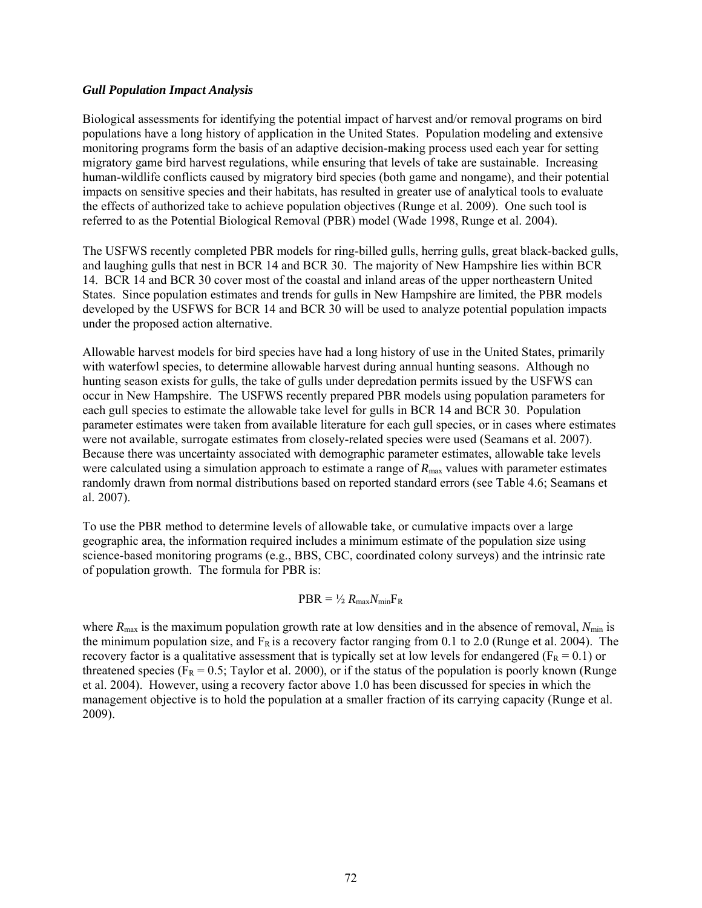#### *Gull Population Impact Analysis*

Biological assessments for identifying the potential impact of harvest and/or removal programs on bird populations have a long history of application in the United States. Population modeling and extensive monitoring programs form the basis of an adaptive decision-making process used each year for setting migratory game bird harvest regulations, while ensuring that levels of take are sustainable. Increasing human-wildlife conflicts caused by migratory bird species (both game and nongame), and their potential impacts on sensitive species and their habitats, has resulted in greater use of analytical tools to evaluate the effects of authorized take to achieve population objectives (Runge et al. 2009). One such tool is referred to as the Potential Biological Removal (PBR) model (Wade 1998, Runge et al. 2004).

The USFWS recently completed PBR models for ring-billed gulls, herring gulls, great black-backed gulls, and laughing gulls that nest in BCR 14 and BCR 30. The majority of New Hampshire lies within BCR 14. BCR 14 and BCR 30 cover most of the coastal and inland areas of the upper northeastern United States. Since population estimates and trends for gulls in New Hampshire are limited, the PBR models developed by the USFWS for BCR 14 and BCR 30 will be used to analyze potential population impacts under the proposed action alternative.

Allowable harvest models for bird species have had a long history of use in the United States, primarily with waterfowl species, to determine allowable harvest during annual hunting seasons. Although no hunting season exists for gulls, the take of gulls under depredation permits issued by the USFWS can occur in New Hampshire. The USFWS recently prepared PBR models using population parameters for each gull species to estimate the allowable take level for gulls in BCR 14 and BCR 30. Population parameter estimates were taken from available literature for each gull species, or in cases where estimates were not available, surrogate estimates from closely-related species were used (Seamans et al. 2007). Because there was uncertainty associated with demographic parameter estimates, allowable take levels were calculated using a simulation approach to estimate a range of  $R_{\text{max}}$  values with parameter estimates randomly drawn from normal distributions based on reported standard errors (see Table 4.6; Seamans et al. 2007).

To use the PBR method to determine levels of allowable take, or cumulative impacts over a large geographic area, the information required includes a minimum estimate of the population size using science-based monitoring programs (e.g., BBS, CBC, coordinated colony surveys) and the intrinsic rate of population growth. The formula for PBR is:

### $PBR = \frac{1}{2} R_{\text{max}} N_{\text{min}} F_R$

where  $R_{\text{max}}$  is the maximum population growth rate at low densities and in the absence of removal,  $N_{\text{min}}$  is the minimum population size, and  $F_R$  is a recovery factor ranging from 0.1 to 2.0 (Runge et al. 2004). The recovery factor is a qualitative assessment that is typically set at low levels for endangered ( $F_R = 0.1$ ) or threatened species ( $F_R = 0.5$ ; Taylor et al. 2000), or if the status of the population is poorly known (Runge et al. 2004). However, using a recovery factor above 1.0 has been discussed for species in which the management objective is to hold the population at a smaller fraction of its carrying capacity (Runge et al. 2009).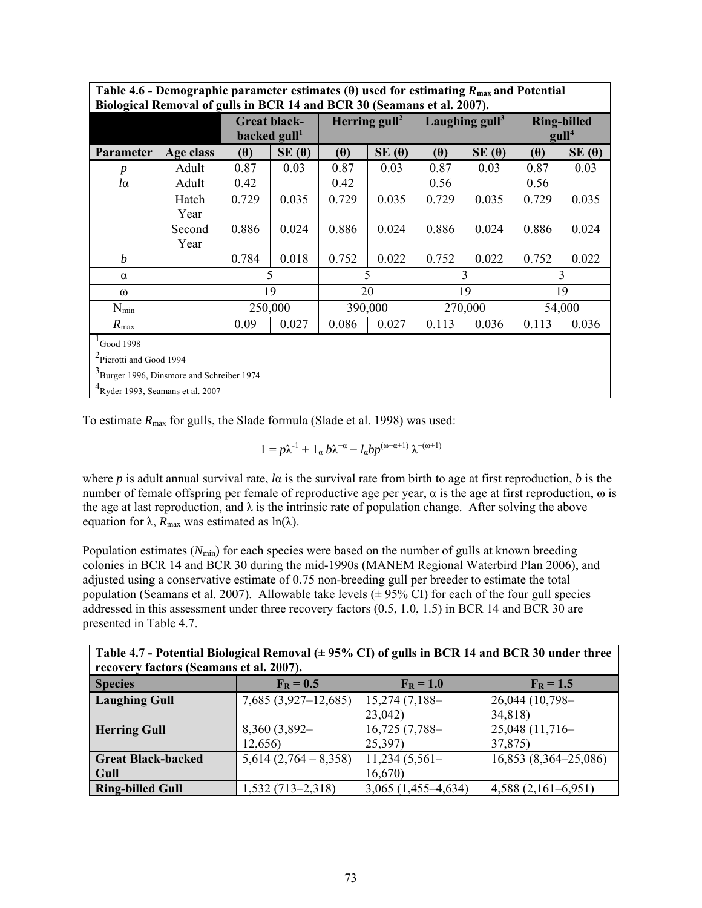| Biological Removal of gulls in BCR 14 and BCR 30 (Seamans et al. 2007).                                                                                 |                |                                                   |              |                 |              |                  |              |                                         |       |
|---------------------------------------------------------------------------------------------------------------------------------------------------------|----------------|---------------------------------------------------|--------------|-----------------|--------------|------------------|--------------|-----------------------------------------|-------|
|                                                                                                                                                         |                | <b>Great black-</b><br>backed $gull1$             |              | Herring $gull2$ |              | Laughing $gull3$ |              | <b>Ring-billed</b><br>gull <sup>4</sup> |       |
| Parameter                                                                                                                                               | Age class      | $(\theta)$                                        | $SE(\theta)$ | $(\theta)$      | $SE(\theta)$ | $(\theta)$       | $SE(\theta)$ | $(\theta)$                              | SE(0) |
|                                                                                                                                                         | Adult          | 0.87                                              | 0.03         | 0.87            | 0.03         | 0.87             | 0.03         | 0.87                                    | 0.03  |
| $l\alpha$                                                                                                                                               | Adult          | 0.42                                              |              | 0.42            |              | 0.56             |              | 0.56                                    |       |
|                                                                                                                                                         | Hatch<br>Year  | 0.729                                             | 0.035        | 0.729           | 0.035        | 0.729            | 0.035        | 0.729                                   | 0.035 |
|                                                                                                                                                         | Second<br>Year | 0.886                                             | 0.024        | 0.886           | 0.024        | 0.886            | 0.024        | 0.886                                   | 0.024 |
| b                                                                                                                                                       |                | 0.784                                             | 0.018        | 0.752           | 0.022        | 0.752            | 0.022        | 0.752                                   | 0.022 |
| $\alpha$                                                                                                                                                |                |                                                   | 5            | 5               |              |                  | 3            | 3                                       |       |
| $\omega$                                                                                                                                                |                |                                                   | 19           | 20              |              | 19               |              | 19                                      |       |
| $N_{min}$                                                                                                                                               |                |                                                   | 250,000      | 390,000         |              | 270,000          |              | 54,000                                  |       |
| $R_{\text{max}}$                                                                                                                                        |                | 0.027<br>0.086<br>0.036<br>0.09<br>0.027<br>0.113 |              |                 |              |                  | 0.113        | 0.036                                   |       |
| $^{1}$ Good 1998<br><sup>2</sup> Pierotti and Good 1994<br><sup>3</sup> Burger 1996, Dinsmore and Schreiber 1974<br>$4$ Ryder 1993, Seamans et al. 2007 |                |                                                   |              |                 |              |                  |              |                                         |       |

**Table 4.6 - Demographic parameter estimates (θ) used for estimating** *R***max and Potential** 

To estimate *R*max for gulls, the Slade formula (Slade et al. 1998) was used:

$$
1 = p\lambda^{-1} + 1_{\alpha} b\lambda^{-\alpha} - l_{\alpha}bp^{(\omega-\alpha+1)}\lambda^{-(\omega+1)}
$$

where *p* is adult annual survival rate, *l*α is the survival rate from birth to age at first reproduction, *b* is the number of female offspring per female of reproductive age per year,  $\alpha$  is the age at first reproduction,  $\omega$  is the age at last reproduction, and  $\lambda$  is the intrinsic rate of population change. After solving the above equation for  $\lambda$ ,  $R_{\text{max}}$  was estimated as  $\ln(\lambda)$ .

Population estimates  $(N_{min})$  for each species were based on the number of gulls at known breeding colonies in BCR 14 and BCR 30 during the mid-1990s (MANEM Regional Waterbird Plan 2006), and adjusted using a conservative estimate of 0.75 non-breeding gull per breeder to estimate the total population (Seamans et al. 2007). Allowable take levels  $(\pm 95\% \text{ CI})$  for each of the four gull species addressed in this assessment under three recovery factors (0.5, 1.0, 1.5) in BCR 14 and BCR 30 are presented in Table 4.7.

**Table 4.7 - Potential Biological Removal (± 95% CI) of gulls in BCR 14 and BCR 30 under three recovery factors (Seamans et al. 2007).**

| $100001$ y Tactors (Scamans et al. 2007). |                         |                       |                       |  |  |  |  |
|-------------------------------------------|-------------------------|-----------------------|-----------------------|--|--|--|--|
| <b>Species</b>                            | $F_R = 0.5$             | $F_R = 1.0$           | $F_R = 1.5$           |  |  |  |  |
| <b>Laughing Gull</b>                      | $7,685(3,927-12,685)$   | $15,274(7,188-$       | 26,044 (10,798-       |  |  |  |  |
|                                           |                         | 23,042                | 34,818)               |  |  |  |  |
| <b>Herring Gull</b>                       | 8,360 (3,892-           | $16,725(7,788-$       | $25,048$ (11,716-     |  |  |  |  |
|                                           | 12,656)                 | 25,397)               | 37,875)               |  |  |  |  |
| <b>Great Black-backed</b>                 | $5,614$ (2,764 – 8,358) | $11,234$ (5,561–      | 16,853 (8,364–25,086) |  |  |  |  |
| Gull                                      |                         | 16,670                |                       |  |  |  |  |
| <b>Ring-billed Gull</b>                   | $1,532(713 - 2,318)$    | $3,065$ (1,455–4,634) | $4,588(2,161-6,951)$  |  |  |  |  |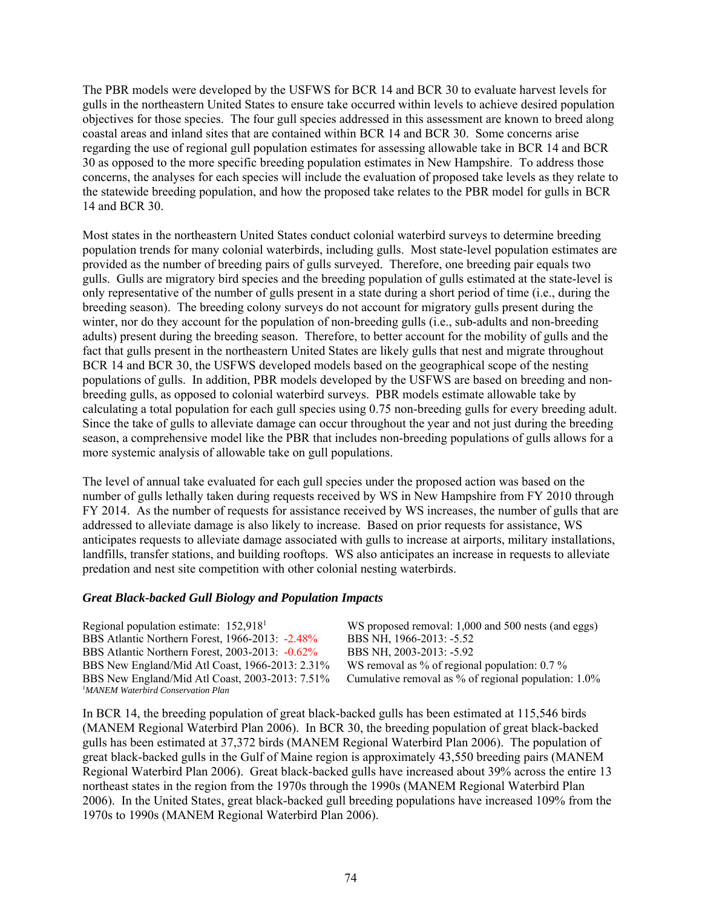The PBR models were developed by the USFWS for BCR 14 and BCR 30 to evaluate harvest levels for gulls in the northeastern United States to ensure take occurred within levels to achieve desired population objectives for those species. The four gull species addressed in this assessment are known to breed along coastal areas and inland sites that are contained within BCR 14 and BCR 30. Some concerns arise regarding the use of regional gull population estimates for assessing allowable take in BCR 14 and BCR 30 as opposed to the more specific breeding population estimates in New Hampshire. To address those concerns, the analyses for each species will include the evaluation of proposed take levels as they relate to the statewide breeding population, and how the proposed take relates to the PBR model for gulls in BCR 14 and BCR 30.

Most states in the northeastern United States conduct colonial waterbird surveys to determine breeding population trends for many colonial waterbirds, including gulls. Most state-level population estimates are provided as the number of breeding pairs of gulls surveyed. Therefore, one breeding pair equals two gulls. Gulls are migratory bird species and the breeding population of gulls estimated at the state-level is only representative of the number of gulls present in a state during a short period of time (i.e., during the breeding season). The breeding colony surveys do not account for migratory gulls present during the winter, nor do they account for the population of non-breeding gulls (i.e., sub-adults and non-breeding adults) present during the breeding season. Therefore, to better account for the mobility of gulls and the fact that gulls present in the northeastern United States are likely gulls that nest and migrate throughout BCR 14 and BCR 30, the USFWS developed models based on the geographical scope of the nesting populations of gulls. In addition, PBR models developed by the USFWS are based on breeding and nonbreeding gulls, as opposed to colonial waterbird surveys. PBR models estimate allowable take by calculating a total population for each gull species using 0.75 non-breeding gulls for every breeding adult. Since the take of gulls to alleviate damage can occur throughout the year and not just during the breeding season, a comprehensive model like the PBR that includes non-breeding populations of gulls allows for a more systemic analysis of allowable take on gull populations.

The level of annual take evaluated for each gull species under the proposed action was based on the number of gulls lethally taken during requests received by WS in New Hampshire from FY 2010 through FY 2014. As the number of requests for assistance received by WS increases, the number of gulls that are addressed to alleviate damage is also likely to increase. Based on prior requests for assistance, WS anticipates requests to alleviate damage associated with gulls to increase at airports, military installations, landfills, transfer stations, and building rooftops. WS also anticipates an increase in requests to alleviate predation and nest site competition with other colonial nesting waterbirds.

#### *Great Black-backed Gull Biology and Population Impacts*

| Regional population estimate: 152,918 <sup>1</sup> | WS proposed removal: 1,000 and 500 nests (and eggs)  |
|----------------------------------------------------|------------------------------------------------------|
| BBS Atlantic Northern Forest, 1966-2013: -2.48%    | BBS NH, 1966-2013: -5.52                             |
| BBS Atlantic Northern Forest, 2003-2013: -0.62%    | BBS NH, 2003-2013: -5.92                             |
| BBS New England/Mid Atl Coast, 1966-2013: 2.31%    | WS removal as $\%$ of regional population: 0.7 $\%$  |
| BBS New England/Mid Atl Coast, 2003-2013: 7.51%    | Cumulative removal as % of regional population: 1.0% |
| <sup>1</sup> MANEM Waterbird Conservation Plan     |                                                      |

In BCR 14, the breeding population of great black-backed gulls has been estimated at 115,546 birds (MANEM Regional Waterbird Plan 2006). In BCR 30, the breeding population of great black-backed gulls has been estimated at 37,372 birds (MANEM Regional Waterbird Plan 2006). The population of great black-backed gulls in the Gulf of Maine region is approximately 43,550 breeding pairs (MANEM Regional Waterbird Plan 2006). Great black-backed gulls have increased about 39% across the entire 13 northeast states in the region from the 1970s through the 1990s (MANEM Regional Waterbird Plan 2006). In the United States, great black-backed gull breeding populations have increased 109% from the 1970s to 1990s (MANEM Regional Waterbird Plan 2006).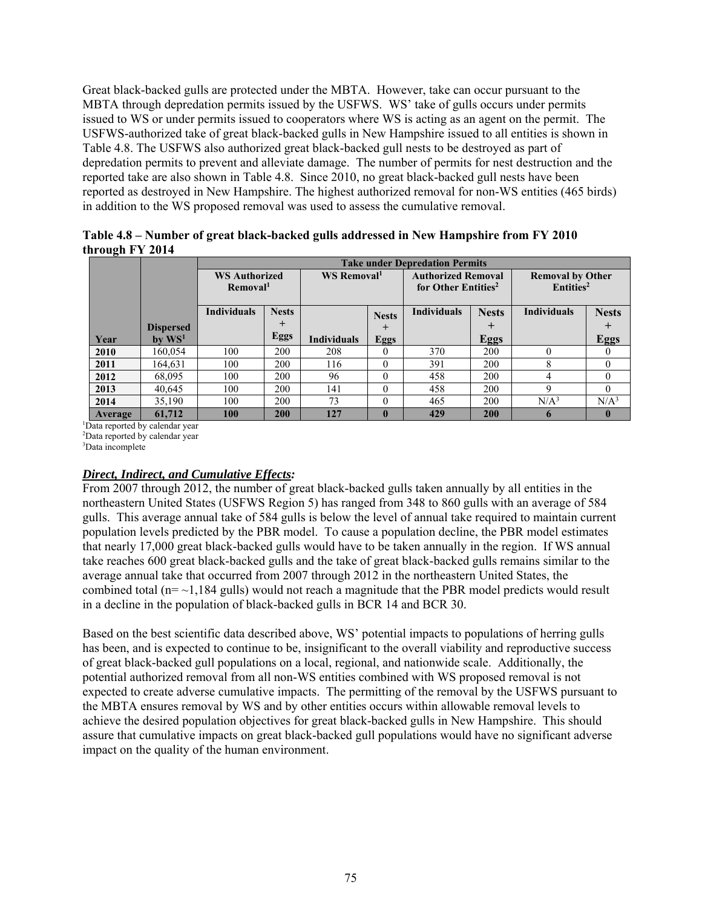Great black-backed gulls are protected under the MBTA. However, take can occur pursuant to the MBTA through depredation permits issued by the USFWS. WS' take of gulls occurs under permits issued to WS or under permits issued to cooperators where WS is acting as an agent on the permit. The USFWS-authorized take of great black-backed gulls in New Hampshire issued to all entities is shown in Table 4.8. The USFWS also authorized great black-backed gull nests to be destroyed as part of depredation permits to prevent and alleviate damage. The number of permits for nest destruction and the reported take are also shown in Table 4.8. Since 2010, no great black-backed gull nests have been reported as destroyed in New Hampshire. The highest authorized removal for non-WS entities (465 birds) in addition to the WS proposed removal was used to assess the cumulative removal.

**Table 4.8 – Number of great black-backed gulls addressed in New Hampshire from FY 2010 through FY 2014** 

|         |                      |                      | <b>Take under Depredation Permits</b> |                         |              |                           |                                 |                         |                       |  |
|---------|----------------------|----------------------|---------------------------------------|-------------------------|--------------|---------------------------|---------------------------------|-------------------------|-----------------------|--|
|         |                      | <b>WS Authorized</b> |                                       | WS Removal <sup>1</sup> |              | <b>Authorized Removal</b> |                                 | <b>Removal by Other</b> |                       |  |
|         |                      |                      | Removal <sup>1</sup>                  |                         |              |                           | for Other Entities <sup>2</sup> |                         | Entities <sup>2</sup> |  |
|         |                      |                      |                                       |                         |              |                           |                                 |                         |                       |  |
|         |                      | <b>Individuals</b>   | <b>Nests</b>                          |                         | <b>Nests</b> | <b>Individuals</b>        | <b>Nests</b>                    | <b>Individuals</b>      | <b>Nests</b>          |  |
|         | <b>Dispersed</b>     |                      |                                       |                         | $^{+}$       |                           | $\pm$                           |                         | ┿                     |  |
| Year    | $bv$ WS <sup>1</sup> |                      | <b>Eggs</b>                           | <b>Individuals</b>      | <b>Eggs</b>  |                           | <b>Eggs</b>                     |                         | <b>Eggs</b>           |  |
| 2010    | 160,054              | 100                  | 200                                   | 208                     | 0            | 370                       | 200                             |                         | $\left($              |  |
| 2011    | 164,631              | 100                  | 200                                   | 116                     | 0            | 391                       | 200                             | 8                       | $\theta$              |  |
| 2012    | 68,095               | 100                  | 200                                   | 96                      | 0            | 458                       | 200                             |                         | $\theta$              |  |
| 2013    | 40,645               | 100                  | 200                                   | 141                     | 0            | 458                       | 200                             | a                       | $\theta$              |  |
| 2014    | 35,190               | 100                  | 200                                   | 73                      | 0            | 465                       | 200                             | N/A <sup>3</sup>        | N/A <sup>3</sup>      |  |
| Average | 61,712               | 100                  | 200                                   | 127                     |              | 429                       | 200                             | h                       | $\mathbf{0}$          |  |

1 Data reported by calendar year

2 Data reported by calendar year

3 Data incomplete

# *Direct, Indirect, and Cumulative Effects:*

From 2007 through 2012, the number of great black-backed gulls taken annually by all entities in the northeastern United States (USFWS Region 5) has ranged from 348 to 860 gulls with an average of 584 gulls. This average annual take of 584 gulls is below the level of annual take required to maintain current population levels predicted by the PBR model. To cause a population decline, the PBR model estimates that nearly 17,000 great black-backed gulls would have to be taken annually in the region. If WS annual take reaches 600 great black-backed gulls and the take of great black-backed gulls remains similar to the average annual take that occurred from 2007 through 2012 in the northeastern United States, the combined total ( $n = \sim 1,184$  gulls) would not reach a magnitude that the PBR model predicts would result in a decline in the population of black-backed gulls in BCR 14 and BCR 30.

Based on the best scientific data described above, WS' potential impacts to populations of herring gulls has been, and is expected to continue to be, insignificant to the overall viability and reproductive success of great black-backed gull populations on a local, regional, and nationwide scale. Additionally, the potential authorized removal from all non-WS entities combined with WS proposed removal is not expected to create adverse cumulative impacts. The permitting of the removal by the USFWS pursuant to the MBTA ensures removal by WS and by other entities occurs within allowable removal levels to achieve the desired population objectives for great black-backed gulls in New Hampshire. This should assure that cumulative impacts on great black-backed gull populations would have no significant adverse impact on the quality of the human environment.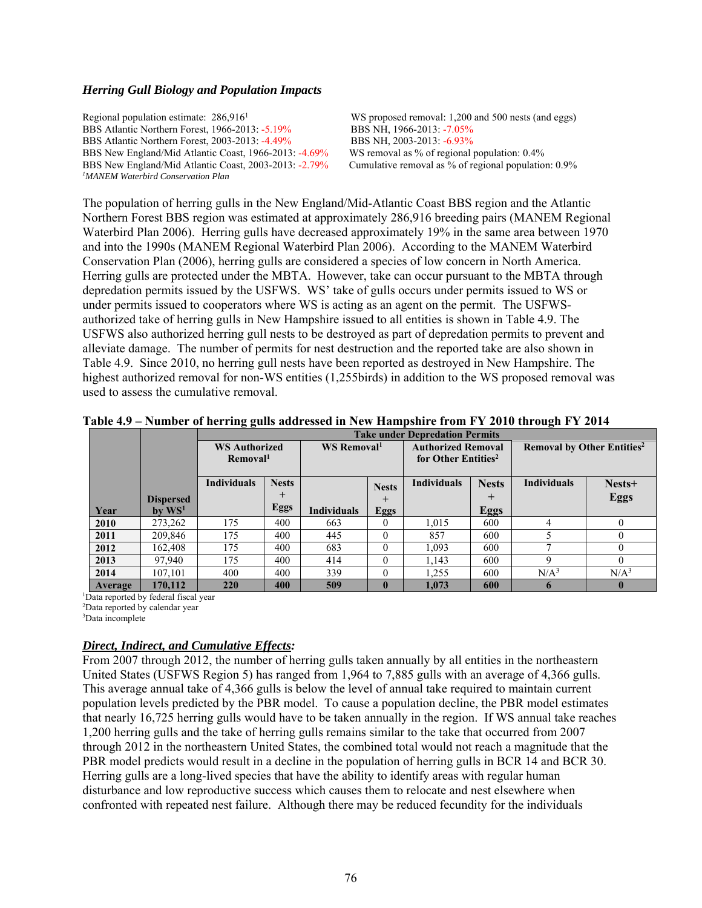#### *Herring Gull Biology and Population Impacts*

Regional population estimate: 286,9161 BBS Atlantic Northern Forest, 1966-2013: -5.19% BBS NH, 1966-2013: -7.05% BBS Atlantic Northern Forest, 2003-2013: -4.49% BBS NH, 2003-2013: -6.93% BBS New England/Mid Atlantic Coast, 1966-2013: -4.69% WS removal as % of regional population: 0.4%<br>BBS New England/Mid Atlantic Coast, 2003-2013: -2.79% Cumulative removal as % of regional population: 0.9% BBS New England/Mid Atlantic Coast, 2003-2013: -2.79% *1 MANEM Waterbird Conservation Plan* 

WS proposed removal: 1,200 and 500 nests (and eggs)

The population of herring gulls in the New England/Mid-Atlantic Coast BBS region and the Atlantic Northern Forest BBS region was estimated at approximately 286,916 breeding pairs (MANEM Regional Waterbird Plan 2006). Herring gulls have decreased approximately 19% in the same area between 1970 and into the 1990s (MANEM Regional Waterbird Plan 2006). According to the MANEM Waterbird Conservation Plan (2006), herring gulls are considered a species of low concern in North America. Herring gulls are protected under the MBTA. However, take can occur pursuant to the MBTA through depredation permits issued by the USFWS. WS' take of gulls occurs under permits issued to WS or under permits issued to cooperators where WS is acting as an agent on the permit. The USFWSauthorized take of herring gulls in New Hampshire issued to all entities is shown in Table 4.9. The USFWS also authorized herring gull nests to be destroyed as part of depredation permits to prevent and alleviate damage. The number of permits for nest destruction and the reported take are also shown in Table 4.9. Since 2010, no herring gull nests have been reported as destroyed in New Hampshire. The highest authorized removal for non-WS entities (1,255birds) in addition to the WS proposed removal was used to assess the cumulative removal.

|                |                  |                      | <b>Take under Depredation Permits</b> |                         |              |                                 |              |                                              |                  |  |
|----------------|------------------|----------------------|---------------------------------------|-------------------------|--------------|---------------------------------|--------------|----------------------------------------------|------------------|--|
|                |                  | <b>WS Authorized</b> |                                       | WS Removal <sup>1</sup> |              | <b>Authorized Removal</b>       |              | <b>Removal by Other Entities<sup>2</sup></b> |                  |  |
|                |                  | Removal <sup>1</sup> |                                       |                         |              | for Other Entities <sup>2</sup> |              |                                              |                  |  |
|                |                  | <b>Individuals</b>   | <b>Nests</b>                          |                         | <b>Nests</b> | <b>Individuals</b>              | <b>Nests</b> | <b>Individuals</b>                           | Nests+           |  |
|                | <b>Dispersed</b> |                      | $^{+}$                                |                         | $^{+}$       |                                 | $\pm$        |                                              | <b>Eggs</b>      |  |
| Year           | $bv$ $WS1$       |                      | Eggs                                  | <b>Individuals</b>      | <b>Eggs</b>  |                                 | <b>Eggs</b>  |                                              |                  |  |
| 2010           | 273,262          | 175                  | 400                                   | 663                     | $\theta$     | 1,015                           | 600          |                                              |                  |  |
| 2011           | 209,846          | 175                  | 400                                   | 445                     | $\Omega$     | 857                             | 600          |                                              |                  |  |
| 2012           | 162.408          | 175                  | 400                                   | 683                     | $\theta$     | 1.093                           | 600          |                                              |                  |  |
| 2013           | 97,940           | 175                  | 400                                   | 414                     | $\theta$     | 1,143                           | 600          |                                              |                  |  |
| 2014           | 107,101          | 400                  | 400                                   | 339                     | $\Omega$     | 1.255                           | 600          | N/A <sup>3</sup>                             | N/A <sup>3</sup> |  |
| <b>Average</b> | 170.112          | 220                  | 400                                   | 509                     | $\mathbf{0}$ | 1.073                           | 600          |                                              | $\mathbf{0}$     |  |

|  |  | Table 4.9 - Number of herring gulls addressed in New Hampshire from FY 2010 through FY 2014 |
|--|--|---------------------------------------------------------------------------------------------|
|  |  |                                                                                             |

1 Data reported by federal fiscal year

2 Data reported by calendar year

3 Data incomplete

#### *Direct, Indirect, and Cumulative Effects:*

From 2007 through 2012, the number of herring gulls taken annually by all entities in the northeastern United States (USFWS Region 5) has ranged from 1,964 to 7,885 gulls with an average of 4,366 gulls. This average annual take of 4,366 gulls is below the level of annual take required to maintain current population levels predicted by the PBR model. To cause a population decline, the PBR model estimates that nearly 16,725 herring gulls would have to be taken annually in the region. If WS annual take reaches 1,200 herring gulls and the take of herring gulls remains similar to the take that occurred from 2007 through 2012 in the northeastern United States, the combined total would not reach a magnitude that the PBR model predicts would result in a decline in the population of herring gulls in BCR 14 and BCR 30. Herring gulls are a long-lived species that have the ability to identify areas with regular human disturbance and low reproductive success which causes them to relocate and nest elsewhere when confronted with repeated nest failure. Although there may be reduced fecundity for the individuals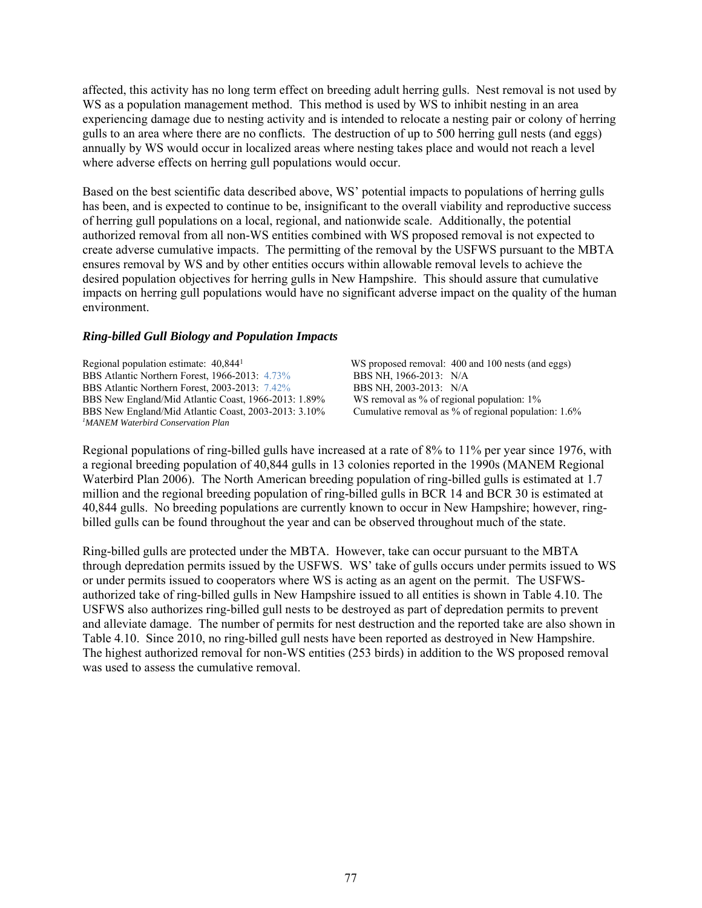affected, this activity has no long term effect on breeding adult herring gulls. Nest removal is not used by WS as a population management method. This method is used by WS to inhibit nesting in an area experiencing damage due to nesting activity and is intended to relocate a nesting pair or colony of herring gulls to an area where there are no conflicts. The destruction of up to 500 herring gull nests (and eggs) annually by WS would occur in localized areas where nesting takes place and would not reach a level where adverse effects on herring gull populations would occur.

Based on the best scientific data described above, WS' potential impacts to populations of herring gulls has been, and is expected to continue to be, insignificant to the overall viability and reproductive success of herring gull populations on a local, regional, and nationwide scale. Additionally, the potential authorized removal from all non-WS entities combined with WS proposed removal is not expected to create adverse cumulative impacts. The permitting of the removal by the USFWS pursuant to the MBTA ensures removal by WS and by other entities occurs within allowable removal levels to achieve the desired population objectives for herring gulls in New Hampshire. This should assure that cumulative impacts on herring gull populations would have no significant adverse impact on the quality of the human environment.

#### *Ring-billed Gull Biology and Population Impacts*

Regional population estimate: 40,8441 BBS Atlantic Northern Forest, 1966-2013: 4.73% BBS NH, 1966-2013: N/A BBS Atlantic Northern Forest, 2003-2013: 7.42% BBS NH, 2003-2013: N/A BBS New England/Mid Atlantic Coast, 1966-2013: 1.89% WS removal as % of regional population: 1% BBS New England/Mid Atlantic Coast, 2003-2013: 3.10% Cumulative removal as % of regional population: 1.6% *1 MANEM Waterbird Conservation Plan* 

WS proposed removal: 400 and 100 nests (and eggs)

Regional populations of ring-billed gulls have increased at a rate of 8% to 11% per year since 1976, with a regional breeding population of 40,844 gulls in 13 colonies reported in the 1990s (MANEM Regional Waterbird Plan 2006). The North American breeding population of ring-billed gulls is estimated at 1.7 million and the regional breeding population of ring-billed gulls in BCR 14 and BCR 30 is estimated at 40,844 gulls. No breeding populations are currently known to occur in New Hampshire; however, ringbilled gulls can be found throughout the year and can be observed throughout much of the state.

Ring-billed gulls are protected under the MBTA. However, take can occur pursuant to the MBTA through depredation permits issued by the USFWS. WS' take of gulls occurs under permits issued to WS or under permits issued to cooperators where WS is acting as an agent on the permit. The USFWSauthorized take of ring-billed gulls in New Hampshire issued to all entities is shown in Table 4.10. The USFWS also authorizes ring-billed gull nests to be destroyed as part of depredation permits to prevent and alleviate damage. The number of permits for nest destruction and the reported take are also shown in Table 4.10. Since 2010, no ring-billed gull nests have been reported as destroyed in New Hampshire. The highest authorized removal for non-WS entities (253 birds) in addition to the WS proposed removal was used to assess the cumulative removal.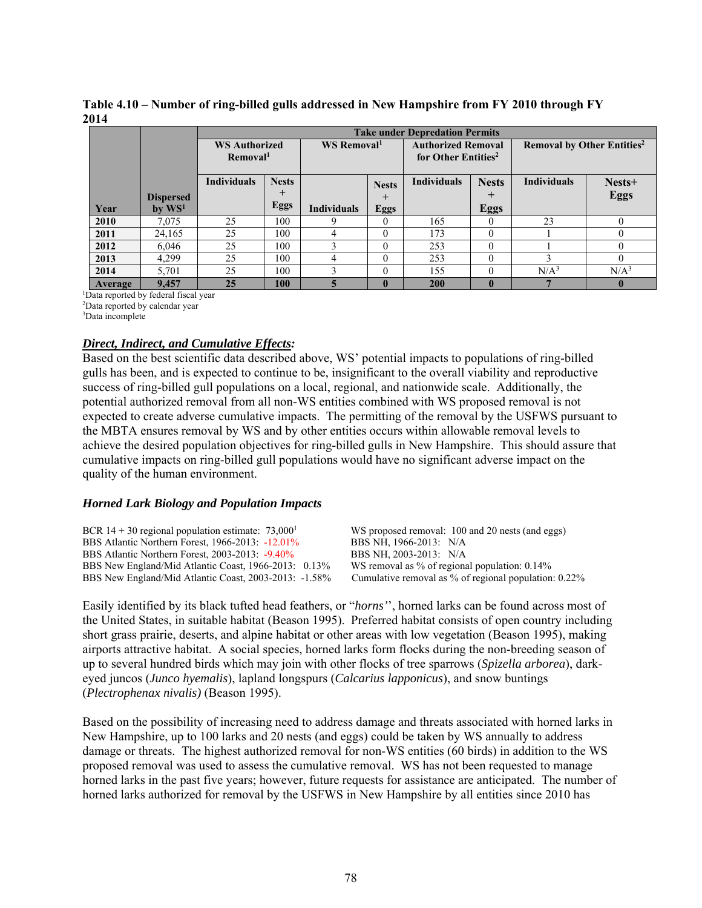|      | Table 4.10 – Number of ring-billed gulls addressed in New Hampshire from FY 2010 through FY |  |  |
|------|---------------------------------------------------------------------------------------------|--|--|
| 2014 |                                                                                             |  |  |

|         |                      |                      | <b>Take under Depredation Permits</b> |                         |                           |                                 |                                              |                    |                  |  |
|---------|----------------------|----------------------|---------------------------------------|-------------------------|---------------------------|---------------------------------|----------------------------------------------|--------------------|------------------|--|
|         | <b>WS Authorized</b> |                      | WS Removal <sup>1</sup>               |                         | <b>Authorized Removal</b> |                                 | <b>Removal by Other Entities<sup>2</sup></b> |                    |                  |  |
|         |                      | Removal <sup>1</sup> |                                       |                         |                           | for Other Entities <sup>2</sup> |                                              |                    |                  |  |
|         |                      | <b>Individuals</b>   | <b>Nests</b>                          |                         | <b>Nests</b>              | <b>Individuals</b>              | <b>Nests</b>                                 | <b>Individuals</b> | Nests+           |  |
|         | <b>Dispersed</b>     |                      | $^+$                                  |                         | $\overline{+}$            |                                 | +                                            |                    | <b>Eggs</b>      |  |
| Year    | by $WS1$             |                      | Eggs                                  | <b>Individuals</b>      | <b>Eggs</b>               |                                 | <b>Eggs</b>                                  |                    |                  |  |
| 2010    | 7,075                | 25                   | 100                                   |                         | 0                         | 165                             | $\theta$                                     | 23                 | $\Omega$         |  |
| 2011    | 24,165               | 25                   | 100                                   | 4                       | $\theta$                  | 173                             | 0                                            |                    | $\Omega$         |  |
| 2012    | 6,046                | 25                   | 100                                   |                         | 0                         | 253                             | 0                                            |                    | 0                |  |
| 2013    | 4,299                | 25                   | 100                                   | 4                       | 0                         | 253                             | 0                                            |                    | $\Omega$         |  |
| 2014    | 5,701                | 25                   | 100                                   |                         | $\Omega$                  | 155                             | 0                                            | N/A <sup>3</sup>   | N/A <sup>3</sup> |  |
| Average | 9,457                | 25                   | 100                                   | $\overline{\mathbf{5}}$ | $\bf{0}$                  | <b>200</b>                      |                                              |                    |                  |  |

1 Data reported by federal fiscal year

2 Data reported by calendar year

3 Data incomplete

#### *Direct, Indirect, and Cumulative Effects:*

Based on the best scientific data described above, WS' potential impacts to populations of ring-billed gulls has been, and is expected to continue to be, insignificant to the overall viability and reproductive success of ring-billed gull populations on a local, regional, and nationwide scale. Additionally, the potential authorized removal from all non-WS entities combined with WS proposed removal is not expected to create adverse cumulative impacts. The permitting of the removal by the USFWS pursuant to the MBTA ensures removal by WS and by other entities occurs within allowable removal levels to achieve the desired population objectives for ring-billed gulls in New Hampshire. This should assure that cumulative impacts on ring-billed gull populations would have no significant adverse impact on the quality of the human environment.

#### *Horned Lark Biology and Population Impacts*

| BCR 14 + 30 regional population estimate: $73,000^1$<br>BBS Atlantic Northern Forest, 1966-2013: -12.01%<br>BBS Atlantic Northern Forest, 2003-2013: -9.40%<br>BBS New England/Mid Atlantic Coast, 1966-2013: 0.13% | WS proposed removal: 100 and 20 nests (and eggs)<br>BBS NH, 1966-2013: N/A<br>BBS NH, 2003-2013: N/A<br>WS removal as $\%$ of regional population: 0.14 $\%$ |
|---------------------------------------------------------------------------------------------------------------------------------------------------------------------------------------------------------------------|--------------------------------------------------------------------------------------------------------------------------------------------------------------|
| BBS New England/Mid Atlantic Coast, 2003-2013: -1.58%                                                                                                                                                               | Cumulative removal as $\%$ of regional population: 0.22 $\%$                                                                                                 |
|                                                                                                                                                                                                                     |                                                                                                                                                              |

Easily identified by its black tufted head feathers, or "*horns'*', horned larks can be found across most of the United States, in suitable habitat (Beason 1995). Preferred habitat consists of open country including short grass prairie, deserts, and alpine habitat or other areas with low vegetation (Beason 1995), making airports attractive habitat. A social species, horned larks form flocks during the non-breeding season of up to several hundred birds which may join with other flocks of tree sparrows (*Spizella arborea*), darkeyed juncos (*Junco hyemalis*), lapland longspurs (*Calcarius lapponicus*), and snow buntings (*Plectrophenax nivalis)* (Beason 1995).

Based on the possibility of increasing need to address damage and threats associated with horned larks in New Hampshire, up to 100 larks and 20 nests (and eggs) could be taken by WS annually to address damage or threats. The highest authorized removal for non-WS entities (60 birds) in addition to the WS proposed removal was used to assess the cumulative removal. WS has not been requested to manage horned larks in the past five years; however, future requests for assistance are anticipated. The number of horned larks authorized for removal by the USFWS in New Hampshire by all entities since 2010 has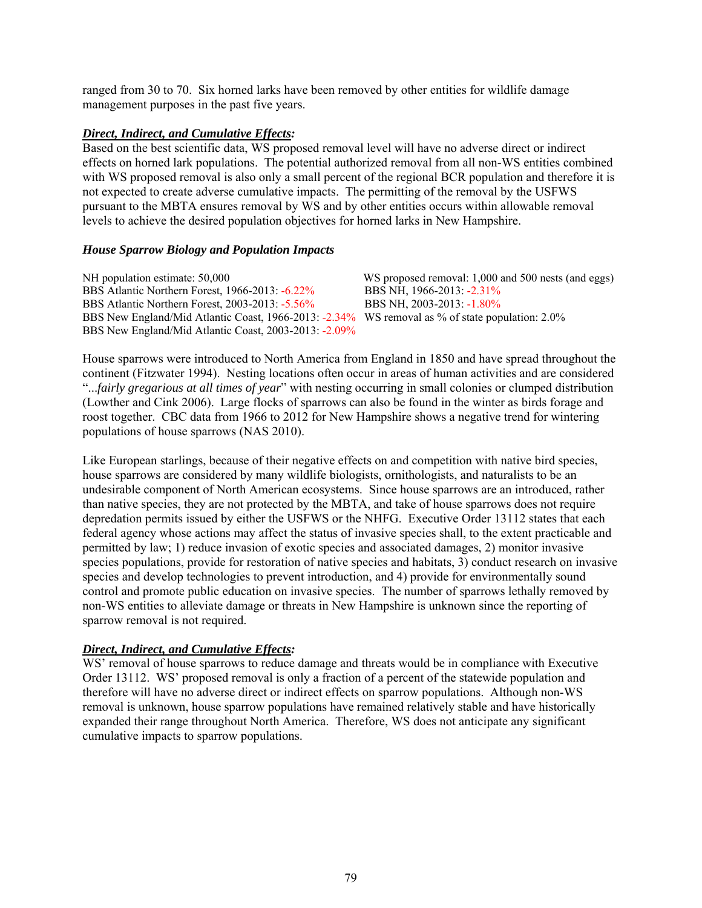ranged from 30 to 70. Six horned larks have been removed by other entities for wildlife damage management purposes in the past five years.

#### *Direct, Indirect, and Cumulative Effects:*

Based on the best scientific data, WS proposed removal level will have no adverse direct or indirect effects on horned lark populations. The potential authorized removal from all non-WS entities combined with WS proposed removal is also only a small percent of the regional BCR population and therefore it is not expected to create adverse cumulative impacts. The permitting of the removal by the USFWS pursuant to the MBTA ensures removal by WS and by other entities occurs within allowable removal levels to achieve the desired population objectives for horned larks in New Hampshire.

## *House Sparrow Biology and Population Impacts*

NH population estimate: 50,000 WS proposed removal: 1,000 and 500 nests (and eggs) BBS Atlantic Northern Forest, 1966-2013: -6.22% BBS NH, 1966-2013: -2.31% BBS Atlantic Northern Forest, 2003-2013: -5.56% BBS NH, 2003-2013: -1.80% BBS New England/Mid Atlantic Coast, 1966-2013: -2.34% WS removal as % of state population: 2.0% BBS New England/Mid Atlantic Coast, 2003-2013: -2.09%

House sparrows were introduced to North America from England in 1850 and have spread throughout the continent (Fitzwater 1994). Nesting locations often occur in areas of human activities and are considered "...*fairly gregarious at all times of year*" with nesting occurring in small colonies or clumped distribution (Lowther and Cink 2006). Large flocks of sparrows can also be found in the winter as birds forage and roost together. CBC data from 1966 to 2012 for New Hampshire shows a negative trend for wintering populations of house sparrows (NAS 2010).

Like European starlings, because of their negative effects on and competition with native bird species, house sparrows are considered by many wildlife biologists, ornithologists, and naturalists to be an undesirable component of North American ecosystems. Since house sparrows are an introduced, rather than native species, they are not protected by the MBTA, and take of house sparrows does not require depredation permits issued by either the USFWS or the NHFG. Executive Order 13112 states that each federal agency whose actions may affect the status of invasive species shall, to the extent practicable and permitted by law; 1) reduce invasion of exotic species and associated damages, 2) monitor invasive species populations, provide for restoration of native species and habitats, 3) conduct research on invasive species and develop technologies to prevent introduction, and 4) provide for environmentally sound control and promote public education on invasive species. The number of sparrows lethally removed by non-WS entities to alleviate damage or threats in New Hampshire is unknown since the reporting of sparrow removal is not required.

## *Direct, Indirect, and Cumulative Effects:*

WS' removal of house sparrows to reduce damage and threats would be in compliance with Executive Order 13112. WS' proposed removal is only a fraction of a percent of the statewide population and therefore will have no adverse direct or indirect effects on sparrow populations. Although non-WS removal is unknown, house sparrow populations have remained relatively stable and have historically expanded their range throughout North America. Therefore, WS does not anticipate any significant cumulative impacts to sparrow populations.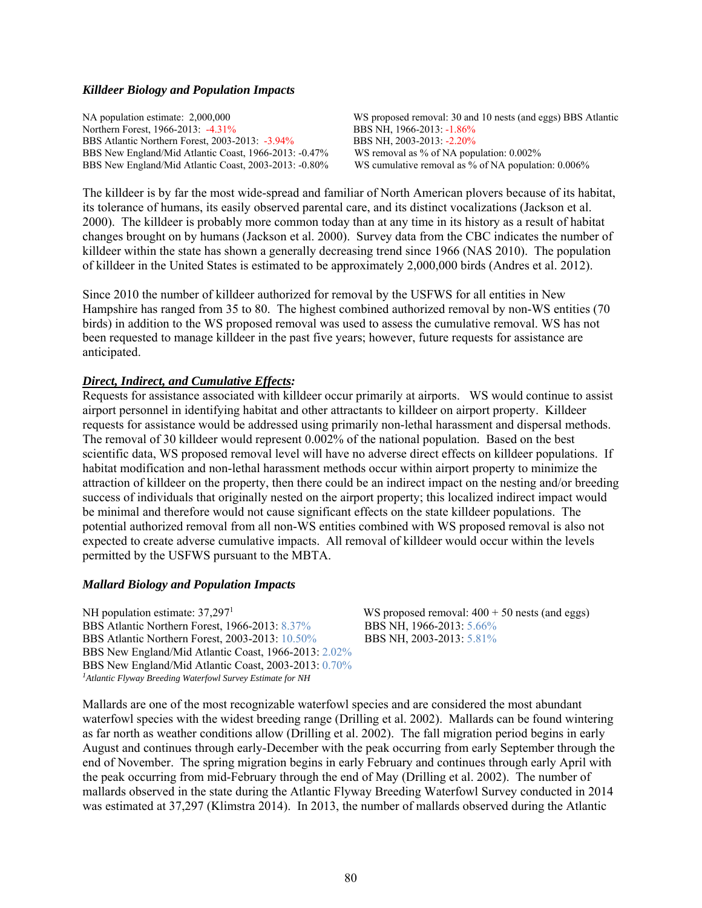#### *Killdeer Biology and Population Impacts*

NA population estimate: 2,000,000 WS proposed removal: 30 and 10 nests (and eggs) BBS Atlantic Northern Forest, 1966-2013: -4.31% BBS NH, 1966-2013: -1.86% BBS Atlantic Northern Forest, 2003-2013: -3.94% BBS NH, 2003-2013: -2.20% BBS New England/Mid Atlantic Coast, 1966-2013: -0.47% WS removal as % of NA population: 0.002% BBS New England/Mid Atlantic Coast, 2003-2013: -0.80% WS cumulative removal as % of NA population: 0.006% BBS New England/Mid Atlantic Coast, 2003-2013: -0.80%

The killdeer is by far the most wide-spread and familiar of North American plovers because of its habitat, its tolerance of humans, its easily observed parental care, and its distinct vocalizations (Jackson et al. 2000). The killdeer is probably more common today than at any time in its history as a result of habitat changes brought on by humans (Jackson et al. 2000). Survey data from the CBC indicates the number of killdeer within the state has shown a generally decreasing trend since 1966 (NAS 2010). The population of killdeer in the United States is estimated to be approximately 2,000,000 birds (Andres et al. 2012).

Since 2010 the number of killdeer authorized for removal by the USFWS for all entities in New Hampshire has ranged from 35 to 80. The highest combined authorized removal by non-WS entities (70 birds) in addition to the WS proposed removal was used to assess the cumulative removal. WS has not been requested to manage killdeer in the past five years; however, future requests for assistance are anticipated.

#### *Direct, Indirect, and Cumulative Effects:*

Requests for assistance associated with killdeer occur primarily at airports. WS would continue to assist airport personnel in identifying habitat and other attractants to killdeer on airport property. Killdeer requests for assistance would be addressed using primarily non-lethal harassment and dispersal methods. The removal of 30 killdeer would represent 0.002% of the national population. Based on the best scientific data, WS proposed removal level will have no adverse direct effects on killdeer populations. If habitat modification and non-lethal harassment methods occur within airport property to minimize the attraction of killdeer on the property, then there could be an indirect impact on the nesting and/or breeding success of individuals that originally nested on the airport property; this localized indirect impact would be minimal and therefore would not cause significant effects on the state killdeer populations. The potential authorized removal from all non-WS entities combined with WS proposed removal is also not expected to create adverse cumulative impacts. All removal of killdeer would occur within the levels permitted by the USFWS pursuant to the MBTA.

#### *Mallard Biology and Population Impacts*

NH population estimate: 37,297<sup>1</sup> BBS Atlantic Northern Forest, 1966-2013: 8.37% BBS NH, 1966-2013: 5.66% BBS Atlantic Northern Forest, 2003-2013: 10.50% BBS NH, 2003-2013: 5.81% BBS New England/Mid Atlantic Coast, 1966-2013: 2.02% BBS New England/Mid Atlantic Coast, 2003-2013: 0.70% *1Atlantic Flyway Breeding Waterfowl Survey Estimate for NH*

WS proposed removal:  $400 + 50$  nests (and eggs)

Mallards are one of the most recognizable waterfowl species and are considered the most abundant waterfowl species with the widest breeding range (Drilling et al. 2002). Mallards can be found wintering as far north as weather conditions allow (Drilling et al. 2002). The fall migration period begins in early August and continues through early-December with the peak occurring from early September through the end of November. The spring migration begins in early February and continues through early April with the peak occurring from mid-February through the end of May (Drilling et al. 2002). The number of mallards observed in the state during the Atlantic Flyway Breeding Waterfowl Survey conducted in 2014 was estimated at 37,297 (Klimstra 2014). In 2013, the number of mallards observed during the Atlantic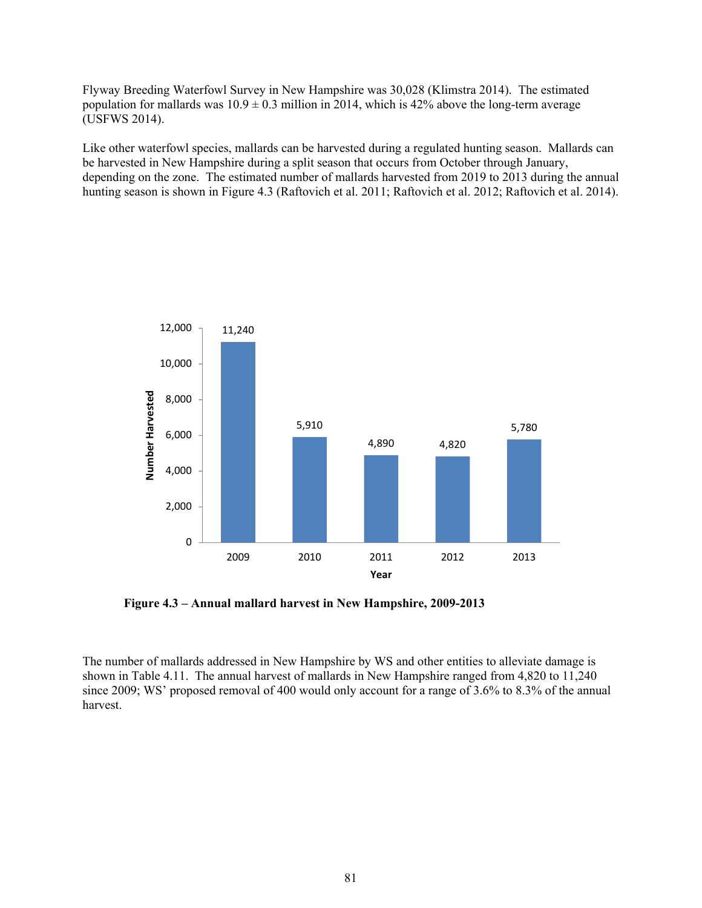Flyway Breeding Waterfowl Survey in New Hampshire was 30,028 (Klimstra 2014). The estimated population for mallards was  $10.9 \pm 0.3$  million in 2014, which is 42% above the long-term average (USFWS 2014).

Like other waterfowl species, mallards can be harvested during a regulated hunting season. Mallards can be harvested in New Hampshire during a split season that occurs from October through January, depending on the zone. The estimated number of mallards harvested from 2019 to 2013 during the annual hunting season is shown in Figure 4.3 (Raftovich et al. 2011; Raftovich et al. 2012; Raftovich et al. 2014).



 **Figure 4.3 – Annual mallard harvest in New Hampshire, 2009-2013** 

The number of mallards addressed in New Hampshire by WS and other entities to alleviate damage is shown in Table 4.11. The annual harvest of mallards in New Hampshire ranged from 4,820 to 11,240 since 2009; WS' proposed removal of 400 would only account for a range of 3.6% to 8.3% of the annual harvest.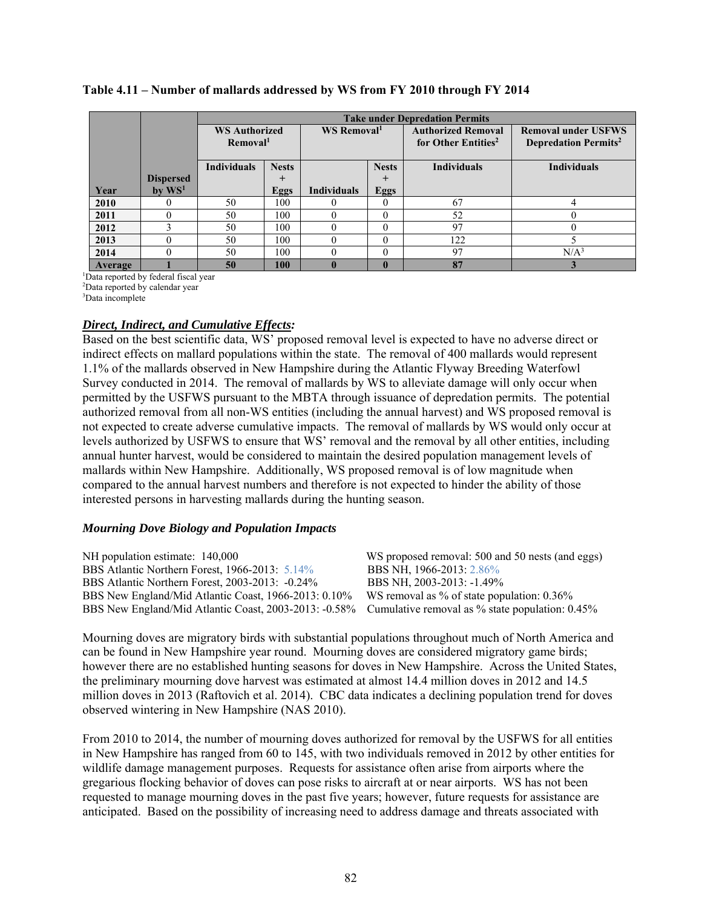|         |                      |                      | <b>Take under Depredation Permits</b> |                         |              |                                 |                                         |  |  |
|---------|----------------------|----------------------|---------------------------------------|-------------------------|--------------|---------------------------------|-----------------------------------------|--|--|
|         |                      | <b>WS Authorized</b> |                                       | WS Removal <sup>1</sup> |              | <b>Authorized Removal</b>       | <b>Removal under USFWS</b>              |  |  |
|         |                      | Removal <sup>1</sup> |                                       |                         |              | for Other Entities <sup>2</sup> | <b>Depredation Permits</b> <sup>2</sup> |  |  |
|         |                      |                      |                                       |                         |              |                                 |                                         |  |  |
|         |                      | <b>Individuals</b>   | <b>Nests</b>                          |                         | <b>Nests</b> | <b>Individuals</b>              | <b>Individuals</b>                      |  |  |
|         | <b>Dispersed</b>     |                      | $\pm$                                 |                         | $\pm$        |                                 |                                         |  |  |
| Year    | $bv$ WS <sup>1</sup> |                      | Eggs                                  | <b>Individuals</b>      | Eggs         |                                 |                                         |  |  |
| 2010    |                      | 50                   | 100                                   |                         |              | 67                              | 4                                       |  |  |
| 2011    |                      | 50                   | 100                                   |                         |              | 52                              |                                         |  |  |
| 2012    |                      | 50                   | 100                                   |                         |              | 97                              |                                         |  |  |
| 2013    |                      | 50                   | 100                                   |                         |              | 122                             |                                         |  |  |
| 2014    |                      | 50                   | 100                                   |                         |              | 97                              | N/A <sup>3</sup>                        |  |  |
| Average |                      | 50                   | 100                                   |                         |              | 87                              |                                         |  |  |

## **Table 4.11 – Number of mallards addressed by WS from FY 2010 through FY 2014**

1 Data reported by federal fiscal year

2 Data reported by calendar year

3 Data incomplete

## *Direct, Indirect, and Cumulative Effects:*

Based on the best scientific data, WS' proposed removal level is expected to have no adverse direct or indirect effects on mallard populations within the state. The removal of 400 mallards would represent 1.1% of the mallards observed in New Hampshire during the Atlantic Flyway Breeding Waterfowl Survey conducted in 2014. The removal of mallards by WS to alleviate damage will only occur when permitted by the USFWS pursuant to the MBTA through issuance of depredation permits. The potential authorized removal from all non-WS entities (including the annual harvest) and WS proposed removal is not expected to create adverse cumulative impacts. The removal of mallards by WS would only occur at levels authorized by USFWS to ensure that WS' removal and the removal by all other entities, including annual hunter harvest, would be considered to maintain the desired population management levels of mallards within New Hampshire. Additionally, WS proposed removal is of low magnitude when compared to the annual harvest numbers and therefore is not expected to hinder the ability of those interested persons in harvesting mallards during the hunting season.

## *Mourning Dove Biology and Population Impacts*

| WS proposed rea            |
|----------------------------|
| BBS NH, 1966-2             |
| BBS NH, 2003-2             |
| WS removal as <sup>9</sup> |
| Cumulative reme            |
|                            |

 $moval: 500 and 50 nests (and eggs)$  $2013: 2.86%$  $2013: -1.49%$  $\%$  of state population: 0.36% oval as  $%$  state population: 0.45 $%$ 

Mourning doves are migratory birds with substantial populations throughout much of North America and can be found in New Hampshire year round. Mourning doves are considered migratory game birds; however there are no established hunting seasons for doves in New Hampshire. Across the United States, the preliminary mourning dove harvest was estimated at almost 14.4 million doves in 2012 and 14.5 million doves in 2013 (Raftovich et al. 2014). CBC data indicates a declining population trend for doves observed wintering in New Hampshire (NAS 2010).

From 2010 to 2014, the number of mourning doves authorized for removal by the USFWS for all entities in New Hampshire has ranged from 60 to 145, with two individuals removed in 2012 by other entities for wildlife damage management purposes. Requests for assistance often arise from airports where the gregarious flocking behavior of doves can pose risks to aircraft at or near airports. WS has not been requested to manage mourning doves in the past five years; however, future requests for assistance are anticipated. Based on the possibility of increasing need to address damage and threats associated with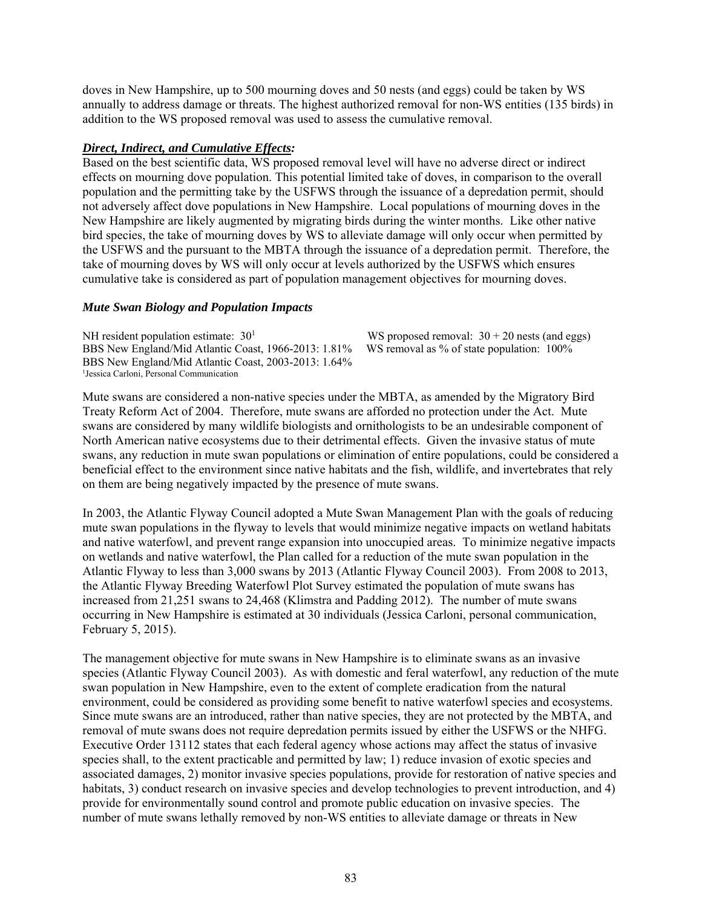doves in New Hampshire, up to 500 mourning doves and 50 nests (and eggs) could be taken by WS annually to address damage or threats. The highest authorized removal for non-WS entities (135 birds) in addition to the WS proposed removal was used to assess the cumulative removal.

#### *Direct, Indirect, and Cumulative Effects:*

Based on the best scientific data, WS proposed removal level will have no adverse direct or indirect effects on mourning dove population. This potential limited take of doves, in comparison to the overall population and the permitting take by the USFWS through the issuance of a depredation permit, should not adversely affect dove populations in New Hampshire. Local populations of mourning doves in the New Hampshire are likely augmented by migrating birds during the winter months. Like other native bird species, the take of mourning doves by WS to alleviate damage will only occur when permitted by the USFWS and the pursuant to the MBTA through the issuance of a depredation permit. Therefore, the take of mourning doves by WS will only occur at levels authorized by the USFWS which ensures cumulative take is considered as part of population management objectives for mourning doves.

#### *Mute Swan Biology and Population Impacts*

NH resident population estimate:  $30<sup>1</sup>$ BBS New England/Mid Atlantic Coast, 1966-2013: 1.81% WS removal as % of state population: 100% BBS New England/Mid Atlantic Coast, 2003-2013: 1.64% <sup>1</sup>Jessica Carloni, Personal Communication

WS proposed removal:  $30 + 20$  nests (and eggs)

Mute swans are considered a non-native species under the MBTA, as amended by the Migratory Bird Treaty Reform Act of 2004. Therefore, mute swans are afforded no protection under the Act. Mute swans are considered by many wildlife biologists and ornithologists to be an undesirable component of North American native ecosystems due to their detrimental effects. Given the invasive status of mute swans, any reduction in mute swan populations or elimination of entire populations, could be considered a beneficial effect to the environment since native habitats and the fish, wildlife, and invertebrates that rely on them are being negatively impacted by the presence of mute swans.

In 2003, the Atlantic Flyway Council adopted a Mute Swan Management Plan with the goals of reducing mute swan populations in the flyway to levels that would minimize negative impacts on wetland habitats and native waterfowl, and prevent range expansion into unoccupied areas. To minimize negative impacts on wetlands and native waterfowl, the Plan called for a reduction of the mute swan population in the Atlantic Flyway to less than 3,000 swans by 2013 (Atlantic Flyway Council 2003). From 2008 to 2013, the Atlantic Flyway Breeding Waterfowl Plot Survey estimated the population of mute swans has increased from 21,251 swans to 24,468 (Klimstra and Padding 2012). The number of mute swans occurring in New Hampshire is estimated at 30 individuals (Jessica Carloni, personal communication, February 5, 2015).

The management objective for mute swans in New Hampshire is to eliminate swans as an invasive species (Atlantic Flyway Council 2003). As with domestic and feral waterfowl, any reduction of the mute swan population in New Hampshire, even to the extent of complete eradication from the natural environment, could be considered as providing some benefit to native waterfowl species and ecosystems. Since mute swans are an introduced, rather than native species, they are not protected by the MBTA, and removal of mute swans does not require depredation permits issued by either the USFWS or the NHFG. Executive Order 13112 states that each federal agency whose actions may affect the status of invasive species shall, to the extent practicable and permitted by law; 1) reduce invasion of exotic species and associated damages, 2) monitor invasive species populations, provide for restoration of native species and habitats, 3) conduct research on invasive species and develop technologies to prevent introduction, and 4) provide for environmentally sound control and promote public education on invasive species. The number of mute swans lethally removed by non-WS entities to alleviate damage or threats in New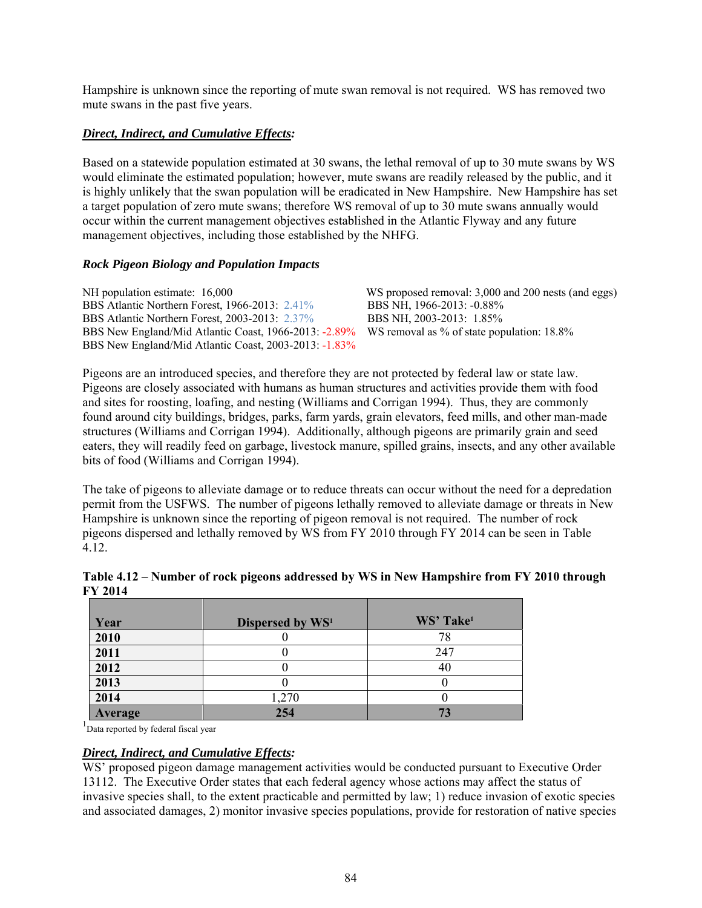Hampshire is unknown since the reporting of mute swan removal is not required. WS has removed two mute swans in the past five years.

# *Direct, Indirect, and Cumulative Effects:*

Based on a statewide population estimated at 30 swans, the lethal removal of up to 30 mute swans by WS would eliminate the estimated population; however, mute swans are readily released by the public, and it is highly unlikely that the swan population will be eradicated in New Hampshire. New Hampshire has set a target population of zero mute swans; therefore WS removal of up to 30 mute swans annually would occur within the current management objectives established in the Atlantic Flyway and any future management objectives, including those established by the NHFG.

# *Rock Pigeon Biology and Population Impacts*

| NH population estimate: 16,000                        | WS proposed removal: 3,000 and 200 nests (and eggs) |
|-------------------------------------------------------|-----------------------------------------------------|
| BBS Atlantic Northern Forest, 1966-2013: 2.41%        | BBS NH, 1966-2013: -0.88%                           |
| BBS Atlantic Northern Forest, 2003-2013: 2.37%        | BBS NH, 2003-2013: 1.85%                            |
| BBS New England/Mid Atlantic Coast, 1966-2013: -2.89% | WS removal as % of state population: 18.8%          |
| BBS New England/Mid Atlantic Coast, 2003-2013: -1.83% |                                                     |

Pigeons are an introduced species, and therefore they are not protected by federal law or state law. Pigeons are closely associated with humans as human structures and activities provide them with food and sites for roosting, loafing, and nesting (Williams and Corrigan 1994). Thus, they are commonly found around city buildings, bridges, parks, farm yards, grain elevators, feed mills, and other man-made structures (Williams and Corrigan 1994). Additionally, although pigeons are primarily grain and seed eaters, they will readily feed on garbage, livestock manure, spilled grains, insects, and any other available bits of food (Williams and Corrigan 1994).

The take of pigeons to alleviate damage or to reduce threats can occur without the need for a depredation permit from the USFWS. The number of pigeons lethally removed to alleviate damage or threats in New Hampshire is unknown since the reporting of pigeon removal is not required. The number of rock pigeons dispersed and lethally removed by WS from FY 2010 through FY 2014 can be seen in Table 4.12.

| Table 4.12 – Number of rock pigeons addressed by WS in New Hampshire from FY 2010 through |  |
|-------------------------------------------------------------------------------------------|--|
| <b>FY 2014</b>                                                                            |  |

| Year    | Dispersed by WS <sup>1</sup> | WS' Take <sup>1</sup> |
|---------|------------------------------|-----------------------|
| 2010    |                              | 78                    |
| 2011    |                              | 247                   |
| 2012    |                              | 40                    |
| 2013    |                              |                       |
| 2014    | 1,270                        |                       |
| Average | 254                          | 73                    |

<sup>1</sup>Data reported by federal fiscal year

## *Direct, Indirect, and Cumulative Effects:*

WS' proposed pigeon damage management activities would be conducted pursuant to Executive Order 13112. The Executive Order states that each federal agency whose actions may affect the status of invasive species shall, to the extent practicable and permitted by law; 1) reduce invasion of exotic species and associated damages, 2) monitor invasive species populations, provide for restoration of native species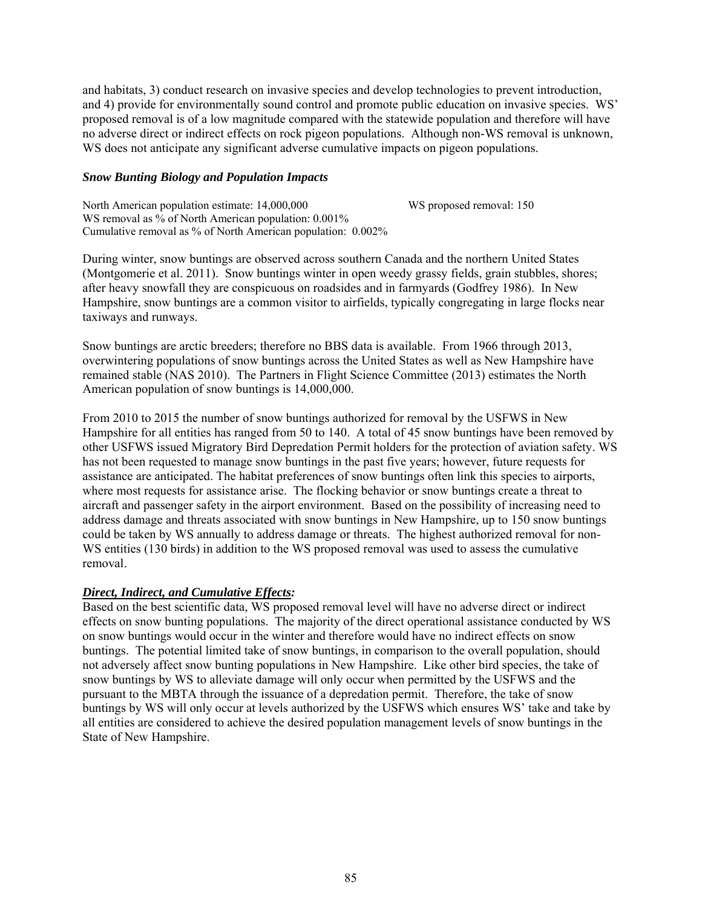and habitats, 3) conduct research on invasive species and develop technologies to prevent introduction, and 4) provide for environmentally sound control and promote public education on invasive species. WS' proposed removal is of a low magnitude compared with the statewide population and therefore will have no adverse direct or indirect effects on rock pigeon populations. Although non-WS removal is unknown, WS does not anticipate any significant adverse cumulative impacts on pigeon populations.

## *Snow Bunting Biology and Population Impacts*

| North American population estimate: 14,000,000               | WS proposed removal: 150 |
|--------------------------------------------------------------|--------------------------|
| WS removal as % of North American population: 0.001%         |                          |
| Cumulative removal as % of North American population: 0.002% |                          |

During winter, snow buntings are observed across southern Canada and the northern United States (Montgomerie et al. 2011). Snow buntings winter in open weedy grassy fields, grain stubbles, shores; after heavy snowfall they are conspicuous on roadsides and in farmyards (Godfrey 1986). In New Hampshire, snow buntings are a common visitor to airfields, typically congregating in large flocks near taxiways and runways.

Snow buntings are arctic breeders; therefore no BBS data is available. From 1966 through 2013, overwintering populations of snow buntings across the United States as well as New Hampshire have remained stable (NAS 2010). The Partners in Flight Science Committee (2013) estimates the North American population of snow buntings is 14,000,000.

From 2010 to 2015 the number of snow buntings authorized for removal by the USFWS in New Hampshire for all entities has ranged from 50 to 140. A total of 45 snow buntings have been removed by other USFWS issued Migratory Bird Depredation Permit holders for the protection of aviation safety. WS has not been requested to manage snow buntings in the past five years; however, future requests for assistance are anticipated. The habitat preferences of snow buntings often link this species to airports, where most requests for assistance arise. The flocking behavior or snow buntings create a threat to aircraft and passenger safety in the airport environment. Based on the possibility of increasing need to address damage and threats associated with snow buntings in New Hampshire, up to 150 snow buntings could be taken by WS annually to address damage or threats. The highest authorized removal for non-WS entities (130 birds) in addition to the WS proposed removal was used to assess the cumulative removal.

## *Direct, Indirect, and Cumulative Effects:*

Based on the best scientific data, WS proposed removal level will have no adverse direct or indirect effects on snow bunting populations. The majority of the direct operational assistance conducted by WS on snow buntings would occur in the winter and therefore would have no indirect effects on snow buntings. The potential limited take of snow buntings, in comparison to the overall population, should not adversely affect snow bunting populations in New Hampshire. Like other bird species, the take of snow buntings by WS to alleviate damage will only occur when permitted by the USFWS and the pursuant to the MBTA through the issuance of a depredation permit. Therefore, the take of snow buntings by WS will only occur at levels authorized by the USFWS which ensures WS' take and take by all entities are considered to achieve the desired population management levels of snow buntings in the State of New Hampshire.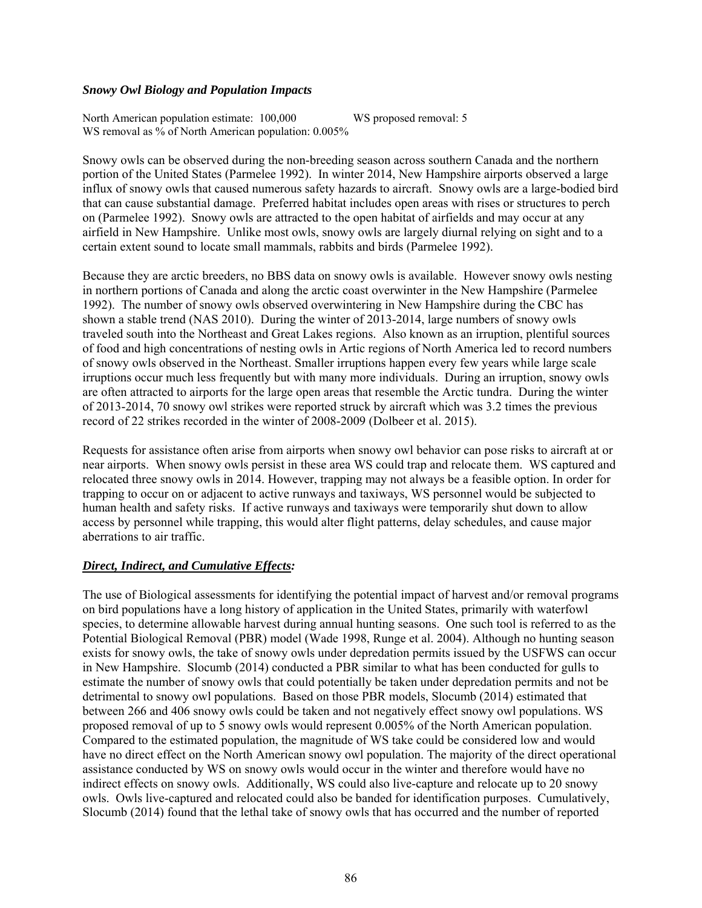#### *Snowy Owl Biology and Population Impacts*

North American population estimate: 100,000 WS proposed removal: 5 WS removal as % of North American population:  $0.005\%$ 

Snowy owls can be observed during the non-breeding season across southern Canada and the northern portion of the United States (Parmelee 1992). In winter 2014, New Hampshire airports observed a large influx of snowy owls that caused numerous safety hazards to aircraft. Snowy owls are a large-bodied bird that can cause substantial damage. Preferred habitat includes open areas with rises or structures to perch on (Parmelee 1992). Snowy owls are attracted to the open habitat of airfields and may occur at any airfield in New Hampshire. Unlike most owls, snowy owls are largely diurnal relying on sight and to a certain extent sound to locate small mammals, rabbits and birds (Parmelee 1992).

Because they are arctic breeders, no BBS data on snowy owls is available. However snowy owls nesting in northern portions of Canada and along the arctic coast overwinter in the New Hampshire (Parmelee 1992). The number of snowy owls observed overwintering in New Hampshire during the CBC has shown a stable trend (NAS 2010). During the winter of 2013-2014, large numbers of snowy owls traveled south into the Northeast and Great Lakes regions. Also known as an irruption, plentiful sources of food and high concentrations of nesting owls in Artic regions of North America led to record numbers of snowy owls observed in the Northeast. Smaller irruptions happen every few years while large scale irruptions occur much less frequently but with many more individuals. During an irruption, snowy owls are often attracted to airports for the large open areas that resemble the Arctic tundra. During the winter of 2013-2014, 70 snowy owl strikes were reported struck by aircraft which was 3.2 times the previous record of 22 strikes recorded in the winter of 2008-2009 (Dolbeer et al. 2015).

Requests for assistance often arise from airports when snowy owl behavior can pose risks to aircraft at or near airports. When snowy owls persist in these area WS could trap and relocate them. WS captured and relocated three snowy owls in 2014. However, trapping may not always be a feasible option. In order for trapping to occur on or adjacent to active runways and taxiways, WS personnel would be subjected to human health and safety risks. If active runways and taxiways were temporarily shut down to allow access by personnel while trapping, this would alter flight patterns, delay schedules, and cause major aberrations to air traffic.

## *Direct, Indirect, and Cumulative Effects:*

The use of Biological assessments for identifying the potential impact of harvest and/or removal programs on bird populations have a long history of application in the United States, primarily with waterfowl species, to determine allowable harvest during annual hunting seasons. One such tool is referred to as the Potential Biological Removal (PBR) model (Wade 1998, Runge et al. 2004). Although no hunting season exists for snowy owls, the take of snowy owls under depredation permits issued by the USFWS can occur in New Hampshire. Slocumb (2014) conducted a PBR similar to what has been conducted for gulls to estimate the number of snowy owls that could potentially be taken under depredation permits and not be detrimental to snowy owl populations. Based on those PBR models, Slocumb (2014) estimated that between 266 and 406 snowy owls could be taken and not negatively effect snowy owl populations. WS proposed removal of up to 5 snowy owls would represent 0.005% of the North American population. Compared to the estimated population, the magnitude of WS take could be considered low and would have no direct effect on the North American snowy owl population. The majority of the direct operational assistance conducted by WS on snowy owls would occur in the winter and therefore would have no indirect effects on snowy owls. Additionally, WS could also live-capture and relocate up to 20 snowy owls. Owls live-captured and relocated could also be banded for identification purposes. Cumulatively, Slocumb (2014) found that the lethal take of snowy owls that has occurred and the number of reported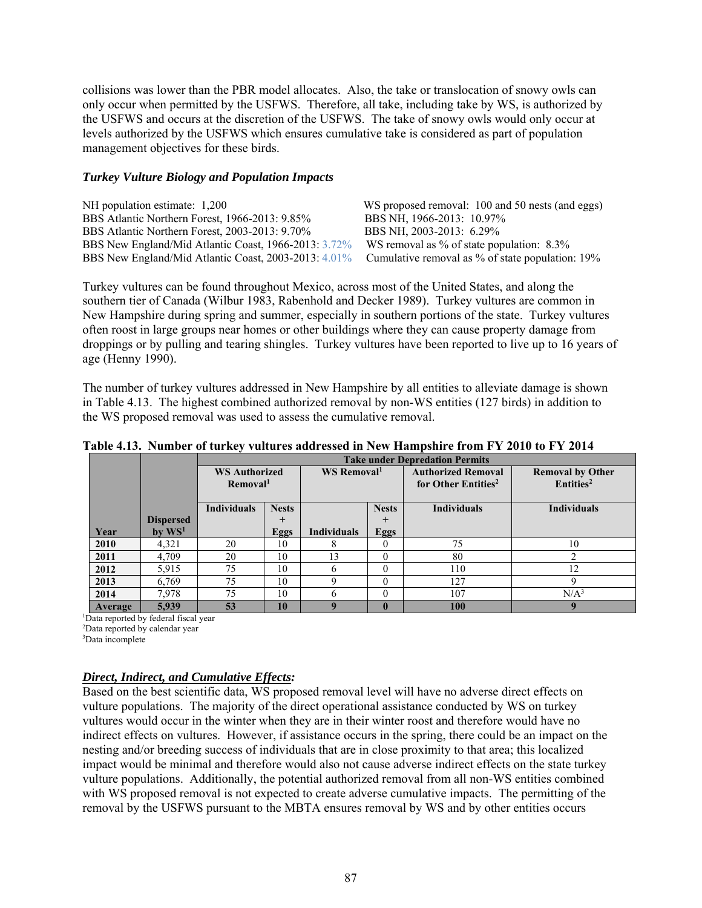collisions was lower than the PBR model allocates. Also, the take or translocation of snowy owls can only occur when permitted by the USFWS. Therefore, all take, including take by WS, is authorized by the USFWS and occurs at the discretion of the USFWS. The take of snowy owls would only occur at levels authorized by the USFWS which ensures cumulative take is considered as part of population management objectives for these birds.

## *Turkey Vulture Biology and Population Impacts*

| NH population estimate: 1,200                        | WS proposed removal: 100 and 50 nests (and eggs) |
|------------------------------------------------------|--------------------------------------------------|
| BBS Atlantic Northern Forest, 1966-2013: 9.85%       | BBS NH, 1966-2013: 10.97%                        |
| BBS Atlantic Northern Forest, 2003-2013: 9.70%       | BBS NH, 2003-2013: 6.29%                         |
| BBS New England/Mid Atlantic Coast, 1966-2013: 3.72% | WS removal as $\%$ of state population: 8.3 $\%$ |
| BBS New England/Mid Atlantic Coast, 2003-2013: 4.01% | Cumulative removal as % of state population: 19% |

Turkey vultures can be found throughout Mexico, across most of the United States, and along the southern tier of Canada (Wilbur 1983, Rabenhold and Decker 1989). Turkey vultures are common in New Hampshire during spring and summer, especially in southern portions of the state. Turkey vultures often roost in large groups near homes or other buildings where they can cause property damage from droppings or by pulling and tearing shingles. Turkey vultures have been reported to live up to 16 years of age (Henny 1990).

The number of turkey vultures addressed in New Hampshire by all entities to alleviate damage is shown in Table 4.13. The highest combined authorized removal by non-WS entities (127 birds) in addition to the WS proposed removal was used to assess the cumulative removal.

|         |                    | <b>Take under Depredation Permits</b> |              |                         |              |                                 |                         |  |
|---------|--------------------|---------------------------------------|--------------|-------------------------|--------------|---------------------------------|-------------------------|--|
|         |                    | <b>WS Authorized</b>                  |              | WS Removal <sup>1</sup> |              | <b>Authorized Removal</b>       | <b>Removal by Other</b> |  |
|         |                    | Removal <sup>1</sup>                  |              |                         |              | for Other Entities <sup>2</sup> | Entities <sup>2</sup>   |  |
|         |                    | <b>Individuals</b>                    | <b>Nests</b> |                         | <b>Nests</b> | <b>Individuals</b>              | <b>Individuals</b>      |  |
|         | <b>Dispersed</b>   |                                       | $^{+}$       |                         | $^{+}$       |                                 |                         |  |
| Year    | by WS <sup>1</sup> |                                       | Eggs         | <b>Individuals</b>      | Eggs         |                                 |                         |  |
| 2010    | 4,321              | 20                                    | 10           |                         | $\Omega$     | 75                              | 10                      |  |
| 2011    | 4,709              | 20                                    | 10           | 13                      | $\Omega$     | 80                              | ↑                       |  |
| 2012    | 5,915              | 75                                    | 10           |                         | $\Omega$     | 110                             | 12                      |  |
| 2013    | 6,769              | 75                                    | 10           | Q                       | $\theta$     | 127                             | 9                       |  |
| 2014    | 7,978              | 75                                    | 10           | h                       | $\Omega$     | 107                             | N/A <sup>3</sup>        |  |
| Average | 5,939              | 53                                    | 10           | q                       | $\mathbf{0}$ | 100                             |                         |  |

**Table 4.13. Number of turkey vultures addressed in New Hampshire from FY 2010 to FY 2014**

1 Data reported by federal fiscal year

2 Data reported by calendar year

3 Data incomplete

## *Direct, Indirect, and Cumulative Effects:*

Based on the best scientific data, WS proposed removal level will have no adverse direct effects on vulture populations. The majority of the direct operational assistance conducted by WS on turkey vultures would occur in the winter when they are in their winter roost and therefore would have no indirect effects on vultures. However, if assistance occurs in the spring, there could be an impact on the nesting and/or breeding success of individuals that are in close proximity to that area; this localized impact would be minimal and therefore would also not cause adverse indirect effects on the state turkey vulture populations. Additionally, the potential authorized removal from all non-WS entities combined with WS proposed removal is not expected to create adverse cumulative impacts. The permitting of the removal by the USFWS pursuant to the MBTA ensures removal by WS and by other entities occurs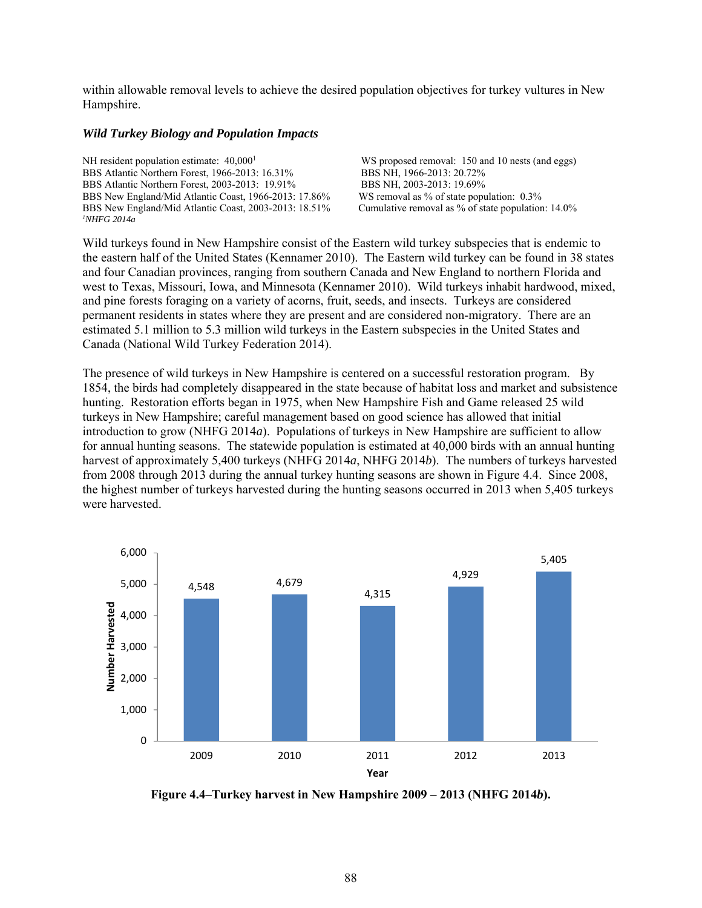within allowable removal levels to achieve the desired population objectives for turkey vultures in New Hampshire.

#### *Wild Turkey Biology and Population Impacts*

NH resident population estimate:  $40,000<sup>1</sup>$  WS proposed removal: 150 and 10 nests (and eggs) BBS Atlantic Northern Forest, 1966-2013: 16.31% BBS NH, 1966-2013: 20.72% BBS Atlantic Northern Forest, 2003-2013: 19.91% BBS NH, 2003-2013: 19.69% BBS New England/Mid Atlantic Coast, 1966-2013: 17.86% WS removal as % of state population: 0.3% BBS New England/Mid Atlantic Coast, 2003-2013: 18.51% Cumulative removal as % of state population: 14.0% *1 NHFG 2014a* 

Wild turkeys found in New Hampshire consist of the Eastern wild turkey subspecies that is endemic to the eastern half of the United States (Kennamer 2010). The Eastern wild turkey can be found in 38 states and four Canadian provinces, ranging from southern Canada and New England to northern Florida and west to Texas, Missouri, Iowa, and Minnesota (Kennamer 2010). Wild turkeys inhabit hardwood, mixed, and pine forests foraging on a variety of acorns, fruit, seeds, and insects. Turkeys are considered permanent residents in states where they are present and are considered non-migratory. There are an estimated 5.1 million to 5.3 million wild turkeys in the Eastern subspecies in the United States and Canada (National Wild Turkey Federation 2014).

The presence of wild turkeys in New Hampshire is centered on a successful restoration program. By 1854, the birds had completely disappeared in the state because of habitat loss and market and subsistence hunting. Restoration efforts began in 1975, when New Hampshire Fish and Game released 25 wild turkeys in New Hampshire; careful management based on good science has allowed that initial introduction to grow (NHFG 2014*a*). Populations of turkeys in New Hampshire are sufficient to allow for annual hunting seasons. The statewide population is estimated at 40,000 birds with an annual hunting harvest of approximately 5,400 turkeys (NHFG 2014*a*, NHFG 2014*b*). The numbers of turkeys harvested from 2008 through 2013 during the annual turkey hunting seasons are shown in Figure 4.4. Since 2008, the highest number of turkeys harvested during the hunting seasons occurred in 2013 when 5,405 turkeys were harvested.



**Figure 4.4–Turkey harvest in New Hampshire 2009 – 2013 (NHFG 2014***b***).**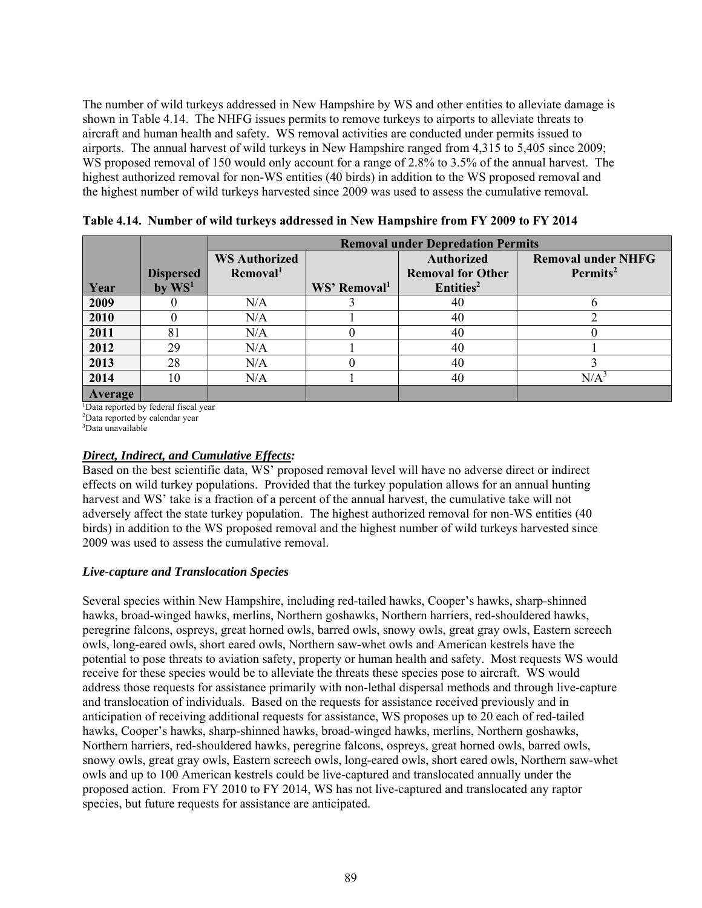The number of wild turkeys addressed in New Hampshire by WS and other entities to alleviate damage is shown in Table 4.14. The NHFG issues permits to remove turkeys to airports to alleviate threats to aircraft and human health and safety. WS removal activities are conducted under permits issued to airports. The annual harvest of wild turkeys in New Hampshire ranged from 4,315 to 5,405 since 2009; WS proposed removal of 150 would only account for a range of 2.8% to 3.5% of the annual harvest. The highest authorized removal for non-WS entities (40 birds) in addition to the WS proposed removal and the highest number of wild turkeys harvested since 2009 was used to assess the cumulative removal.

|         |                  | <b>Removal under Depredation Permits</b> |                          |                          |                           |
|---------|------------------|------------------------------------------|--------------------------|--------------------------|---------------------------|
|         |                  | <b>WS Authorized</b>                     |                          | <b>Authorized</b>        | <b>Removal under NHFG</b> |
|         | <b>Dispersed</b> | Removal <sup>1</sup>                     |                          | <b>Removal for Other</b> | Permits <sup>2</sup>      |
| Year    | by $WS1$         |                                          | WS' Removal <sup>1</sup> | Entities <sup>2</sup>    |                           |
| 2009    |                  | N/A                                      |                          | 40                       |                           |
| 2010    |                  | N/A                                      |                          | 40                       |                           |
| 2011    | 81               | N/A                                      |                          | 40                       |                           |
| 2012    | 29               | N/A                                      |                          | 40                       |                           |
| 2013    | 28               | N/A                                      |                          | 40                       |                           |
| 2014    | 10               | N/A                                      |                          | 40                       | N/A <sup>3</sup>          |
| Average |                  |                                          |                          |                          |                           |

**Table 4.14. Number of wild turkeys addressed in New Hampshire from FY 2009 to FY 2014** 

1 Data reported by federal fiscal year

2 Data reported by calendar year

3 Data unavailable

# *Direct, Indirect, and Cumulative Effects:*

Based on the best scientific data, WS' proposed removal level will have no adverse direct or indirect effects on wild turkey populations. Provided that the turkey population allows for an annual hunting harvest and WS' take is a fraction of a percent of the annual harvest, the cumulative take will not adversely affect the state turkey population. The highest authorized removal for non-WS entities (40 birds) in addition to the WS proposed removal and the highest number of wild turkeys harvested since 2009 was used to assess the cumulative removal.

# *Live-capture and Translocation Species*

Several species within New Hampshire, including red-tailed hawks, Cooper's hawks, sharp-shinned hawks, broad-winged hawks, merlins, Northern goshawks, Northern harriers, red-shouldered hawks, peregrine falcons, ospreys, great horned owls, barred owls, snowy owls, great gray owls, Eastern screech owls, long-eared owls, short eared owls, Northern saw-whet owls and American kestrels have the potential to pose threats to aviation safety, property or human health and safety. Most requests WS would receive for these species would be to alleviate the threats these species pose to aircraft. WS would address those requests for assistance primarily with non-lethal dispersal methods and through live-capture and translocation of individuals. Based on the requests for assistance received previously and in anticipation of receiving additional requests for assistance, WS proposes up to 20 each of red-tailed hawks, Cooper's hawks, sharp-shinned hawks, broad-winged hawks, merlins, Northern goshawks, Northern harriers, red-shouldered hawks, peregrine falcons, ospreys, great horned owls, barred owls, snowy owls, great gray owls, Eastern screech owls, long-eared owls, short eared owls, Northern saw-whet owls and up to 100 American kestrels could be live-captured and translocated annually under the proposed action. From FY 2010 to FY 2014, WS has not live-captured and translocated any raptor species, but future requests for assistance are anticipated.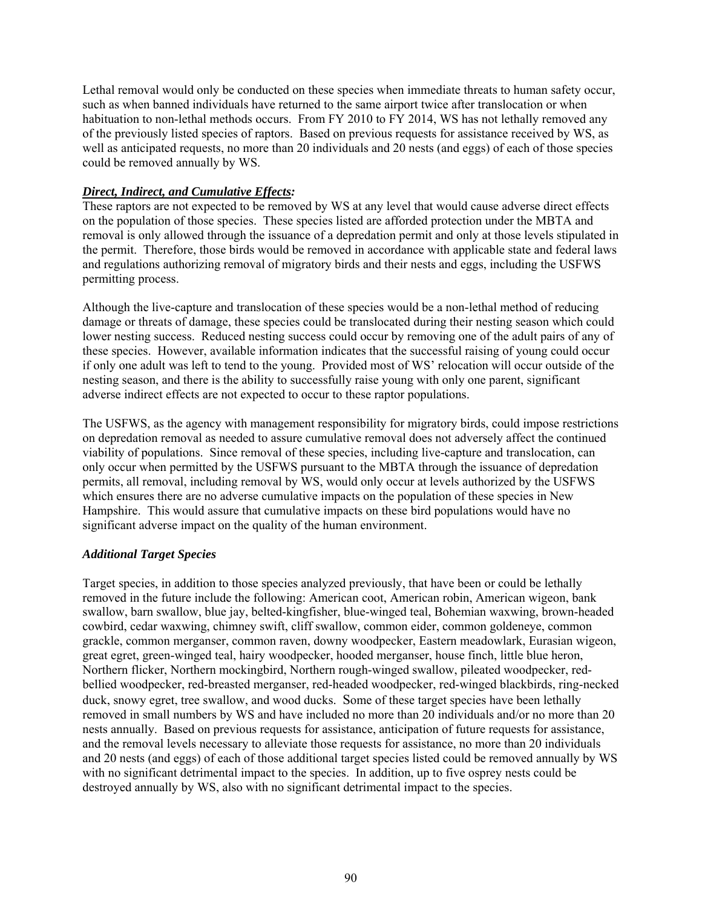Lethal removal would only be conducted on these species when immediate threats to human safety occur, such as when banned individuals have returned to the same airport twice after translocation or when habituation to non-lethal methods occurs. From FY 2010 to FY 2014, WS has not lethally removed any of the previously listed species of raptors. Based on previous requests for assistance received by WS, as well as anticipated requests, no more than 20 individuals and 20 nests (and eggs) of each of those species could be removed annually by WS.

#### *Direct, Indirect, and Cumulative Effects:*

These raptors are not expected to be removed by WS at any level that would cause adverse direct effects on the population of those species. These species listed are afforded protection under the MBTA and removal is only allowed through the issuance of a depredation permit and only at those levels stipulated in the permit. Therefore, those birds would be removed in accordance with applicable state and federal laws and regulations authorizing removal of migratory birds and their nests and eggs, including the USFWS permitting process.

Although the live-capture and translocation of these species would be a non-lethal method of reducing damage or threats of damage, these species could be translocated during their nesting season which could lower nesting success. Reduced nesting success could occur by removing one of the adult pairs of any of these species. However, available information indicates that the successful raising of young could occur if only one adult was left to tend to the young. Provided most of WS' relocation will occur outside of the nesting season, and there is the ability to successfully raise young with only one parent, significant adverse indirect effects are not expected to occur to these raptor populations.

The USFWS, as the agency with management responsibility for migratory birds, could impose restrictions on depredation removal as needed to assure cumulative removal does not adversely affect the continued viability of populations. Since removal of these species, including live-capture and translocation, can only occur when permitted by the USFWS pursuant to the MBTA through the issuance of depredation permits, all removal, including removal by WS, would only occur at levels authorized by the USFWS which ensures there are no adverse cumulative impacts on the population of these species in New Hampshire. This would assure that cumulative impacts on these bird populations would have no significant adverse impact on the quality of the human environment.

#### *Additional Target Species*

Target species, in addition to those species analyzed previously, that have been or could be lethally removed in the future include the following: American coot, American robin, American wigeon, bank swallow, barn swallow, blue jay, belted-kingfisher, blue-winged teal, Bohemian waxwing, brown-headed cowbird, cedar waxwing, chimney swift, cliff swallow, common eider, common goldeneye, common grackle, common merganser, common raven, downy woodpecker, Eastern meadowlark, Eurasian wigeon, great egret, green-winged teal, hairy woodpecker, hooded merganser, house finch, little blue heron, Northern flicker, Northern mockingbird, Northern rough-winged swallow, pileated woodpecker, redbellied woodpecker, red-breasted merganser, red-headed woodpecker, red-winged blackbirds, ring-necked duck, snowy egret, tree swallow, and wood ducks. Some of these target species have been lethally removed in small numbers by WS and have included no more than 20 individuals and/or no more than 20 nests annually. Based on previous requests for assistance, anticipation of future requests for assistance, and the removal levels necessary to alleviate those requests for assistance, no more than 20 individuals and 20 nests (and eggs) of each of those additional target species listed could be removed annually by WS with no significant detrimental impact to the species. In addition, up to five osprey nests could be destroyed annually by WS, also with no significant detrimental impact to the species.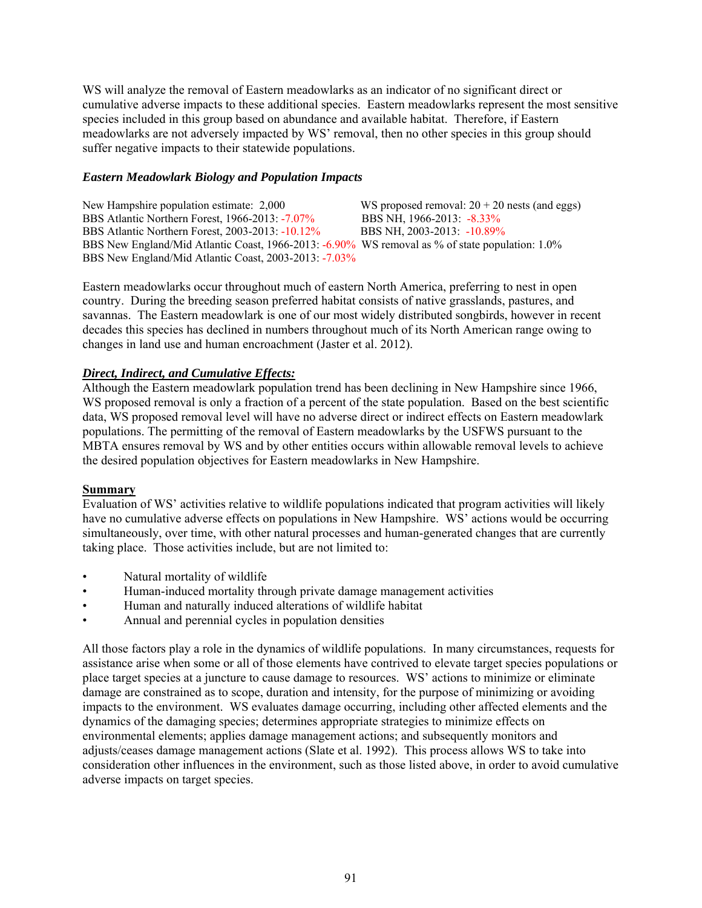WS will analyze the removal of Eastern meadowlarks as an indicator of no significant direct or cumulative adverse impacts to these additional species. Eastern meadowlarks represent the most sensitive species included in this group based on abundance and available habitat. Therefore, if Eastern meadowlarks are not adversely impacted by WS' removal, then no other species in this group should suffer negative impacts to their statewide populations.

## *Eastern Meadowlark Biology and Population Impacts*

New Hampshire population estimate: 2,000 WS proposed removal:  $20 + 20$  nests (and eggs) BBS Atlantic Northern Forest, 1966-2013: -7.07% BBS NH, 1966-2013: -8.33% BBS Atlantic Northern Forest, 2003-2013: -10.12% BBS NH, 2003-2013: -10.89% BBS New England/Mid Atlantic Coast, 1966-2013: -6.90% WS removal as % of state population: 1.0% BBS New England/Mid Atlantic Coast, 2003-2013: -7.03%

Eastern meadowlarks occur throughout much of eastern North America, preferring to nest in open country. During the breeding season preferred habitat consists of native grasslands, pastures, and savannas. The Eastern meadowlark is one of our most widely distributed songbirds, however in recent decades this species has declined in numbers throughout much of its North American range owing to changes in land use and human encroachment (Jaster et al. 2012).

## *Direct, Indirect, and Cumulative Effects:*

Although the Eastern meadowlark population trend has been declining in New Hampshire since 1966, WS proposed removal is only a fraction of a percent of the state population. Based on the best scientific data, WS proposed removal level will have no adverse direct or indirect effects on Eastern meadowlark populations. The permitting of the removal of Eastern meadowlarks by the USFWS pursuant to the MBTA ensures removal by WS and by other entities occurs within allowable removal levels to achieve the desired population objectives for Eastern meadowlarks in New Hampshire.

## **Summary**

Evaluation of WS' activities relative to wildlife populations indicated that program activities will likely have no cumulative adverse effects on populations in New Hampshire. WS' actions would be occurring simultaneously, over time, with other natural processes and human-generated changes that are currently taking place. Those activities include, but are not limited to:

- Natural mortality of wildlife
- Human-induced mortality through private damage management activities
- Human and naturally induced alterations of wildlife habitat
- Annual and perennial cycles in population densities

All those factors play a role in the dynamics of wildlife populations. In many circumstances, requests for assistance arise when some or all of those elements have contrived to elevate target species populations or place target species at a juncture to cause damage to resources. WS' actions to minimize or eliminate damage are constrained as to scope, duration and intensity, for the purpose of minimizing or avoiding impacts to the environment. WS evaluates damage occurring, including other affected elements and the dynamics of the damaging species; determines appropriate strategies to minimize effects on environmental elements; applies damage management actions; and subsequently monitors and adjusts/ceases damage management actions (Slate et al. 1992). This process allows WS to take into consideration other influences in the environment, such as those listed above, in order to avoid cumulative adverse impacts on target species.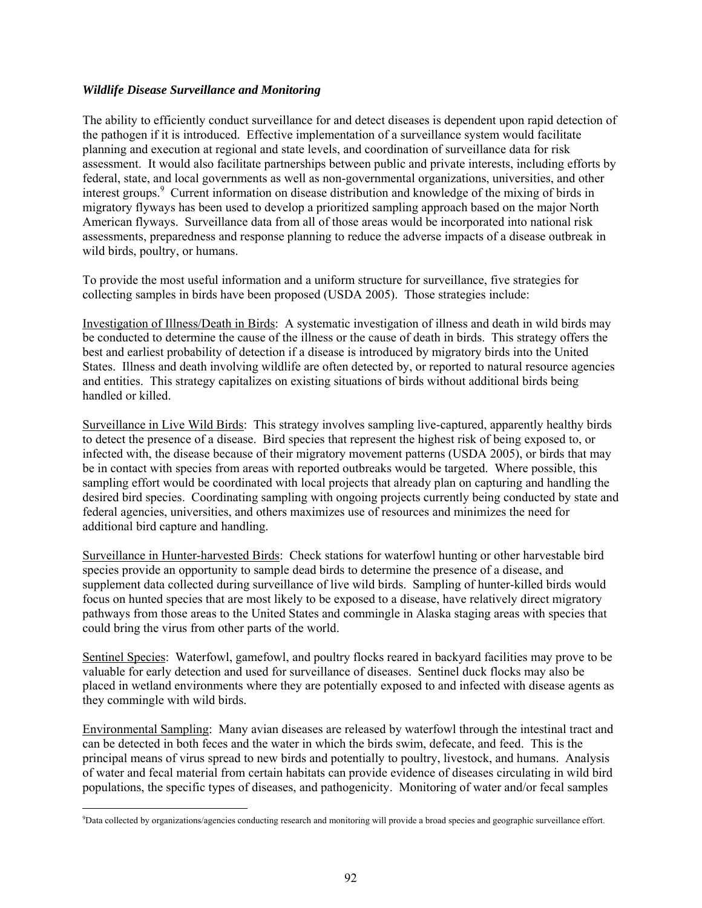## *Wildlife Disease Surveillance and Monitoring*

The ability to efficiently conduct surveillance for and detect diseases is dependent upon rapid detection of the pathogen if it is introduced. Effective implementation of a surveillance system would facilitate planning and execution at regional and state levels, and coordination of surveillance data for risk assessment. It would also facilitate partnerships between public and private interests, including efforts by federal, state, and local governments as well as non-governmental organizations, universities, and other interest groups.<sup>9</sup> Current information on disease distribution and knowledge of the mixing of birds in migratory flyways has been used to develop a prioritized sampling approach based on the major North American flyways. Surveillance data from all of those areas would be incorporated into national risk assessments, preparedness and response planning to reduce the adverse impacts of a disease outbreak in wild birds, poultry, or humans.

To provide the most useful information and a uniform structure for surveillance, five strategies for collecting samples in birds have been proposed (USDA 2005). Those strategies include:

Investigation of Illness/Death in Birds: A systematic investigation of illness and death in wild birds may be conducted to determine the cause of the illness or the cause of death in birds. This strategy offers the best and earliest probability of detection if a disease is introduced by migratory birds into the United States. Illness and death involving wildlife are often detected by, or reported to natural resource agencies and entities. This strategy capitalizes on existing situations of birds without additional birds being handled or killed.

Surveillance in Live Wild Birds: This strategy involves sampling live-captured, apparently healthy birds to detect the presence of a disease. Bird species that represent the highest risk of being exposed to, or infected with, the disease because of their migratory movement patterns (USDA 2005), or birds that may be in contact with species from areas with reported outbreaks would be targeted. Where possible, this sampling effort would be coordinated with local projects that already plan on capturing and handling the desired bird species. Coordinating sampling with ongoing projects currently being conducted by state and federal agencies, universities, and others maximizes use of resources and minimizes the need for additional bird capture and handling.

Surveillance in Hunter-harvested Birds: Check stations for waterfowl hunting or other harvestable bird species provide an opportunity to sample dead birds to determine the presence of a disease, and supplement data collected during surveillance of live wild birds. Sampling of hunter-killed birds would focus on hunted species that are most likely to be exposed to a disease, have relatively direct migratory pathways from those areas to the United States and commingle in Alaska staging areas with species that could bring the virus from other parts of the world.

Sentinel Species: Waterfowl, gamefowl, and poultry flocks reared in backyard facilities may prove to be valuable for early detection and used for surveillance of diseases. Sentinel duck flocks may also be placed in wetland environments where they are potentially exposed to and infected with disease agents as they commingle with wild birds.

Environmental Sampling: Many avian diseases are released by waterfowl through the intestinal tract and can be detected in both feces and the water in which the birds swim, defecate, and feed. This is the principal means of virus spread to new birds and potentially to poultry, livestock, and humans. Analysis of water and fecal material from certain habitats can provide evidence of diseases circulating in wild bird populations, the specific types of diseases, and pathogenicity. Monitoring of water and/or fecal samples

 $\overline{a}$ 9 Data collected by organizations/agencies conducting research and monitoring will provide a broad species and geographic surveillance effort.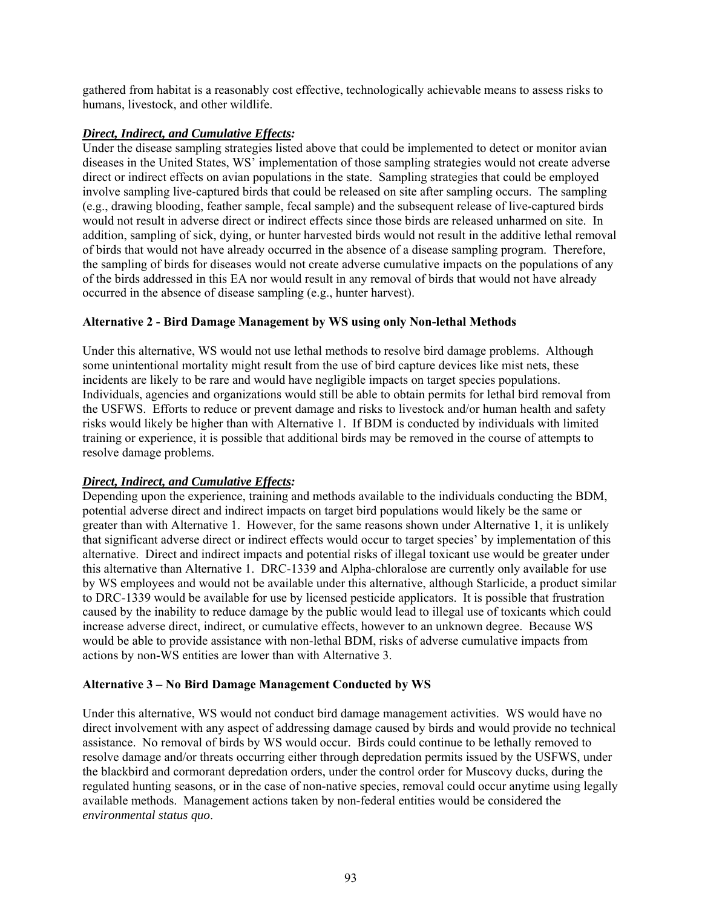gathered from habitat is a reasonably cost effective, technologically achievable means to assess risks to humans, livestock, and other wildlife.

## *Direct, Indirect, and Cumulative Effects:*

Under the disease sampling strategies listed above that could be implemented to detect or monitor avian diseases in the United States, WS' implementation of those sampling strategies would not create adverse direct or indirect effects on avian populations in the state. Sampling strategies that could be employed involve sampling live-captured birds that could be released on site after sampling occurs. The sampling (e.g., drawing blooding, feather sample, fecal sample) and the subsequent release of live-captured birds would not result in adverse direct or indirect effects since those birds are released unharmed on site. In addition, sampling of sick, dying, or hunter harvested birds would not result in the additive lethal removal of birds that would not have already occurred in the absence of a disease sampling program. Therefore, the sampling of birds for diseases would not create adverse cumulative impacts on the populations of any of the birds addressed in this EA nor would result in any removal of birds that would not have already occurred in the absence of disease sampling (e.g., hunter harvest).

# **Alternative 2 - Bird Damage Management by WS using only Non-lethal Methods**

Under this alternative, WS would not use lethal methods to resolve bird damage problems. Although some unintentional mortality might result from the use of bird capture devices like mist nets, these incidents are likely to be rare and would have negligible impacts on target species populations. Individuals, agencies and organizations would still be able to obtain permits for lethal bird removal from the USFWS. Efforts to reduce or prevent damage and risks to livestock and/or human health and safety risks would likely be higher than with Alternative 1. If BDM is conducted by individuals with limited training or experience, it is possible that additional birds may be removed in the course of attempts to resolve damage problems.

## *Direct, Indirect, and Cumulative Effects:*

Depending upon the experience, training and methods available to the individuals conducting the BDM, potential adverse direct and indirect impacts on target bird populations would likely be the same or greater than with Alternative 1. However, for the same reasons shown under Alternative 1, it is unlikely that significant adverse direct or indirect effects would occur to target species' by implementation of this alternative. Direct and indirect impacts and potential risks of illegal toxicant use would be greater under this alternative than Alternative 1. DRC-1339 and Alpha-chloralose are currently only available for use by WS employees and would not be available under this alternative, although Starlicide, a product similar to DRC-1339 would be available for use by licensed pesticide applicators. It is possible that frustration caused by the inability to reduce damage by the public would lead to illegal use of toxicants which could increase adverse direct, indirect, or cumulative effects, however to an unknown degree. Because WS would be able to provide assistance with non-lethal BDM, risks of adverse cumulative impacts from actions by non-WS entities are lower than with Alternative 3.

## **Alternative 3 – No Bird Damage Management Conducted by WS**

Under this alternative, WS would not conduct bird damage management activities. WS would have no direct involvement with any aspect of addressing damage caused by birds and would provide no technical assistance. No removal of birds by WS would occur. Birds could continue to be lethally removed to resolve damage and/or threats occurring either through depredation permits issued by the USFWS, under the blackbird and cormorant depredation orders, under the control order for Muscovy ducks, during the regulated hunting seasons, or in the case of non-native species, removal could occur anytime using legally available methods. Management actions taken by non-federal entities would be considered the *environmental status quo*.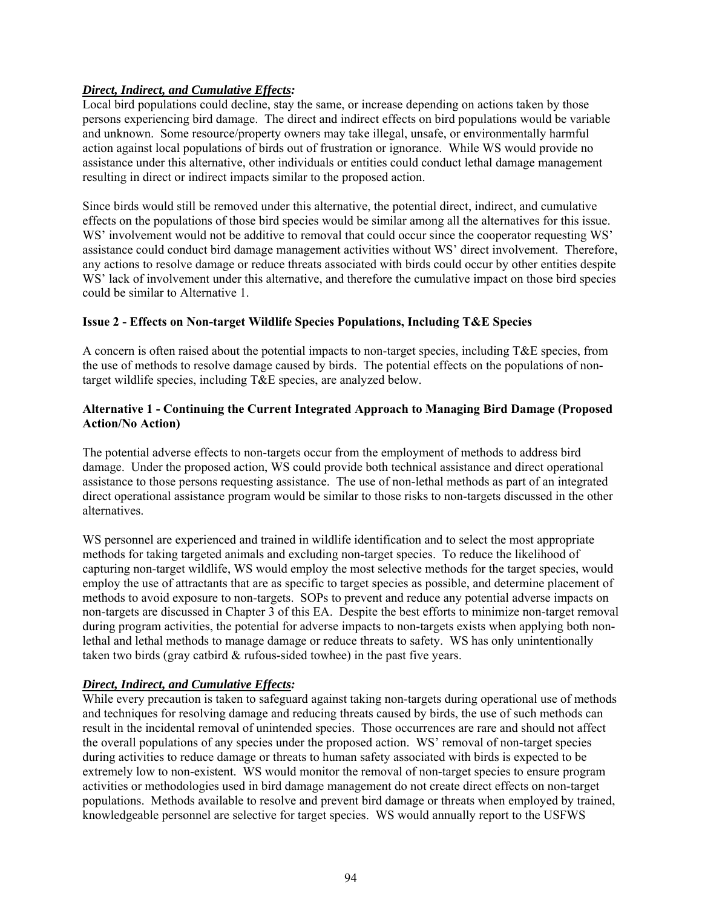# *Direct, Indirect, and Cumulative Effects:*

Local bird populations could decline, stay the same, or increase depending on actions taken by those persons experiencing bird damage. The direct and indirect effects on bird populations would be variable and unknown. Some resource/property owners may take illegal, unsafe, or environmentally harmful action against local populations of birds out of frustration or ignorance. While WS would provide no assistance under this alternative, other individuals or entities could conduct lethal damage management resulting in direct or indirect impacts similar to the proposed action.

Since birds would still be removed under this alternative, the potential direct, indirect, and cumulative effects on the populations of those bird species would be similar among all the alternatives for this issue. WS' involvement would not be additive to removal that could occur since the cooperator requesting WS' assistance could conduct bird damage management activities without WS' direct involvement. Therefore, any actions to resolve damage or reduce threats associated with birds could occur by other entities despite WS' lack of involvement under this alternative, and therefore the cumulative impact on those bird species could be similar to Alternative 1.

# **Issue 2 - Effects on Non-target Wildlife Species Populations, Including T&E Species**

A concern is often raised about the potential impacts to non-target species, including  $T\&E$  species, from the use of methods to resolve damage caused by birds. The potential effects on the populations of nontarget wildlife species, including T&E species, are analyzed below.

## **Alternative 1 - Continuing the Current Integrated Approach to Managing Bird Damage (Proposed Action/No Action)**

The potential adverse effects to non-targets occur from the employment of methods to address bird damage. Under the proposed action, WS could provide both technical assistance and direct operational assistance to those persons requesting assistance. The use of non-lethal methods as part of an integrated direct operational assistance program would be similar to those risks to non-targets discussed in the other alternatives.

WS personnel are experienced and trained in wildlife identification and to select the most appropriate methods for taking targeted animals and excluding non-target species. To reduce the likelihood of capturing non-target wildlife, WS would employ the most selective methods for the target species, would employ the use of attractants that are as specific to target species as possible, and determine placement of methods to avoid exposure to non-targets. SOPs to prevent and reduce any potential adverse impacts on non-targets are discussed in Chapter 3 of this EA. Despite the best efforts to minimize non-target removal during program activities, the potential for adverse impacts to non-targets exists when applying both nonlethal and lethal methods to manage damage or reduce threats to safety. WS has only unintentionally taken two birds (gray catbird & rufous-sided towhee) in the past five years.

## *Direct, Indirect, and Cumulative Effects:*

While every precaution is taken to safeguard against taking non-targets during operational use of methods and techniques for resolving damage and reducing threats caused by birds, the use of such methods can result in the incidental removal of unintended species. Those occurrences are rare and should not affect the overall populations of any species under the proposed action. WS' removal of non-target species during activities to reduce damage or threats to human safety associated with birds is expected to be extremely low to non-existent. WS would monitor the removal of non-target species to ensure program activities or methodologies used in bird damage management do not create direct effects on non-target populations. Methods available to resolve and prevent bird damage or threats when employed by trained, knowledgeable personnel are selective for target species. WS would annually report to the USFWS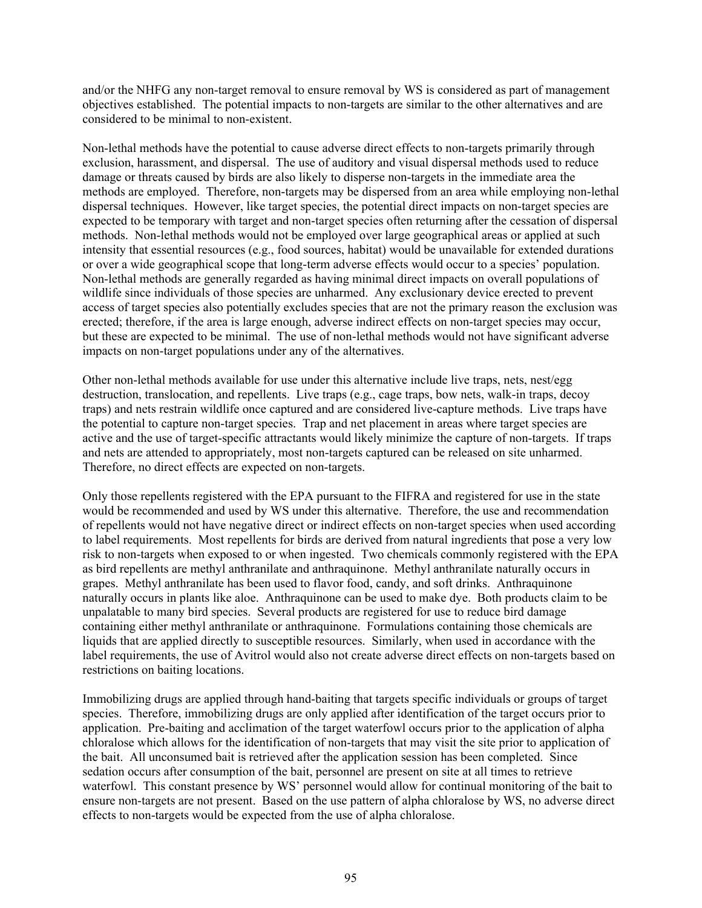and/or the NHFG any non-target removal to ensure removal by WS is considered as part of management objectives established. The potential impacts to non-targets are similar to the other alternatives and are considered to be minimal to non-existent.

Non-lethal methods have the potential to cause adverse direct effects to non-targets primarily through exclusion, harassment, and dispersal. The use of auditory and visual dispersal methods used to reduce damage or threats caused by birds are also likely to disperse non-targets in the immediate area the methods are employed. Therefore, non-targets may be dispersed from an area while employing non-lethal dispersal techniques. However, like target species, the potential direct impacts on non-target species are expected to be temporary with target and non-target species often returning after the cessation of dispersal methods. Non-lethal methods would not be employed over large geographical areas or applied at such intensity that essential resources (e.g., food sources, habitat) would be unavailable for extended durations or over a wide geographical scope that long-term adverse effects would occur to a species' population. Non-lethal methods are generally regarded as having minimal direct impacts on overall populations of wildlife since individuals of those species are unharmed. Any exclusionary device erected to prevent access of target species also potentially excludes species that are not the primary reason the exclusion was erected; therefore, if the area is large enough, adverse indirect effects on non-target species may occur, but these are expected to be minimal. The use of non-lethal methods would not have significant adverse impacts on non-target populations under any of the alternatives.

Other non-lethal methods available for use under this alternative include live traps, nets, nest/egg destruction, translocation, and repellents. Live traps (e.g., cage traps, bow nets, walk-in traps, decoy traps) and nets restrain wildlife once captured and are considered live-capture methods. Live traps have the potential to capture non-target species. Trap and net placement in areas where target species are active and the use of target-specific attractants would likely minimize the capture of non-targets. If traps and nets are attended to appropriately, most non-targets captured can be released on site unharmed. Therefore, no direct effects are expected on non-targets.

Only those repellents registered with the EPA pursuant to the FIFRA and registered for use in the state would be recommended and used by WS under this alternative. Therefore, the use and recommendation of repellents would not have negative direct or indirect effects on non-target species when used according to label requirements. Most repellents for birds are derived from natural ingredients that pose a very low risk to non-targets when exposed to or when ingested. Two chemicals commonly registered with the EPA as bird repellents are methyl anthranilate and anthraquinone. Methyl anthranilate naturally occurs in grapes. Methyl anthranilate has been used to flavor food, candy, and soft drinks. Anthraquinone naturally occurs in plants like aloe. Anthraquinone can be used to make dye. Both products claim to be unpalatable to many bird species. Several products are registered for use to reduce bird damage containing either methyl anthranilate or anthraquinone. Formulations containing those chemicals are liquids that are applied directly to susceptible resources. Similarly, when used in accordance with the label requirements, the use of Avitrol would also not create adverse direct effects on non-targets based on restrictions on baiting locations.

Immobilizing drugs are applied through hand-baiting that targets specific individuals or groups of target species. Therefore, immobilizing drugs are only applied after identification of the target occurs prior to application. Pre-baiting and acclimation of the target waterfowl occurs prior to the application of alpha chloralose which allows for the identification of non-targets that may visit the site prior to application of the bait. All unconsumed bait is retrieved after the application session has been completed. Since sedation occurs after consumption of the bait, personnel are present on site at all times to retrieve waterfowl. This constant presence by WS' personnel would allow for continual monitoring of the bait to ensure non-targets are not present. Based on the use pattern of alpha chloralose by WS, no adverse direct effects to non-targets would be expected from the use of alpha chloralose.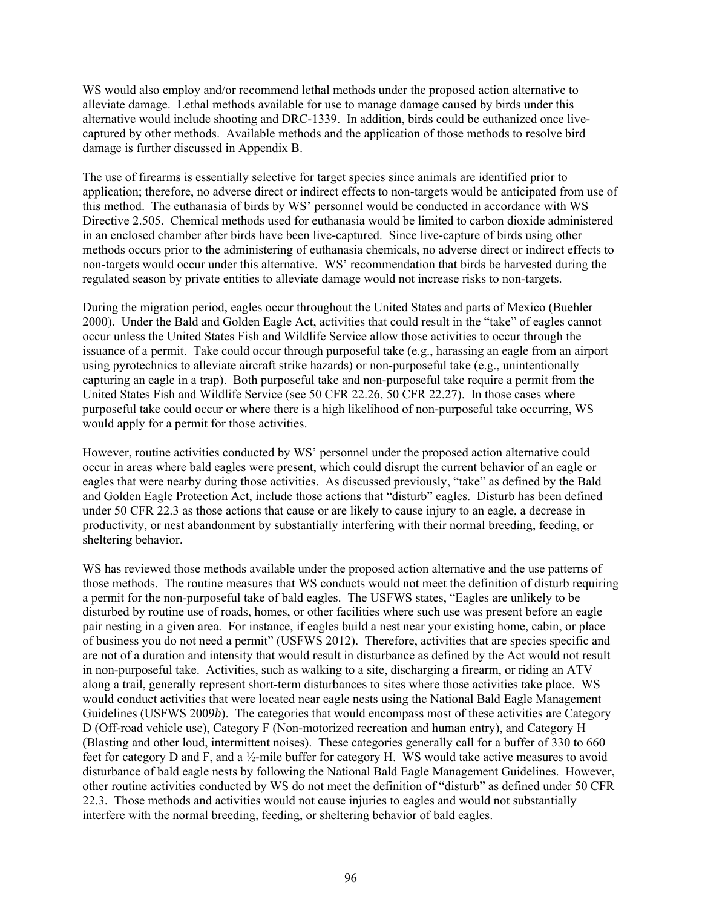WS would also employ and/or recommend lethal methods under the proposed action alternative to alleviate damage. Lethal methods available for use to manage damage caused by birds under this alternative would include shooting and DRC-1339. In addition, birds could be euthanized once livecaptured by other methods. Available methods and the application of those methods to resolve bird damage is further discussed in Appendix B.

The use of firearms is essentially selective for target species since animals are identified prior to application; therefore, no adverse direct or indirect effects to non-targets would be anticipated from use of this method. The euthanasia of birds by WS' personnel would be conducted in accordance with WS Directive 2.505. Chemical methods used for euthanasia would be limited to carbon dioxide administered in an enclosed chamber after birds have been live-captured. Since live-capture of birds using other methods occurs prior to the administering of euthanasia chemicals, no adverse direct or indirect effects to non-targets would occur under this alternative. WS' recommendation that birds be harvested during the regulated season by private entities to alleviate damage would not increase risks to non-targets.

During the migration period, eagles occur throughout the United States and parts of Mexico (Buehler 2000). Under the Bald and Golden Eagle Act, activities that could result in the "take" of eagles cannot occur unless the United States Fish and Wildlife Service allow those activities to occur through the issuance of a permit. Take could occur through purposeful take (e.g., harassing an eagle from an airport using pyrotechnics to alleviate aircraft strike hazards) or non-purposeful take (e.g., unintentionally capturing an eagle in a trap). Both purposeful take and non-purposeful take require a permit from the United States Fish and Wildlife Service (see 50 CFR 22.26, 50 CFR 22.27). In those cases where purposeful take could occur or where there is a high likelihood of non-purposeful take occurring, WS would apply for a permit for those activities.

However, routine activities conducted by WS' personnel under the proposed action alternative could occur in areas where bald eagles were present, which could disrupt the current behavior of an eagle or eagles that were nearby during those activities. As discussed previously, "take" as defined by the Bald and Golden Eagle Protection Act, include those actions that "disturb" eagles. Disturb has been defined under 50 CFR 22.3 as those actions that cause or are likely to cause injury to an eagle, a decrease in productivity, or nest abandonment by substantially interfering with their normal breeding, feeding, or sheltering behavior.

WS has reviewed those methods available under the proposed action alternative and the use patterns of those methods. The routine measures that WS conducts would not meet the definition of disturb requiring a permit for the non-purposeful take of bald eagles. The USFWS states, "Eagles are unlikely to be disturbed by routine use of roads, homes, or other facilities where such use was present before an eagle pair nesting in a given area. For instance, if eagles build a nest near your existing home, cabin, or place of business you do not need a permit" (USFWS 2012). Therefore, activities that are species specific and are not of a duration and intensity that would result in disturbance as defined by the Act would not result in non-purposeful take. Activities, such as walking to a site, discharging a firearm, or riding an ATV along a trail, generally represent short-term disturbances to sites where those activities take place. WS would conduct activities that were located near eagle nests using the National Bald Eagle Management Guidelines (USFWS 2009*b*). The categories that would encompass most of these activities are Category D (Off-road vehicle use), Category F (Non-motorized recreation and human entry), and Category H (Blasting and other loud, intermittent noises). These categories generally call for a buffer of 330 to 660 feet for category D and F, and a ½-mile buffer for category H. WS would take active measures to avoid disturbance of bald eagle nests by following the National Bald Eagle Management Guidelines. However, other routine activities conducted by WS do not meet the definition of "disturb" as defined under 50 CFR 22.3. Those methods and activities would not cause injuries to eagles and would not substantially interfere with the normal breeding, feeding, or sheltering behavior of bald eagles.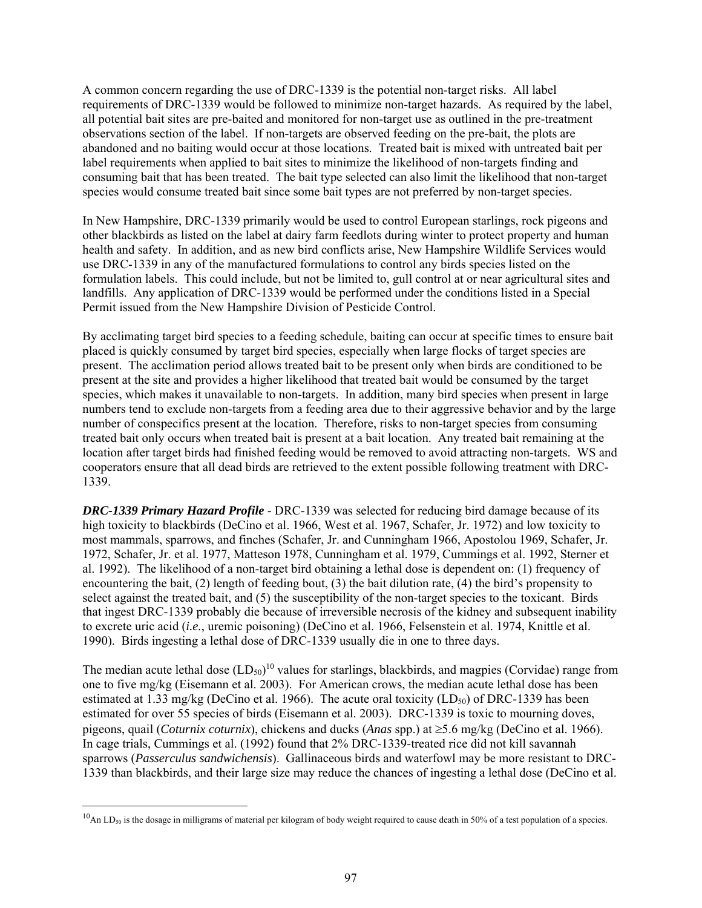A common concern regarding the use of DRC-1339 is the potential non-target risks. All label requirements of DRC-1339 would be followed to minimize non-target hazards. As required by the label, all potential bait sites are pre-baited and monitored for non-target use as outlined in the pre-treatment observations section of the label. If non-targets are observed feeding on the pre-bait, the plots are abandoned and no baiting would occur at those locations. Treated bait is mixed with untreated bait per label requirements when applied to bait sites to minimize the likelihood of non-targets finding and consuming bait that has been treated. The bait type selected can also limit the likelihood that non-target species would consume treated bait since some bait types are not preferred by non-target species.

In New Hampshire, DRC-1339 primarily would be used to control European starlings, rock pigeons and other blackbirds as listed on the label at dairy farm feedlots during winter to protect property and human health and safety. In addition, and as new bird conflicts arise, New Hampshire Wildlife Services would use DRC-1339 in any of the manufactured formulations to control any birds species listed on the formulation labels. This could include, but not be limited to, gull control at or near agricultural sites and landfills. Any application of DRC-1339 would be performed under the conditions listed in a Special Permit issued from the New Hampshire Division of Pesticide Control.

By acclimating target bird species to a feeding schedule, baiting can occur at specific times to ensure bait placed is quickly consumed by target bird species, especially when large flocks of target species are present. The acclimation period allows treated bait to be present only when birds are conditioned to be present at the site and provides a higher likelihood that treated bait would be consumed by the target species, which makes it unavailable to non-targets. In addition, many bird species when present in large numbers tend to exclude non-targets from a feeding area due to their aggressive behavior and by the large number of conspecifics present at the location. Therefore, risks to non-target species from consuming treated bait only occurs when treated bait is present at a bait location. Any treated bait remaining at the location after target birds had finished feeding would be removed to avoid attracting non-targets. WS and cooperators ensure that all dead birds are retrieved to the extent possible following treatment with DRC-1339.

*DRC-1339 Primary Hazard Profile* - DRC-1339 was selected for reducing bird damage because of its high toxicity to blackbirds (DeCino et al. 1966, West et al. 1967, Schafer, Jr. 1972) and low toxicity to most mammals, sparrows, and finches (Schafer, Jr. and Cunningham 1966, Apostolou 1969, Schafer, Jr. 1972, Schafer, Jr. et al. 1977, Matteson 1978, Cunningham et al. 1979, Cummings et al. 1992, Sterner et al. 1992). The likelihood of a non-target bird obtaining a lethal dose is dependent on: (1) frequency of encountering the bait,  $(2)$  length of feeding bout,  $(3)$  the bait dilution rate,  $(4)$  the bird's propensity to select against the treated bait, and (5) the susceptibility of the non-target species to the toxicant. Birds that ingest DRC-1339 probably die because of irreversible necrosis of the kidney and subsequent inability to excrete uric acid (*i.e.*, uremic poisoning) (DeCino et al. 1966, Felsenstein et al. 1974, Knittle et al. 1990). Birds ingesting a lethal dose of DRC-1339 usually die in one to three days.

The median acute lethal dose  $(LD_{50})^{10}$  values for starlings, blackbirds, and magpies (Corvidae) range from one to five mg/kg (Eisemann et al. 2003). For American crows, the median acute lethal dose has been estimated at 1.33 mg/kg (DeCino et al. 1966). The acute oral toxicity ( $LD_{50}$ ) of DRC-1339 has been estimated for over 55 species of birds (Eisemann et al. 2003). DRC-1339 is toxic to mourning doves, pigeons, quail (*Coturnix coturnix*), chickens and ducks (*Anas* spp.) at  $\geq$ 5.6 mg/kg (DeCino et al. 1966). In cage trials, Cummings et al. (1992) found that 2% DRC-1339-treated rice did not kill savannah sparrows (*Passerculus sandwichensis*). Gallinaceous birds and waterfowl may be more resistant to DRC-1339 than blackbirds, and their large size may reduce the chances of ingesting a lethal dose (DeCino et al.

 $\overline{a}$ 

 $^{10}$ An LD<sub>50</sub> is the dosage in milligrams of material per kilogram of body weight required to cause death in 50% of a test population of a species.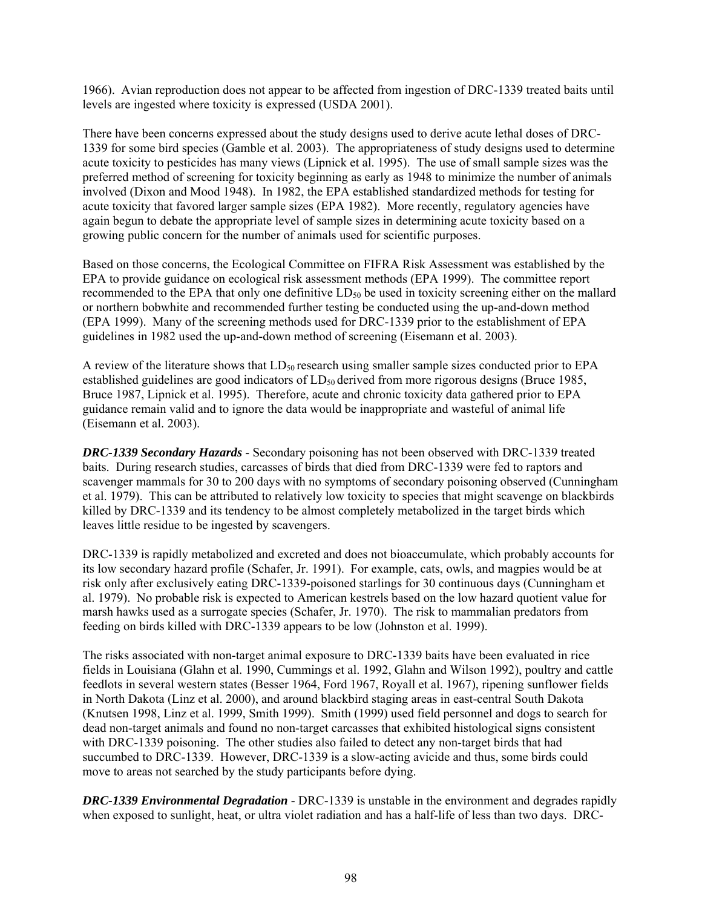1966). Avian reproduction does not appear to be affected from ingestion of DRC-1339 treated baits until levels are ingested where toxicity is expressed (USDA 2001).

There have been concerns expressed about the study designs used to derive acute lethal doses of DRC-1339 for some bird species (Gamble et al. 2003). The appropriateness of study designs used to determine acute toxicity to pesticides has many views (Lipnick et al. 1995). The use of small sample sizes was the preferred method of screening for toxicity beginning as early as 1948 to minimize the number of animals involved (Dixon and Mood 1948). In 1982, the EPA established standardized methods for testing for acute toxicity that favored larger sample sizes (EPA 1982). More recently, regulatory agencies have again begun to debate the appropriate level of sample sizes in determining acute toxicity based on a growing public concern for the number of animals used for scientific purposes.

Based on those concerns, the Ecological Committee on FIFRA Risk Assessment was established by the EPA to provide guidance on ecological risk assessment methods (EPA 1999). The committee report recommended to the EPA that only one definitive  $LD_{50}$  be used in toxicity screening either on the mallard or northern bobwhite and recommended further testing be conducted using the up-and-down method (EPA 1999). Many of the screening methods used for DRC-1339 prior to the establishment of EPA guidelines in 1982 used the up-and-down method of screening (Eisemann et al. 2003).

A review of the literature shows that  $LD_{50}$  research using smaller sample sizes conducted prior to EPA established guidelines are good indicators of  $LD_{50}$  derived from more rigorous designs (Bruce 1985, Bruce 1987, Lipnick et al. 1995). Therefore, acute and chronic toxicity data gathered prior to EPA guidance remain valid and to ignore the data would be inappropriate and wasteful of animal life (Eisemann et al. 2003).

*DRC-1339 Secondary Hazards* - Secondary poisoning has not been observed with DRC-1339 treated baits. During research studies, carcasses of birds that died from DRC-1339 were fed to raptors and scavenger mammals for 30 to 200 days with no symptoms of secondary poisoning observed (Cunningham et al. 1979). This can be attributed to relatively low toxicity to species that might scavenge on blackbirds killed by DRC-1339 and its tendency to be almost completely metabolized in the target birds which leaves little residue to be ingested by scavengers.

DRC-1339 is rapidly metabolized and excreted and does not bioaccumulate, which probably accounts for its low secondary hazard profile (Schafer, Jr. 1991). For example, cats, owls, and magpies would be at risk only after exclusively eating DRC-1339-poisoned starlings for 30 continuous days (Cunningham et al. 1979). No probable risk is expected to American kestrels based on the low hazard quotient value for marsh hawks used as a surrogate species (Schafer, Jr. 1970). The risk to mammalian predators from feeding on birds killed with DRC-1339 appears to be low (Johnston et al. 1999).

The risks associated with non-target animal exposure to DRC-1339 baits have been evaluated in rice fields in Louisiana (Glahn et al. 1990, Cummings et al. 1992, Glahn and Wilson 1992), poultry and cattle feedlots in several western states (Besser 1964, Ford 1967, Royall et al. 1967), ripening sunflower fields in North Dakota (Linz et al. 2000), and around blackbird staging areas in east-central South Dakota (Knutsen 1998, Linz et al. 1999, Smith 1999). Smith (1999) used field personnel and dogs to search for dead non-target animals and found no non-target carcasses that exhibited histological signs consistent with DRC-1339 poisoning. The other studies also failed to detect any non-target birds that had succumbed to DRC-1339. However, DRC-1339 is a slow-acting avicide and thus, some birds could move to areas not searched by the study participants before dying.

*DRC-1339 Environmental Degradation* - DRC-1339 is unstable in the environment and degrades rapidly when exposed to sunlight, heat, or ultra violet radiation and has a half-life of less than two days. DRC-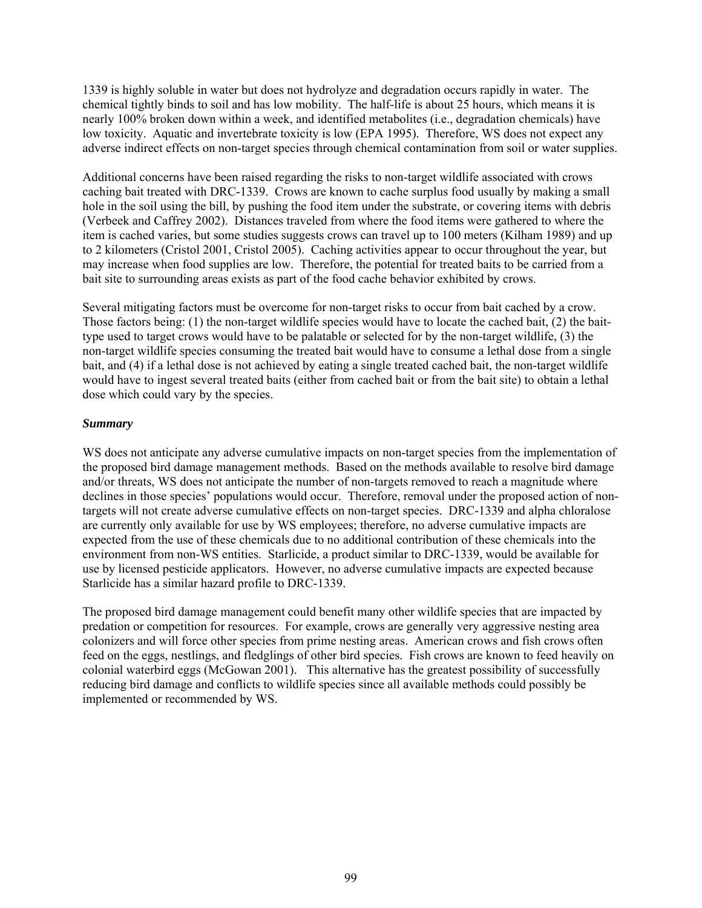1339 is highly soluble in water but does not hydrolyze and degradation occurs rapidly in water. The chemical tightly binds to soil and has low mobility. The half-life is about 25 hours, which means it is nearly 100% broken down within a week, and identified metabolites (i.e., degradation chemicals) have low toxicity. Aquatic and invertebrate toxicity is low (EPA 1995). Therefore, WS does not expect any adverse indirect effects on non-target species through chemical contamination from soil or water supplies.

Additional concerns have been raised regarding the risks to non-target wildlife associated with crows caching bait treated with DRC-1339. Crows are known to cache surplus food usually by making a small hole in the soil using the bill, by pushing the food item under the substrate, or covering items with debris (Verbeek and Caffrey 2002). Distances traveled from where the food items were gathered to where the item is cached varies, but some studies suggests crows can travel up to 100 meters (Kilham 1989) and up to 2 kilometers (Cristol 2001, Cristol 2005). Caching activities appear to occur throughout the year, but may increase when food supplies are low. Therefore, the potential for treated baits to be carried from a bait site to surrounding areas exists as part of the food cache behavior exhibited by crows.

Several mitigating factors must be overcome for non-target risks to occur from bait cached by a crow. Those factors being: (1) the non-target wildlife species would have to locate the cached bait, (2) the baittype used to target crows would have to be palatable or selected for by the non-target wildlife, (3) the non-target wildlife species consuming the treated bait would have to consume a lethal dose from a single bait, and (4) if a lethal dose is not achieved by eating a single treated cached bait, the non-target wildlife would have to ingest several treated baits (either from cached bait or from the bait site) to obtain a lethal dose which could vary by the species.

## *Summary*

WS does not anticipate any adverse cumulative impacts on non-target species from the implementation of the proposed bird damage management methods. Based on the methods available to resolve bird damage and/or threats, WS does not anticipate the number of non-targets removed to reach a magnitude where declines in those species' populations would occur. Therefore, removal under the proposed action of nontargets will not create adverse cumulative effects on non-target species. DRC-1339 and alpha chloralose are currently only available for use by WS employees; therefore, no adverse cumulative impacts are expected from the use of these chemicals due to no additional contribution of these chemicals into the environment from non-WS entities. Starlicide, a product similar to DRC-1339, would be available for use by licensed pesticide applicators. However, no adverse cumulative impacts are expected because Starlicide has a similar hazard profile to DRC-1339.

The proposed bird damage management could benefit many other wildlife species that are impacted by predation or competition for resources. For example, crows are generally very aggressive nesting area colonizers and will force other species from prime nesting areas. American crows and fish crows often feed on the eggs, nestlings, and fledglings of other bird species. Fish crows are known to feed heavily on colonial waterbird eggs (McGowan 2001). This alternative has the greatest possibility of successfully reducing bird damage and conflicts to wildlife species since all available methods could possibly be implemented or recommended by WS.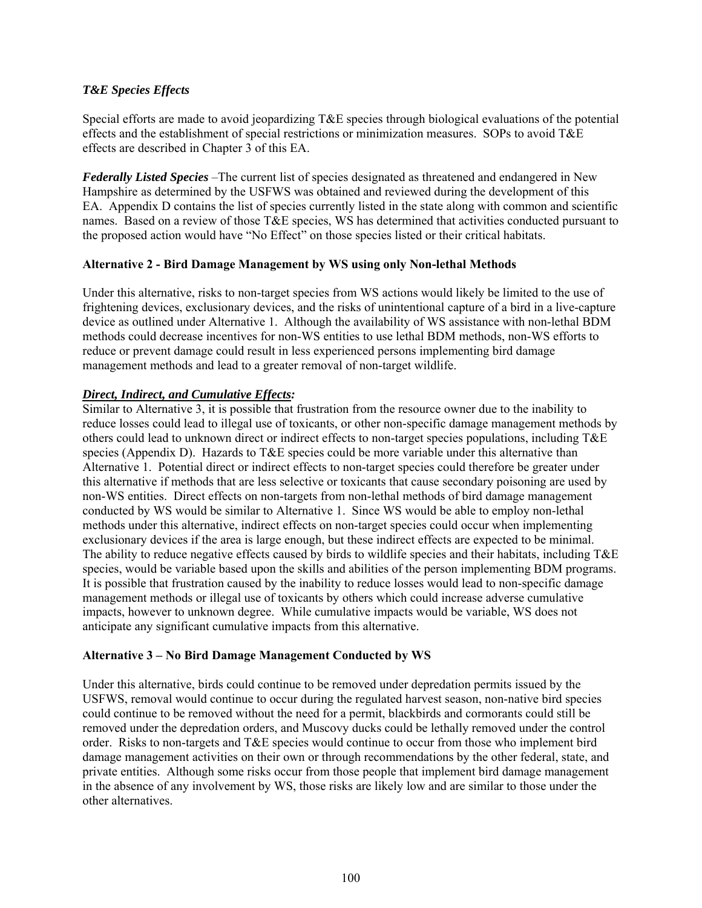# *T&E Species Effects*

Special efforts are made to avoid jeopardizing T&E species through biological evaluations of the potential effects and the establishment of special restrictions or minimization measures. SOPs to avoid T&E effects are described in Chapter 3 of this EA.

*Federally Listed Species* –The current list of species designated as threatened and endangered in New Hampshire as determined by the USFWS was obtained and reviewed during the development of this EA. Appendix D contains the list of species currently listed in the state along with common and scientific names. Based on a review of those T&E species, WS has determined that activities conducted pursuant to the proposed action would have "No Effect" on those species listed or their critical habitats.

## **Alternative 2 - Bird Damage Management by WS using only Non-lethal Methods**

Under this alternative, risks to non-target species from WS actions would likely be limited to the use of frightening devices, exclusionary devices, and the risks of unintentional capture of a bird in a live-capture device as outlined under Alternative 1. Although the availability of WS assistance with non-lethal BDM methods could decrease incentives for non-WS entities to use lethal BDM methods, non-WS efforts to reduce or prevent damage could result in less experienced persons implementing bird damage management methods and lead to a greater removal of non-target wildlife.

# *Direct, Indirect, and Cumulative Effects:*

Similar to Alternative 3, it is possible that frustration from the resource owner due to the inability to reduce losses could lead to illegal use of toxicants, or other non-specific damage management methods by others could lead to unknown direct or indirect effects to non-target species populations, including T&E species (Appendix D). Hazards to T&E species could be more variable under this alternative than Alternative 1. Potential direct or indirect effects to non-target species could therefore be greater under this alternative if methods that are less selective or toxicants that cause secondary poisoning are used by non-WS entities. Direct effects on non-targets from non-lethal methods of bird damage management conducted by WS would be similar to Alternative 1. Since WS would be able to employ non-lethal methods under this alternative, indirect effects on non-target species could occur when implementing exclusionary devices if the area is large enough, but these indirect effects are expected to be minimal. The ability to reduce negative effects caused by birds to wildlife species and their habitats, including T&E species, would be variable based upon the skills and abilities of the person implementing BDM programs. It is possible that frustration caused by the inability to reduce losses would lead to non-specific damage management methods or illegal use of toxicants by others which could increase adverse cumulative impacts, however to unknown degree. While cumulative impacts would be variable, WS does not anticipate any significant cumulative impacts from this alternative.

## **Alternative 3 – No Bird Damage Management Conducted by WS**

Under this alternative, birds could continue to be removed under depredation permits issued by the USFWS, removal would continue to occur during the regulated harvest season, non-native bird species could continue to be removed without the need for a permit, blackbirds and cormorants could still be removed under the depredation orders, and Muscovy ducks could be lethally removed under the control order. Risks to non-targets and T&E species would continue to occur from those who implement bird damage management activities on their own or through recommendations by the other federal, state, and private entities. Although some risks occur from those people that implement bird damage management in the absence of any involvement by WS, those risks are likely low and are similar to those under the other alternatives.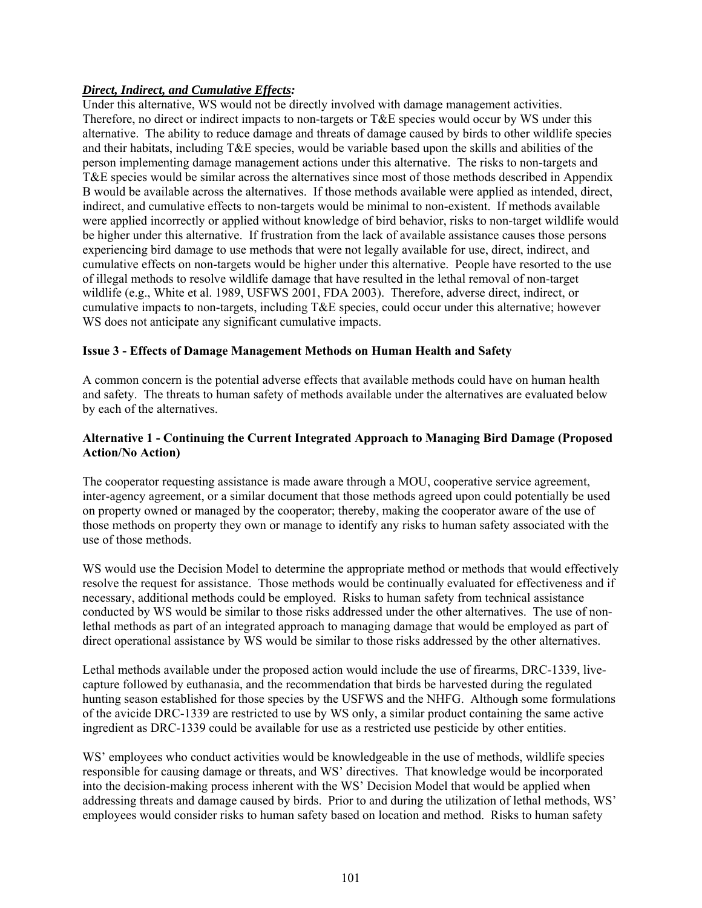# *Direct, Indirect, and Cumulative Effects:*

Under this alternative, WS would not be directly involved with damage management activities. Therefore, no direct or indirect impacts to non-targets or T&E species would occur by WS under this alternative. The ability to reduce damage and threats of damage caused by birds to other wildlife species and their habitats, including T&E species, would be variable based upon the skills and abilities of the person implementing damage management actions under this alternative. The risks to non-targets and T&E species would be similar across the alternatives since most of those methods described in Appendix B would be available across the alternatives. If those methods available were applied as intended, direct, indirect, and cumulative effects to non-targets would be minimal to non-existent. If methods available were applied incorrectly or applied without knowledge of bird behavior, risks to non-target wildlife would be higher under this alternative. If frustration from the lack of available assistance causes those persons experiencing bird damage to use methods that were not legally available for use, direct, indirect, and cumulative effects on non-targets would be higher under this alternative. People have resorted to the use of illegal methods to resolve wildlife damage that have resulted in the lethal removal of non-target wildlife (e.g., White et al. 1989, USFWS 2001, FDA 2003). Therefore, adverse direct, indirect, or cumulative impacts to non-targets, including T&E species, could occur under this alternative; however WS does not anticipate any significant cumulative impacts.

# **Issue 3 - Effects of Damage Management Methods on Human Health and Safety**

A common concern is the potential adverse effects that available methods could have on human health and safety. The threats to human safety of methods available under the alternatives are evaluated below by each of the alternatives.

# **Alternative 1 - Continuing the Current Integrated Approach to Managing Bird Damage (Proposed Action/No Action)**

The cooperator requesting assistance is made aware through a MOU, cooperative service agreement, inter-agency agreement, or a similar document that those methods agreed upon could potentially be used on property owned or managed by the cooperator; thereby, making the cooperator aware of the use of those methods on property they own or manage to identify any risks to human safety associated with the use of those methods.

WS would use the Decision Model to determine the appropriate method or methods that would effectively resolve the request for assistance. Those methods would be continually evaluated for effectiveness and if necessary, additional methods could be employed. Risks to human safety from technical assistance conducted by WS would be similar to those risks addressed under the other alternatives. The use of nonlethal methods as part of an integrated approach to managing damage that would be employed as part of direct operational assistance by WS would be similar to those risks addressed by the other alternatives.

Lethal methods available under the proposed action would include the use of firearms, DRC-1339, livecapture followed by euthanasia, and the recommendation that birds be harvested during the regulated hunting season established for those species by the USFWS and the NHFG. Although some formulations of the avicide DRC-1339 are restricted to use by WS only, a similar product containing the same active ingredient as DRC-1339 could be available for use as a restricted use pesticide by other entities.

WS' employees who conduct activities would be knowledgeable in the use of methods, wildlife species responsible for causing damage or threats, and WS' directives. That knowledge would be incorporated into the decision-making process inherent with the WS' Decision Model that would be applied when addressing threats and damage caused by birds. Prior to and during the utilization of lethal methods, WS' employees would consider risks to human safety based on location and method. Risks to human safety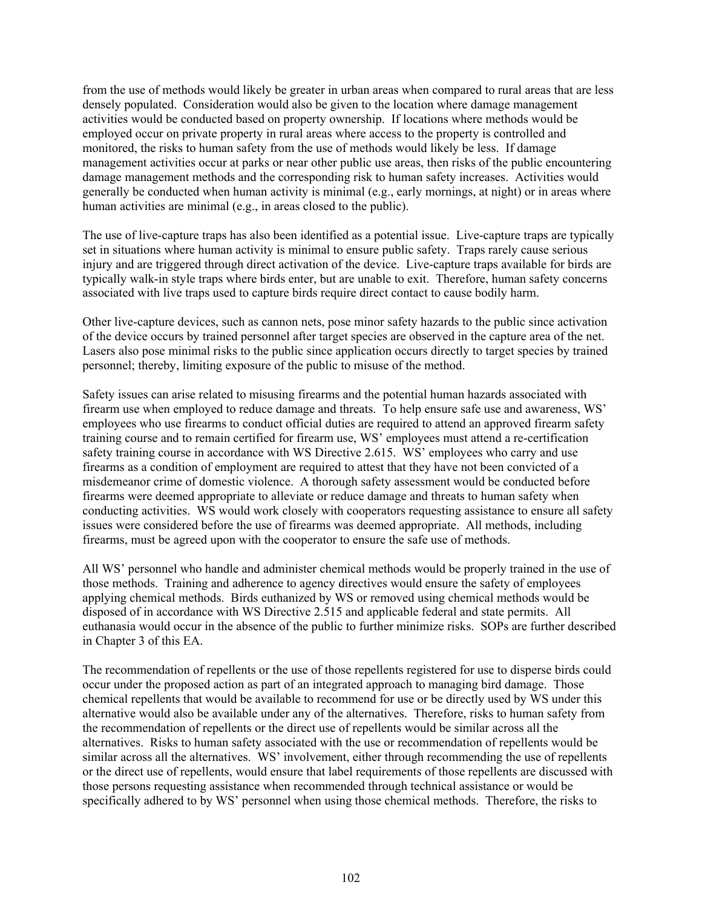from the use of methods would likely be greater in urban areas when compared to rural areas that are less densely populated. Consideration would also be given to the location where damage management activities would be conducted based on property ownership. If locations where methods would be employed occur on private property in rural areas where access to the property is controlled and monitored, the risks to human safety from the use of methods would likely be less. If damage management activities occur at parks or near other public use areas, then risks of the public encountering damage management methods and the corresponding risk to human safety increases. Activities would generally be conducted when human activity is minimal (e.g., early mornings, at night) or in areas where human activities are minimal (e.g., in areas closed to the public).

The use of live-capture traps has also been identified as a potential issue. Live-capture traps are typically set in situations where human activity is minimal to ensure public safety. Traps rarely cause serious injury and are triggered through direct activation of the device. Live-capture traps available for birds are typically walk-in style traps where birds enter, but are unable to exit. Therefore, human safety concerns associated with live traps used to capture birds require direct contact to cause bodily harm.

Other live-capture devices, such as cannon nets, pose minor safety hazards to the public since activation of the device occurs by trained personnel after target species are observed in the capture area of the net. Lasers also pose minimal risks to the public since application occurs directly to target species by trained personnel; thereby, limiting exposure of the public to misuse of the method.

Safety issues can arise related to misusing firearms and the potential human hazards associated with firearm use when employed to reduce damage and threats. To help ensure safe use and awareness, WS' employees who use firearms to conduct official duties are required to attend an approved firearm safety training course and to remain certified for firearm use, WS' employees must attend a re-certification safety training course in accordance with WS Directive 2.615. WS' employees who carry and use firearms as a condition of employment are required to attest that they have not been convicted of a misdemeanor crime of domestic violence. A thorough safety assessment would be conducted before firearms were deemed appropriate to alleviate or reduce damage and threats to human safety when conducting activities. WS would work closely with cooperators requesting assistance to ensure all safety issues were considered before the use of firearms was deemed appropriate. All methods, including firearms, must be agreed upon with the cooperator to ensure the safe use of methods.

All WS' personnel who handle and administer chemical methods would be properly trained in the use of those methods. Training and adherence to agency directives would ensure the safety of employees applying chemical methods. Birds euthanized by WS or removed using chemical methods would be disposed of in accordance with WS Directive 2.515 and applicable federal and state permits. All euthanasia would occur in the absence of the public to further minimize risks. SOPs are further described in Chapter 3 of this EA.

The recommendation of repellents or the use of those repellents registered for use to disperse birds could occur under the proposed action as part of an integrated approach to managing bird damage. Those chemical repellents that would be available to recommend for use or be directly used by WS under this alternative would also be available under any of the alternatives. Therefore, risks to human safety from the recommendation of repellents or the direct use of repellents would be similar across all the alternatives. Risks to human safety associated with the use or recommendation of repellents would be similar across all the alternatives. WS' involvement, either through recommending the use of repellents or the direct use of repellents, would ensure that label requirements of those repellents are discussed with those persons requesting assistance when recommended through technical assistance or would be specifically adhered to by WS' personnel when using those chemical methods. Therefore, the risks to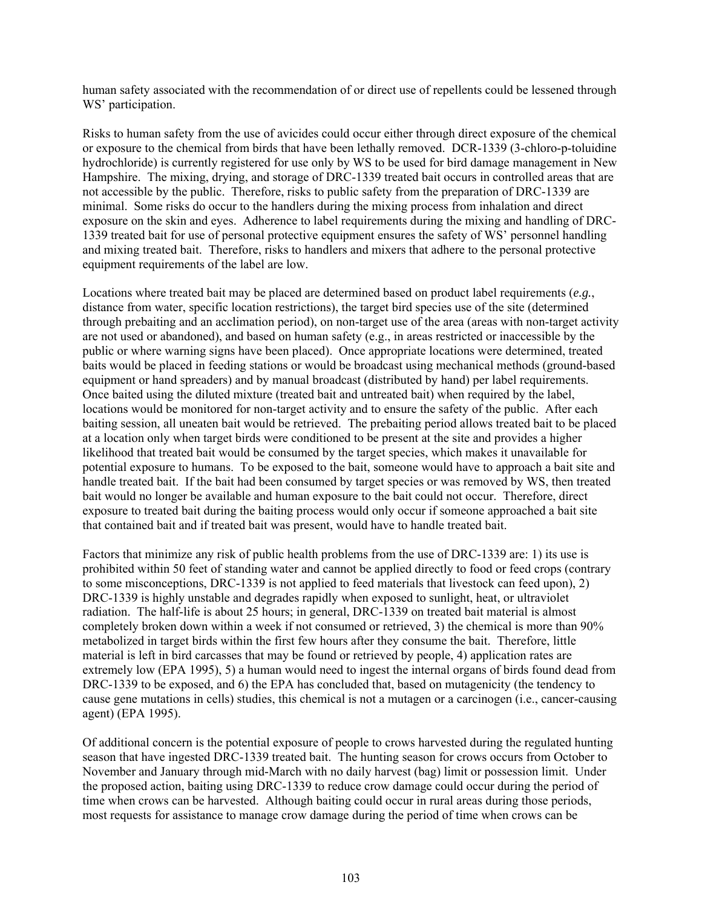human safety associated with the recommendation of or direct use of repellents could be lessened through WS' participation.

Risks to human safety from the use of avicides could occur either through direct exposure of the chemical or exposure to the chemical from birds that have been lethally removed. DCR-1339 (3-chloro-p-toluidine hydrochloride) is currently registered for use only by WS to be used for bird damage management in New Hampshire. The mixing, drying, and storage of DRC-1339 treated bait occurs in controlled areas that are not accessible by the public. Therefore, risks to public safety from the preparation of DRC-1339 are minimal. Some risks do occur to the handlers during the mixing process from inhalation and direct exposure on the skin and eyes. Adherence to label requirements during the mixing and handling of DRC-1339 treated bait for use of personal protective equipment ensures the safety of WS' personnel handling and mixing treated bait. Therefore, risks to handlers and mixers that adhere to the personal protective equipment requirements of the label are low.

Locations where treated bait may be placed are determined based on product label requirements (*e.g.*, distance from water, specific location restrictions), the target bird species use of the site (determined through prebaiting and an acclimation period), on non-target use of the area (areas with non-target activity are not used or abandoned), and based on human safety (e.g., in areas restricted or inaccessible by the public or where warning signs have been placed). Once appropriate locations were determined, treated baits would be placed in feeding stations or would be broadcast using mechanical methods (ground-based equipment or hand spreaders) and by manual broadcast (distributed by hand) per label requirements. Once baited using the diluted mixture (treated bait and untreated bait) when required by the label, locations would be monitored for non-target activity and to ensure the safety of the public. After each baiting session, all uneaten bait would be retrieved. The prebaiting period allows treated bait to be placed at a location only when target birds were conditioned to be present at the site and provides a higher likelihood that treated bait would be consumed by the target species, which makes it unavailable for potential exposure to humans. To be exposed to the bait, someone would have to approach a bait site and handle treated bait. If the bait had been consumed by target species or was removed by WS, then treated bait would no longer be available and human exposure to the bait could not occur. Therefore, direct exposure to treated bait during the baiting process would only occur if someone approached a bait site that contained bait and if treated bait was present, would have to handle treated bait.

Factors that minimize any risk of public health problems from the use of DRC-1339 are: 1) its use is prohibited within 50 feet of standing water and cannot be applied directly to food or feed crops (contrary to some misconceptions, DRC-1339 is not applied to feed materials that livestock can feed upon), 2) DRC-1339 is highly unstable and degrades rapidly when exposed to sunlight, heat, or ultraviolet radiation. The half-life is about 25 hours; in general, DRC-1339 on treated bait material is almost completely broken down within a week if not consumed or retrieved, 3) the chemical is more than 90% metabolized in target birds within the first few hours after they consume the bait. Therefore, little material is left in bird carcasses that may be found or retrieved by people, 4) application rates are extremely low (EPA 1995), 5) a human would need to ingest the internal organs of birds found dead from DRC-1339 to be exposed, and 6) the EPA has concluded that, based on mutagenicity (the tendency to cause gene mutations in cells) studies, this chemical is not a mutagen or a carcinogen (i.e., cancer-causing agent) (EPA 1995).

Of additional concern is the potential exposure of people to crows harvested during the regulated hunting season that have ingested DRC-1339 treated bait. The hunting season for crows occurs from October to November and January through mid-March with no daily harvest (bag) limit or possession limit. Under the proposed action, baiting using DRC-1339 to reduce crow damage could occur during the period of time when crows can be harvested. Although baiting could occur in rural areas during those periods, most requests for assistance to manage crow damage during the period of time when crows can be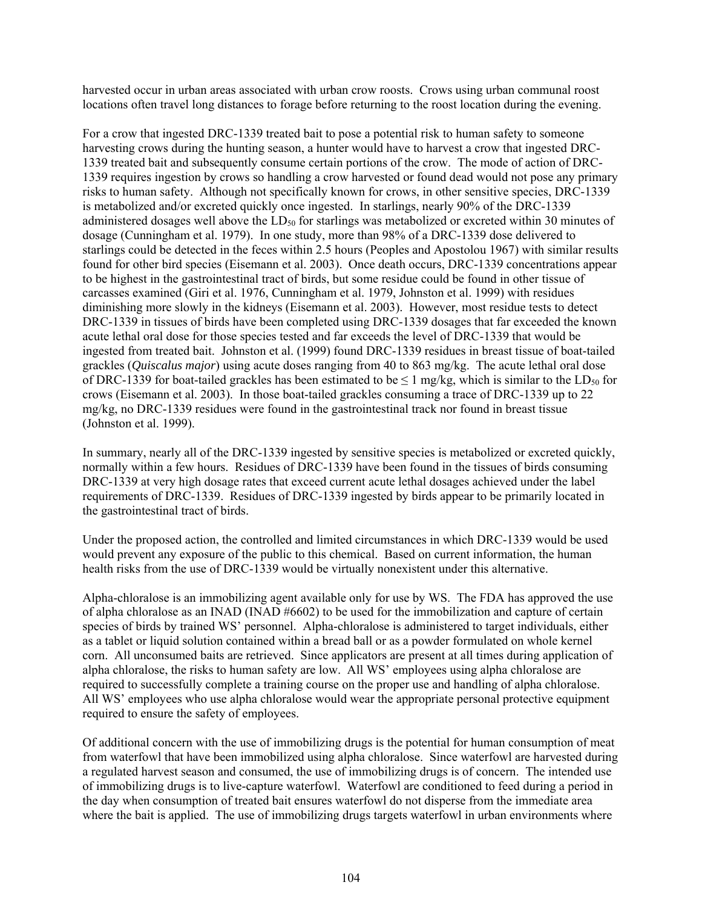harvested occur in urban areas associated with urban crow roosts. Crows using urban communal roost locations often travel long distances to forage before returning to the roost location during the evening.

For a crow that ingested DRC-1339 treated bait to pose a potential risk to human safety to someone harvesting crows during the hunting season, a hunter would have to harvest a crow that ingested DRC-1339 treated bait and subsequently consume certain portions of the crow. The mode of action of DRC-1339 requires ingestion by crows so handling a crow harvested or found dead would not pose any primary risks to human safety. Although not specifically known for crows, in other sensitive species, DRC-1339 is metabolized and/or excreted quickly once ingested. In starlings, nearly 90% of the DRC-1339 administered dosages well above the LD<sub>50</sub> for starlings was metabolized or excreted within 30 minutes of dosage (Cunningham et al. 1979). In one study, more than 98% of a DRC-1339 dose delivered to starlings could be detected in the feces within 2.5 hours (Peoples and Apostolou 1967) with similar results found for other bird species (Eisemann et al. 2003). Once death occurs, DRC-1339 concentrations appear to be highest in the gastrointestinal tract of birds, but some residue could be found in other tissue of carcasses examined (Giri et al. 1976, Cunningham et al. 1979, Johnston et al. 1999) with residues diminishing more slowly in the kidneys (Eisemann et al. 2003). However, most residue tests to detect DRC-1339 in tissues of birds have been completed using DRC-1339 dosages that far exceeded the known acute lethal oral dose for those species tested and far exceeds the level of DRC-1339 that would be ingested from treated bait. Johnston et al. (1999) found DRC-1339 residues in breast tissue of boat-tailed grackles (*Quiscalus major*) using acute doses ranging from 40 to 863 mg/kg. The acute lethal oral dose of DRC-1339 for boat-tailed grackles has been estimated to be  $\leq 1$  mg/kg, which is similar to the LD<sub>50</sub> for crows (Eisemann et al. 2003). In those boat-tailed grackles consuming a trace of DRC-1339 up to 22 mg/kg, no DRC-1339 residues were found in the gastrointestinal track nor found in breast tissue (Johnston et al. 1999).

In summary, nearly all of the DRC-1339 ingested by sensitive species is metabolized or excreted quickly, normally within a few hours. Residues of DRC-1339 have been found in the tissues of birds consuming DRC-1339 at very high dosage rates that exceed current acute lethal dosages achieved under the label requirements of DRC-1339. Residues of DRC-1339 ingested by birds appear to be primarily located in the gastrointestinal tract of birds.

Under the proposed action, the controlled and limited circumstances in which DRC-1339 would be used would prevent any exposure of the public to this chemical. Based on current information, the human health risks from the use of DRC-1339 would be virtually nonexistent under this alternative.

Alpha-chloralose is an immobilizing agent available only for use by WS. The FDA has approved the use of alpha chloralose as an INAD (INAD #6602) to be used for the immobilization and capture of certain species of birds by trained WS' personnel. Alpha-chloralose is administered to target individuals, either as a tablet or liquid solution contained within a bread ball or as a powder formulated on whole kernel corn. All unconsumed baits are retrieved. Since applicators are present at all times during application of alpha chloralose, the risks to human safety are low. All WS' employees using alpha chloralose are required to successfully complete a training course on the proper use and handling of alpha chloralose. All WS' employees who use alpha chloralose would wear the appropriate personal protective equipment required to ensure the safety of employees.

Of additional concern with the use of immobilizing drugs is the potential for human consumption of meat from waterfowl that have been immobilized using alpha chloralose. Since waterfowl are harvested during a regulated harvest season and consumed, the use of immobilizing drugs is of concern. The intended use of immobilizing drugs is to live-capture waterfowl. Waterfowl are conditioned to feed during a period in the day when consumption of treated bait ensures waterfowl do not disperse from the immediate area where the bait is applied. The use of immobilizing drugs targets waterfowl in urban environments where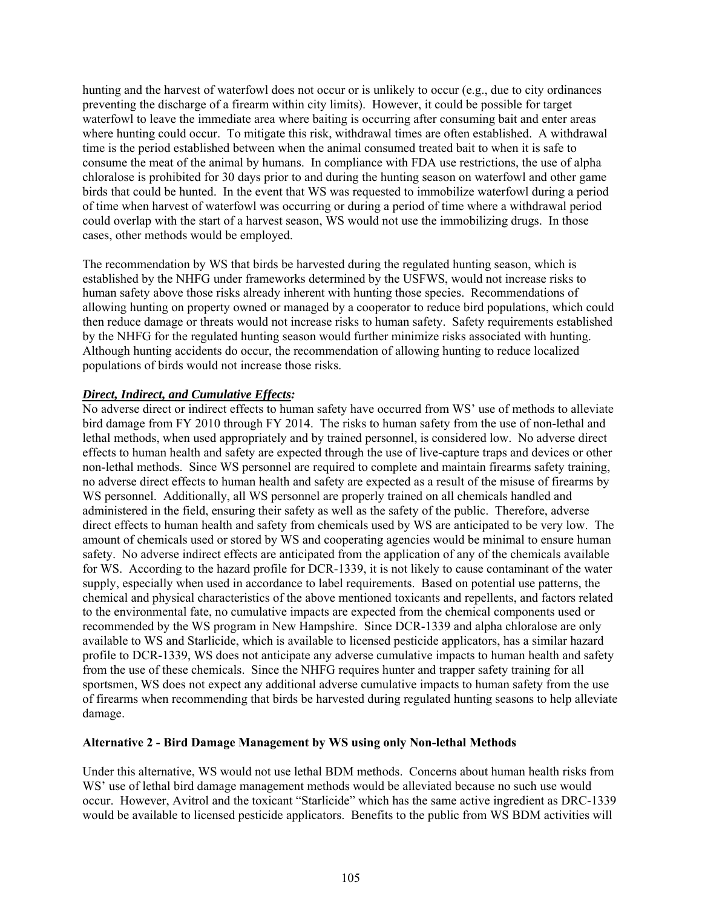hunting and the harvest of waterfowl does not occur or is unlikely to occur (e.g., due to city ordinances preventing the discharge of a firearm within city limits). However, it could be possible for target waterfowl to leave the immediate area where baiting is occurring after consuming bait and enter areas where hunting could occur. To mitigate this risk, withdrawal times are often established. A withdrawal time is the period established between when the animal consumed treated bait to when it is safe to consume the meat of the animal by humans. In compliance with FDA use restrictions, the use of alpha chloralose is prohibited for 30 days prior to and during the hunting season on waterfowl and other game birds that could be hunted. In the event that WS was requested to immobilize waterfowl during a period of time when harvest of waterfowl was occurring or during a period of time where a withdrawal period could overlap with the start of a harvest season, WS would not use the immobilizing drugs. In those cases, other methods would be employed.

The recommendation by WS that birds be harvested during the regulated hunting season, which is established by the NHFG under frameworks determined by the USFWS, would not increase risks to human safety above those risks already inherent with hunting those species. Recommendations of allowing hunting on property owned or managed by a cooperator to reduce bird populations, which could then reduce damage or threats would not increase risks to human safety. Safety requirements established by the NHFG for the regulated hunting season would further minimize risks associated with hunting. Although hunting accidents do occur, the recommendation of allowing hunting to reduce localized populations of birds would not increase those risks.

## *Direct, Indirect, and Cumulative Effects:*

No adverse direct or indirect effects to human safety have occurred from WS' use of methods to alleviate bird damage from FY 2010 through FY 2014. The risks to human safety from the use of non-lethal and lethal methods, when used appropriately and by trained personnel, is considered low. No adverse direct effects to human health and safety are expected through the use of live-capture traps and devices or other non-lethal methods. Since WS personnel are required to complete and maintain firearms safety training, no adverse direct effects to human health and safety are expected as a result of the misuse of firearms by WS personnel. Additionally, all WS personnel are properly trained on all chemicals handled and administered in the field, ensuring their safety as well as the safety of the public. Therefore, adverse direct effects to human health and safety from chemicals used by WS are anticipated to be very low. The amount of chemicals used or stored by WS and cooperating agencies would be minimal to ensure human safety. No adverse indirect effects are anticipated from the application of any of the chemicals available for WS. According to the hazard profile for DCR-1339, it is not likely to cause contaminant of the water supply, especially when used in accordance to label requirements. Based on potential use patterns, the chemical and physical characteristics of the above mentioned toxicants and repellents, and factors related to the environmental fate, no cumulative impacts are expected from the chemical components used or recommended by the WS program in New Hampshire. Since DCR-1339 and alpha chloralose are only available to WS and Starlicide, which is available to licensed pesticide applicators, has a similar hazard profile to DCR-1339, WS does not anticipate any adverse cumulative impacts to human health and safety from the use of these chemicals. Since the NHFG requires hunter and trapper safety training for all sportsmen, WS does not expect any additional adverse cumulative impacts to human safety from the use of firearms when recommending that birds be harvested during regulated hunting seasons to help alleviate damage.

## **Alternative 2 - Bird Damage Management by WS using only Non-lethal Methods**

Under this alternative, WS would not use lethal BDM methods. Concerns about human health risks from WS' use of lethal bird damage management methods would be alleviated because no such use would occur. However, Avitrol and the toxicant "Starlicide" which has the same active ingredient as DRC-1339 would be available to licensed pesticide applicators. Benefits to the public from WS BDM activities will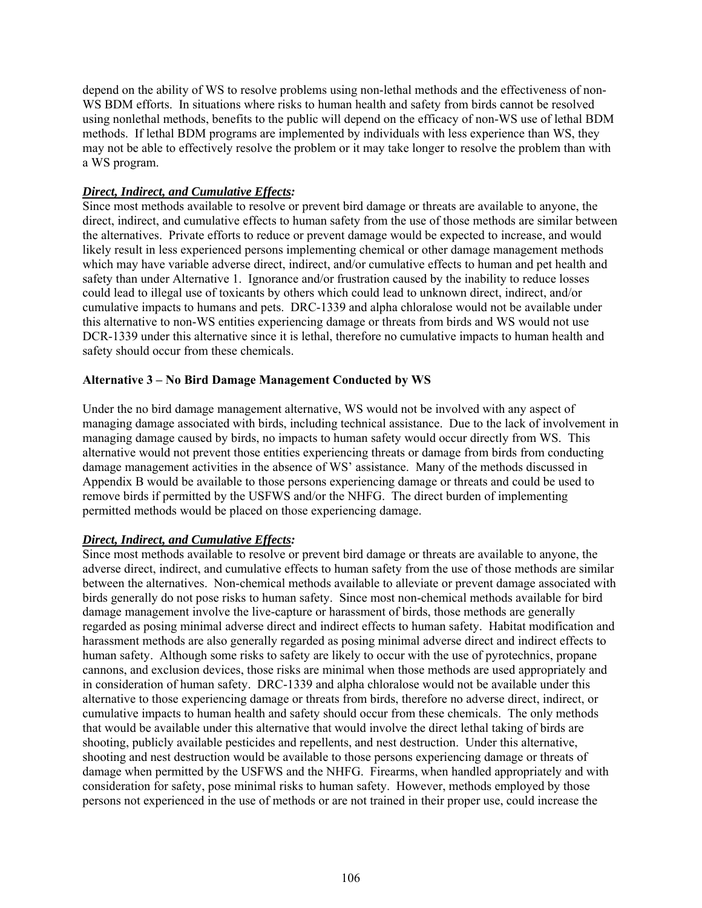depend on the ability of WS to resolve problems using non-lethal methods and the effectiveness of non-WS BDM efforts. In situations where risks to human health and safety from birds cannot be resolved using nonlethal methods, benefits to the public will depend on the efficacy of non-WS use of lethal BDM methods. If lethal BDM programs are implemented by individuals with less experience than WS, they may not be able to effectively resolve the problem or it may take longer to resolve the problem than with a WS program.

#### *Direct, Indirect, and Cumulative Effects:*

Since most methods available to resolve or prevent bird damage or threats are available to anyone, the direct, indirect, and cumulative effects to human safety from the use of those methods are similar between the alternatives. Private efforts to reduce or prevent damage would be expected to increase, and would likely result in less experienced persons implementing chemical or other damage management methods which may have variable adverse direct, indirect, and/or cumulative effects to human and pet health and safety than under Alternative 1. Ignorance and/or frustration caused by the inability to reduce losses could lead to illegal use of toxicants by others which could lead to unknown direct, indirect, and/or cumulative impacts to humans and pets. DRC-1339 and alpha chloralose would not be available under this alternative to non-WS entities experiencing damage or threats from birds and WS would not use DCR-1339 under this alternative since it is lethal, therefore no cumulative impacts to human health and safety should occur from these chemicals.

#### **Alternative 3 – No Bird Damage Management Conducted by WS**

Under the no bird damage management alternative, WS would not be involved with any aspect of managing damage associated with birds, including technical assistance. Due to the lack of involvement in managing damage caused by birds, no impacts to human safety would occur directly from WS. This alternative would not prevent those entities experiencing threats or damage from birds from conducting damage management activities in the absence of WS' assistance. Many of the methods discussed in Appendix B would be available to those persons experiencing damage or threats and could be used to remove birds if permitted by the USFWS and/or the NHFG. The direct burden of implementing permitted methods would be placed on those experiencing damage.

## *Direct, Indirect, and Cumulative Effects:*

Since most methods available to resolve or prevent bird damage or threats are available to anyone, the adverse direct, indirect, and cumulative effects to human safety from the use of those methods are similar between the alternatives. Non-chemical methods available to alleviate or prevent damage associated with birds generally do not pose risks to human safety. Since most non-chemical methods available for bird damage management involve the live-capture or harassment of birds, those methods are generally regarded as posing minimal adverse direct and indirect effects to human safety. Habitat modification and harassment methods are also generally regarded as posing minimal adverse direct and indirect effects to human safety. Although some risks to safety are likely to occur with the use of pyrotechnics, propane cannons, and exclusion devices, those risks are minimal when those methods are used appropriately and in consideration of human safety. DRC-1339 and alpha chloralose would not be available under this alternative to those experiencing damage or threats from birds, therefore no adverse direct, indirect, or cumulative impacts to human health and safety should occur from these chemicals. The only methods that would be available under this alternative that would involve the direct lethal taking of birds are shooting, publicly available pesticides and repellents, and nest destruction. Under this alternative, shooting and nest destruction would be available to those persons experiencing damage or threats of damage when permitted by the USFWS and the NHFG. Firearms, when handled appropriately and with consideration for safety, pose minimal risks to human safety. However, methods employed by those persons not experienced in the use of methods or are not trained in their proper use, could increase the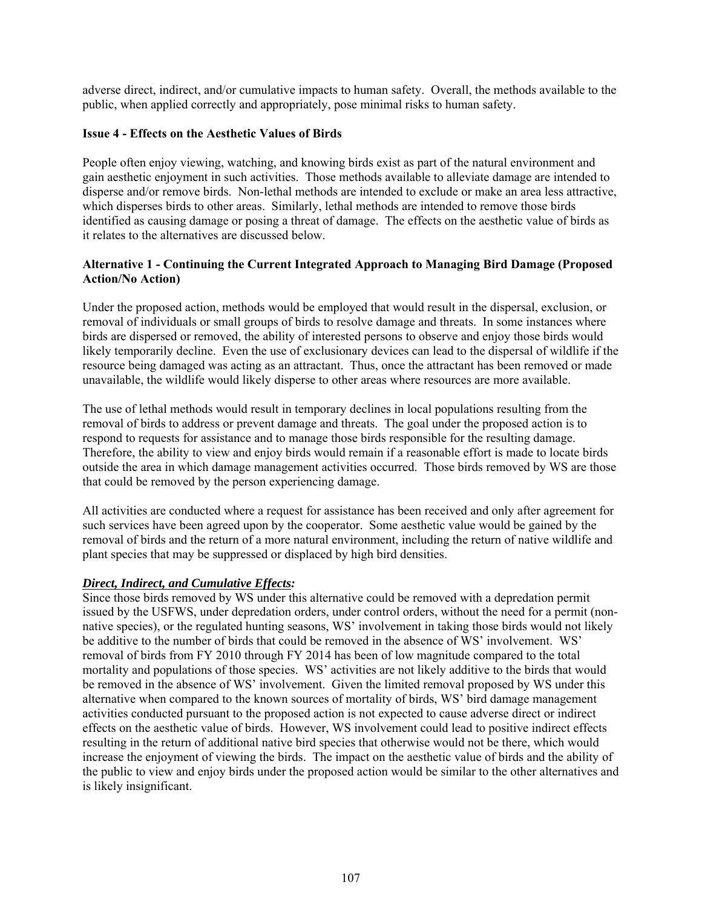adverse direct, indirect, and/or cumulative impacts to human safety. Overall, the methods available to the public, when applied correctly and appropriately, pose minimal risks to human safety.

## **Issue 4 - Effects on the Aesthetic Values of Birds**

People often enjoy viewing, watching, and knowing birds exist as part of the natural environment and gain aesthetic enjoyment in such activities. Those methods available to alleviate damage are intended to disperse and/or remove birds. Non-lethal methods are intended to exclude or make an area less attractive, which disperses birds to other areas. Similarly, lethal methods are intended to remove those birds identified as causing damage or posing a threat of damage. The effects on the aesthetic value of birds as it relates to the alternatives are discussed below.

# **Alternative 1 - Continuing the Current Integrated Approach to Managing Bird Damage (Proposed Action/No Action)**

Under the proposed action, methods would be employed that would result in the dispersal, exclusion, or removal of individuals or small groups of birds to resolve damage and threats. In some instances where birds are dispersed or removed, the ability of interested persons to observe and enjoy those birds would likely temporarily decline. Even the use of exclusionary devices can lead to the dispersal of wildlife if the resource being damaged was acting as an attractant. Thus, once the attractant has been removed or made unavailable, the wildlife would likely disperse to other areas where resources are more available.

The use of lethal methods would result in temporary declines in local populations resulting from the removal of birds to address or prevent damage and threats. The goal under the proposed action is to respond to requests for assistance and to manage those birds responsible for the resulting damage. Therefore, the ability to view and enjoy birds would remain if a reasonable effort is made to locate birds outside the area in which damage management activities occurred. Those birds removed by WS are those that could be removed by the person experiencing damage.

All activities are conducted where a request for assistance has been received and only after agreement for such services have been agreed upon by the cooperator. Some aesthetic value would be gained by the removal of birds and the return of a more natural environment, including the return of native wildlife and plant species that may be suppressed or displaced by high bird densities.

## *Direct, Indirect, and Cumulative Effects:*

Since those birds removed by WS under this alternative could be removed with a depredation permit issued by the USFWS, under depredation orders, under control orders, without the need for a permit (nonnative species), or the regulated hunting seasons, WS' involvement in taking those birds would not likely be additive to the number of birds that could be removed in the absence of WS' involvement. WS' removal of birds from FY 2010 through FY 2014 has been of low magnitude compared to the total mortality and populations of those species. WS' activities are not likely additive to the birds that would be removed in the absence of WS' involvement. Given the limited removal proposed by WS under this alternative when compared to the known sources of mortality of birds, WS' bird damage management activities conducted pursuant to the proposed action is not expected to cause adverse direct or indirect effects on the aesthetic value of birds. However, WS involvement could lead to positive indirect effects resulting in the return of additional native bird species that otherwise would not be there, which would increase the enjoyment of viewing the birds. The impact on the aesthetic value of birds and the ability of the public to view and enjoy birds under the proposed action would be similar to the other alternatives and is likely insignificant.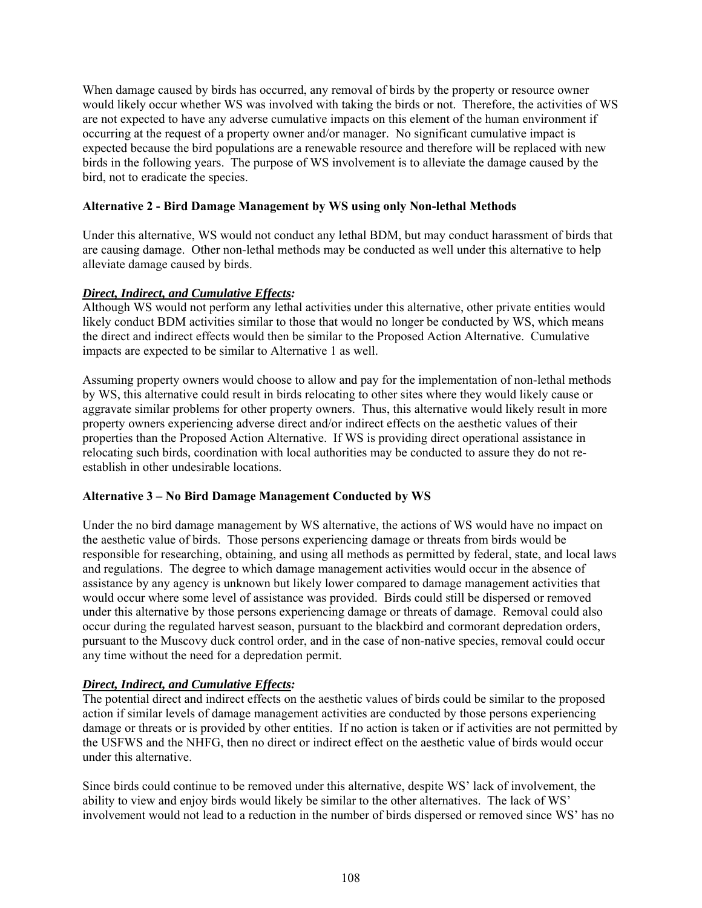When damage caused by birds has occurred, any removal of birds by the property or resource owner would likely occur whether WS was involved with taking the birds or not. Therefore, the activities of WS are not expected to have any adverse cumulative impacts on this element of the human environment if occurring at the request of a property owner and/or manager. No significant cumulative impact is expected because the bird populations are a renewable resource and therefore will be replaced with new birds in the following years. The purpose of WS involvement is to alleviate the damage caused by the bird, not to eradicate the species.

# **Alternative 2 - Bird Damage Management by WS using only Non-lethal Methods**

Under this alternative, WS would not conduct any lethal BDM, but may conduct harassment of birds that are causing damage. Other non-lethal methods may be conducted as well under this alternative to help alleviate damage caused by birds.

# *Direct, Indirect, and Cumulative Effects:*

Although WS would not perform any lethal activities under this alternative, other private entities would likely conduct BDM activities similar to those that would no longer be conducted by WS, which means the direct and indirect effects would then be similar to the Proposed Action Alternative. Cumulative impacts are expected to be similar to Alternative 1 as well.

Assuming property owners would choose to allow and pay for the implementation of non-lethal methods by WS, this alternative could result in birds relocating to other sites where they would likely cause or aggravate similar problems for other property owners. Thus, this alternative would likely result in more property owners experiencing adverse direct and/or indirect effects on the aesthetic values of their properties than the Proposed Action Alternative. If WS is providing direct operational assistance in relocating such birds, coordination with local authorities may be conducted to assure they do not reestablish in other undesirable locations.

## **Alternative 3 – No Bird Damage Management Conducted by WS**

Under the no bird damage management by WS alternative, the actions of WS would have no impact on the aesthetic value of birds. Those persons experiencing damage or threats from birds would be responsible for researching, obtaining, and using all methods as permitted by federal, state, and local laws and regulations. The degree to which damage management activities would occur in the absence of assistance by any agency is unknown but likely lower compared to damage management activities that would occur where some level of assistance was provided. Birds could still be dispersed or removed under this alternative by those persons experiencing damage or threats of damage. Removal could also occur during the regulated harvest season, pursuant to the blackbird and cormorant depredation orders, pursuant to the Muscovy duck control order, and in the case of non-native species, removal could occur any time without the need for a depredation permit.

# *Direct, Indirect, and Cumulative Effects:*

The potential direct and indirect effects on the aesthetic values of birds could be similar to the proposed action if similar levels of damage management activities are conducted by those persons experiencing damage or threats or is provided by other entities. If no action is taken or if activities are not permitted by the USFWS and the NHFG, then no direct or indirect effect on the aesthetic value of birds would occur under this alternative.

Since birds could continue to be removed under this alternative, despite WS' lack of involvement, the ability to view and enjoy birds would likely be similar to the other alternatives. The lack of WS' involvement would not lead to a reduction in the number of birds dispersed or removed since WS' has no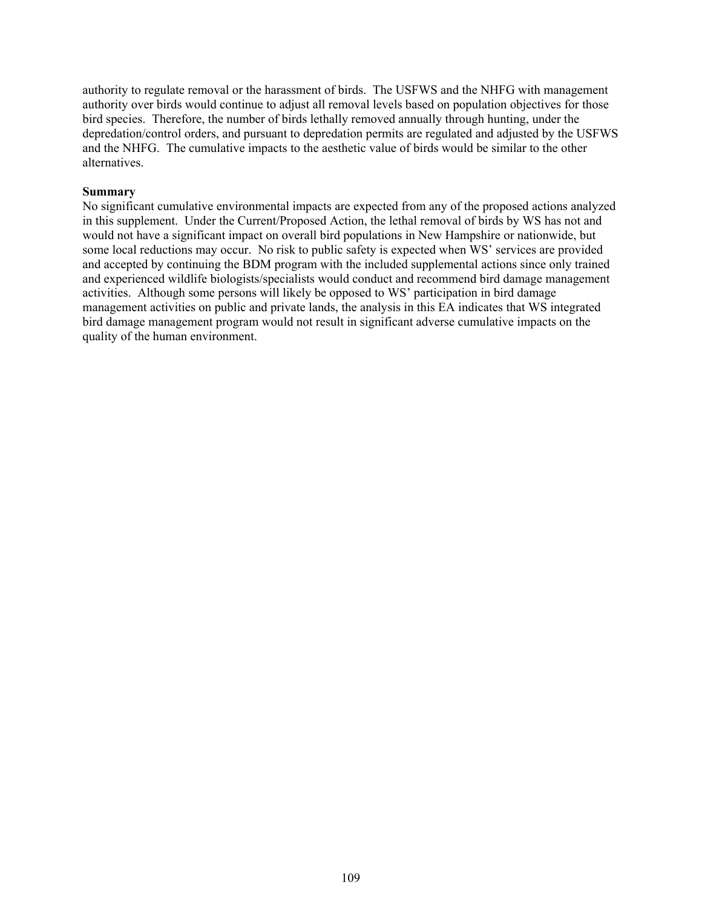authority to regulate removal or the harassment of birds. The USFWS and the NHFG with management authority over birds would continue to adjust all removal levels based on population objectives for those bird species. Therefore, the number of birds lethally removed annually through hunting, under the depredation/control orders, and pursuant to depredation permits are regulated and adjusted by the USFWS and the NHFG. The cumulative impacts to the aesthetic value of birds would be similar to the other alternatives.

#### **Summary**

No significant cumulative environmental impacts are expected from any of the proposed actions analyzed in this supplement. Under the Current/Proposed Action, the lethal removal of birds by WS has not and would not have a significant impact on overall bird populations in New Hampshire or nationwide, but some local reductions may occur. No risk to public safety is expected when WS' services are provided and accepted by continuing the BDM program with the included supplemental actions since only trained and experienced wildlife biologists/specialists would conduct and recommend bird damage management activities. Although some persons will likely be opposed to WS' participation in bird damage management activities on public and private lands, the analysis in this EA indicates that WS integrated bird damage management program would not result in significant adverse cumulative impacts on the quality of the human environment.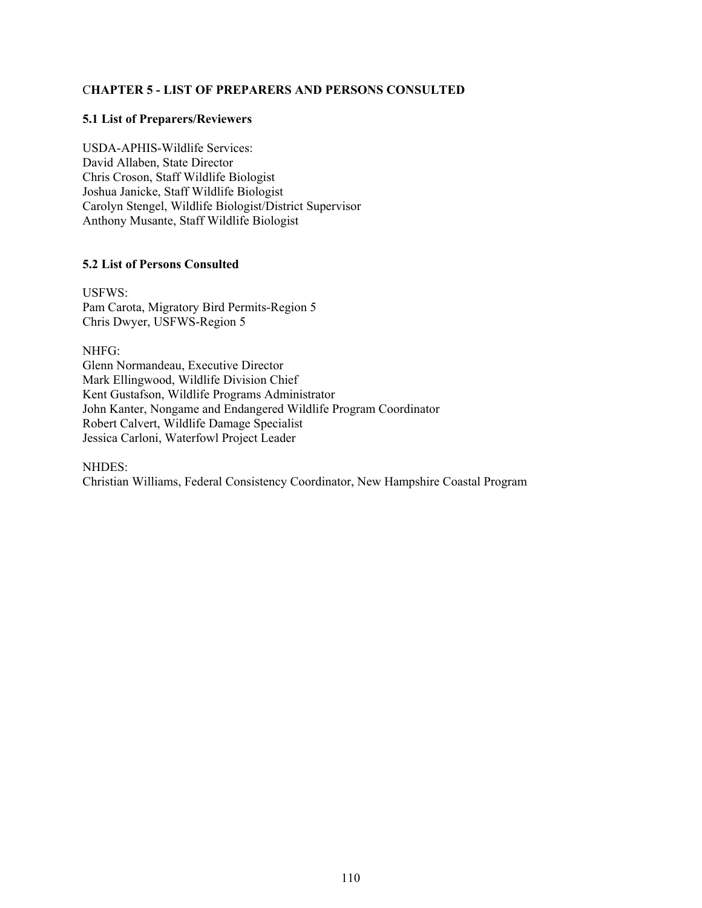## C**HAPTER 5 - LIST OF PREPARERS AND PERSONS CONSULTED**

#### **5.1 List of Preparers/Reviewers**

USDA-APHIS-Wildlife Services: David Allaben, State Director Chris Croson, Staff Wildlife Biologist Joshua Janicke, Staff Wildlife Biologist Carolyn Stengel, Wildlife Biologist/District Supervisor Anthony Musante, Staff Wildlife Biologist

### **5.2 List of Persons Consulted**

USFWS: Pam Carota, Migratory Bird Permits-Region 5 Chris Dwyer, USFWS-Region 5

NHFG: Glenn Normandeau, Executive Director Mark Ellingwood, Wildlife Division Chief Kent Gustafson, Wildlife Programs Administrator John Kanter, Nongame and Endangered Wildlife Program Coordinator Robert Calvert, Wildlife Damage Specialist Jessica Carloni, Waterfowl Project Leader

#### NHDES:

Christian Williams, Federal Consistency Coordinator, New Hampshire Coastal Program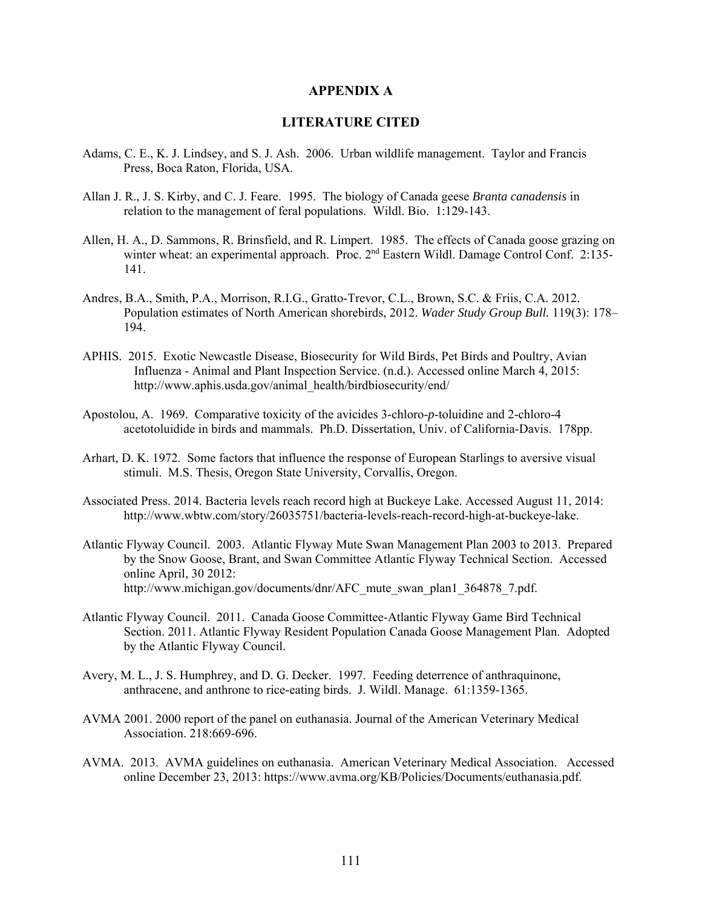#### **APPENDIX A**

## **LITERATURE CITED**

- Adams, C. E., K. J. Lindsey, and S. J. Ash. 2006. Urban wildlife management. Taylor and Francis Press, Boca Raton, Florida, USA.
- Allan J. R., J. S. Kirby, and C. J. Feare. 1995. The biology of Canada geese *Branta canadensis* in relation to the management of feral populations. Wildl. Bio. 1:129-143.
- Allen, H. A., D. Sammons, R. Brinsfield, and R. Limpert. 1985. The effects of Canada goose grazing on winter wheat: an experimental approach. Proc. 2<sup>nd</sup> Eastern Wildl. Damage Control Conf. 2:135-141.
- Andres, B.A., Smith, P.A., Morrison, R.I.G., Gratto-Trevor, C.L., Brown, S.C. & Friis, C.A. 2012. Population estimates of North American shorebirds, 2012. *Wader Study Group Bull.* 119(3): 178– 194.
- APHIS. 2015. Exotic Newcastle Disease, Biosecurity for Wild Birds, Pet Birds and Poultry, Avian Influenza - Animal and Plant Inspection Service. (n.d.). Accessed online March 4, 2015: http://www.aphis.usda.gov/animal\_health/birdbiosecurity/end/
- Apostolou, A. 1969. Comparative toxicity of the avicides 3-chloro-*p*-toluidine and 2-chloro-4 acetotoluidide in birds and mammals. Ph.D. Dissertation, Univ. of California-Davis. 178pp.
- Arhart, D. K. 1972. Some factors that influence the response of European Starlings to aversive visual stimuli. M.S. Thesis, Oregon State University, Corvallis, Oregon.
- Associated Press. 2014. Bacteria levels reach record high at Buckeye Lake. Accessed August 11, 2014: http://www.wbtw.com/story/26035751/bacteria-levels-reach-record-high-at-buckeye-lake.
- Atlantic Flyway Council. 2003. Atlantic Flyway Mute Swan Management Plan 2003 to 2013. Prepared by the Snow Goose, Brant, and Swan Committee Atlantic Flyway Technical Section. Accessed online April, 30 2012: http://www.michigan.gov/documents/dnr/AFC\_mute\_swan\_plan1\_364878\_7.pdf.
- Atlantic Flyway Council. 2011. Canada Goose Committee-Atlantic Flyway Game Bird Technical Section. 2011. Atlantic Flyway Resident Population Canada Goose Management Plan. Adopted by the Atlantic Flyway Council.
- Avery, M. L., J. S. Humphrey, and D. G. Decker. 1997. Feeding deterrence of anthraquinone, anthracene, and anthrone to rice-eating birds. J. Wildl. Manage. 61:1359-1365.
- AVMA 2001. 2000 report of the panel on euthanasia. Journal of the American Veterinary Medical Association. 218:669-696.
- AVMA. 2013. AVMA guidelines on euthanasia. American Veterinary Medical Association. Accessed online December 23, 2013: https://www.avma.org/KB/Policies/Documents/euthanasia.pdf.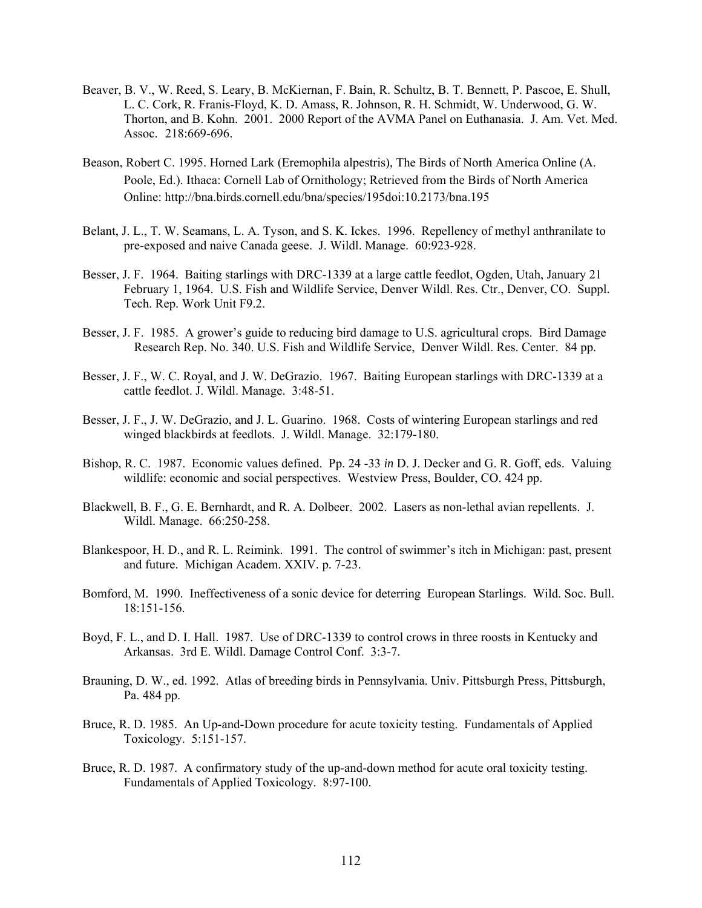- Beaver, B. V., W. Reed, S. Leary, B. McKiernan, F. Bain, R. Schultz, B. T. Bennett, P. Pascoe, E. Shull, L. C. Cork, R. Franis-Floyd, K. D. Amass, R. Johnson, R. H. Schmidt, W. Underwood, G. W. Thorton, and B. Kohn. 2001. 2000 Report of the AVMA Panel on Euthanasia. J. Am. Vet. Med. Assoc. 218:669-696.
- Beason, Robert C. 1995. Horned Lark (Eremophila alpestris), The Birds of North America Online (A. Poole, Ed.). Ithaca: Cornell Lab of Ornithology; Retrieved from the Birds of North America Online: http://bna.birds.cornell.edu/bna/species/195doi:10.2173/bna.195
- Belant, J. L., T. W. Seamans, L. A. Tyson, and S. K. Ickes. 1996. Repellency of methyl anthranilate to pre-exposed and naive Canada geese. J. Wildl. Manage. 60:923-928.
- Besser, J. F. 1964. Baiting starlings with DRC-1339 at a large cattle feedlot, Ogden, Utah, January 21 February 1, 1964. U.S. Fish and Wildlife Service, Denver Wildl. Res. Ctr., Denver, CO. Suppl. Tech. Rep. Work Unit F9.2.
- Besser, J. F. 1985. A grower's guide to reducing bird damage to U.S. agricultural crops. Bird Damage Research Rep. No. 340. U.S. Fish and Wildlife Service, Denver Wildl. Res. Center. 84 pp.
- Besser, J. F., W. C. Royal, and J. W. DeGrazio. 1967. Baiting European starlings with DRC-1339 at a cattle feedlot. J. Wildl. Manage. 3:48-51.
- Besser, J. F., J. W. DeGrazio, and J. L. Guarino. 1968. Costs of wintering European starlings and red winged blackbirds at feedlots. J. Wildl. Manage. 32:179-180.
- Bishop, R. C. 1987. Economic values defined. Pp. 24 -33 *in* D. J. Decker and G. R. Goff, eds. Valuing wildlife: economic and social perspectives. Westview Press, Boulder, CO. 424 pp.
- Blackwell, B. F., G. E. Bernhardt, and R. A. Dolbeer. 2002. Lasers as non-lethal avian repellents. J. Wildl. Manage. 66:250-258.
- Blankespoor, H. D., and R. L. Reimink. 1991. The control of swimmer's itch in Michigan: past, present and future. Michigan Academ. XXIV. p. 7-23.
- Bomford, M. 1990. Ineffectiveness of a sonic device for deterring European Starlings. Wild. Soc. Bull. 18:151-156.
- Boyd, F. L., and D. I. Hall. 1987. Use of DRC-1339 to control crows in three roosts in Kentucky and Arkansas. 3rd E. Wildl. Damage Control Conf. 3:3-7.
- Brauning, D. W., ed. 1992. Atlas of breeding birds in Pennsylvania. Univ. Pittsburgh Press, Pittsburgh, Pa. 484 pp.
- Bruce, R. D. 1985. An Up-and-Down procedure for acute toxicity testing. Fundamentals of Applied Toxicology. 5:151-157.
- Bruce, R. D. 1987. A confirmatory study of the up-and-down method for acute oral toxicity testing. Fundamentals of Applied Toxicology. 8:97-100.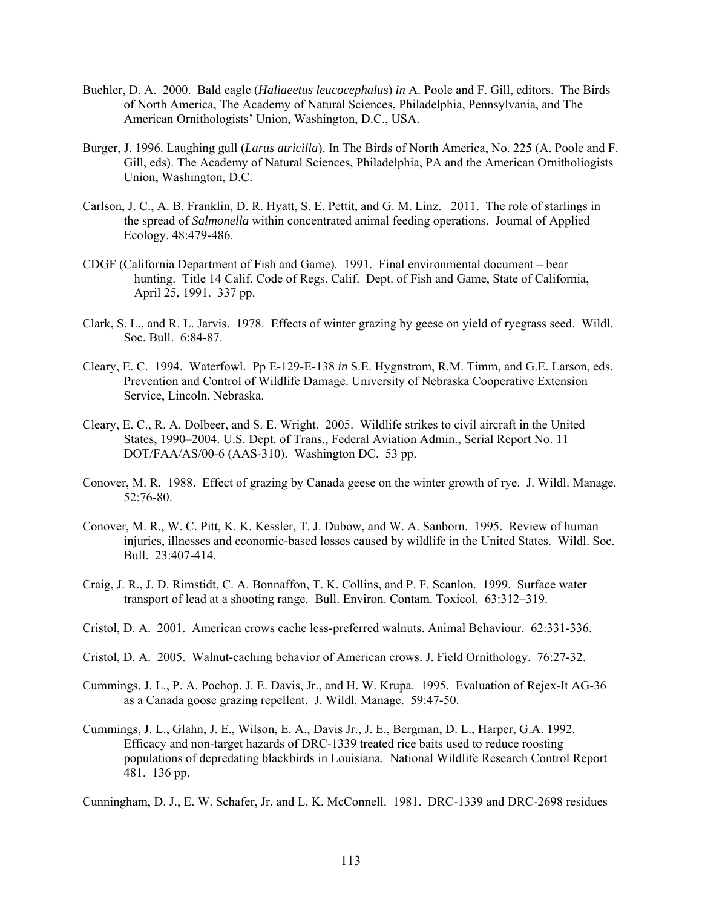- Buehler, D. A. 2000. Bald eagle (*Haliaeetus leucocephalus*) *in* A. Poole and F. Gill, editors. The Birds of North America, The Academy of Natural Sciences, Philadelphia, Pennsylvania, and The American Ornithologists' Union, Washington, D.C., USA.
- Burger, J. 1996. Laughing gull (*Larus atricilla*). In The Birds of North America, No. 225 (A. Poole and F. Gill, eds). The Academy of Natural Sciences, Philadelphia, PA and the American Ornitholiogists Union, Washington, D.C.
- Carlson, J. C., A. B. Franklin, D. R. Hyatt, S. E. Pettit, and G. M. Linz. 2011. The role of starlings in the spread of *Salmonella* within concentrated animal feeding operations. Journal of Applied Ecology. 48:479-486.
- CDGF (California Department of Fish and Game). 1991. Final environmental document bear hunting. Title 14 Calif. Code of Regs. Calif. Dept. of Fish and Game, State of California, April 25, 1991. 337 pp.
- Clark, S. L., and R. L. Jarvis. 1978. Effects of winter grazing by geese on yield of ryegrass seed. Wildl. Soc. Bull. 6:84-87.
- Cleary, E. C. 1994. Waterfowl. Pp E-129-E-138 *in* S.E. Hygnstrom, R.M. Timm, and G.E. Larson, eds. Prevention and Control of Wildlife Damage. University of Nebraska Cooperative Extension Service, Lincoln, Nebraska.
- Cleary, E. C., R. A. Dolbeer, and S. E. Wright. 2005. Wildlife strikes to civil aircraft in the United States, 1990–2004. U.S. Dept. of Trans., Federal Aviation Admin., Serial Report No. 11 DOT/FAA/AS/00-6 (AAS-310). Washington DC. 53 pp.
- Conover, M. R. 1988. Effect of grazing by Canada geese on the winter growth of rye. J. Wildl. Manage. 52:76-80.
- Conover, M. R., W. C. Pitt, K. K. Kessler, T. J. Dubow, and W. A. Sanborn. 1995. Review of human injuries, illnesses and economic-based losses caused by wildlife in the United States. Wildl. Soc. Bull. 23:407-414.
- Craig, J. R., J. D. Rimstidt, C. A. Bonnaffon, T. K. Collins, and P. F. Scanlon. 1999. Surface water transport of lead at a shooting range. Bull. Environ. Contam. Toxicol. 63:312–319.
- Cristol, D. A. 2001. American crows cache less-preferred walnuts. Animal Behaviour. 62:331-336.
- Cristol, D. A. 2005. Walnut-caching behavior of American crows. J. Field Ornithology. 76:27-32.
- Cummings, J. L., P. A. Pochop, J. E. Davis, Jr., and H. W. Krupa. 1995. Evaluation of Rejex-It AG-36 as a Canada goose grazing repellent. J. Wildl. Manage. 59:47-50.
- Cummings, J. L., Glahn, J. E., Wilson, E. A., Davis Jr., J. E., Bergman, D. L., Harper, G.A. 1992. Efficacy and non-target hazards of DRC-1339 treated rice baits used to reduce roosting populations of depredating blackbirds in Louisiana. National Wildlife Research Control Report 481. 136 pp.

Cunningham, D. J., E. W. Schafer, Jr. and L. K. McConnell. 1981. DRC-1339 and DRC-2698 residues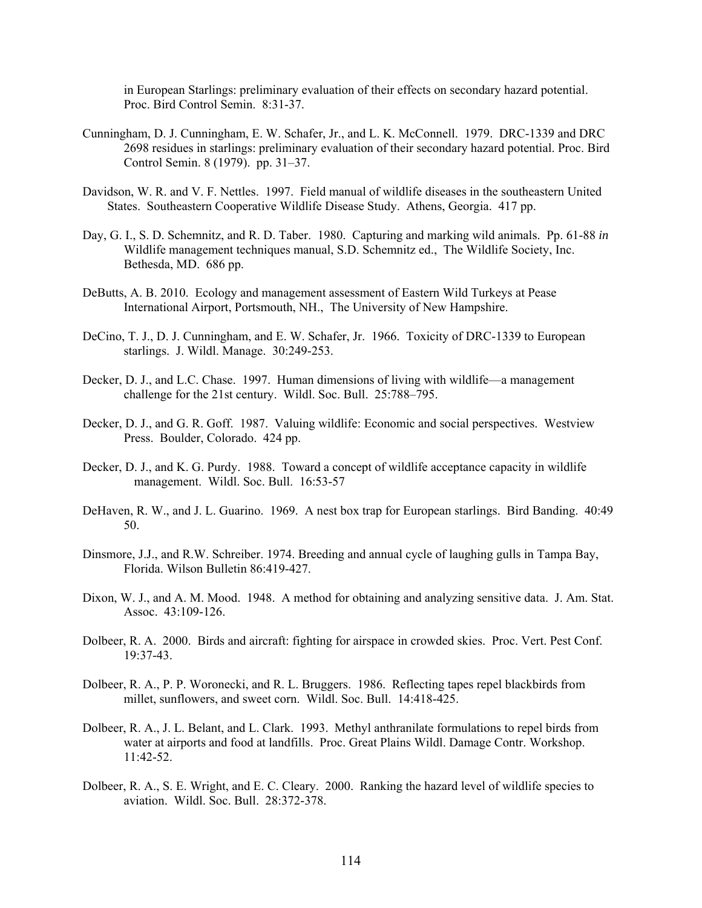in European Starlings: preliminary evaluation of their effects on secondary hazard potential. Proc. Bird Control Semin. 8:31-37.

- Cunningham, D. J. Cunningham, E. W. Schafer, Jr., and L. K. McConnell. 1979. DRC-1339 and DRC 2698 residues in starlings: preliminary evaluation of their secondary hazard potential. Proc. Bird Control Semin. 8 (1979). pp. 31–37.
- Davidson, W. R. and V. F. Nettles. 1997. Field manual of wildlife diseases in the southeastern United States. Southeastern Cooperative Wildlife Disease Study. Athens, Georgia. 417 pp.
- Day, G. I., S. D. Schemnitz, and R. D. Taber. 1980. Capturing and marking wild animals. Pp. 61-88 *in* Wildlife management techniques manual, S.D. Schemnitz ed., The Wildlife Society, Inc. Bethesda, MD. 686 pp.
- DeButts, A. B. 2010. Ecology and management assessment of Eastern Wild Turkeys at Pease International Airport, Portsmouth, NH., The University of New Hampshire.
- DeCino, T. J., D. J. Cunningham, and E. W. Schafer, Jr. 1966. Toxicity of DRC-1339 to European starlings. J. Wildl. Manage. 30:249-253.
- Decker, D. J., and L.C. Chase. 1997. Human dimensions of living with wildlife—a management challenge for the 21st century. Wildl. Soc. Bull. 25:788–795.
- Decker, D. J., and G. R. Goff. 1987. Valuing wildlife: Economic and social perspectives. Westview Press. Boulder, Colorado. 424 pp.
- Decker, D. J., and K. G. Purdy. 1988. Toward a concept of wildlife acceptance capacity in wildlife management. Wildl. Soc. Bull. 16:53-57
- DeHaven, R. W., and J. L. Guarino. 1969. A nest box trap for European starlings. Bird Banding. 40:49 50.
- Dinsmore, J.J., and R.W. Schreiber. 1974. Breeding and annual cycle of laughing gulls in Tampa Bay, Florida. Wilson Bulletin 86:419-427.
- Dixon, W. J., and A. M. Mood. 1948. A method for obtaining and analyzing sensitive data. J. Am. Stat. Assoc. 43:109-126.
- Dolbeer, R. A. 2000. Birds and aircraft: fighting for airspace in crowded skies. Proc. Vert. Pest Conf. 19:37-43.
- Dolbeer, R. A., P. P. Woronecki, and R. L. Bruggers. 1986. Reflecting tapes repel blackbirds from millet, sunflowers, and sweet corn. Wildl. Soc. Bull. 14:418-425.
- Dolbeer, R. A., J. L. Belant, and L. Clark. 1993. Methyl anthranilate formulations to repel birds from water at airports and food at landfills. Proc. Great Plains Wildl. Damage Contr. Workshop. 11:42-52.
- Dolbeer, R. A., S. E. Wright, and E. C. Cleary. 2000. Ranking the hazard level of wildlife species to aviation. Wildl. Soc. Bull. 28:372-378.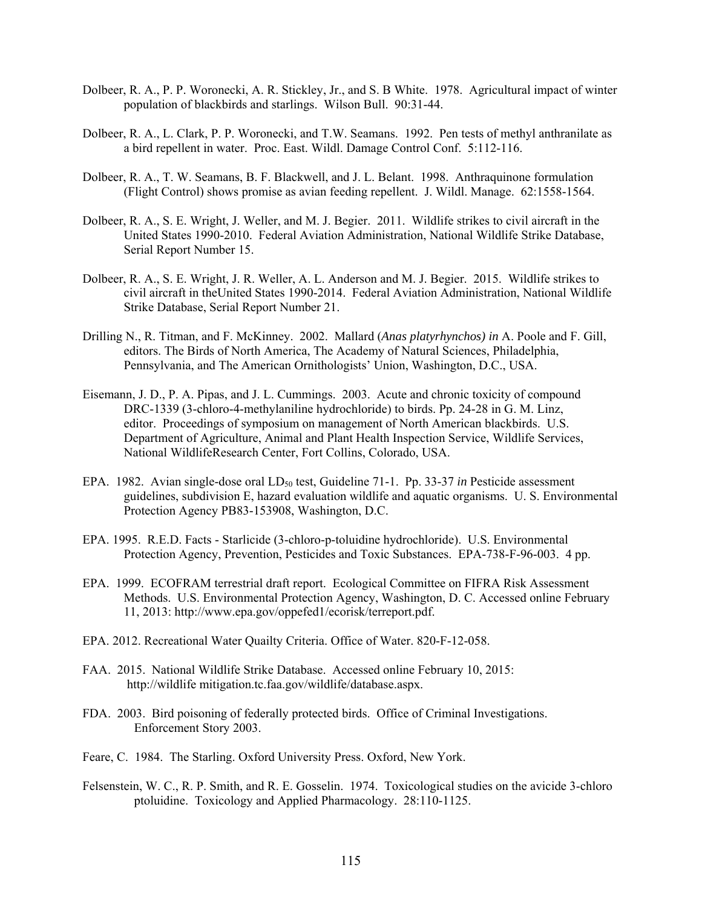- Dolbeer, R. A., P. P. Woronecki, A. R. Stickley, Jr., and S. B White. 1978. Agricultural impact of winter population of blackbirds and starlings. Wilson Bull. 90:31-44.
- Dolbeer, R. A., L. Clark, P. P. Woronecki, and T.W. Seamans. 1992. Pen tests of methyl anthranilate as a bird repellent in water. Proc. East. Wildl. Damage Control Conf. 5:112-116.
- Dolbeer, R. A., T. W. Seamans, B. F. Blackwell, and J. L. Belant. 1998. Anthraquinone formulation (Flight Control) shows promise as avian feeding repellent. J. Wildl. Manage. 62:1558-1564.
- Dolbeer, R. A., S. E. Wright, J. Weller, and M. J. Begier. 2011. Wildlife strikes to civil aircraft in the United States 1990-2010. Federal Aviation Administration, National Wildlife Strike Database, Serial Report Number 15.
- Dolbeer, R. A., S. E. Wright, J. R. Weller, A. L. Anderson and M. J. Begier. 2015. Wildlife strikes to civil aircraft in theUnited States 1990-2014. Federal Aviation Administration, National Wildlife Strike Database, Serial Report Number 21.
- Drilling N., R. Titman, and F. McKinney. 2002. Mallard (*Anas platyrhynchos) in* A. Poole and F. Gill, editors. The Birds of North America, The Academy of Natural Sciences, Philadelphia, Pennsylvania, and The American Ornithologists' Union, Washington, D.C., USA.
- Eisemann, J. D., P. A. Pipas, and J. L. Cummings. 2003. Acute and chronic toxicity of compound DRC-1339 (3-chloro-4-methylaniline hydrochloride) to birds. Pp. 24-28 in G. M. Linz, editor. Proceedings of symposium on management of North American blackbirds. U.S. Department of Agriculture, Animal and Plant Health Inspection Service, Wildlife Services, National WildlifeResearch Center, Fort Collins, Colorado, USA.
- EPA. 1982. Avian single-dose oral LD<sub>50</sub> test, Guideline 71-1. Pp. 33-37 *in* Pesticide assessment guidelines, subdivision E, hazard evaluation wildlife and aquatic organisms. U. S. Environmental Protection Agency PB83-153908, Washington, D.C.
- EPA. 1995. R.E.D. Facts Starlicide (3-chloro-p-toluidine hydrochloride). U.S. Environmental Protection Agency, Prevention, Pesticides and Toxic Substances. EPA-738-F-96-003. 4 pp.
- EPA. 1999. ECOFRAM terrestrial draft report. Ecological Committee on FIFRA Risk Assessment Methods. U.S. Environmental Protection Agency, Washington, D. C. Accessed online February 11, 2013: http://www.epa.gov/oppefed1/ecorisk/terreport.pdf.
- EPA. 2012. Recreational Water Quailty Criteria. Office of Water. 820-F-12-058.
- FAA. 2015. National Wildlife Strike Database. Accessed online February 10, 2015: http://wildlife mitigation.tc.faa.gov/wildlife/database.aspx.
- FDA. 2003. Bird poisoning of federally protected birds. Office of Criminal Investigations. Enforcement Story 2003.
- Feare, C. 1984. The Starling. Oxford University Press. Oxford, New York.
- Felsenstein, W. C., R. P. Smith, and R. E. Gosselin. 1974. Toxicological studies on the avicide 3-chloro ptoluidine. Toxicology and Applied Pharmacology. 28:110-1125.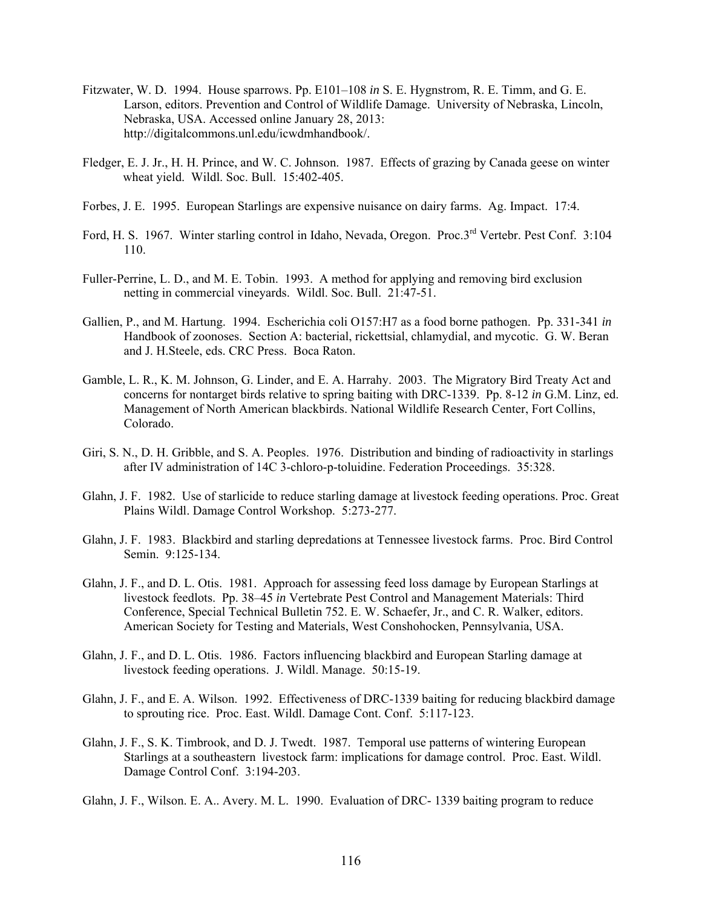- Fitzwater, W. D. 1994. House sparrows. Pp. E101–108 *in* S. E. Hygnstrom, R. E. Timm, and G. E. Larson, editors. Prevention and Control of Wildlife Damage. University of Nebraska, Lincoln, Nebraska, USA. Accessed online January 28, 2013: http://digitalcommons.unl.edu/icwdmhandbook/.
- Fledger, E. J. Jr., H. H. Prince, and W. C. Johnson. 1987. Effects of grazing by Canada geese on winter wheat yield. Wildl. Soc. Bull. 15:402-405.
- Forbes, J. E. 1995. European Starlings are expensive nuisance on dairy farms. Ag. Impact. 17:4.
- Ford, H. S. 1967. Winter starling control in Idaho, Nevada, Oregon. Proc.3rd Vertebr. Pest Conf. 3:104 110.
- Fuller-Perrine, L. D., and M. E. Tobin. 1993. A method for applying and removing bird exclusion netting in commercial vineyards. Wildl. Soc. Bull. 21:47-51.
- Gallien, P., and M. Hartung. 1994. Escherichia coli O157:H7 as a food borne pathogen. Pp. 331-341 *in*  Handbook of zoonoses. Section A: bacterial, rickettsial, chlamydial, and mycotic. G. W. Beran and J. H.Steele, eds. CRC Press. Boca Raton.
- Gamble, L. R., K. M. Johnson, G. Linder, and E. A. Harrahy. 2003. The Migratory Bird Treaty Act and concerns for nontarget birds relative to spring baiting with DRC-1339. Pp. 8-12 *in* G.M. Linz, ed. Management of North American blackbirds. National Wildlife Research Center, Fort Collins, Colorado.
- Giri, S. N., D. H. Gribble, and S. A. Peoples. 1976. Distribution and binding of radioactivity in starlings after IV administration of 14C 3-chloro-p-toluidine. Federation Proceedings. 35:328.
- Glahn, J. F. 1982. Use of starlicide to reduce starling damage at livestock feeding operations. Proc. Great Plains Wildl. Damage Control Workshop. 5:273-277.
- Glahn, J. F. 1983. Blackbird and starling depredations at Tennessee livestock farms. Proc. Bird Control Semin. 9:125-134.
- Glahn, J. F., and D. L. Otis. 1981. Approach for assessing feed loss damage by European Starlings at livestock feedlots. Pp. 38–45 *in* Vertebrate Pest Control and Management Materials: Third Conference, Special Technical Bulletin 752. E. W. Schaefer, Jr., and C. R. Walker, editors. American Society for Testing and Materials, West Conshohocken, Pennsylvania, USA.
- Glahn, J. F., and D. L. Otis. 1986. Factors influencing blackbird and European Starling damage at livestock feeding operations. J. Wildl. Manage. 50:15-19.
- Glahn, J. F., and E. A. Wilson. 1992. Effectiveness of DRC-1339 baiting for reducing blackbird damage to sprouting rice. Proc. East. Wildl. Damage Cont. Conf. 5:117-123.
- Glahn, J. F., S. K. Timbrook, and D. J. Twedt. 1987. Temporal use patterns of wintering European Starlings at a southeastern livestock farm: implications for damage control. Proc. East. Wildl. Damage Control Conf. 3:194-203.
- Glahn, J. F., Wilson. E. A.. Avery. M. L. 1990. Evaluation of DRC- 1339 baiting program to reduce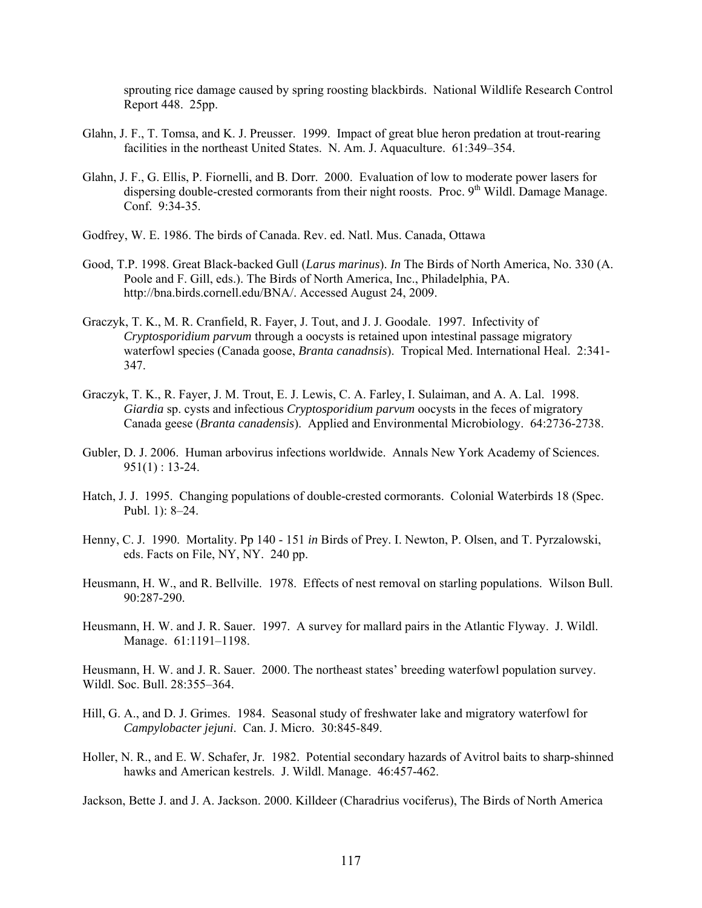sprouting rice damage caused by spring roosting blackbirds. National Wildlife Research Control Report 448. 25pp.

- Glahn, J. F., T. Tomsa, and K. J. Preusser. 1999. Impact of great blue heron predation at trout-rearing facilities in the northeast United States. N. Am. J. Aquaculture. 61:349–354.
- Glahn, J. F., G. Ellis, P. Fiornelli, and B. Dorr. 2000. Evaluation of low to moderate power lasers for dispersing double-crested cormorants from their night roosts. Proc. 9<sup>th</sup> Wildl. Damage Manage. Conf. 9:34-35.
- Godfrey, W. E. 1986. The birds of Canada. Rev. ed. Natl. Mus. Canada, Ottawa
- Good, T.P. 1998. Great Black-backed Gull (*Larus marinus*). *In* The Birds of North America, No. 330 (A. Poole and F. Gill, eds.). The Birds of North America, Inc., Philadelphia, PA. http://bna.birds.cornell.edu/BNA/. Accessed August 24, 2009.
- Graczyk, T. K., M. R. Cranfield, R. Fayer, J. Tout, and J. J. Goodale. 1997. Infectivity of *Cryptosporidium parvum* through a oocysts is retained upon intestinal passage migratory waterfowl species (Canada goose, *Branta canadnsis*). Tropical Med. International Heal. 2:341- 347.
- Graczyk, T. K., R. Fayer, J. M. Trout, E. J. Lewis, C. A. Farley, I. Sulaiman, and A. A. Lal. 1998. *Giardia* sp. cysts and infectious *Cryptosporidium parvum* oocysts in the feces of migratory Canada geese (*Branta canadensis*). Applied and Environmental Microbiology. 64:2736-2738.
- Gubler, D. J. 2006. Human arbovirus infections worldwide. Annals New York Academy of Sciences.  $951(1) : 13-24.$
- Hatch, J. J. 1995. Changing populations of double-crested cormorants. Colonial Waterbirds 18 (Spec. Publ. 1): 8–24.
- Henny, C. J. 1990. Mortality. Pp 140 151 *in* Birds of Prey. I. Newton, P. Olsen, and T. Pyrzalowski, eds. Facts on File, NY, NY. 240 pp.
- Heusmann, H. W., and R. Bellville. 1978. Effects of nest removal on starling populations. Wilson Bull. 90:287-290.
- Heusmann, H. W. and J. R. Sauer. 1997. A survey for mallard pairs in the Atlantic Flyway. J. Wildl. Manage. 61:1191–1198.

Heusmann, H. W. and J. R. Sauer. 2000. The northeast states' breeding waterfowl population survey. Wildl. Soc. Bull. 28:355–364.

- Hill, G. A., and D. J. Grimes. 1984. Seasonal study of freshwater lake and migratory waterfowl for *Campylobacter jejuni*. Can. J. Micro. 30:845-849.
- Holler, N. R., and E. W. Schafer, Jr. 1982. Potential secondary hazards of Avitrol baits to sharp-shinned hawks and American kestrels. J. Wildl. Manage. 46:457-462.

Jackson, Bette J. and J. A. Jackson. 2000. Killdeer (Charadrius vociferus), The Birds of North America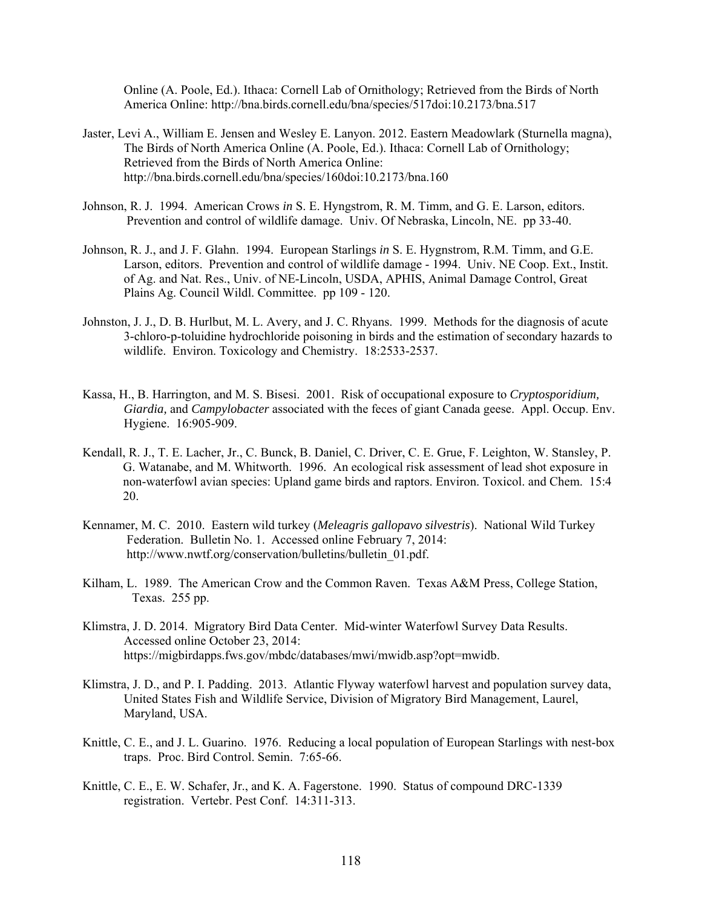Online (A. Poole, Ed.). Ithaca: Cornell Lab of Ornithology; Retrieved from the Birds of North America Online: http://bna.birds.cornell.edu/bna/species/517doi:10.2173/bna.517

- Jaster, Levi A., William E. Jensen and Wesley E. Lanyon. 2012. Eastern Meadowlark (Sturnella magna), The Birds of North America Online (A. Poole, Ed.). Ithaca: Cornell Lab of Ornithology; Retrieved from the Birds of North America Online: http://bna.birds.cornell.edu/bna/species/160doi:10.2173/bna.160
- Johnson, R. J. 1994. American Crows *in* S. E. Hyngstrom, R. M. Timm, and G. E. Larson, editors. Prevention and control of wildlife damage. Univ. Of Nebraska, Lincoln, NE. pp 33-40.
- Johnson, R. J., and J. F. Glahn. 1994. European Starlings *in* S. E. Hygnstrom, R.M. Timm, and G.E. Larson, editors. Prevention and control of wildlife damage - 1994. Univ. NE Coop. Ext., Instit. of Ag. and Nat. Res., Univ. of NE-Lincoln, USDA, APHIS, Animal Damage Control, Great Plains Ag. Council Wildl. Committee. pp 109 - 120.
- Johnston, J. J., D. B. Hurlbut, M. L. Avery, and J. C. Rhyans. 1999. Methods for the diagnosis of acute 3-chloro-p-toluidine hydrochloride poisoning in birds and the estimation of secondary hazards to wildlife. Environ. Toxicology and Chemistry. 18:2533-2537.
- Kassa, H., B. Harrington, and M. S. Bisesi. 2001. Risk of occupational exposure to *Cryptosporidium, Giardia,* and *Campylobacter* associated with the feces of giant Canada geese. Appl. Occup. Env. Hygiene. 16:905-909.
- Kendall, R. J., T. E. Lacher, Jr., C. Bunck, B. Daniel, C. Driver, C. E. Grue, F. Leighton, W. Stansley, P. G. Watanabe, and M. Whitworth. 1996. An ecological risk assessment of lead shot exposure in non-waterfowl avian species: Upland game birds and raptors. Environ. Toxicol. and Chem. 15:4 20.
- Kennamer, M. C. 2010. Eastern wild turkey (*Meleagris gallopavo silvestris*). National Wild Turkey Federation. Bulletin No. 1. Accessed online February 7, 2014: http://www.nwtf.org/conservation/bulletins/bulletin\_01.pdf.
- Kilham, L. 1989. The American Crow and the Common Raven. Texas A&M Press, College Station, Texas. 255 pp.
- Klimstra, J. D. 2014. Migratory Bird Data Center. Mid-winter Waterfowl Survey Data Results. Accessed online October 23, 2014: https://migbirdapps.fws.gov/mbdc/databases/mwi/mwidb.asp?opt=mwidb.
- Klimstra, J. D., and P. I. Padding. 2013. Atlantic Flyway waterfowl harvest and population survey data, United States Fish and Wildlife Service, Division of Migratory Bird Management, Laurel, Maryland, USA.
- Knittle, C. E., and J. L. Guarino. 1976. Reducing a local population of European Starlings with nest-box traps. Proc. Bird Control. Semin. 7:65-66.
- Knittle, C. E., E. W. Schafer, Jr., and K. A. Fagerstone. 1990. Status of compound DRC-1339 registration. Vertebr. Pest Conf. 14:311-313.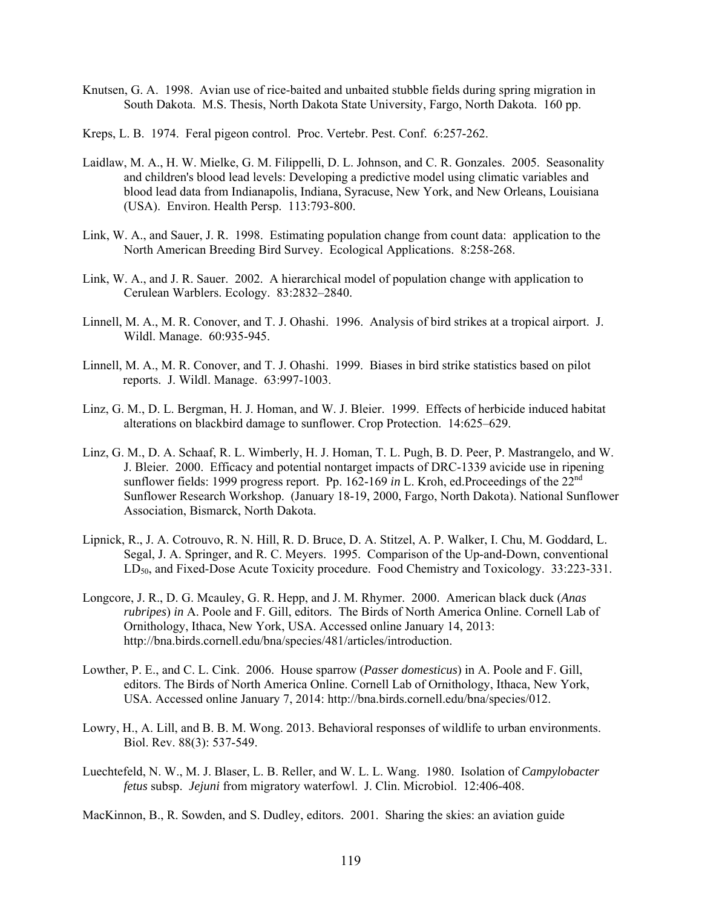- Knutsen, G. A. 1998. Avian use of rice-baited and unbaited stubble fields during spring migration in South Dakota. M.S. Thesis, North Dakota State University, Fargo, North Dakota. 160 pp.
- Kreps, L. B. 1974. Feral pigeon control. Proc. Vertebr. Pest. Conf. 6:257-262.
- Laidlaw, M. A., H. W. Mielke, G. M. Filippelli, D. L. Johnson, and C. R. Gonzales. 2005. Seasonality and children's blood lead levels: Developing a predictive model using climatic variables and blood lead data from Indianapolis, Indiana, Syracuse, New York, and New Orleans, Louisiana (USA). Environ. Health Persp. 113:793-800.
- Link, W. A., and Sauer, J. R. 1998. Estimating population change from count data: application to the North American Breeding Bird Survey. Ecological Applications. 8:258-268.
- Link, W. A., and J. R. Sauer. 2002. A hierarchical model of population change with application to Cerulean Warblers. Ecology. 83:2832–2840.
- Linnell, M. A., M. R. Conover, and T. J. Ohashi. 1996. Analysis of bird strikes at a tropical airport. J. Wildl. Manage. 60:935-945.
- Linnell, M. A., M. R. Conover, and T. J. Ohashi. 1999. Biases in bird strike statistics based on pilot reports. J. Wildl. Manage. 63:997-1003.
- Linz, G. M., D. L. Bergman, H. J. Homan, and W. J. Bleier. 1999. Effects of herbicide induced habitat alterations on blackbird damage to sunflower. Crop Protection. 14:625–629.
- Linz, G. M., D. A. Schaaf, R. L. Wimberly, H. J. Homan, T. L. Pugh, B. D. Peer, P. Mastrangelo, and W. J. Bleier. 2000. Efficacy and potential nontarget impacts of DRC-1339 avicide use in ripening sunflower fields: 1999 progress report. Pp. 162-169 *in* L. Kroh, ed.Proceedings of the 22nd Sunflower Research Workshop. (January 18-19, 2000, Fargo, North Dakota). National Sunflower Association, Bismarck, North Dakota.
- Lipnick, R., J. A. Cotrouvo, R. N. Hill, R. D. Bruce, D. A. Stitzel, A. P. Walker, I. Chu, M. Goddard, L. Segal, J. A. Springer, and R. C. Meyers. 1995. Comparison of the Up-and-Down, conventional LD50, and Fixed-Dose Acute Toxicity procedure. Food Chemistry and Toxicology. 33:223-331.
- Longcore, J. R., D. G. Mcauley, G. R. Hepp, and J. M. Rhymer. 2000. American black duck (*Anas rubripes*) *in* A. Poole and F. Gill, editors. The Birds of North America Online. Cornell Lab of Ornithology, Ithaca, New York, USA. Accessed online January 14, 2013: http://bna.birds.cornell.edu/bna/species/481/articles/introduction.
- Lowther, P. E., and C. L. Cink. 2006. House sparrow (*Passer domesticus*) in A. Poole and F. Gill, editors. The Birds of North America Online. Cornell Lab of Ornithology, Ithaca, New York, USA. Accessed online January 7, 2014: http://bna.birds.cornell.edu/bna/species/012.
- Lowry, H., A. Lill, and B. B. M. Wong. 2013. Behavioral responses of wildlife to urban environments. Biol. Rev. 88(3): 537-549.
- Luechtefeld, N. W., M. J. Blaser, L. B. Reller, and W. L. L. Wang. 1980. Isolation of *Campylobacter fetus* subsp. *Jejuni* from migratory waterfowl. J. Clin. Microbiol. 12:406-408.

MacKinnon, B., R. Sowden, and S. Dudley, editors. 2001. Sharing the skies: an aviation guide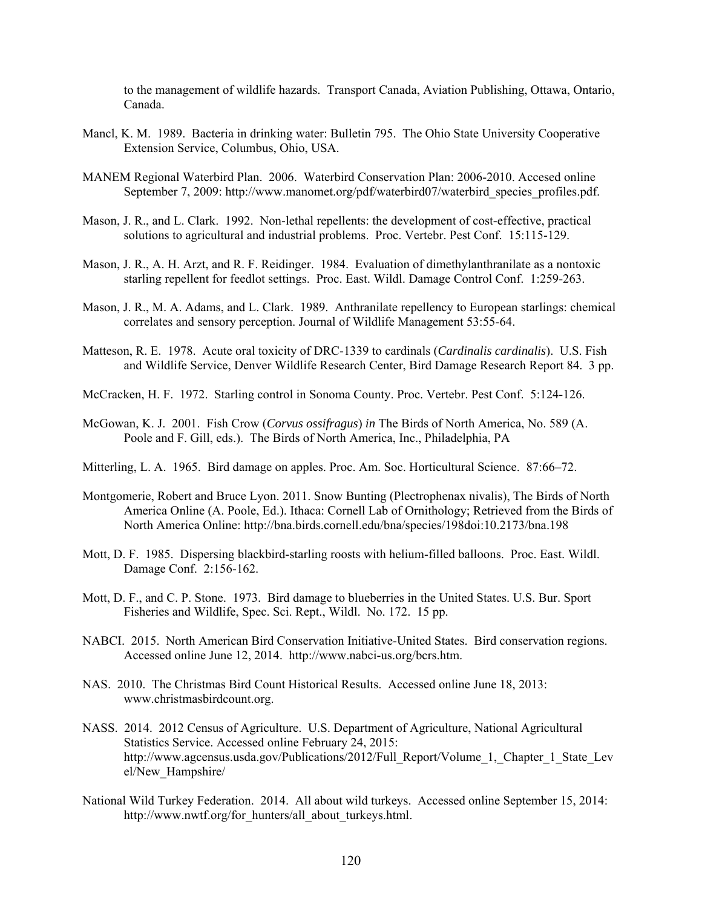to the management of wildlife hazards. Transport Canada, Aviation Publishing, Ottawa, Ontario, Canada.

- Mancl, K. M. 1989. Bacteria in drinking water: Bulletin 795. The Ohio State University Cooperative Extension Service, Columbus, Ohio, USA.
- MANEM Regional Waterbird Plan. 2006. Waterbird Conservation Plan: 2006-2010. Accesed online September 7, 2009: http://www.manomet.org/pdf/waterbird07/waterbird species profiles.pdf.
- Mason, J. R., and L. Clark. 1992. Non-lethal repellents: the development of cost-effective, practical solutions to agricultural and industrial problems. Proc. Vertebr. Pest Conf. 15:115-129.
- Mason, J. R., A. H. Arzt, and R. F. Reidinger. 1984. Evaluation of dimethylanthranilate as a nontoxic starling repellent for feedlot settings. Proc. East. Wildl. Damage Control Conf. 1:259-263.
- Mason, J. R., M. A. Adams, and L. Clark. 1989. Anthranilate repellency to European starlings: chemical correlates and sensory perception. Journal of Wildlife Management 53:55-64.
- Matteson, R. E. 1978. Acute oral toxicity of DRC-1339 to cardinals (*Cardinalis cardinalis*). U.S. Fish and Wildlife Service, Denver Wildlife Research Center, Bird Damage Research Report 84. 3 pp.
- McCracken, H. F. 1972. Starling control in Sonoma County. Proc. Vertebr. Pest Conf. 5:124-126.
- McGowan, K. J. 2001. Fish Crow (*Corvus ossifragus*) *in* The Birds of North America, No. 589 (A. Poole and F. Gill, eds.). The Birds of North America, Inc., Philadelphia, PA
- Mitterling, L. A. 1965. Bird damage on apples. Proc. Am. Soc. Horticultural Science. 87:66–72.
- Montgomerie, Robert and Bruce Lyon. 2011. Snow Bunting (Plectrophenax nivalis), The Birds of North America Online (A. Poole, Ed.). Ithaca: Cornell Lab of Ornithology; Retrieved from the Birds of North America Online: http://bna.birds.cornell.edu/bna/species/198doi:10.2173/bna.198
- Mott, D. F. 1985. Dispersing blackbird-starling roosts with helium-filled balloons. Proc. East. Wildl. Damage Conf. 2:156-162.
- Mott, D. F., and C. P. Stone. 1973. Bird damage to blueberries in the United States. U.S. Bur. Sport Fisheries and Wildlife, Spec. Sci. Rept., Wildl. No. 172. 15 pp.
- NABCI. 2015. North American Bird Conservation Initiative-United States. Bird conservation regions. Accessed online June 12, 2014. http://www.nabci-us.org/bcrs.htm.
- NAS. 2010. The Christmas Bird Count Historical Results. Accessed online June 18, 2013: www.christmasbirdcount.org.
- NASS. 2014. 2012 Census of Agriculture. U.S. Department of Agriculture, National Agricultural Statistics Service. Accessed online February 24, 2015: http://www.agcensus.usda.gov/Publications/2012/Full\_Report/Volume\_1,\_Chapter\_1\_State\_Lev el/New\_Hampshire/
- National Wild Turkey Federation. 2014. All about wild turkeys. Accessed online September 15, 2014: http://www.nwtf.org/for\_hunters/all\_about\_turkeys.html.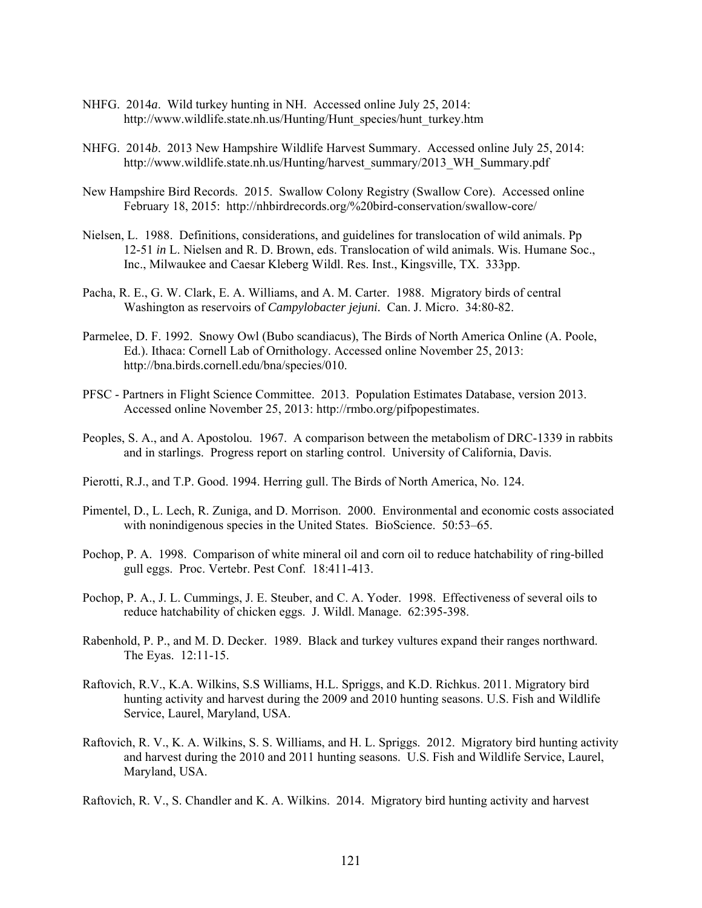- NHFG. 2014*a*. Wild turkey hunting in NH. Accessed online July 25, 2014: http://www.wildlife.state.nh.us/Hunting/Hunt\_species/hunt\_turkey.htm
- NHFG. 2014*b*. 2013 New Hampshire Wildlife Harvest Summary. Accessed online July 25, 2014: http://www.wildlife.state.nh.us/Hunting/harvest\_summary/2013\_WH\_Summary.pdf
- New Hampshire Bird Records. 2015. Swallow Colony Registry (Swallow Core). Accessed online February 18, 2015: http://nhbirdrecords.org/%20bird-conservation/swallow-core/
- Nielsen, L. 1988. Definitions, considerations, and guidelines for translocation of wild animals. Pp 12-51 *in* L. Nielsen and R. D. Brown, eds. Translocation of wild animals. Wis. Humane Soc., Inc., Milwaukee and Caesar Kleberg Wildl. Res. Inst., Kingsville, TX. 333pp.
- Pacha, R. E., G. W. Clark, E. A. Williams, and A. M. Carter. 1988. Migratory birds of central Washington as reservoirs of *Campylobacter jejuni.* Can. J. Micro. 34:80-82.
- Parmelee, D. F. 1992. Snowy Owl (Bubo scandiacus), The Birds of North America Online (A. Poole, Ed.). Ithaca: Cornell Lab of Ornithology. Accessed online November 25, 2013: http://bna.birds.cornell.edu/bna/species/010.
- PFSC Partners in Flight Science Committee. 2013. Population Estimates Database, version 2013. Accessed online November 25, 2013: http://rmbo.org/pifpopestimates.
- Peoples, S. A., and A. Apostolou. 1967. A comparison between the metabolism of DRC-1339 in rabbits and in starlings. Progress report on starling control. University of California, Davis.
- Pierotti, R.J., and T.P. Good. 1994. Herring gull. The Birds of North America, No. 124.
- Pimentel, D., L. Lech, R. Zuniga, and D. Morrison. 2000. Environmental and economic costs associated with nonindigenous species in the United States. BioScience. 50:53–65.
- Pochop, P. A. 1998. Comparison of white mineral oil and corn oil to reduce hatchability of ring-billed gull eggs. Proc. Vertebr. Pest Conf. 18:411-413.
- Pochop, P. A., J. L. Cummings, J. E. Steuber, and C. A. Yoder. 1998. Effectiveness of several oils to reduce hatchability of chicken eggs. J. Wildl. Manage. 62:395-398.
- Rabenhold, P. P., and M. D. Decker. 1989. Black and turkey vultures expand their ranges northward. The Eyas. 12:11-15.
- Raftovich, R.V., K.A. Wilkins, S.S Williams, H.L. Spriggs, and K.D. Richkus. 2011. Migratory bird hunting activity and harvest during the 2009 and 2010 hunting seasons. U.S. Fish and Wildlife Service, Laurel, Maryland, USA.
- Raftovich, R. V., K. A. Wilkins, S. S. Williams, and H. L. Spriggs. 2012. Migratory bird hunting activity and harvest during the 2010 and 2011 hunting seasons. U.S. Fish and Wildlife Service, Laurel, Maryland, USA.
- Raftovich, R. V., S. Chandler and K. A. Wilkins. 2014. Migratory bird hunting activity and harvest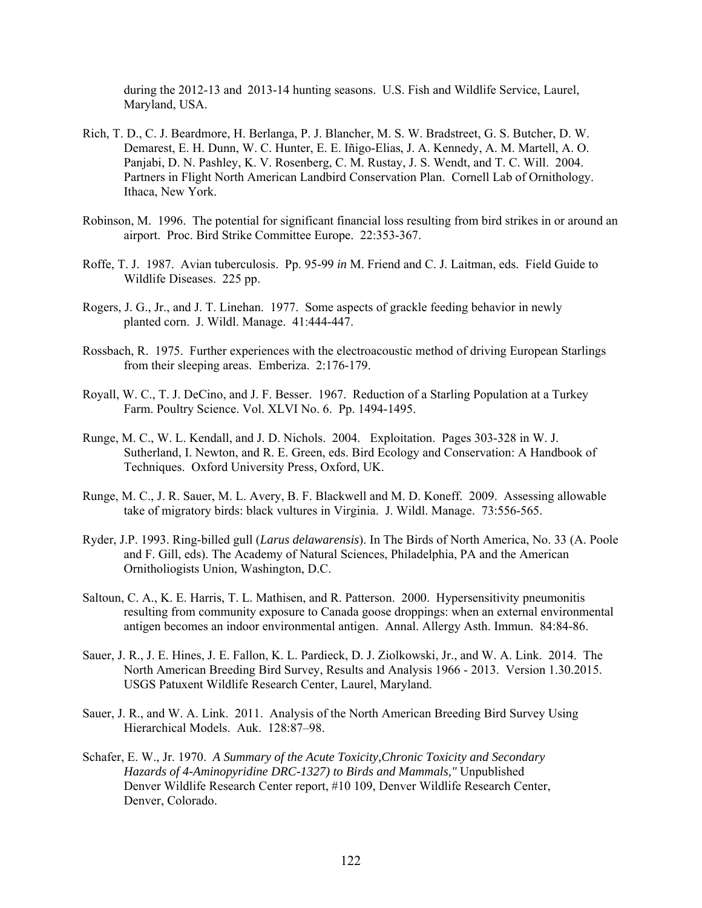during the 2012-13 and 2013-14 hunting seasons. U.S. Fish and Wildlife Service, Laurel, Maryland, USA.

- Rich, T. D., C. J. Beardmore, H. Berlanga, P. J. Blancher, M. S. W. Bradstreet, G. S. Butcher, D. W. Demarest, E. H. Dunn, W. C. Hunter, E. E. Iñigo-Elias, J. A. Kennedy, A. M. Martell, A. O. Panjabi, D. N. Pashley, K. V. Rosenberg, C. M. Rustay, J. S. Wendt, and T. C. Will. 2004. Partners in Flight North American Landbird Conservation Plan. Cornell Lab of Ornithology. Ithaca, New York.
- Robinson, M. 1996. The potential for significant financial loss resulting from bird strikes in or around an airport. Proc. Bird Strike Committee Europe. 22:353-367.
- Roffe, T. J. 1987. Avian tuberculosis. Pp. 95-99 *in* M. Friend and C. J. Laitman, eds. Field Guide to Wildlife Diseases. 225 pp.
- Rogers, J. G., Jr., and J. T. Linehan. 1977. Some aspects of grackle feeding behavior in newly planted corn. J. Wildl. Manage. 41:444-447.
- Rossbach, R. 1975. Further experiences with the electroacoustic method of driving European Starlings from their sleeping areas. Emberiza. 2:176-179.
- Royall, W. C., T. J. DeCino, and J. F. Besser. 1967. Reduction of a Starling Population at a Turkey Farm. Poultry Science. Vol. XLVI No. 6. Pp. 1494-1495.
- Runge, M. C., W. L. Kendall, and J. D. Nichols. 2004. Exploitation. Pages 303-328 in W. J. Sutherland, I. Newton, and R. E. Green, eds. Bird Ecology and Conservation: A Handbook of Techniques. Oxford University Press, Oxford, UK.
- Runge, M. C., J. R. Sauer, M. L. Avery, B. F. Blackwell and M. D. Koneff. 2009. Assessing allowable take of migratory birds: black vultures in Virginia. J. Wildl. Manage. 73:556-565.
- Ryder, J.P. 1993. Ring-billed gull (*Larus delawarensis*). In The Birds of North America, No. 33 (A. Poole and F. Gill, eds). The Academy of Natural Sciences, Philadelphia, PA and the American Ornitholiogists Union, Washington, D.C.
- Saltoun, C. A., K. E. Harris, T. L. Mathisen, and R. Patterson. 2000. Hypersensitivity pneumonitis resulting from community exposure to Canada goose droppings: when an external environmental antigen becomes an indoor environmental antigen. Annal. Allergy Asth. Immun. 84:84-86.
- Sauer, J. R., J. E. Hines, J. E. Fallon, K. L. Pardieck, D. J. Ziolkowski, Jr., and W. A. Link. 2014. The North American Breeding Bird Survey, Results and Analysis 1966 - 2013. Version 1.30.2015. USGS Patuxent Wildlife Research Center, Laurel, Maryland.
- Sauer, J. R., and W. A. Link. 2011. Analysis of the North American Breeding Bird Survey Using Hierarchical Models. Auk. 128:87–98.
- Schafer, E. W., Jr. 1970. *A Summary of the Acute Toxicity,Chronic Toxicity and Secondary Hazards of 4-Aminopyridine DRC-1327) to Birds and Mammals,"* Unpublished Denver Wildlife Research Center report, #10 109, Denver Wildlife Research Center, Denver, Colorado.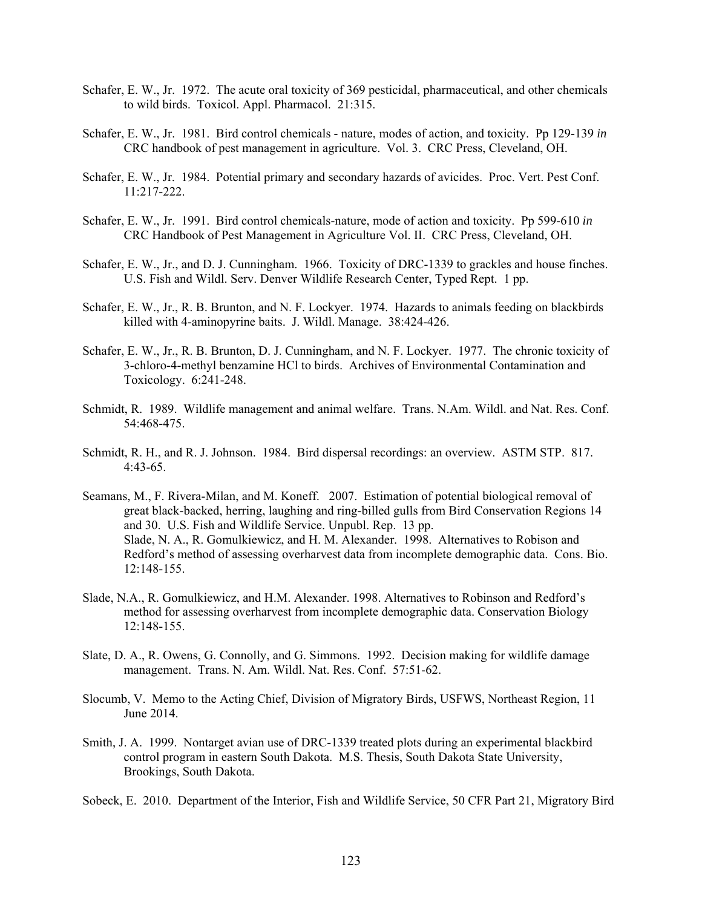- Schafer, E. W., Jr. 1972. The acute oral toxicity of 369 pesticidal, pharmaceutical, and other chemicals to wild birds. Toxicol. Appl. Pharmacol. 21:315.
- Schafer, E. W., Jr. 1981. Bird control chemicals nature, modes of action, and toxicity. Pp 129-139 *in* CRC handbook of pest management in agriculture. Vol. 3. CRC Press, Cleveland, OH.
- Schafer, E. W., Jr. 1984. Potential primary and secondary hazards of avicides. Proc. Vert. Pest Conf. 11:217-222.
- Schafer, E. W., Jr. 1991. Bird control chemicals-nature, mode of action and toxicity. Pp 599-610 *in* CRC Handbook of Pest Management in Agriculture Vol. II. CRC Press, Cleveland, OH.
- Schafer, E. W., Jr., and D. J. Cunningham. 1966. Toxicity of DRC-1339 to grackles and house finches. U.S. Fish and Wildl. Serv. Denver Wildlife Research Center, Typed Rept. 1 pp.
- Schafer, E. W., Jr., R. B. Brunton, and N. F. Lockyer. 1974. Hazards to animals feeding on blackbirds killed with 4-aminopyrine baits. J. Wildl. Manage. 38:424-426.
- Schafer, E. W., Jr., R. B. Brunton, D. J. Cunningham, and N. F. Lockyer. 1977. The chronic toxicity of 3-chloro-4-methyl benzamine HCl to birds. Archives of Environmental Contamination and Toxicology. 6:241-248.
- Schmidt, R. 1989. Wildlife management and animal welfare. Trans. N.Am. Wildl. and Nat. Res. Conf. 54:468-475.
- Schmidt, R. H., and R. J. Johnson. 1984. Bird dispersal recordings: an overview. ASTM STP. 817. 4:43-65.
- Seamans, M., F. Rivera-Milan, and M. Koneff. 2007. Estimation of potential biological removal of great black-backed, herring, laughing and ring-billed gulls from Bird Conservation Regions 14 and 30. U.S. Fish and Wildlife Service. Unpubl. Rep. 13 pp. Slade, N. A., R. Gomulkiewicz, and H. M. Alexander. 1998. Alternatives to Robison and Redford's method of assessing overharvest data from incomplete demographic data. Cons. Bio. 12:148-155.
- Slade, N.A., R. Gomulkiewicz, and H.M. Alexander. 1998. Alternatives to Robinson and Redford's method for assessing overharvest from incomplete demographic data. Conservation Biology 12:148-155.
- Slate, D. A., R. Owens, G. Connolly, and G. Simmons. 1992. Decision making for wildlife damage management. Trans. N. Am. Wildl. Nat. Res. Conf. 57:51-62.
- Slocumb, V. Memo to the Acting Chief, Division of Migratory Birds, USFWS, Northeast Region, 11 June 2014.
- Smith, J. A. 1999. Nontarget avian use of DRC-1339 treated plots during an experimental blackbird control program in eastern South Dakota. M.S. Thesis, South Dakota State University, Brookings, South Dakota.

Sobeck, E. 2010. Department of the Interior, Fish and Wildlife Service, 50 CFR Part 21, Migratory Bird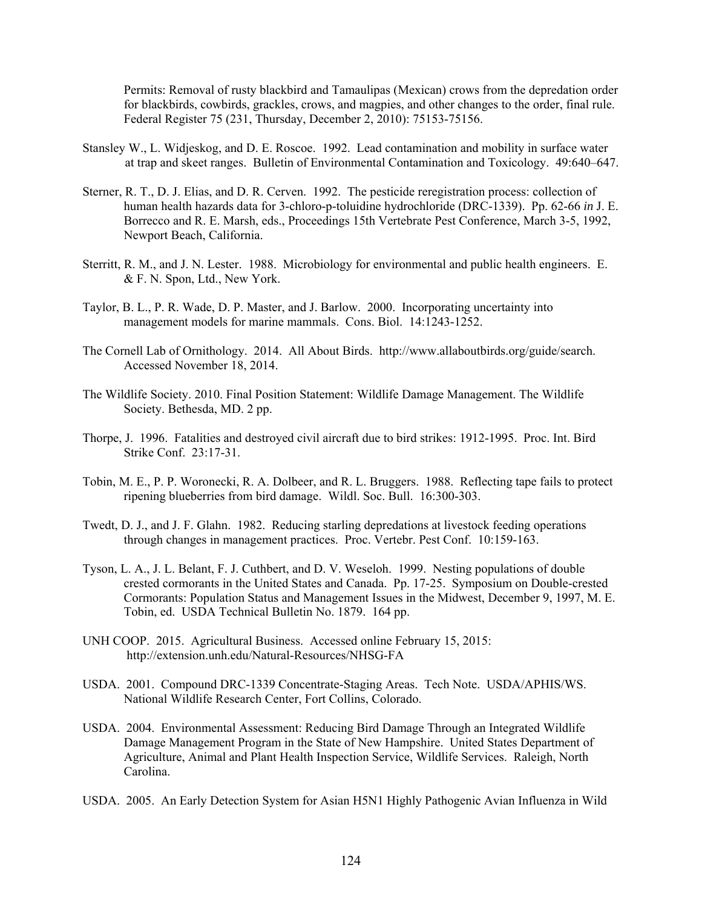Permits: Removal of rusty blackbird and Tamaulipas (Mexican) crows from the depredation order for blackbirds, cowbirds, grackles, crows, and magpies, and other changes to the order, final rule. Federal Register 75 (231, Thursday, December 2, 2010): 75153-75156.

- Stansley W., L. Widjeskog, and D. E. Roscoe. 1992. Lead contamination and mobility in surface water at trap and skeet ranges. Bulletin of Environmental Contamination and Toxicology. 49:640–647.
- Sterner, R. T., D. J. Elias, and D. R. Cerven. 1992. The pesticide reregistration process: collection of human health hazards data for 3-chloro-p-toluidine hydrochloride (DRC-1339). Pp. 62-66 *in* J. E. Borrecco and R. E. Marsh, eds., Proceedings 15th Vertebrate Pest Conference, March 3-5, 1992, Newport Beach, California.
- Sterritt, R. M., and J. N. Lester. 1988. Microbiology for environmental and public health engineers. E. & F. N. Spon, Ltd., New York.
- Taylor, B. L., P. R. Wade, D. P. Master, and J. Barlow. 2000. Incorporating uncertainty into management models for marine mammals. Cons. Biol. 14:1243-1252.
- The Cornell Lab of Ornithology. 2014. All About Birds. http://www.allaboutbirds.org/guide/search. Accessed November 18, 2014.
- The Wildlife Society. 2010. Final Position Statement: Wildlife Damage Management. The Wildlife Society. Bethesda, MD. 2 pp.
- Thorpe, J. 1996. Fatalities and destroyed civil aircraft due to bird strikes: 1912-1995. Proc. Int. Bird Strike Conf. 23:17-31.
- Tobin, M. E., P. P. Woronecki, R. A. Dolbeer, and R. L. Bruggers. 1988. Reflecting tape fails to protect ripening blueberries from bird damage. Wildl. Soc. Bull. 16:300-303.
- Twedt, D. J., and J. F. Glahn. 1982. Reducing starling depredations at livestock feeding operations through changes in management practices. Proc. Vertebr. Pest Conf. 10:159-163.
- Tyson, L. A., J. L. Belant, F. J. Cuthbert, and D. V. Weseloh. 1999. Nesting populations of double crested cormorants in the United States and Canada. Pp. 17-25. Symposium on Double-crested Cormorants: Population Status and Management Issues in the Midwest, December 9, 1997, M. E. Tobin, ed. USDA Technical Bulletin No. 1879. 164 pp.
- UNH COOP. 2015. Agricultural Business. Accessed online February 15, 2015: http://extension.unh.edu/Natural-Resources/NHSG-FA
- USDA. 2001. Compound DRC-1339 Concentrate-Staging Areas. Tech Note. USDA/APHIS/WS. National Wildlife Research Center, Fort Collins, Colorado.
- USDA. 2004. Environmental Assessment: Reducing Bird Damage Through an Integrated Wildlife Damage Management Program in the State of New Hampshire. United States Department of Agriculture, Animal and Plant Health Inspection Service, Wildlife Services. Raleigh, North Carolina.
- USDA. 2005. An Early Detection System for Asian H5N1 Highly Pathogenic Avian Influenza in Wild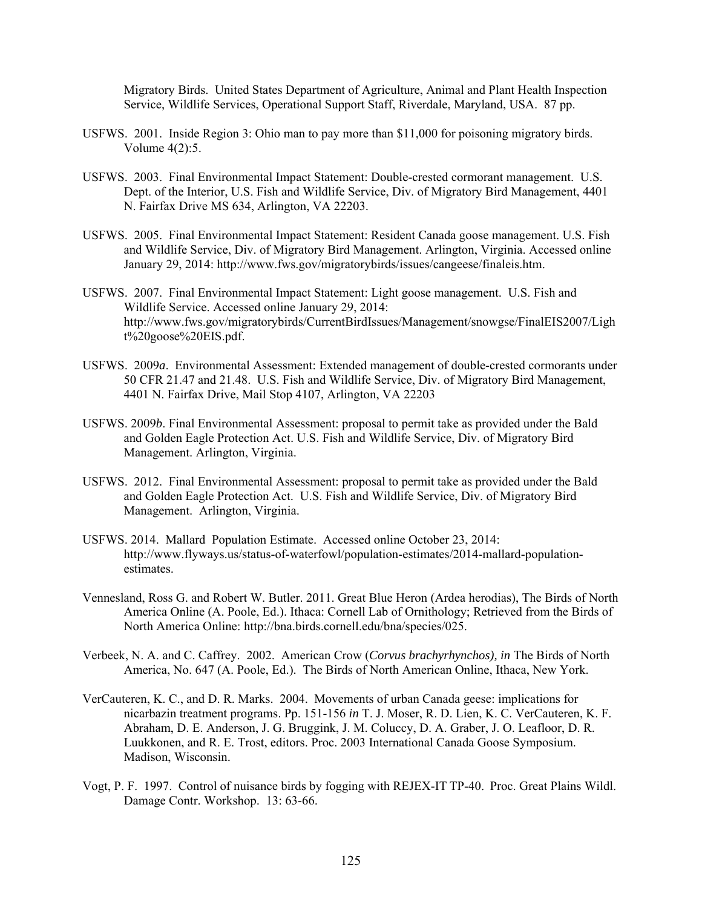Migratory Birds. United States Department of Agriculture, Animal and Plant Health Inspection Service, Wildlife Services, Operational Support Staff, Riverdale, Maryland, USA. 87 pp.

- USFWS. 2001. Inside Region 3: Ohio man to pay more than \$11,000 for poisoning migratory birds. Volume 4(2):5.
- USFWS. 2003. Final Environmental Impact Statement: Double-crested cormorant management. U.S. Dept. of the Interior, U.S. Fish and Wildlife Service, Div. of Migratory Bird Management, 4401 N. Fairfax Drive MS 634, Arlington, VA 22203.
- USFWS. 2005. Final Environmental Impact Statement: Resident Canada goose management. U.S. Fish and Wildlife Service, Div. of Migratory Bird Management. Arlington, Virginia. Accessed online January 29, 2014: http://www.fws.gov/migratorybirds/issues/cangeese/finaleis.htm.
- USFWS. 2007. Final Environmental Impact Statement: Light goose management. U.S. Fish and Wildlife Service. Accessed online January 29, 2014: http://www.fws.gov/migratorybirds/CurrentBirdIssues/Management/snowgse/FinalEIS2007/Ligh t%20goose%20EIS.pdf.
- USFWS. 2009*a*. Environmental Assessment: Extended management of double-crested cormorants under 50 CFR 21.47 and 21.48. U.S. Fish and Wildlife Service, Div. of Migratory Bird Management, 4401 N. Fairfax Drive, Mail Stop 4107, Arlington, VA 22203
- USFWS. 2009*b*. Final Environmental Assessment: proposal to permit take as provided under the Bald and Golden Eagle Protection Act. U.S. Fish and Wildlife Service, Div. of Migratory Bird Management. Arlington, Virginia.
- USFWS. 2012. Final Environmental Assessment: proposal to permit take as provided under the Bald and Golden Eagle Protection Act. U.S. Fish and Wildlife Service, Div. of Migratory Bird Management. Arlington, Virginia.
- USFWS. 2014. Mallard Population Estimate. Accessed online October 23, 2014: http://www.flyways.us/status-of-waterfowl/population-estimates/2014-mallard-populationestimates.
- Vennesland, Ross G. and Robert W. Butler. 2011. Great Blue Heron (Ardea herodias), The Birds of North America Online (A. Poole, Ed.). Ithaca: Cornell Lab of Ornithology; Retrieved from the Birds of North America Online: http://bna.birds.cornell.edu/bna/species/025.
- Verbeek, N. A. and C. Caffrey. 2002. American Crow (*Corvus brachyrhynchos), in* The Birds of North America, No. 647 (A. Poole, Ed.). The Birds of North American Online, Ithaca, New York.
- VerCauteren, K. C., and D. R. Marks. 2004. Movements of urban Canada geese: implications for nicarbazin treatment programs. Pp. 151-156 *in* T. J. Moser, R. D. Lien, K. C. VerCauteren, K. F. Abraham, D. E. Anderson, J. G. Bruggink, J. M. Coluccy, D. A. Graber, J. O. Leafloor, D. R. Luukkonen, and R. E. Trost, editors. Proc. 2003 International Canada Goose Symposium. Madison, Wisconsin.
- Vogt, P. F. 1997. Control of nuisance birds by fogging with REJEX-IT TP-40. Proc. Great Plains Wildl. Damage Contr. Workshop. 13: 63-66.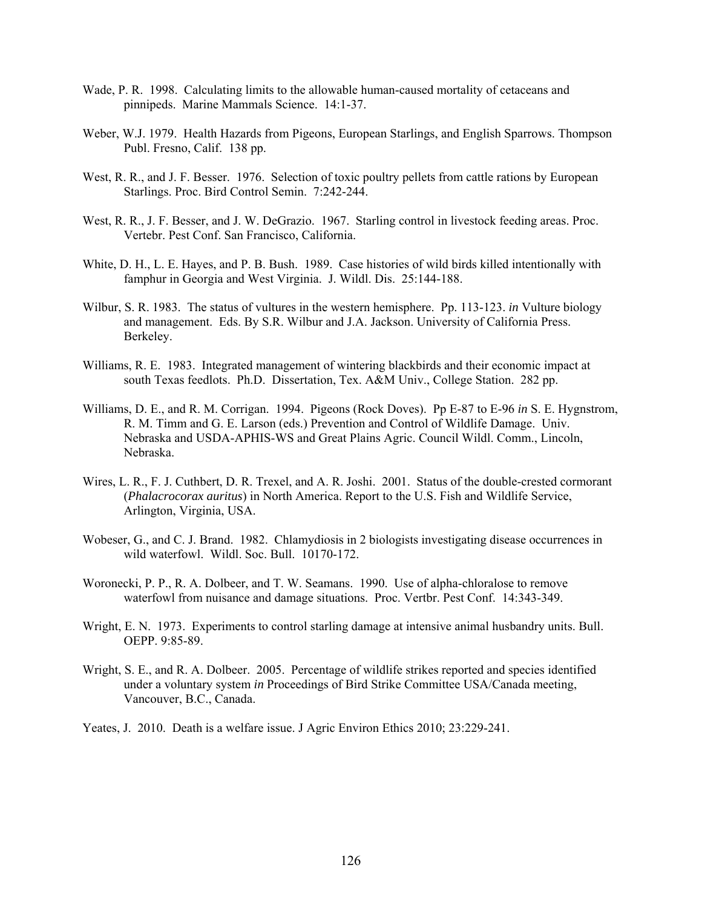- Wade, P. R. 1998. Calculating limits to the allowable human-caused mortality of cetaceans and pinnipeds. Marine Mammals Science. 14:1-37.
- Weber, W.J. 1979. Health Hazards from Pigeons, European Starlings, and English Sparrows. Thompson Publ. Fresno, Calif. 138 pp.
- West, R. R., and J. F. Besser. 1976. Selection of toxic poultry pellets from cattle rations by European Starlings. Proc. Bird Control Semin. 7:242-244.
- West, R. R., J. F. Besser, and J. W. DeGrazio. 1967. Starling control in livestock feeding areas. Proc. Vertebr. Pest Conf. San Francisco, California.
- White, D. H., L. E. Hayes, and P. B. Bush. 1989. Case histories of wild birds killed intentionally with famphur in Georgia and West Virginia. J. Wildl. Dis. 25:144-188.
- Wilbur, S. R. 1983. The status of vultures in the western hemisphere. Pp. 113-123. *in* Vulture biology and management. Eds. By S.R. Wilbur and J.A. Jackson. University of California Press. Berkeley.
- Williams, R. E. 1983. Integrated management of wintering blackbirds and their economic impact at south Texas feedlots. Ph.D. Dissertation, Tex. A&M Univ., College Station. 282 pp.
- Williams, D. E., and R. M. Corrigan. 1994. Pigeons (Rock Doves). Pp E-87 to E-96 *in* S. E. Hygnstrom, R. M. Timm and G. E. Larson (eds.) Prevention and Control of Wildlife Damage. Univ. Nebraska and USDA-APHIS-WS and Great Plains Agric. Council Wildl. Comm., Lincoln, Nebraska.
- Wires, L. R., F. J. Cuthbert, D. R. Trexel, and A. R. Joshi. 2001. Status of the double-crested cormorant (*Phalacrocorax auritus*) in North America. Report to the U.S. Fish and Wildlife Service, Arlington, Virginia, USA.
- Wobeser, G., and C. J. Brand. 1982. Chlamydiosis in 2 biologists investigating disease occurrences in wild waterfowl. Wildl. Soc. Bull. 10170-172.
- Woronecki, P. P., R. A. Dolbeer, and T. W. Seamans. 1990. Use of alpha-chloralose to remove waterfowl from nuisance and damage situations. Proc. Vertbr. Pest Conf. 14:343-349.
- Wright, E. N. 1973. Experiments to control starling damage at intensive animal husbandry units. Bull. OEPP. 9:85-89.
- Wright, S. E., and R. A. Dolbeer. 2005. Percentage of wildlife strikes reported and species identified under a voluntary system *in* Proceedings of Bird Strike Committee USA/Canada meeting, Vancouver, B.C., Canada.
- Yeates, J. 2010. Death is a welfare issue. J Agric Environ Ethics 2010; 23:229-241.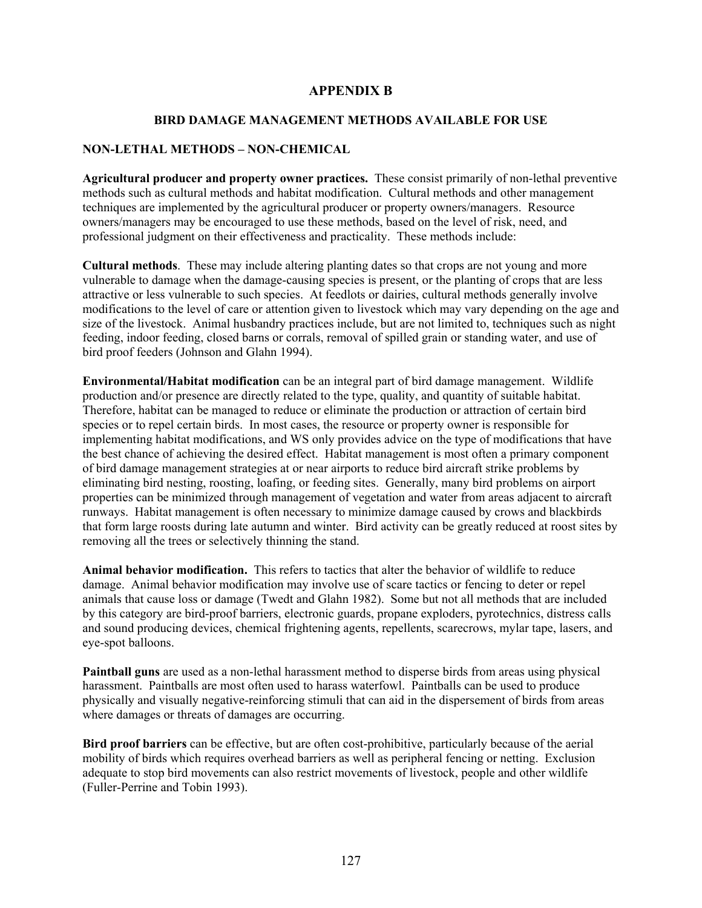## **APPENDIX B**

### **BIRD DAMAGE MANAGEMENT METHODS AVAILABLE FOR USE**

#### **NON-LETHAL METHODS – NON-CHEMICAL**

**Agricultural producer and property owner practices.** These consist primarily of non-lethal preventive methods such as cultural methods and habitat modification. Cultural methods and other management techniques are implemented by the agricultural producer or property owners/managers. Resource owners/managers may be encouraged to use these methods, based on the level of risk, need, and professional judgment on their effectiveness and practicality. These methods include:

**Cultural methods**. These may include altering planting dates so that crops are not young and more vulnerable to damage when the damage-causing species is present, or the planting of crops that are less attractive or less vulnerable to such species. At feedlots or dairies, cultural methods generally involve modifications to the level of care or attention given to livestock which may vary depending on the age and size of the livestock. Animal husbandry practices include, but are not limited to, techniques such as night feeding, indoor feeding, closed barns or corrals, removal of spilled grain or standing water, and use of bird proof feeders (Johnson and Glahn 1994).

**Environmental/Habitat modification** can be an integral part of bird damage management. Wildlife production and/or presence are directly related to the type, quality, and quantity of suitable habitat. Therefore, habitat can be managed to reduce or eliminate the production or attraction of certain bird species or to repel certain birds. In most cases, the resource or property owner is responsible for implementing habitat modifications, and WS only provides advice on the type of modifications that have the best chance of achieving the desired effect. Habitat management is most often a primary component of bird damage management strategies at or near airports to reduce bird aircraft strike problems by eliminating bird nesting, roosting, loafing, or feeding sites. Generally, many bird problems on airport properties can be minimized through management of vegetation and water from areas adjacent to aircraft runways. Habitat management is often necessary to minimize damage caused by crows and blackbirds that form large roosts during late autumn and winter. Bird activity can be greatly reduced at roost sites by removing all the trees or selectively thinning the stand.

**Animal behavior modification.** This refers to tactics that alter the behavior of wildlife to reduce damage. Animal behavior modification may involve use of scare tactics or fencing to deter or repel animals that cause loss or damage (Twedt and Glahn 1982). Some but not all methods that are included by this category are bird-proof barriers, electronic guards, propane exploders, pyrotechnics, distress calls and sound producing devices, chemical frightening agents, repellents, scarecrows, mylar tape, lasers, and eye-spot balloons.

**Paintball guns** are used as a non-lethal harassment method to disperse birds from areas using physical harassment. Paintballs are most often used to harass waterfowl. Paintballs can be used to produce physically and visually negative-reinforcing stimuli that can aid in the dispersement of birds from areas where damages or threats of damages are occurring.

**Bird proof barriers** can be effective, but are often cost-prohibitive, particularly because of the aerial mobility of birds which requires overhead barriers as well as peripheral fencing or netting. Exclusion adequate to stop bird movements can also restrict movements of livestock, people and other wildlife (Fuller-Perrine and Tobin 1993).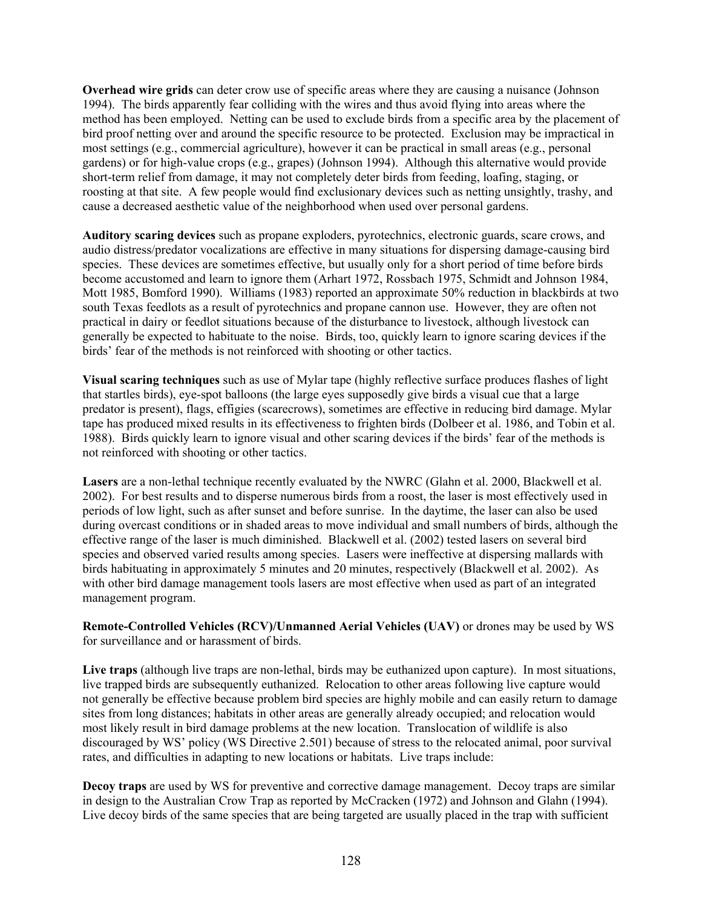**Overhead wire grids** can deter crow use of specific areas where they are causing a nuisance (Johnson 1994). The birds apparently fear colliding with the wires and thus avoid flying into areas where the method has been employed. Netting can be used to exclude birds from a specific area by the placement of bird proof netting over and around the specific resource to be protected. Exclusion may be impractical in most settings (e.g., commercial agriculture), however it can be practical in small areas (e.g., personal gardens) or for high-value crops (e.g., grapes) (Johnson 1994). Although this alternative would provide short-term relief from damage, it may not completely deter birds from feeding, loafing, staging, or roosting at that site. A few people would find exclusionary devices such as netting unsightly, trashy, and cause a decreased aesthetic value of the neighborhood when used over personal gardens.

**Auditory scaring devices** such as propane exploders, pyrotechnics, electronic guards, scare crows, and audio distress/predator vocalizations are effective in many situations for dispersing damage-causing bird species. These devices are sometimes effective, but usually only for a short period of time before birds become accustomed and learn to ignore them (Arhart 1972, Rossbach 1975, Schmidt and Johnson 1984, Mott 1985, Bomford 1990). Williams (1983) reported an approximate 50% reduction in blackbirds at two south Texas feedlots as a result of pyrotechnics and propane cannon use. However, they are often not practical in dairy or feedlot situations because of the disturbance to livestock, although livestock can generally be expected to habituate to the noise. Birds, too, quickly learn to ignore scaring devices if the birds' fear of the methods is not reinforced with shooting or other tactics.

**Visual scaring techniques** such as use of Mylar tape (highly reflective surface produces flashes of light that startles birds), eye-spot balloons (the large eyes supposedly give birds a visual cue that a large predator is present), flags, effigies (scarecrows), sometimes are effective in reducing bird damage. Mylar tape has produced mixed results in its effectiveness to frighten birds (Dolbeer et al. 1986, and Tobin et al. 1988). Birds quickly learn to ignore visual and other scaring devices if the birds' fear of the methods is not reinforced with shooting or other tactics.

**Lasers** are a non-lethal technique recently evaluated by the NWRC (Glahn et al. 2000, Blackwell et al. 2002). For best results and to disperse numerous birds from a roost, the laser is most effectively used in periods of low light, such as after sunset and before sunrise. In the daytime, the laser can also be used during overcast conditions or in shaded areas to move individual and small numbers of birds, although the effective range of the laser is much diminished. Blackwell et al. (2002) tested lasers on several bird species and observed varied results among species. Lasers were ineffective at dispersing mallards with birds habituating in approximately 5 minutes and 20 minutes, respectively (Blackwell et al. 2002). As with other bird damage management tools lasers are most effective when used as part of an integrated management program.

**Remote-Controlled Vehicles (RCV)/Unmanned Aerial Vehicles (UAV)** or drones may be used by WS for surveillance and or harassment of birds.

**Live traps** (although live traps are non-lethal, birds may be euthanized upon capture). In most situations, live trapped birds are subsequently euthanized. Relocation to other areas following live capture would not generally be effective because problem bird species are highly mobile and can easily return to damage sites from long distances; habitats in other areas are generally already occupied; and relocation would most likely result in bird damage problems at the new location. Translocation of wildlife is also discouraged by WS' policy (WS Directive 2.501) because of stress to the relocated animal, poor survival rates, and difficulties in adapting to new locations or habitats. Live traps include:

**Decoy traps** are used by WS for preventive and corrective damage management. Decoy traps are similar in design to the Australian Crow Trap as reported by McCracken (1972) and Johnson and Glahn (1994). Live decoy birds of the same species that are being targeted are usually placed in the trap with sufficient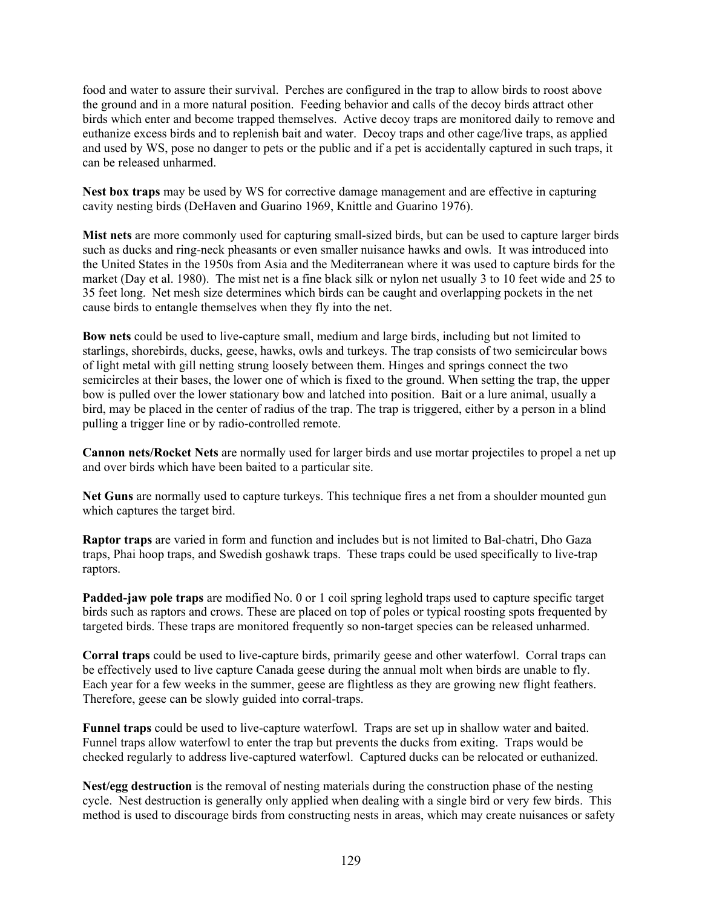food and water to assure their survival. Perches are configured in the trap to allow birds to roost above the ground and in a more natural position. Feeding behavior and calls of the decoy birds attract other birds which enter and become trapped themselves. Active decoy traps are monitored daily to remove and euthanize excess birds and to replenish bait and water. Decoy traps and other cage/live traps, as applied and used by WS, pose no danger to pets or the public and if a pet is accidentally captured in such traps, it can be released unharmed.

**Nest box traps** may be used by WS for corrective damage management and are effective in capturing cavity nesting birds (DeHaven and Guarino 1969, Knittle and Guarino 1976).

**Mist nets** are more commonly used for capturing small-sized birds, but can be used to capture larger birds such as ducks and ring-neck pheasants or even smaller nuisance hawks and owls. It was introduced into the United States in the 1950s from Asia and the Mediterranean where it was used to capture birds for the market (Day et al. 1980). The mist net is a fine black silk or nylon net usually 3 to 10 feet wide and 25 to 35 feet long. Net mesh size determines which birds can be caught and overlapping pockets in the net cause birds to entangle themselves when they fly into the net.

**Bow nets** could be used to live-capture small, medium and large birds, including but not limited to starlings, shorebirds, ducks, geese, hawks, owls and turkeys. The trap consists of two semicircular bows of light metal with gill netting strung loosely between them. Hinges and springs connect the two semicircles at their bases, the lower one of which is fixed to the ground. When setting the trap, the upper bow is pulled over the lower stationary bow and latched into position. Bait or a lure animal, usually a bird, may be placed in the center of radius of the trap. The trap is triggered, either by a person in a blind pulling a trigger line or by radio-controlled remote.

**Cannon nets/Rocket Nets** are normally used for larger birds and use mortar projectiles to propel a net up and over birds which have been baited to a particular site.

**Net Guns** are normally used to capture turkeys. This technique fires a net from a shoulder mounted gun which captures the target bird.

**Raptor traps** are varied in form and function and includes but is not limited to Bal-chatri, Dho Gaza traps, Phai hoop traps, and Swedish goshawk traps. These traps could be used specifically to live-trap raptors.

**Padded-jaw pole traps** are modified No. 0 or 1 coil spring leghold traps used to capture specific target birds such as raptors and crows. These are placed on top of poles or typical roosting spots frequented by targeted birds. These traps are monitored frequently so non-target species can be released unharmed.

**Corral traps** could be used to live-capture birds, primarily geese and other waterfowl. Corral traps can be effectively used to live capture Canada geese during the annual molt when birds are unable to fly. Each year for a few weeks in the summer, geese are flightless as they are growing new flight feathers. Therefore, geese can be slowly guided into corral-traps.

**Funnel traps** could be used to live-capture waterfowl. Traps are set up in shallow water and baited. Funnel traps allow waterfowl to enter the trap but prevents the ducks from exiting. Traps would be checked regularly to address live-captured waterfowl. Captured ducks can be relocated or euthanized.

**Nest/egg destruction** is the removal of nesting materials during the construction phase of the nesting cycle. Nest destruction is generally only applied when dealing with a single bird or very few birds. This method is used to discourage birds from constructing nests in areas, which may create nuisances or safety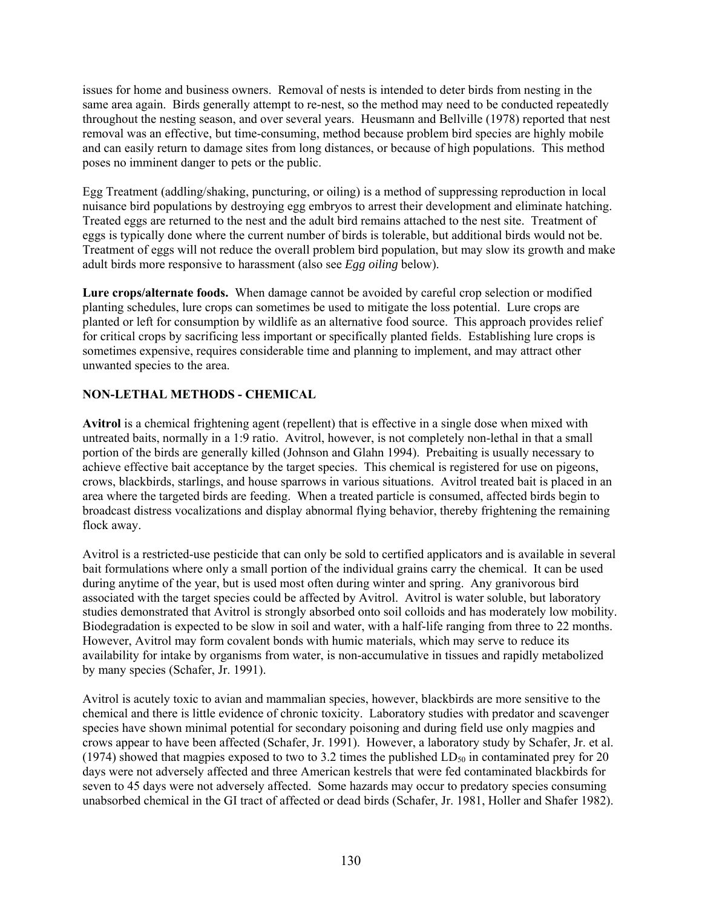issues for home and business owners. Removal of nests is intended to deter birds from nesting in the same area again. Birds generally attempt to re-nest, so the method may need to be conducted repeatedly throughout the nesting season, and over several years. Heusmann and Bellville (1978) reported that nest removal was an effective, but time-consuming, method because problem bird species are highly mobile and can easily return to damage sites from long distances, or because of high populations. This method poses no imminent danger to pets or the public.

Egg Treatment (addling/shaking, puncturing, or oiling) is a method of suppressing reproduction in local nuisance bird populations by destroying egg embryos to arrest their development and eliminate hatching. Treated eggs are returned to the nest and the adult bird remains attached to the nest site. Treatment of eggs is typically done where the current number of birds is tolerable, but additional birds would not be. Treatment of eggs will not reduce the overall problem bird population, but may slow its growth and make adult birds more responsive to harassment (also see *Egg oiling* below).

**Lure crops/alternate foods.** When damage cannot be avoided by careful crop selection or modified planting schedules, lure crops can sometimes be used to mitigate the loss potential. Lure crops are planted or left for consumption by wildlife as an alternative food source. This approach provides relief for critical crops by sacrificing less important or specifically planted fields. Establishing lure crops is sometimes expensive, requires considerable time and planning to implement, and may attract other unwanted species to the area.

# **NON-LETHAL METHODS - CHEMICAL**

**Avitrol** is a chemical frightening agent (repellent) that is effective in a single dose when mixed with untreated baits, normally in a 1:9 ratio. Avitrol, however, is not completely non-lethal in that a small portion of the birds are generally killed (Johnson and Glahn 1994). Prebaiting is usually necessary to achieve effective bait acceptance by the target species. This chemical is registered for use on pigeons, crows, blackbirds, starlings, and house sparrows in various situations. Avitrol treated bait is placed in an area where the targeted birds are feeding. When a treated particle is consumed, affected birds begin to broadcast distress vocalizations and display abnormal flying behavior, thereby frightening the remaining flock away.

Avitrol is a restricted-use pesticide that can only be sold to certified applicators and is available in several bait formulations where only a small portion of the individual grains carry the chemical. It can be used during anytime of the year, but is used most often during winter and spring. Any granivorous bird associated with the target species could be affected by Avitrol. Avitrol is water soluble, but laboratory studies demonstrated that Avitrol is strongly absorbed onto soil colloids and has moderately low mobility. Biodegradation is expected to be slow in soil and water, with a half-life ranging from three to 22 months. However, Avitrol may form covalent bonds with humic materials, which may serve to reduce its availability for intake by organisms from water, is non-accumulative in tissues and rapidly metabolized by many species (Schafer, Jr. 1991).

Avitrol is acutely toxic to avian and mammalian species, however, blackbirds are more sensitive to the chemical and there is little evidence of chronic toxicity. Laboratory studies with predator and scavenger species have shown minimal potential for secondary poisoning and during field use only magpies and crows appear to have been affected (Schafer, Jr. 1991). However, a laboratory study by Schafer, Jr. et al. (1974) showed that magpies exposed to two to 3.2 times the published  $LD_{50}$  in contaminated prey for 20 days were not adversely affected and three American kestrels that were fed contaminated blackbirds for seven to 45 days were not adversely affected. Some hazards may occur to predatory species consuming unabsorbed chemical in the GI tract of affected or dead birds (Schafer, Jr. 1981, Holler and Shafer 1982).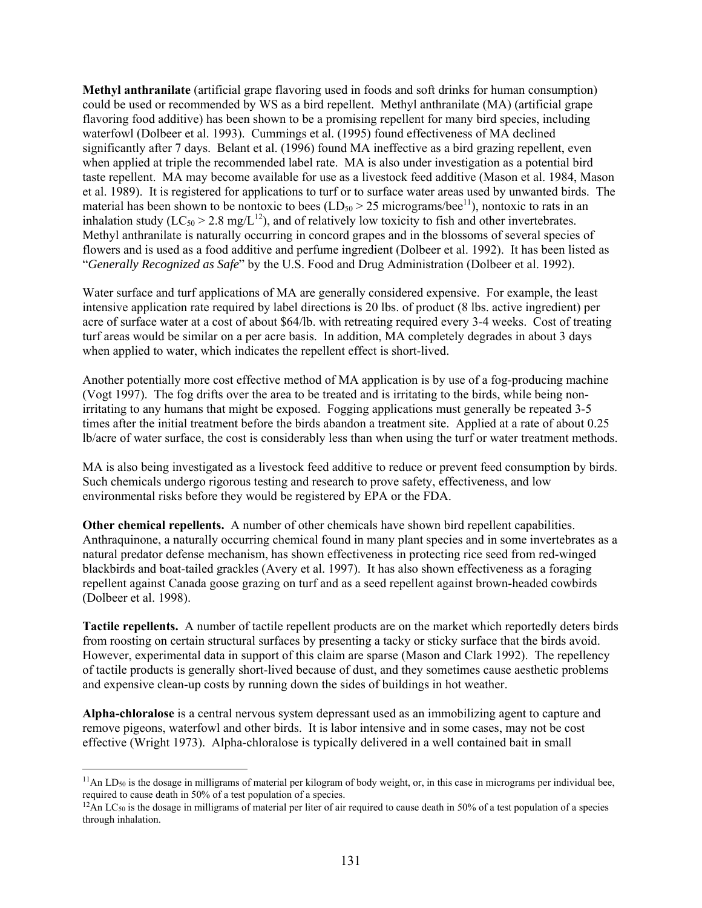**Methyl anthranilate** (artificial grape flavoring used in foods and soft drinks for human consumption) could be used or recommended by WS as a bird repellent. Methyl anthranilate (MA) (artificial grape flavoring food additive) has been shown to be a promising repellent for many bird species, including waterfowl (Dolbeer et al. 1993). Cummings et al. (1995) found effectiveness of MA declined significantly after 7 days. Belant et al. (1996) found MA ineffective as a bird grazing repellent, even when applied at triple the recommended label rate. MA is also under investigation as a potential bird taste repellent. MA may become available for use as a livestock feed additive (Mason et al. 1984, Mason et al. 1989). It is registered for applications to turf or to surface water areas used by unwanted birds. The material has been shown to be nontoxic to bees  $(LD<sub>50</sub> > 25$  micrograms/bee<sup>11</sup>), nontoxic to rats in an inhalation study ( $LC_{50} > 2.8$  mg/ $L^{12}$ ), and of relatively low toxicity to fish and other invertebrates. Methyl anthranilate is naturally occurring in concord grapes and in the blossoms of several species of flowers and is used as a food additive and perfume ingredient (Dolbeer et al. 1992). It has been listed as "*Generally Recognized as Safe*" by the U.S. Food and Drug Administration (Dolbeer et al. 1992).

Water surface and turf applications of MA are generally considered expensive. For example, the least intensive application rate required by label directions is 20 lbs. of product (8 lbs. active ingredient) per acre of surface water at a cost of about \$64/lb. with retreating required every 3-4 weeks. Cost of treating turf areas would be similar on a per acre basis. In addition, MA completely degrades in about 3 days when applied to water, which indicates the repellent effect is short-lived.

Another potentially more cost effective method of MA application is by use of a fog-producing machine (Vogt 1997). The fog drifts over the area to be treated and is irritating to the birds, while being nonirritating to any humans that might be exposed. Fogging applications must generally be repeated 3-5 times after the initial treatment before the birds abandon a treatment site. Applied at a rate of about 0.25 lb/acre of water surface, the cost is considerably less than when using the turf or water treatment methods.

MA is also being investigated as a livestock feed additive to reduce or prevent feed consumption by birds. Such chemicals undergo rigorous testing and research to prove safety, effectiveness, and low environmental risks before they would be registered by EPA or the FDA.

**Other chemical repellents.** A number of other chemicals have shown bird repellent capabilities. Anthraquinone, a naturally occurring chemical found in many plant species and in some invertebrates as a natural predator defense mechanism, has shown effectiveness in protecting rice seed from red-winged blackbirds and boat-tailed grackles (Avery et al. 1997). It has also shown effectiveness as a foraging repellent against Canada goose grazing on turf and as a seed repellent against brown-headed cowbirds (Dolbeer et al. 1998).

**Tactile repellents.** A number of tactile repellent products are on the market which reportedly deters birds from roosting on certain structural surfaces by presenting a tacky or sticky surface that the birds avoid. However, experimental data in support of this claim are sparse (Mason and Clark 1992). The repellency of tactile products is generally short-lived because of dust, and they sometimes cause aesthetic problems and expensive clean-up costs by running down the sides of buildings in hot weather.

**Alpha-chloralose** is a central nervous system depressant used as an immobilizing agent to capture and remove pigeons, waterfowl and other birds. It is labor intensive and in some cases, may not be cost effective (Wright 1973). Alpha-chloralose is typically delivered in a well contained bait in small

 $\overline{a}$ 

 $11$ An LD<sub>50</sub> is the dosage in milligrams of material per kilogram of body weight, or, in this case in micrograms per individual bee, required to cause death in 50% of a test population of a species.

 $^{12}$ An LC<sub>50</sub> is the dosage in milligrams of material per liter of air required to cause death in 50% of a test population of a species through inhalation.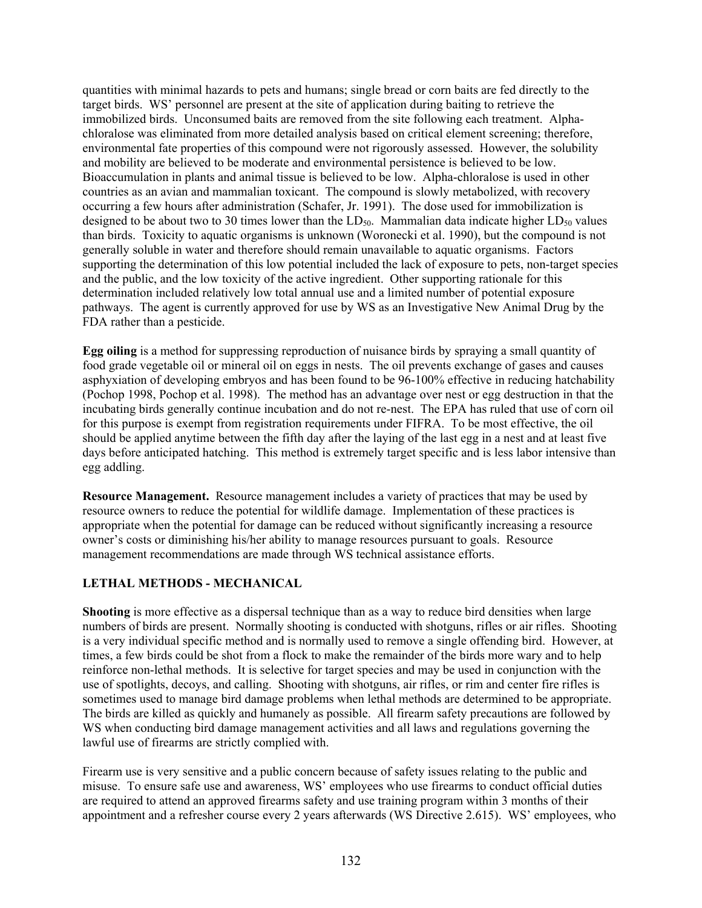quantities with minimal hazards to pets and humans; single bread or corn baits are fed directly to the target birds. WS' personnel are present at the site of application during baiting to retrieve the immobilized birds. Unconsumed baits are removed from the site following each treatment. Alphachloralose was eliminated from more detailed analysis based on critical element screening; therefore, environmental fate properties of this compound were not rigorously assessed. However, the solubility and mobility are believed to be moderate and environmental persistence is believed to be low. Bioaccumulation in plants and animal tissue is believed to be low. Alpha-chloralose is used in other countries as an avian and mammalian toxicant. The compound is slowly metabolized, with recovery occurring a few hours after administration (Schafer, Jr. 1991). The dose used for immobilization is designed to be about two to 30 times lower than the  $LD<sub>50</sub>$ . Mammalian data indicate higher  $LD<sub>50</sub>$  values than birds. Toxicity to aquatic organisms is unknown (Woronecki et al. 1990), but the compound is not generally soluble in water and therefore should remain unavailable to aquatic organisms. Factors supporting the determination of this low potential included the lack of exposure to pets, non-target species and the public, and the low toxicity of the active ingredient. Other supporting rationale for this determination included relatively low total annual use and a limited number of potential exposure pathways. The agent is currently approved for use by WS as an Investigative New Animal Drug by the FDA rather than a pesticide.

**Egg oiling** is a method for suppressing reproduction of nuisance birds by spraying a small quantity of food grade vegetable oil or mineral oil on eggs in nests. The oil prevents exchange of gases and causes asphyxiation of developing embryos and has been found to be 96-100% effective in reducing hatchability (Pochop 1998, Pochop et al. 1998). The method has an advantage over nest or egg destruction in that the incubating birds generally continue incubation and do not re-nest. The EPA has ruled that use of corn oil for this purpose is exempt from registration requirements under FIFRA. To be most effective, the oil should be applied anytime between the fifth day after the laying of the last egg in a nest and at least five days before anticipated hatching. This method is extremely target specific and is less labor intensive than egg addling.

**Resource Management.** Resource management includes a variety of practices that may be used by resource owners to reduce the potential for wildlife damage. Implementation of these practices is appropriate when the potential for damage can be reduced without significantly increasing a resource owner's costs or diminishing his/her ability to manage resources pursuant to goals. Resource management recommendations are made through WS technical assistance efforts.

## **LETHAL METHODS - MECHANICAL**

**Shooting** is more effective as a dispersal technique than as a way to reduce bird densities when large numbers of birds are present. Normally shooting is conducted with shotguns, rifles or air rifles. Shooting is a very individual specific method and is normally used to remove a single offending bird. However, at times, a few birds could be shot from a flock to make the remainder of the birds more wary and to help reinforce non-lethal methods. It is selective for target species and may be used in conjunction with the use of spotlights, decoys, and calling. Shooting with shotguns, air rifles, or rim and center fire rifles is sometimes used to manage bird damage problems when lethal methods are determined to be appropriate. The birds are killed as quickly and humanely as possible. All firearm safety precautions are followed by WS when conducting bird damage management activities and all laws and regulations governing the lawful use of firearms are strictly complied with.

Firearm use is very sensitive and a public concern because of safety issues relating to the public and misuse. To ensure safe use and awareness, WS' employees who use firearms to conduct official duties are required to attend an approved firearms safety and use training program within 3 months of their appointment and a refresher course every 2 years afterwards (WS Directive 2.615). WS' employees, who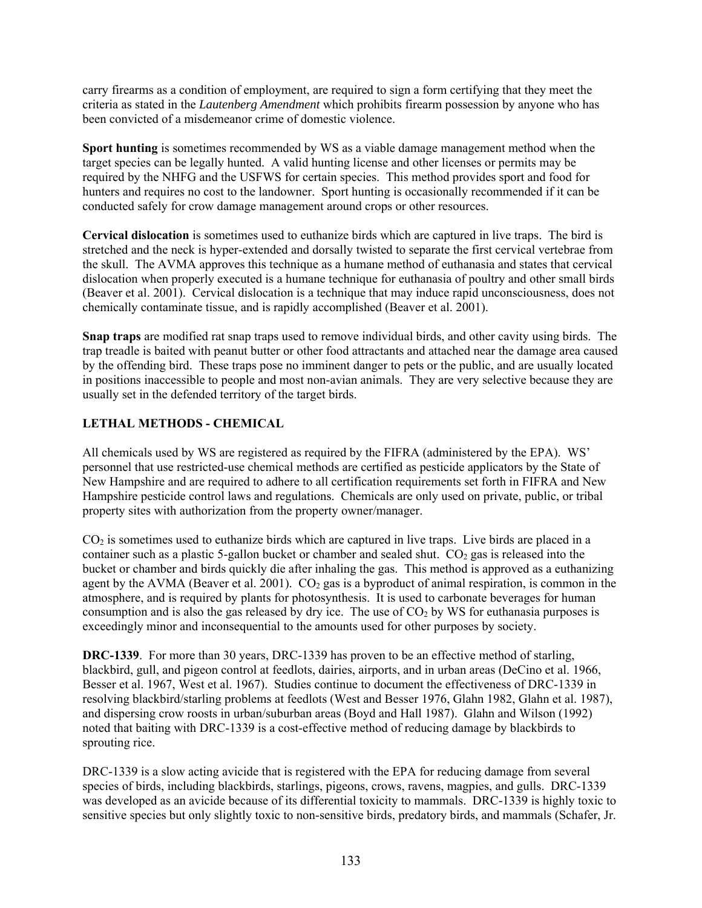carry firearms as a condition of employment, are required to sign a form certifying that they meet the criteria as stated in the *Lautenberg Amendment* which prohibits firearm possession by anyone who has been convicted of a misdemeanor crime of domestic violence.

**Sport hunting** is sometimes recommended by WS as a viable damage management method when the target species can be legally hunted. A valid hunting license and other licenses or permits may be required by the NHFG and the USFWS for certain species. This method provides sport and food for hunters and requires no cost to the landowner. Sport hunting is occasionally recommended if it can be conducted safely for crow damage management around crops or other resources.

**Cervical dislocation** is sometimes used to euthanize birds which are captured in live traps. The bird is stretched and the neck is hyper-extended and dorsally twisted to separate the first cervical vertebrae from the skull. The AVMA approves this technique as a humane method of euthanasia and states that cervical dislocation when properly executed is a humane technique for euthanasia of poultry and other small birds (Beaver et al. 2001). Cervical dislocation is a technique that may induce rapid unconsciousness, does not chemically contaminate tissue, and is rapidly accomplished (Beaver et al. 2001).

**Snap traps** are modified rat snap traps used to remove individual birds, and other cavity using birds. The trap treadle is baited with peanut butter or other food attractants and attached near the damage area caused by the offending bird. These traps pose no imminent danger to pets or the public, and are usually located in positions inaccessible to people and most non-avian animals. They are very selective because they are usually set in the defended territory of the target birds.

## **LETHAL METHODS - CHEMICAL**

All chemicals used by WS are registered as required by the FIFRA (administered by the EPA). WS' personnel that use restricted-use chemical methods are certified as pesticide applicators by the State of New Hampshire and are required to adhere to all certification requirements set forth in FIFRA and New Hampshire pesticide control laws and regulations. Chemicals are only used on private, public, or tribal property sites with authorization from the property owner/manager.

CO2 is sometimes used to euthanize birds which are captured in live traps. Live birds are placed in a container such as a plastic 5-gallon bucket or chamber and sealed shut.  $CO<sub>2</sub>$  gas is released into the bucket or chamber and birds quickly die after inhaling the gas. This method is approved as a euthanizing agent by the AVMA (Beaver et al. 2001).  $CO<sub>2</sub>$  gas is a byproduct of animal respiration, is common in the atmosphere, and is required by plants for photosynthesis. It is used to carbonate beverages for human consumption and is also the gas released by dry ice. The use of  $CO<sub>2</sub>$  by WS for euthanasia purposes is exceedingly minor and inconsequential to the amounts used for other purposes by society.

**DRC-1339**. For more than 30 years, DRC-1339 has proven to be an effective method of starling, blackbird, gull, and pigeon control at feedlots, dairies, airports, and in urban areas (DeCino et al. 1966, Besser et al. 1967, West et al. 1967). Studies continue to document the effectiveness of DRC-1339 in resolving blackbird/starling problems at feedlots (West and Besser 1976, Glahn 1982, Glahn et al. 1987), and dispersing crow roosts in urban/suburban areas (Boyd and Hall 1987). Glahn and Wilson (1992) noted that baiting with DRC-1339 is a cost-effective method of reducing damage by blackbirds to sprouting rice.

DRC-1339 is a slow acting avicide that is registered with the EPA for reducing damage from several species of birds, including blackbirds, starlings, pigeons, crows, ravens, magpies, and gulls. DRC-1339 was developed as an avicide because of its differential toxicity to mammals. DRC-1339 is highly toxic to sensitive species but only slightly toxic to non-sensitive birds, predatory birds, and mammals (Schafer, Jr.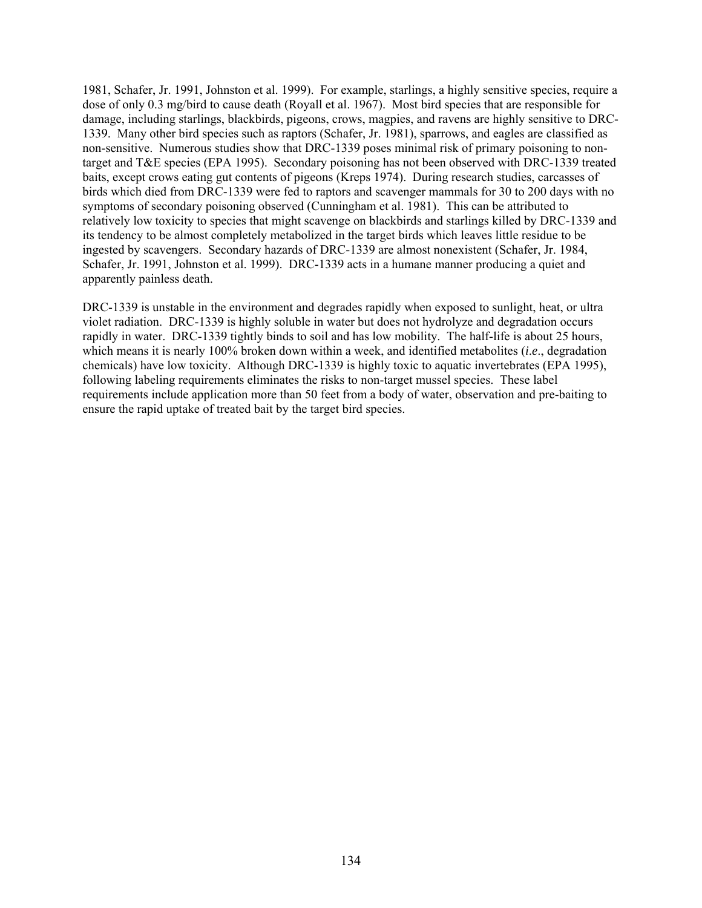1981, Schafer, Jr. 1991, Johnston et al. 1999). For example, starlings, a highly sensitive species, require a dose of only 0.3 mg/bird to cause death (Royall et al. 1967). Most bird species that are responsible for damage, including starlings, blackbirds, pigeons, crows, magpies, and ravens are highly sensitive to DRC-1339. Many other bird species such as raptors (Schafer, Jr. 1981), sparrows, and eagles are classified as non-sensitive. Numerous studies show that DRC-1339 poses minimal risk of primary poisoning to nontarget and T&E species (EPA 1995). Secondary poisoning has not been observed with DRC-1339 treated baits, except crows eating gut contents of pigeons (Kreps 1974). During research studies, carcasses of birds which died from DRC-1339 were fed to raptors and scavenger mammals for 30 to 200 days with no symptoms of secondary poisoning observed (Cunningham et al. 1981). This can be attributed to relatively low toxicity to species that might scavenge on blackbirds and starlings killed by DRC-1339 and its tendency to be almost completely metabolized in the target birds which leaves little residue to be ingested by scavengers. Secondary hazards of DRC-1339 are almost nonexistent (Schafer, Jr. 1984, Schafer, Jr. 1991, Johnston et al. 1999). DRC-1339 acts in a humane manner producing a quiet and apparently painless death.

DRC-1339 is unstable in the environment and degrades rapidly when exposed to sunlight, heat, or ultra violet radiation. DRC-1339 is highly soluble in water but does not hydrolyze and degradation occurs rapidly in water. DRC-1339 tightly binds to soil and has low mobility. The half-life is about 25 hours, which means it is nearly 100% broken down within a week, and identified metabolites (*i*.*e*., degradation chemicals) have low toxicity. Although DRC-1339 is highly toxic to aquatic invertebrates (EPA 1995), following labeling requirements eliminates the risks to non-target mussel species. These label requirements include application more than 50 feet from a body of water, observation and pre-baiting to ensure the rapid uptake of treated bait by the target bird species.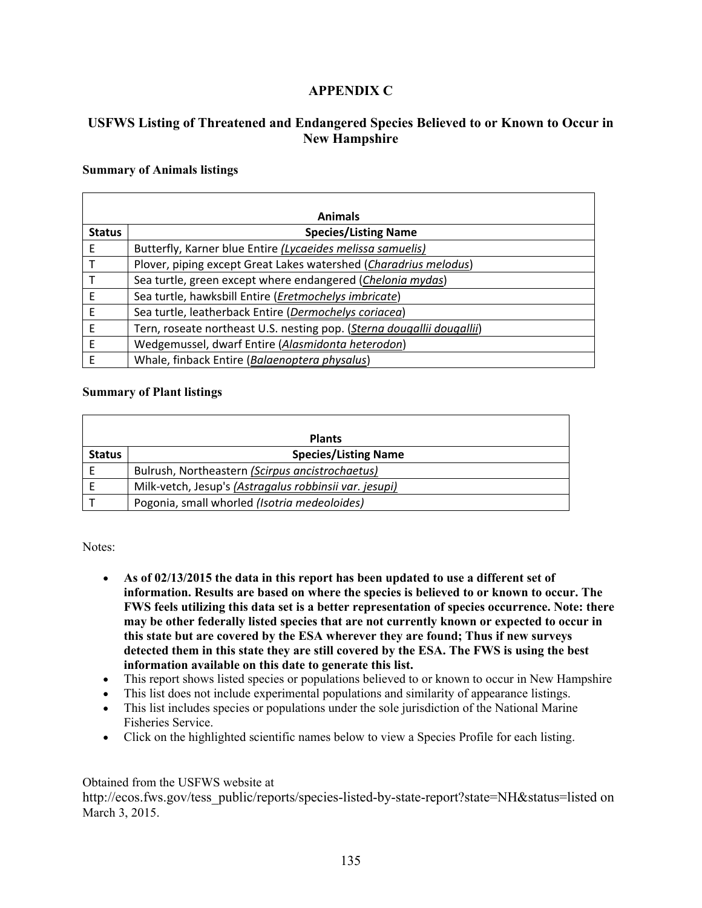# **APPENDIX C**

# **USFWS Listing of Threatened and Endangered Species Believed to or Known to Occur in New Hampshire**

#### **Summary of Animals listings**

|               | <b>Animals</b>                                                         |  |  |  |
|---------------|------------------------------------------------------------------------|--|--|--|
| <b>Status</b> | <b>Species/Listing Name</b>                                            |  |  |  |
| Ε             | Butterfly, Karner blue Entire (Lycaeides melissa samuelis)             |  |  |  |
|               | Plover, piping except Great Lakes watershed (Charadrius melodus)       |  |  |  |
|               | Sea turtle, green except where endangered (Chelonia mydas)             |  |  |  |
| Е             | Sea turtle, hawksbill Entire (Eretmochelys imbricate)                  |  |  |  |
| F             | Sea turtle, leatherback Entire (Dermochelys coriacea)                  |  |  |  |
| Ε             | Tern, roseate northeast U.S. nesting pop. (Sterna dougallii dougallii) |  |  |  |
| E             | Wedgemussel, dwarf Entire (Alasmidonta heterodon)                      |  |  |  |
| F             | Whale, finback Entire (Balaenoptera physalus)                          |  |  |  |

### **Summary of Plant listings**

| <b>Plants</b> |                                                        |  |
|---------------|--------------------------------------------------------|--|
| <b>Status</b> | <b>Species/Listing Name</b>                            |  |
|               | Bulrush, Northeastern (Scirpus ancistrochaetus)        |  |
|               | Milk-vetch, Jesup's (Astragalus robbinsii var. jesupi) |  |
|               | Pogonia, small whorled (Isotria medeoloides)           |  |

Notes:

- **As of 02/13/2015 the data in this report has been updated to use a different set of information. Results are based on where the species is believed to or known to occur. The FWS feels utilizing this data set is a better representation of species occurrence. Note: there may be other federally listed species that are not currently known or expected to occur in this state but are covered by the ESA wherever they are found; Thus if new surveys detected them in this state they are still covered by the ESA. The FWS is using the best information available on this date to generate this list.**
- This report shows listed species or populations believed to or known to occur in New Hampshire
- This list does not include experimental populations and similarity of appearance listings.
- This list includes species or populations under the sole jurisdiction of the National Marine Fisheries Service.
- Click on the highlighted scientific names below to view a Species Profile for each listing.

### Obtained from the USFWS website at

http://ecos.fws.gov/tess\_public/reports/species-listed-by-state-report?state=NH&status=listed on March 3, 2015.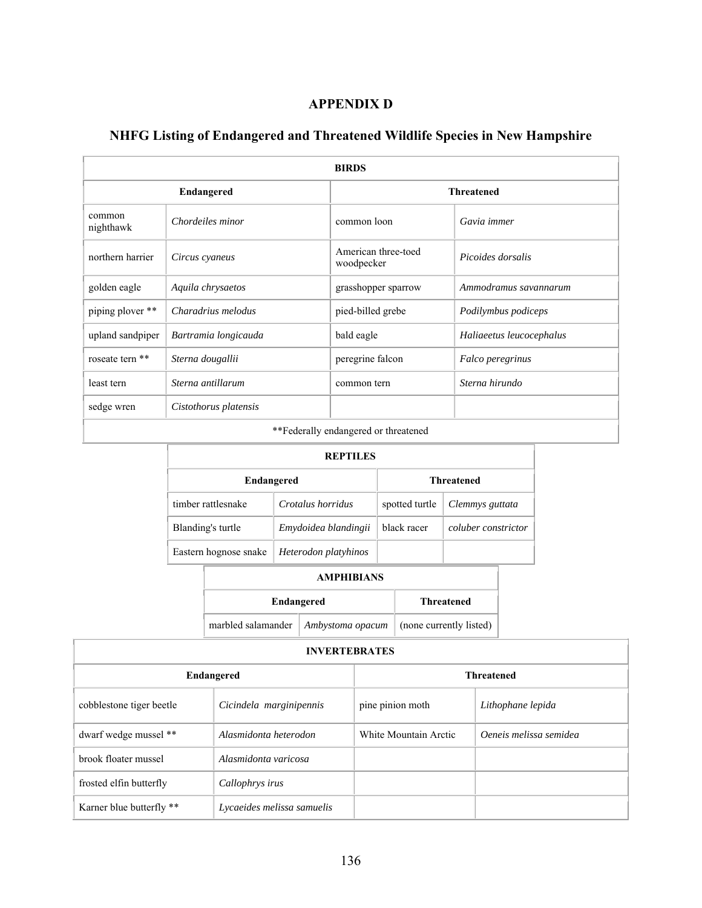# **APPENDIX D**

| <b>BIRDS</b>                         |                       |                                   |                          |
|--------------------------------------|-----------------------|-----------------------------------|--------------------------|
|                                      | <b>Endangered</b>     |                                   | <b>Threatened</b>        |
| common<br>nighthawk                  | Chordeiles minor      | common loon                       | Gavia immer              |
| northern harrier                     | Circus cyaneus        | American three-toed<br>woodpecker | Picoides dorsalis        |
| golden eagle                         | Aquila chrysaetos     | grasshopper sparrow               | Ammodramus savannarum    |
| piping plover **                     | Charadrius melodus    | pied-billed grebe                 | Podilymbus podiceps      |
| upland sandpiper                     | Bartramia longicauda  | bald eagle                        | Haliaeetus leucocephalus |
| roseate tern **                      | Sterna dougallii      | peregrine falcon                  | Falco peregrinus         |
| least tern                           | Sterna antillarum     | common tern                       | Sterna hirundo           |
| sedge wren                           | Cistothorus platensis |                                   |                          |
| **Eadarally andangered or threatened |                       |                                   |                          |

# **NHFG Listing of Endangered and Threatened Wildlife Species in New Hampshire**

\*\*Federally endangered or threatened

| <b>REPTILES</b>                               |                    |                      |                |                     |
|-----------------------------------------------|--------------------|----------------------|----------------|---------------------|
| <b>Endangered</b>                             |                    |                      |                | <b>Threatened</b>   |
|                                               | timber rattlesnake | Crotalus horridus    | spotted turtle | Clemmys guttata     |
| Blanding's turtle                             |                    | Emydoidea blandingii | black racer    | coluber constrictor |
| Eastern hognose snake<br>Heterodon platyhinos |                    |                      |                |                     |
| <b>AMPHIBIANS</b>                             |                    |                      |                |                     |

| Endangered                            | <b>Threatened</b> |                         |
|---------------------------------------|-------------------|-------------------------|
| marbled salamander   Ambystoma opacum |                   | (none currently listed) |

| <b>INVERTEBRATES</b> |
|----------------------|
|----------------------|

1

Т

| Endangered               |                            |                       | <b>Threatened</b>      |
|--------------------------|----------------------------|-----------------------|------------------------|
| cobblestone tiger beetle | Cicindela marginipennis    | pine pinion moth      | Lithophane lepida      |
| dwarf wedge mussel **    | Alasmidonta heterodon      | White Mountain Arctic | Oeneis melissa semidea |
| brook floater mussel     | Alasmidonta varicosa       |                       |                        |
| frosted elfin butterfly  | Callophrys irus            |                       |                        |
| Karner blue butterfly ** | Lycaeides melissa samuelis |                       |                        |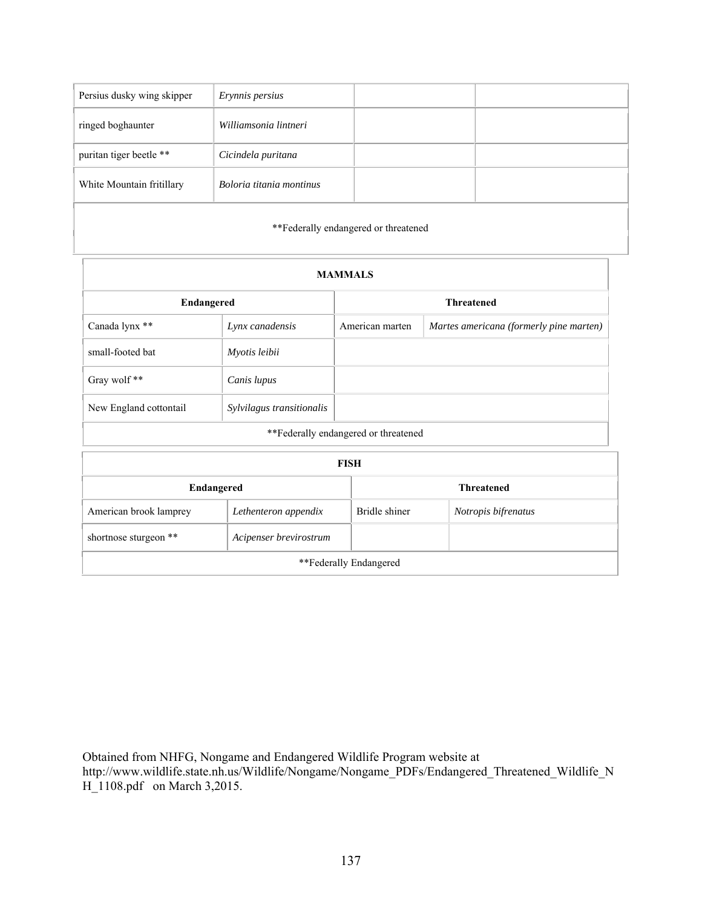| Persius dusky wing skipper | Erynnis persius          |  |
|----------------------------|--------------------------|--|
| ringed boghaunter          | Williamsonia lintneri    |  |
| puritan tiger beetle **    | Cicindela puritana       |  |
| White Mountain fritillary  | Boloria titania montinus |  |
|                            |                          |  |

\*\*Federally endangered or threatened

| <b>MAMMALS</b>                                  |                           |                                      |                                         |  |
|-------------------------------------------------|---------------------------|--------------------------------------|-----------------------------------------|--|
| Endangered                                      |                           |                                      | <b>Threatened</b>                       |  |
| Canada lynx **                                  | Lynx canadensis           | American marten                      | Martes americana (formerly pine marten) |  |
| small-footed bat                                | Myotis leibii             |                                      |                                         |  |
| Gray wolf**                                     | Canis lupus               |                                      |                                         |  |
| New England cottontail                          | Sylvilagus transitionalis |                                      |                                         |  |
| **Federally endangered or threatened            |                           |                                      |                                         |  |
| <b>FISH</b>                                     |                           |                                      |                                         |  |
| Endangered<br><b>Threatened</b>                 |                           |                                      |                                         |  |
| American brook lamprey                          | Lethenteron appendix      | Bridle shiner<br>Notropis bifrenatus |                                         |  |
| shortnose sturgeon **<br>Acipenser brevirostrum |                           |                                      |                                         |  |
| **Federally Endangered                          |                           |                                      |                                         |  |

Obtained from NHFG, Nongame and Endangered Wildlife Program website at http://www.wildlife.state.nh.us/Wildlife/Nongame/Nongame\_PDFs/Endangered\_Threatened\_Wildlife\_N H\_1108.pdf on March 3,2015.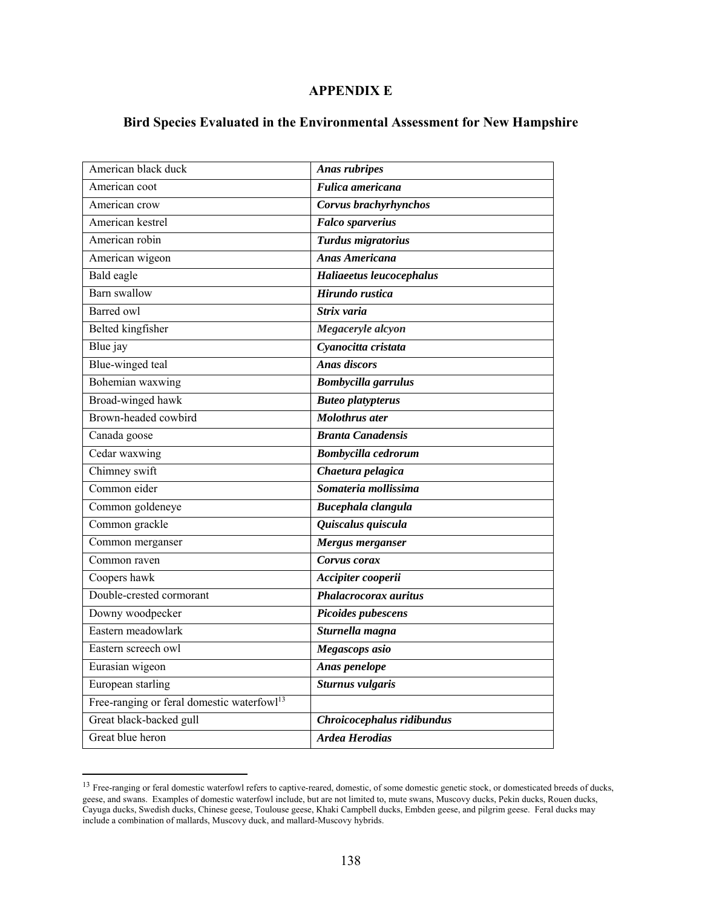## **APPENDIX E**

# **Bird Species Evaluated in the Environmental Assessment for New Hampshire**

| American black duck                                    | <b>Anas rubripes</b>       |
|--------------------------------------------------------|----------------------------|
| American coot                                          | Fulica americana           |
| American crow                                          | Corvus brachyrhynchos      |
| American kestrel                                       | <b>Falco</b> sparverius    |
| American robin                                         | Turdus migratorius         |
| American wigeon                                        | <b>Anas Americana</b>      |
| Bald eagle                                             | Haliaeetus leucocephalus   |
| <b>Barn</b> swallow                                    | Hirundo rustica            |
| <b>Barred</b> owl                                      | Strix varia                |
| <b>Belted kingfisher</b>                               | Megaceryle alcyon          |
| Blue jay                                               | Cyanocitta cristata        |
| Blue-winged teal                                       | <b>Anas discors</b>        |
| Bohemian waxwing                                       | <b>Bombycilla</b> garrulus |
| Broad-winged hawk                                      | <b>Buteo platypterus</b>   |
| Brown-headed cowbird                                   | <b>Molothrus</b> ater      |
| Canada goose                                           | <b>Branta Canadensis</b>   |
| Cedar waxwing                                          | Bombycilla cedrorum        |
| Chimney swift                                          | Chaetura pelagica          |
| Common eider                                           | Somateria mollissima       |
| Common goldeneye                                       | Bucephala clangula         |
| Common grackle                                         | Quiscalus quiscula         |
| Common merganser                                       | Mergus merganser           |
| Common raven                                           | Corvus corax               |
| Coopers hawk                                           | Accipiter cooperii         |
| Double-crested cormorant                               | Phalacrocorax auritus      |
| Downy woodpecker                                       | Picoides pubescens         |
| Eastern meadowlark                                     | Sturnella magna            |
| Eastern screech owl                                    | Megascops asio             |
| Eurasian wigeon                                        | Anas penelope              |
| European starling                                      | <b>Sturnus vulgaris</b>    |
| Free-ranging or feral domestic waterfowl <sup>13</sup> |                            |
| Great black-backed gull                                | Chroicocephalus ridibundus |
| Great blue heron                                       | <b>Ardea Herodias</b>      |
|                                                        |                            |

<sup>&</sup>lt;sup>13</sup> Free-ranging or feral domestic waterfowl refers to captive-reared, domestic, of some domestic genetic stock, or domesticated breeds of ducks, geese, and swans. Examples of domestic waterfowl include, but are not limited to, mute swans, Muscovy ducks, Pekin ducks, Rouen ducks, Cayuga ducks, Swedish ducks, Chinese geese, Toulouse geese, Khaki Campbell ducks, Embden geese, and pilgrim geese. Feral ducks may include a combination of mallards, Muscovy duck, and mallard-Muscovy hybrids.

 $\overline{a}$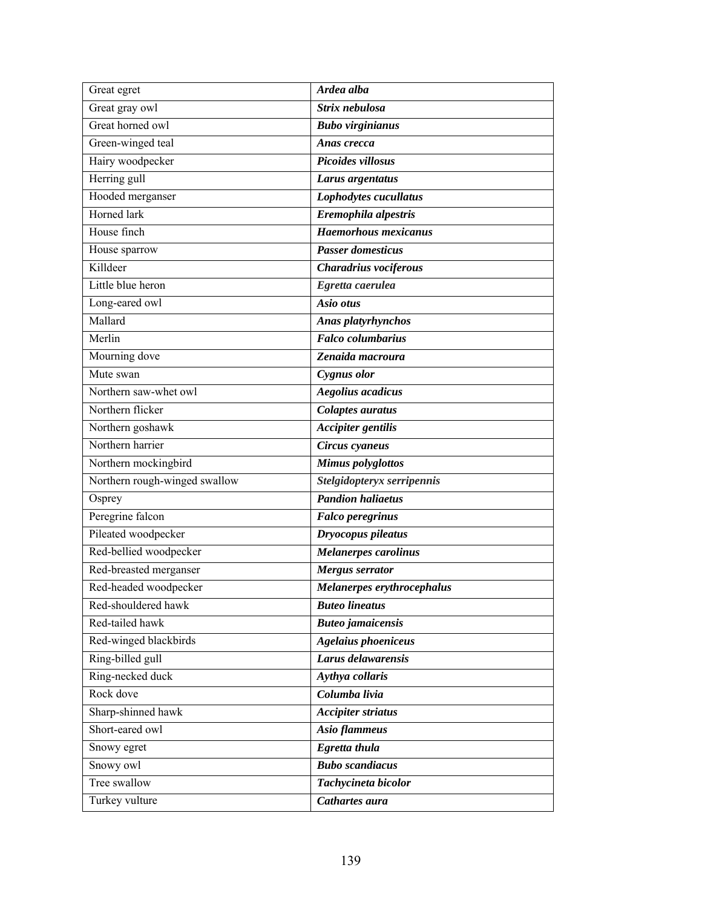| Great egret                   | Ardea alba                  |
|-------------------------------|-----------------------------|
| Great gray owl                | Strix nebulosa              |
| Great horned owl              | <b>Bubo virginianus</b>     |
| Green-winged teal             | Anas crecca                 |
| Hairy woodpecker              | Picoides villosus           |
| Herring gull                  | Larus argentatus            |
| Hooded merganser              | Lophodytes cucullatus       |
| Horned lark                   | Eremophila alpestris        |
| House finch                   | <b>Haemorhous mexicanus</b> |
| House sparrow                 | <b>Passer domesticus</b>    |
| Killdeer                      | Charadrius vociferous       |
| Little blue heron             | Egretta caerulea            |
| Long-eared owl                | Asio otus                   |
| Mallard                       | Anas platyrhynchos          |
| Merlin                        | <b>Falco</b> columbarius    |
| Mourning dove                 | Zenaida macroura            |
| Mute swan                     | Cygnus olor                 |
| Northern saw-whet owl         | <b>Aegolius</b> acadicus    |
| Northern flicker              | <b>Colaptes auratus</b>     |
| Northern goshawk              | <b>Accipiter gentilis</b>   |
| Northern harrier              | Circus cyaneus              |
| Northern mockingbird          | <b>Mimus</b> polyglottos    |
| Northern rough-winged swallow | Stelgidopteryx serripennis  |
| Osprey                        | <b>Pandion haliaetus</b>    |
| Peregrine falcon              | <b>Falco peregrinus</b>     |
| Pileated woodpecker           | Dryocopus pileatus          |
| Red-bellied woodpecker        | Melanerpes carolinus        |
| Red-breasted merganser        | <b>Mergus serrator</b>      |
| Red-headed woodpecker         | Melanerpes erythrocephalus  |
| Red-shouldered hawk           | <b>Buteo lineatus</b>       |
| Red-tailed hawk               | <b>Buteo</b> jamaicensis    |
| Red-winged blackbirds         | <b>Agelaius phoeniceus</b>  |
| Ring-billed gull              | Larus delawarensis          |
| Ring-necked duck              | Aythya collaris             |
| Rock dove                     | Columba livia               |
| Sharp-shinned hawk            | <b>Accipiter striatus</b>   |
| Short-eared owl               | Asio flammeus               |
| Snowy egret                   | Egretta thula               |
| Snowy owl                     | <b>Bubo</b> scandiacus      |
| Tree swallow                  | Tachycineta bicolor         |
| Turkey vulture                | Cathartes aura              |